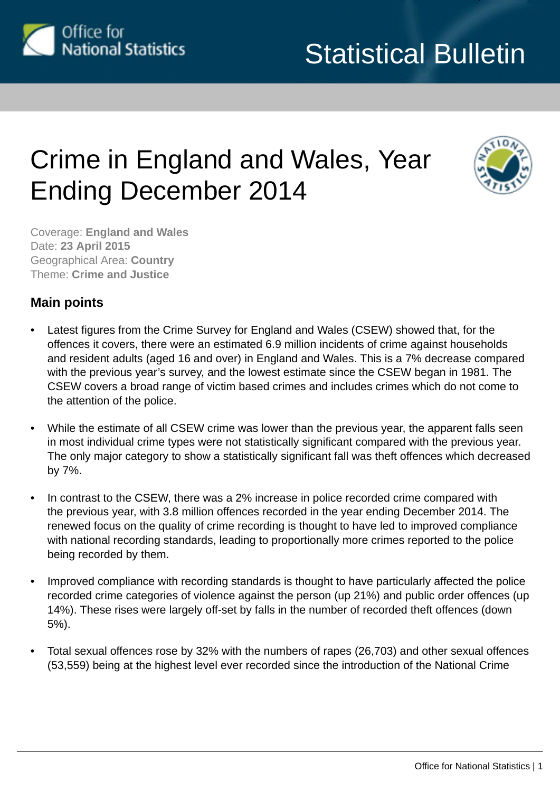<span id="page-0-0"></span>

# Crime in England and Wales, Year Ending December 2014



Coverage: **England and Wales** Date: **23 April 2015** Geographical Area: **Country** Theme: **Crime and Justice**

# **Main points**

- Latest figures from the Crime Survey for England and Wales (CSEW) showed that, for the offences it covers, there were an estimated 6.9 million incidents of crime against households and resident adults (aged 16 and over) in England and Wales. This is a 7% decrease compared with the previous year's survey, and the lowest estimate since the CSEW began in 1981. The CSEW covers a broad range of victim based crimes and includes crimes which do not come to the attention of the police.
- While the estimate of all CSEW crime was lower than the previous year, the apparent falls seen in most individual crime types were not statistically significant compared with the previous year. The only major category to show a statistically significant fall was theft offences which decreased by 7%.
- In contrast to the CSEW, there was a 2% increase in police recorded crime compared with the previous year, with 3.8 million offences recorded in the year ending December 2014. The renewed focus on the quality of crime recording is thought to have led to improved compliance with national recording standards, leading to proportionally more crimes reported to the police being recorded by them.
- Improved compliance with recording standards is thought to have particularly affected the police recorded crime categories of violence against the person (up 21%) and public order offences (up 14%). These rises were largely off-set by falls in the number of recorded theft offences (down 5%).
- Total sexual offences rose by 32% with the numbers of rapes (26,703) and other sexual offences (53,559) being at the highest level ever recorded since the introduction of the National Crime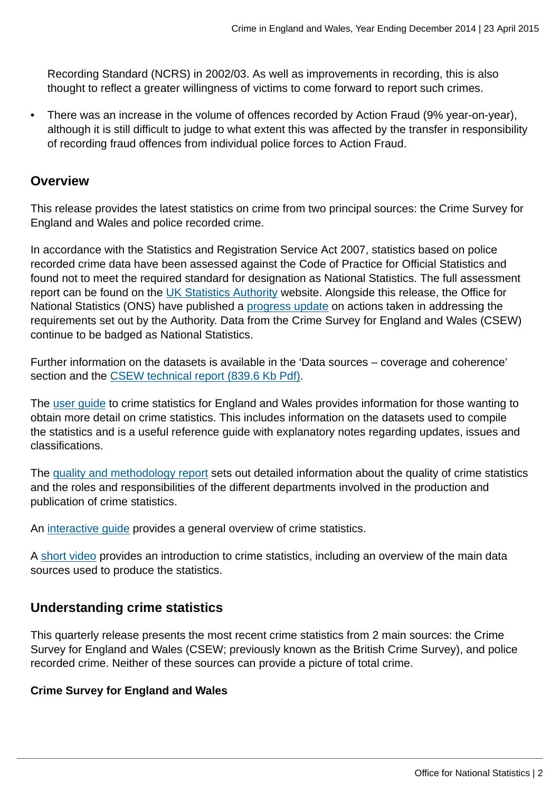Recording Standard (NCRS) in 2002/03. As well as improvements in recording, this is also thought to reflect a greater willingness of victims to come forward to report such crimes.

• There was an increase in the volume of offences recorded by Action Fraud (9% year-on-year), although it is still difficult to judge to what extent this was affected by the transfer in responsibility of recording fraud offences from individual police forces to Action Fraud.

## **Overview**

This release provides the latest statistics on crime from two principal sources: the Crime Survey for England and Wales and police recorded crime.

In accordance with the Statistics and Registration Service Act 2007, statistics based on police recorded crime data have been assessed against the Code of Practice for Official Statistics and found not to meet the required standard for designation as National Statistics. The full assessment report can be found on the [UK Statistics Authority](http://www.statisticsauthority.gov.uk/assessment/assessment/assessment-reports/) website. Alongside this release, the Office for National Statistics (ONS) have published a [progress update](http://www.ons.gov.uk:80/ons/guide-method/method-quality/specific/crime-statistics-methodology/index.html) on actions taken in addressing the requirements set out by the Authority. Data from the Crime Survey for England and Wales (CSEW) continue to be badged as National Statistics.

Further information on the datasets is available in the 'Data sources – coverage and coherence' section and the [CSEW technical report \(839.6 Kb Pdf\).](http://www.ons.gov.uk:80/ons/guide-method/method-quality/specific/crime-statistics-methodology/2013-14-crime-survey-for-england-and-wales-technical-report---volume-1.pdf)

The [user guide](http://www.ons.gov.uk:80/ons/guide-method/method-quality/specific/crime-statistics-methodology/user-guides/index.html) to crime statistics for England and Wales provides information for those wanting to obtain more detail on crime statistics. This includes information on the datasets used to compile the statistics and is a useful reference guide with explanatory notes regarding updates, issues and classifications.

The [quality and methodology report](http://www.ons.gov.uk:80/ons/guide-method/method-quality/quality/quality-information/crime-and-justice/index.html) sets out detailed information about the quality of crime statistics and the roles and responsibilities of the different departments involved in the production and publication of crime statistics.

An [interactive guide](http://www.ons.gov.uk:80/ons/guide-method/method-quality/specific/crime-statistics-methodology/guide-to-finding-crime-statistics/index.html) provides a general overview of crime statistics.

A [short video](http://www.ons.gov.uk:80/ons/rel/crime-stats/crime-statistics/period-ending-december-2012/video-summary--a-guide-to-crime-statistics.html) provides an introduction to crime statistics, including an overview of the main data sources used to produce the statistics.

## **Understanding crime statistics**

This quarterly release presents the most recent crime statistics from 2 main sources: the Crime Survey for England and Wales (CSEW; previously known as the British Crime Survey), and police recorded crime. Neither of these sources can provide a picture of total crime.

#### **Crime Survey for England and Wales**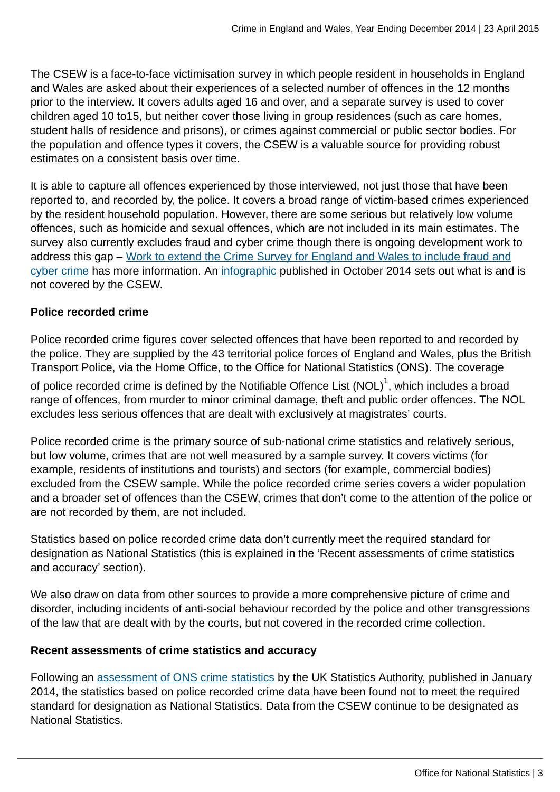The CSEW is a face-to-face victimisation survey in which people resident in households in England and Wales are asked about their experiences of a selected number of offences in the 12 months prior to the interview. It covers adults aged 16 and over, and a separate survey is used to cover children aged 10 to15, but neither cover those living in group residences (such as care homes, student halls of residence and prisons), or crimes against commercial or public sector bodies. For the population and offence types it covers, the CSEW is a valuable source for providing robust estimates on a consistent basis over time.

It is able to capture all offences experienced by those interviewed, not just those that have been reported to, and recorded by, the police. It covers a broad range of victim-based crimes experienced by the resident household population. However, there are some serious but relatively low volume offences, such as homicide and sexual offences, which are not included in its main estimates. The survey also currently excludes fraud and cyber crime though there is ongoing development work to address this gap – [Work to extend the Crime Survey for England and Wales to include fraud and](http://www.ons.gov.uk:80/ons/guide-method/method-quality/specific/crime-statistics-methodology/methodological-notes/index.html) [cyber crime](http://www.ons.gov.uk:80/ons/guide-method/method-quality/specific/crime-statistics-methodology/methodological-notes/index.html) has more information. An [infographic](http://www.ons.gov.uk:80/ons/rel/crime-stats/crime-statistics/period-ending-june-2014/info-what-does-csew-cover.html) published in October 2014 sets out what is and is not covered by the CSEW.

## **Police recorded crime**

Police recorded crime figures cover selected offences that have been reported to and recorded by the police. They are supplied by the 43 territorial police forces of England and Wales, plus the British Transport Police, via the Home Office, to the Office for National Statistics (ONS). The coverage

of police recorded crime is defined by the Notifiable Offence List (NOL) $^{\rm 1}$ , which includes a broad range of offences, from murder to minor criminal damage, theft and public order offences. The NOL excludes less serious offences that are dealt with exclusively at magistrates' courts.

Police recorded crime is the primary source of sub-national crime statistics and relatively serious, but low volume, crimes that are not well measured by a sample survey. It covers victims (for example, residents of institutions and tourists) and sectors (for example, commercial bodies) excluded from the CSEW sample. While the police recorded crime series covers a wider population and a broader set of offences than the CSEW, crimes that don't come to the attention of the police or are not recorded by them, are not included.

Statistics based on police recorded crime data don't currently meet the required standard for designation as National Statistics (this is explained in the 'Recent assessments of crime statistics and accuracy' section).

We also draw on data from other sources to provide a more comprehensive picture of crime and disorder, including incidents of anti-social behaviour recorded by the police and other transgressions of the law that are dealt with by the courts, but not covered in the recorded crime collection.

#### **Recent assessments of crime statistics and accuracy**

Following an [assessment of ONS crime statistics](http://www.statisticsauthority.gov.uk/assessment/assessment/assessment-reports/assessment-report-268---statistics-on-crime-in-england-and-wales.pdf) by the UK Statistics Authority, published in January 2014, the statistics based on police recorded crime data have been found not to meet the required standard for designation as National Statistics. Data from the CSEW continue to be designated as National Statistics.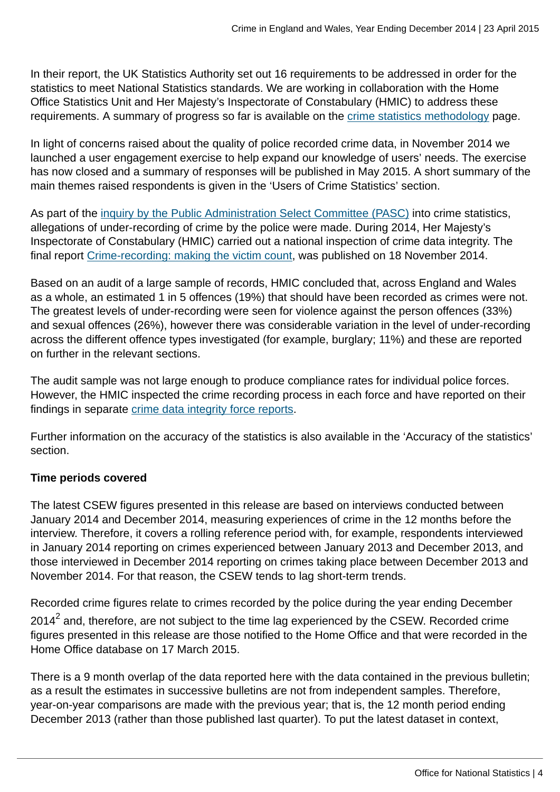In their report, the UK Statistics Authority set out 16 requirements to be addressed in order for the statistics to meet National Statistics standards. We are working in collaboration with the Home Office Statistics Unit and Her Majesty's Inspectorate of Constabulary (HMIC) to address these requirements. A summary of progress so far is available on the [crime statistics methodology](http://www.ons.gov.uk:80/ons/guide-method/method-quality/specific/crime-statistics-methodology/uk-statistics-authority-assessment/index.html) page.

In light of concerns raised about the quality of police recorded crime data, in November 2014 we launched a user engagement exercise to help expand our knowledge of users' needs. The exercise has now closed and a summary of responses will be published in May 2015. A short summary of the main themes raised respondents is given in the 'Users of Crime Statistics' section.

As part of the [inquiry by the Public Administration Select Committee \(PASC\)](http://www.publications.parliament.uk/pa/cm201314/cmselect/cmpubadm/760/760.pdf) into crime statistics, allegations of under-recording of crime by the police were made. During 2014, Her Majesty's Inspectorate of Constabulary (HMIC) carried out a national inspection of crime data integrity. The final report [Crime-recording: making the victim count](https://www.justiceinspectorates.gov.uk/hmic/publication/crime-recording-making-the-victim-count/), was published on 18 November 2014.

Based on an audit of a large sample of records, HMIC concluded that, across England and Wales as a whole, an estimated 1 in 5 offences (19%) that should have been recorded as crimes were not. The greatest levels of under-recording were seen for violence against the person offences (33%) and sexual offences (26%), however there was considerable variation in the level of under-recording across the different offence types investigated (for example, burglary; 11%) and these are reported on further in the relevant sections.

The audit sample was not large enough to produce compliance rates for individual police forces. However, the HMIC inspected the crime recording process in each force and have reported on their findings in separate [crime data integrity force reports.](https://www.justiceinspectorates.gov.uk/hmic/publication/crime-data-integrity-force-reports/)

Further information on the accuracy of the statistics is also available in the 'Accuracy of the statistics' section.

## **Time periods covered**

The latest CSEW figures presented in this release are based on interviews conducted between January 2014 and December 2014, measuring experiences of crime in the 12 months before the interview. Therefore, it covers a rolling reference period with, for example, respondents interviewed in January 2014 reporting on crimes experienced between January 2013 and December 2013, and those interviewed in December 2014 reporting on crimes taking place between December 2013 and November 2014. For that reason, the CSEW tends to lag short-term trends.

Recorded crime figures relate to crimes recorded by the police during the year ending December 2014 $^{\sf 2}$  and, therefore, are not subject to the time lag experienced by the CSEW. Recorded crime figures presented in this release are those notified to the Home Office and that were recorded in the Home Office database on 17 March 2015.

There is a 9 month overlap of the data reported here with the data contained in the previous bulletin; as a result the estimates in successive bulletins are not from independent samples. Therefore, year-on-year comparisons are made with the previous year; that is, the 12 month period ending December 2013 (rather than those published last quarter). To put the latest dataset in context,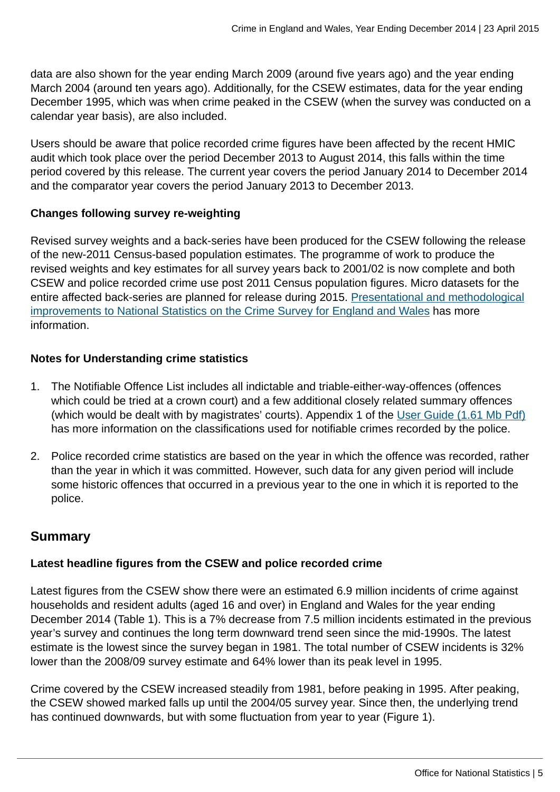data are also shown for the year ending March 2009 (around five years ago) and the year ending March 2004 (around ten years ago). Additionally, for the CSEW estimates, data for the year ending December 1995, which was when crime peaked in the CSEW (when the survey was conducted on a calendar year basis), are also included.

Users should be aware that police recorded crime figures have been affected by the recent HMIC audit which took place over the period December 2013 to August 2014, this falls within the time period covered by this release. The current year covers the period January 2014 to December 2014 and the comparator year covers the period January 2013 to December 2013.

#### **Changes following survey re-weighting**

Revised survey weights and a back-series have been produced for the CSEW following the release of the new-2011 Census-based population estimates. The programme of work to produce the revised weights and key estimates for all survey years back to 2001/02 is now complete and both CSEW and police recorded crime use post 2011 Census population figures. Micro datasets for the entire affected back-series are planned for release during 2015. [Presentational and methodological](http://www.ons.gov.uk:80/ons/guide-method/method-quality/specific/crime-statistics-methodology/methodological-notes/index.html) [improvements to National Statistics on the Crime Survey for England and Wales](http://www.ons.gov.uk:80/ons/guide-method/method-quality/specific/crime-statistics-methodology/methodological-notes/index.html) has more information.

#### **Notes for Understanding crime statistics**

- 1. The Notifiable Offence List includes all indictable and triable-either-way-offences (offences which could be tried at a crown court) and a few additional closely related summary offences (which would be dealt with by magistrates' courts). Appendix 1 of the [User Guide \(1.61 Mb Pdf\)](http://www.ons.gov.uk:80/ons/guide-method/method-quality/specific/crime-statistics-methodology/user-guide-to-crime-statistics.pdf) has more information on the classifications used for notifiable crimes recorded by the police.
- 2. Police recorded crime statistics are based on the year in which the offence was recorded, rather than the year in which it was committed. However, such data for any given period will include some historic offences that occurred in a previous year to the one in which it is reported to the police.

## **Summary**

## **Latest headline figures from the CSEW and police recorded crime**

Latest figures from the CSEW show there were an estimated 6.9 million incidents of crime against households and resident adults (aged 16 and over) in England and Wales for the year ending December 2014 (Table 1). This is a 7% decrease from 7.5 million incidents estimated in the previous year's survey and continues the long term downward trend seen since the mid-1990s. The latest estimate is the lowest since the survey began in 1981. The total number of CSEW incidents is 32% lower than the 2008/09 survey estimate and 64% lower than its peak level in 1995.

Crime covered by the CSEW increased steadily from 1981, before peaking in 1995. After peaking, the CSEW showed marked falls up until the 2004/05 survey year. Since then, the underlying trend has continued downwards, but with some fluctuation from year to year (Figure 1).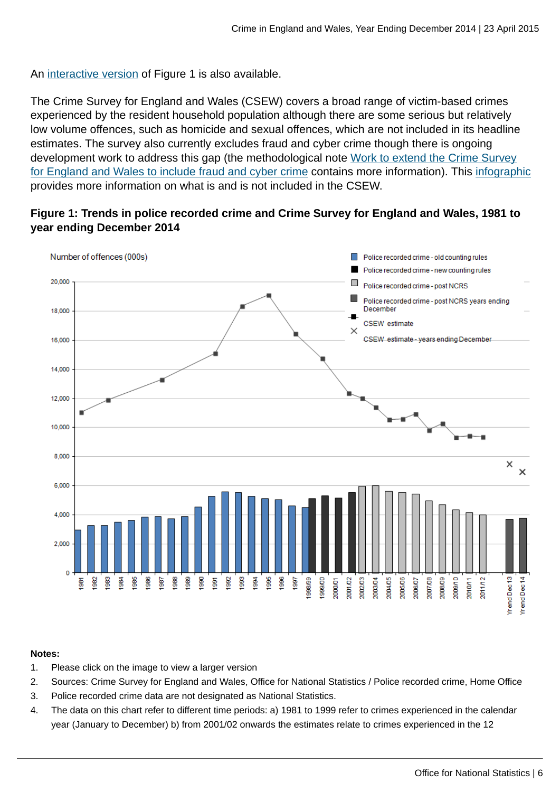An [interactive version](http://www.neighbourhood.statistics.gov.uk/HTMLDocs/dvc188/index.html) of Figure 1 is also available.

The Crime Survey for England and Wales (CSEW) covers a broad range of victim-based crimes experienced by the resident household population although there are some serious but relatively low volume offences, such as homicide and sexual offences, which are not included in its headline estimates. The survey also currently excludes fraud and cyber crime though there is ongoing development work to address this gap (the methodological note [Work to extend the Crime Survey](http://www.ons.gov.uk:80/ons/guide-method/method-quality/specific/crime-statistics-methodology/methodological-notes/index.html) [for England and Wales to include fraud and cyber crime](http://www.ons.gov.uk:80/ons/guide-method/method-quality/specific/crime-statistics-methodology/methodological-notes/index.html) contains more information). This [infographic](http://www.ons.gov.uk:80/ons/rel/crime-stats/crime-statistics/period-ending-june-2014/info-what-does-csew-cover.html) provides more information on what is and is not included in the CSEW.

#### **Figure 1: Trends in police recorded crime and Crime Survey for England and Wales, 1981 to year ending December 2014**



#### **Notes:**

- 1. Please click on the image to view a larger version
- 2. Sources: Crime Survey for England and Wales, Office for National Statistics / Police recorded crime, Home Office
- 3. Police recorded crime data are not designated as National Statistics.
- 4. The data on this chart refer to different time periods: a) 1981 to 1999 refer to crimes experienced in the calendar year (January to December) b) from 2001/02 onwards the estimates relate to crimes experienced in the 12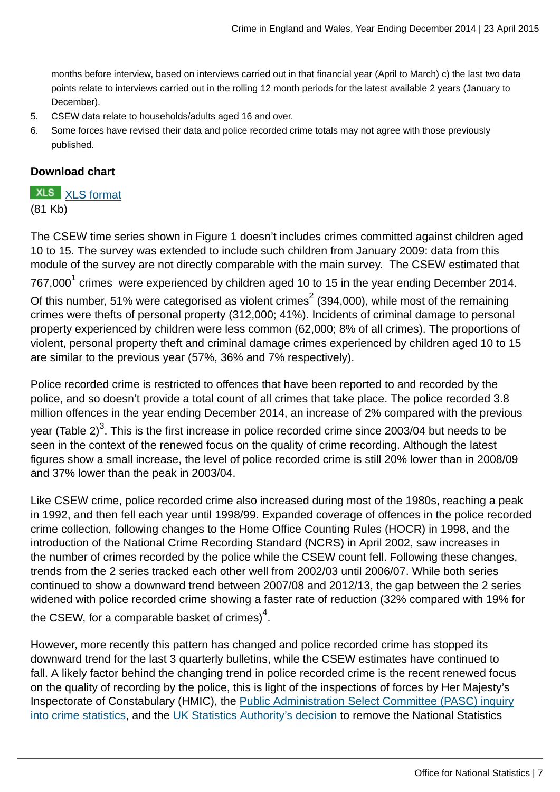months before interview, based on interviews carried out in that financial year (April to March) c) the last two data points relate to interviews carried out in the rolling 12 month periods for the latest available 2 years (January to December).

- 5. CSEW data relate to households/adults aged 16 and over.
- 6. Some forces have revised their data and police recorded crime totals may not agree with those previously published.

## **Download chart**

**XLS** [XLS format](http://www.ons.gov.uk:80/ons/rel/crime-stats/crime-statistics/year-ending-december-2014/chd-1.xls) (81 Kb)

The CSEW time series shown in Figure 1 doesn't includes crimes committed against children aged 10 to 15. The survey was extended to include such children from January 2009: data from this module of the survey are not directly comparable with the main survey. The CSEW estimated that 767,000 $^{\rm 1}$  crimes were experienced by children aged 10 to 15 in the year ending December 2014. Of this number, 51% were categorised as violent crimes $^2$  (394,000), while most of the remaining crimes were thefts of personal property (312,000; 41%). Incidents of criminal damage to personal property experienced by children were less common (62,000; 8% of all crimes). The proportions of violent, personal property theft and criminal damage crimes experienced by children aged 10 to 15 are similar to the previous year (57%, 36% and 7% respectively).

Police recorded crime is restricted to offences that have been reported to and recorded by the police, and so doesn't provide a total count of all crimes that take place. The police recorded 3.8 million offences in the year ending December 2014, an increase of 2% compared with the previous year (Table 2) $^3$ . This is the first increase in police recorded crime since 2003/04 but needs to be seen in the context of the renewed focus on the quality of crime recording. Although the latest figures show a small increase, the level of police recorded crime is still 20% lower than in 2008/09 and 37% lower than the peak in 2003/04.

Like CSEW crime, police recorded crime also increased during most of the 1980s, reaching a peak in 1992, and then fell each year until 1998/99. Expanded coverage of offences in the police recorded crime collection, following changes to the Home Office Counting Rules (HOCR) in 1998, and the introduction of the National Crime Recording Standard (NCRS) in April 2002, saw increases in the number of crimes recorded by the police while the CSEW count fell. Following these changes, trends from the 2 series tracked each other well from 2002/03 until 2006/07. While both series continued to show a downward trend between 2007/08 and 2012/13, the gap between the 2 series widened with police recorded crime showing a faster rate of reduction (32% compared with 19% for the CSEW, for a comparable basket of crimes) $^4$ .

However, more recently this pattern has changed and police recorded crime has stopped its downward trend for the last 3 quarterly bulletins, while the CSEW estimates have continued to fall. A likely factor behind the changing trend in police recorded crime is the recent renewed focus on the quality of recording by the police, this is light of the inspections of forces by Her Majesty's Inspectorate of Constabulary (HMIC), the [Public Administration Select Committee \(PASC\) inquiry](http://www.publications.parliament.uk/pa/cm201314/cmselect/cmpubadm/760/760.pdf) [into crime statistics,](http://www.publications.parliament.uk/pa/cm201314/cmselect/cmpubadm/760/760.pdf) and the [UK Statistics Authority's decision](http://www.statisticsauthority.gov.uk/assessment/assessment/assessment-reports/assessment-report-268---statistics-on-crime-in-england-and-wales.pdf) to remove the National Statistics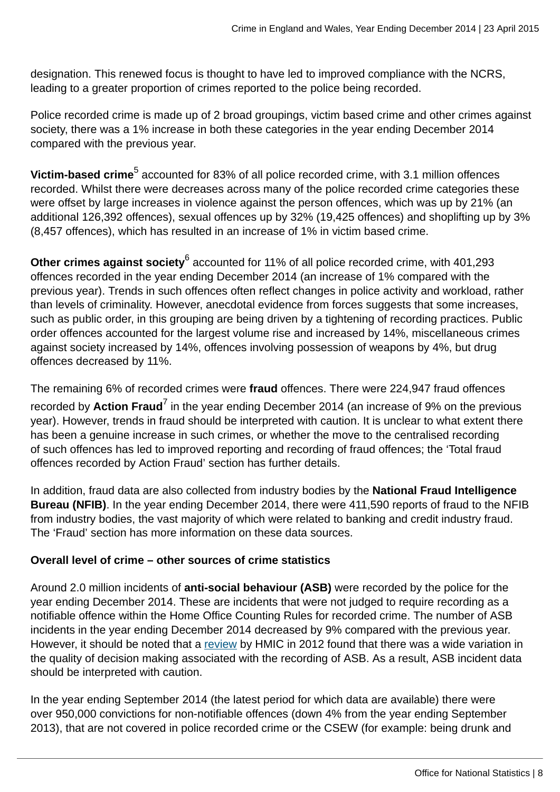designation. This renewed focus is thought to have led to improved compliance with the NCRS, leading to a greater proportion of crimes reported to the police being recorded.

Police recorded crime is made up of 2 broad groupings, victim based crime and other crimes against society, there was a 1% increase in both these categories in the year ending December 2014 compared with the previous year.

**Victim-based crime<sup>5</sup> accounted for 83% of all police recorded crime, with 3.1 million offences** recorded. Whilst there were decreases across many of the police recorded crime categories these were offset by large increases in violence against the person offences, which was up by 21% (an additional 126,392 offences), sexual offences up by 32% (19,425 offences) and shoplifting up by 3% (8,457 offences), which has resulted in an increase of 1% in victim based crime.

**Other crimes against society<sup>6</sup> accounted for 11% of all police recorded crime, with 401,293** offences recorded in the year ending December 2014 (an increase of 1% compared with the previous year). Trends in such offences often reflect changes in police activity and workload, rather than levels of criminality. However, anecdotal evidence from forces suggests that some increases, such as public order, in this grouping are being driven by a tightening of recording practices. Public order offences accounted for the largest volume rise and increased by 14%, miscellaneous crimes against society increased by 14%, offences involving possession of weapons by 4%, but drug offences decreased by 11%.

The remaining 6% of recorded crimes were **fraud** offences. There were 224,947 fraud offences recorded by **Action Fraud<sup>7</sup> i**n the year ending December 2014 (an increase of 9% on the previous year). However, trends in fraud should be interpreted with caution. It is unclear to what extent there has been a genuine increase in such crimes, or whether the move to the centralised recording of such offences has led to improved reporting and recording of fraud offences; the 'Total fraud offences recorded by Action Fraud' section has further details.

In addition, fraud data are also collected from industry bodies by the **National Fraud Intelligence Bureau (NFIB)**. In the year ending December 2014, there were 411,590 reports of fraud to the NFIB from industry bodies, the vast majority of which were related to banking and credit industry fraud. The 'Fraud' section has more information on these data sources.

## **Overall level of crime – other sources of crime statistics**

Around 2.0 million incidents of **anti-social behaviour (ASB)** were recorded by the police for the year ending December 2014. These are incidents that were not judged to require recording as a notifiable offence within the Home Office Counting Rules for recorded crime. The number of ASB incidents in the year ending December 2014 decreased by 9% compared with the previous year. However, it should be noted that a [review](http://www.justiceinspectorates.gov.uk/hmic/publication/a-step-in-the-right-direction-the-policing-of-anti-social-behaviour/) by HMIC in 2012 found that there was a wide variation in the quality of decision making associated with the recording of ASB. As a result, ASB incident data should be interpreted with caution.

In the year ending September 2014 (the latest period for which data are available) there were over 950,000 convictions for non-notifiable offences (down 4% from the year ending September 2013), that are not covered in police recorded crime or the CSEW (for example: being drunk and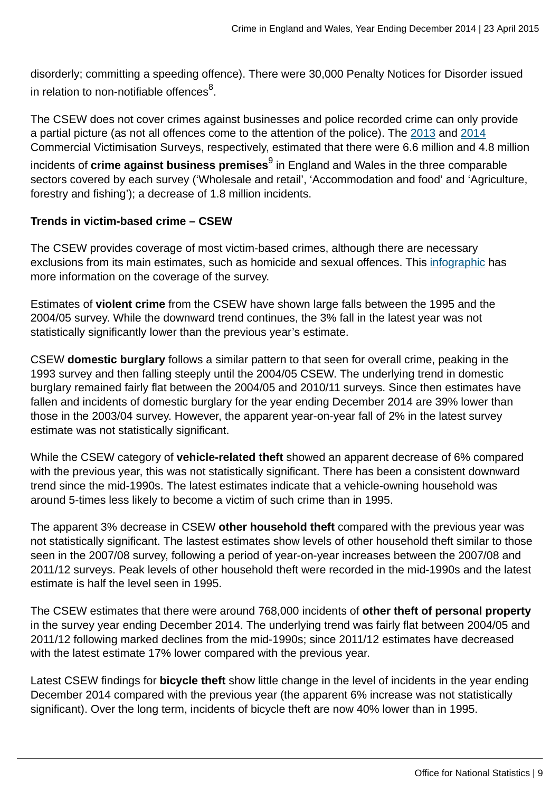disorderly; committing a speeding offence). There were 30,000 Penalty Notices for Disorder issued in relation to non-notifiable offences $^8\!$ .

The CSEW does not cover crimes against businesses and police recorded crime can only provide a partial picture (as not all offences come to the attention of the police). The [2013](https://www.gov.uk/government/publications/crime-against-businesses-detailed-findings-from-the-2013-commercial-victimisation-survey) and [2014](https://www.gov.uk/government/statistics/crime-against-businesses-findings-from-the-2014-commercial-victimisation-survey) Commercial Victimisation Surveys, respectively, estimated that there were 6.6 million and 4.8 million

incidents of **crime against business premises**<sup>9</sup> in England and Wales in the three comparable sectors covered by each survey ('Wholesale and retail', 'Accommodation and food' and 'Agriculture, forestry and fishing'); a decrease of 1.8 million incidents.

#### **Trends in victim-based crime – CSEW**

The CSEW provides coverage of most victim-based crimes, although there are necessary exclusions from its main estimates, such as homicide and sexual offences. This [infographic](http://www.ons.gov.uk:80/ons/rel/crime-stats/crime-statistics/period-ending-june-2014/info-what-does-csew-cover.html) has more information on the coverage of the survey.

Estimates of **violent crime** from the CSEW have shown large falls between the 1995 and the 2004/05 survey. While the downward trend continues, the 3% fall in the latest year was not statistically significantly lower than the previous year's estimate.

CSEW **domestic burglary** follows a similar pattern to that seen for overall crime, peaking in the 1993 survey and then falling steeply until the 2004/05 CSEW. The underlying trend in domestic burglary remained fairly flat between the 2004/05 and 2010/11 surveys. Since then estimates have fallen and incidents of domestic burglary for the year ending December 2014 are 39% lower than those in the 2003/04 survey. However, the apparent year-on-year fall of 2% in the latest survey estimate was not statistically significant.

While the CSEW category of **vehicle-related theft** showed an apparent decrease of 6% compared with the previous year, this was not statistically significant. There has been a consistent downward trend since the mid-1990s. The latest estimates indicate that a vehicle-owning household was around 5-times less likely to become a victim of such crime than in 1995.

The apparent 3% decrease in CSEW **other household theft** compared with the previous year was not statistically significant. The lastest estimates show levels of other household theft similar to those seen in the 2007/08 survey, following a period of year-on-year increases between the 2007/08 and 2011/12 surveys. Peak levels of other household theft were recorded in the mid-1990s and the latest estimate is half the level seen in 1995.

The CSEW estimates that there were around 768,000 incidents of **other theft of personal property** in the survey year ending December 2014. The underlying trend was fairly flat between 2004/05 and 2011/12 following marked declines from the mid-1990s; since 2011/12 estimates have decreased with the latest estimate 17% lower compared with the previous year.

Latest CSEW findings for **bicycle theft** show little change in the level of incidents in the year ending December 2014 compared with the previous year (the apparent 6% increase was not statistically significant). Over the long term, incidents of bicycle theft are now 40% lower than in 1995.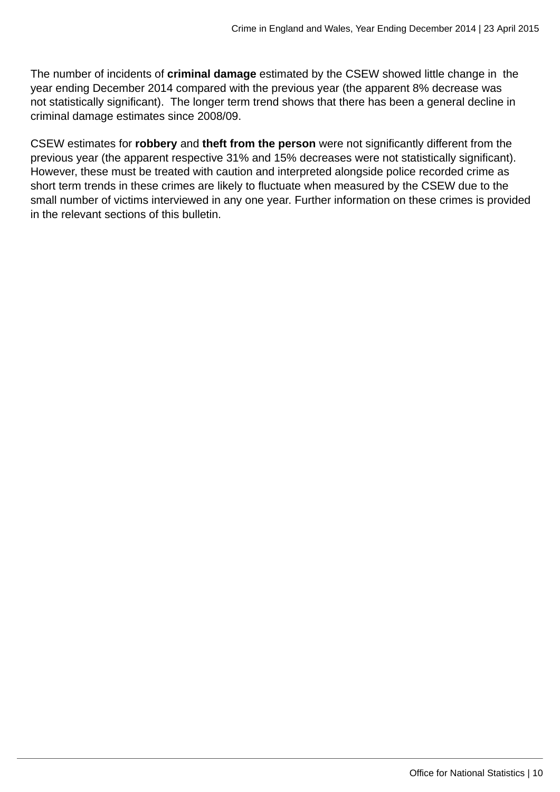The number of incidents of **criminal damage** estimated by the CSEW showed little change in the year ending December 2014 compared with the previous year (the apparent 8% decrease was not statistically significant). The longer term trend shows that there has been a general decline in criminal damage estimates since 2008/09.

CSEW estimates for **robbery** and **theft from the person** were not significantly different from the previous year (the apparent respective 31% and 15% decreases were not statistically significant). However, these must be treated with caution and interpreted alongside police recorded crime as short term trends in these crimes are likely to fluctuate when measured by the CSEW due to the small number of victims interviewed in any one year. Further information on these crimes is provided in the relevant sections of this bulletin.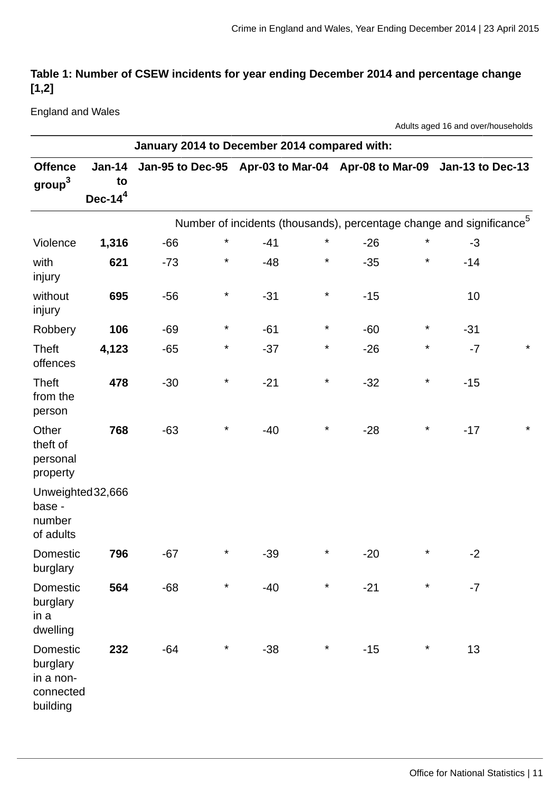## **Table 1: Number of CSEW incidents for year ending December 2014 and percentage change [1,2]**

England and Wales

Adults aged 16 and over/households

|                                                            | January 2014 to December 2014 compared with: |                                                                     |          |       |          |                                                                                  |          |       |         |
|------------------------------------------------------------|----------------------------------------------|---------------------------------------------------------------------|----------|-------|----------|----------------------------------------------------------------------------------|----------|-------|---------|
| <b>Offence</b><br>$\text{group}^3$                         | <b>Jan-14</b><br>to<br>Dec- $14^4$           | Jan-95 to Dec-95 Apr-03 to Mar-04 Apr-08 to Mar-09 Jan-13 to Dec-13 |          |       |          |                                                                                  |          |       |         |
|                                                            |                                              |                                                                     |          |       |          | Number of incidents (thousands), percentage change and significance <sup>5</sup> |          |       |         |
| Violence                                                   | 1,316                                        | $-66$                                                               | $^\star$ | $-41$ | $\star$  | $-26$                                                                            | $\star$  | $-3$  |         |
| with<br>injury                                             | 621                                          | $-73$                                                               | $\star$  | $-48$ | $\star$  | $-35$                                                                            | $^\star$ | $-14$ |         |
| without<br>injury                                          | 695                                          | $-56$                                                               | $\star$  | $-31$ | $\star$  | $-15$                                                                            |          | 10    |         |
| Robbery                                                    | 106                                          | $-69$                                                               | $\star$  | $-61$ | $\star$  | $-60$                                                                            | $\ast$   | $-31$ |         |
| Theft<br>offences                                          | 4,123                                        | $-65$                                                               | $\ast$   | $-37$ | $\star$  | $-26$                                                                            | $^\star$ | $-7$  | $\star$ |
| <b>Theft</b><br>from the<br>person                         | 478                                          | $-30$                                                               | $^\star$ | $-21$ | $\star$  | $-32$                                                                            | $^\star$ | $-15$ |         |
| Other<br>theft of<br>personal<br>property                  | 768                                          | $-63$                                                               | $\star$  | $-40$ | $\star$  | $-28$                                                                            | $^\star$ | $-17$ | $\star$ |
| Unweighted 32,666<br>base -<br>number<br>of adults         |                                              |                                                                     |          |       |          |                                                                                  |          |       |         |
| Domestic<br>burglary                                       | 796                                          | $-67$                                                               | $^\star$ | $-39$ | $^\star$ | $-20$                                                                            | $\star$  | $-2$  |         |
| Domestic<br>burglary<br>in a<br>dwelling                   | 564                                          | $-68$                                                               | $\star$  | $-40$ | $\star$  | $-21$                                                                            | $\star$  | $-7$  |         |
| Domestic<br>burglary<br>in a non-<br>connected<br>building | 232                                          | $-64$                                                               | $\star$  | $-38$ | $\star$  | $-15$                                                                            | $^\star$ | 13    |         |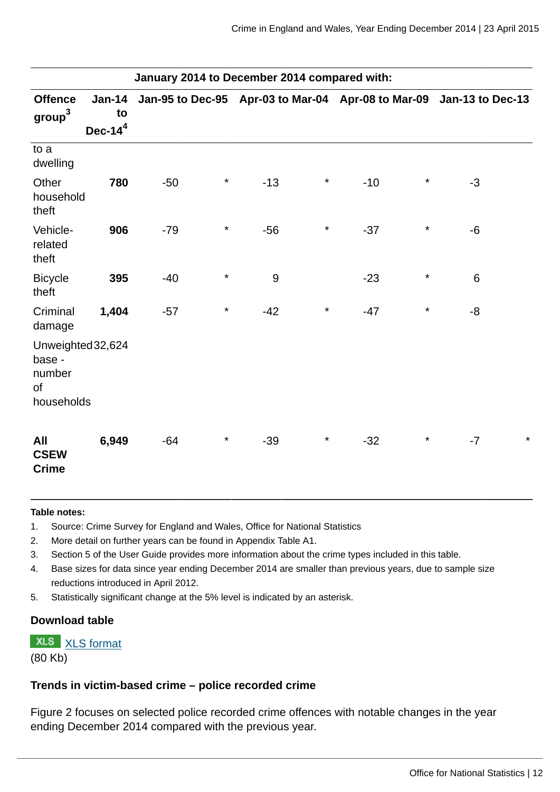| January 2014 to December 2014 compared with:              |                                    |       |         |       |         |                                                                     |          |         |         |
|-----------------------------------------------------------|------------------------------------|-------|---------|-------|---------|---------------------------------------------------------------------|----------|---------|---------|
| <b>Offence</b><br>group <sup>3</sup>                      | <b>Jan-14</b><br>to<br>Dec- $14^4$ |       |         |       |         | Jan-95 to Dec-95 Apr-03 to Mar-04 Apr-08 to Mar-09 Jan-13 to Dec-13 |          |         |         |
| to a<br>dwelling                                          |                                    |       |         |       |         |                                                                     |          |         |         |
| Other<br>household<br>theft                               | 780                                | $-50$ | $\star$ | $-13$ | $\star$ | $-10$                                                               | $\star$  | $-3$    |         |
| Vehicle-<br>related<br>theft                              | 906                                | $-79$ | $\star$ | $-56$ | $\star$ | $-37$                                                               | $\star$  | $-6$    |         |
| <b>Bicycle</b><br>theft                                   | 395                                | $-40$ | $\star$ | 9     |         | $-23$                                                               | $^\star$ | $\,6\,$ |         |
| Criminal<br>damage                                        | 1,404                              | $-57$ | $\star$ | $-42$ | $\star$ | $-47$                                                               | $^\star$ | $-8$    |         |
| Unweighted 32,624<br>base -<br>number<br>of<br>households |                                    |       |         |       |         |                                                                     |          |         |         |
| All<br><b>CSEW</b><br><b>Crime</b>                        | 6,949                              | $-64$ | $\star$ | $-39$ | $\star$ | $-32$                                                               | $^\star$ | $-7$    | $\star$ |

#### **Table notes:**

- 1. Source: Crime Survey for England and Wales, Office for National Statistics
- 2. More detail on further years can be found in Appendix Table A1.
- 3. Section 5 of the User Guide provides more information about the crime types included in this table.
- 4. Base sizes for data since year ending December 2014 are smaller than previous years, due to sample size reductions introduced in April 2012.
- 5. Statistically significant change at the 5% level is indicated by an asterisk.

#### **Download table**

**XLS** [XLS format](http://www.ons.gov.uk:80/ons/rel/crime-stats/crime-statistics/year-ending-december-2014/table-1---number-of-csew-incidents-for-year-ending-december-2014-and-percentage-change--1-2-.xls) (80 Kb)

#### **Trends in victim-based crime – police recorded crime**

Figure 2 focuses on selected police recorded crime offences with notable changes in the year ending December 2014 compared with the previous year.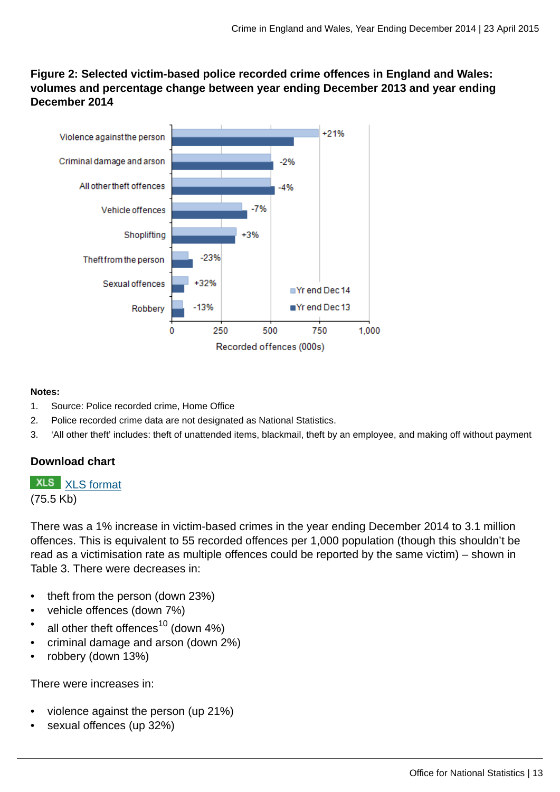## **Figure 2: Selected victim-based police recorded crime offences in England and Wales: volumes and percentage change between year ending December 2013 and year ending December 2014**



#### **Notes:**

- 1. Source: Police recorded crime, Home Office
- 2. Police recorded crime data are not designated as National Statistics.
- 3. 'All other theft' includes: theft of unattended items, blackmail, theft by an employee, and making off without payment

## **Download chart**

# **XLS** [XLS format](http://www.ons.gov.uk:80/ons/rel/crime-stats/crime-statistics/year-ending-december-2014/chd-2.xls)

(75.5 Kb)

There was a 1% increase in victim-based crimes in the year ending December 2014 to 3.1 million offences. This is equivalent to 55 recorded offences per 1,000 population (though this shouldn't be read as a victimisation rate as multiple offences could be reported by the same victim) – shown in Table 3. There were decreases in:

- theft from the person (down 23%)
- vehicle offences (down 7%)
- all other theft offences $^{10}$  (down 4%)
- criminal damage and arson (down 2%)
- robbery (down 13%)

There were increases in:

- violence against the person (up 21%)
- sexual offences (up 32%)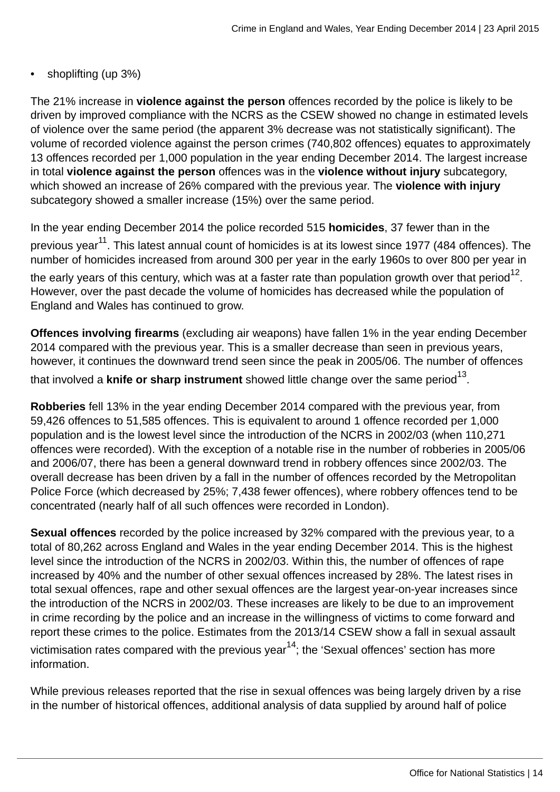• shoplifting (up 3%)

The 21% increase in **violence against the person** offences recorded by the police is likely to be driven by improved compliance with the NCRS as the CSEW showed no change in estimated levels of violence over the same period (the apparent 3% decrease was not statistically significant). The volume of recorded violence against the person crimes (740,802 offences) equates to approximately 13 offences recorded per 1,000 population in the year ending December 2014. The largest increase in total **violence against the person** offences was in the **violence without injury** subcategory, which showed an increase of 26% compared with the previous year. The **violence with injury** subcategory showed a smaller increase (15%) over the same period.

In the year ending December 2014 the police recorded 515 **homicides**, 37 fewer than in the previous year<sup>11</sup>. This latest annual count of homicides is at its lowest since 1977 (484 offences). The number of homicides increased from around 300 per year in the early 1960s to over 800 per year in the early years of this century, which was at a faster rate than population growth over that period $^{12}.$ 

However, over the past decade the volume of homicides has decreased while the population of England and Wales has continued to grow.

**Offences involving firearms** (excluding air weapons) have fallen 1% in the year ending December 2014 compared with the previous year. This is a smaller decrease than seen in previous years, however, it continues the downward trend seen since the peak in 2005/06. The number of offences that involved a **knife or sharp instrument** showed little change over the same period<sup>13</sup>.

**Robberies** fell 13% in the year ending December 2014 compared with the previous year, from 59,426 offences to 51,585 offences. This is equivalent to around 1 offence recorded per 1,000 population and is the lowest level since the introduction of the NCRS in 2002/03 (when 110,271 offences were recorded). With the exception of a notable rise in the number of robberies in 2005/06 and 2006/07, there has been a general downward trend in robbery offences since 2002/03. The overall decrease has been driven by a fall in the number of offences recorded by the Metropolitan Police Force (which decreased by 25%; 7,438 fewer offences), where robbery offences tend to be concentrated (nearly half of all such offences were recorded in London).

**Sexual offences** recorded by the police increased by 32% compared with the previous year, to a total of 80,262 across England and Wales in the year ending December 2014. This is the highest level since the introduction of the NCRS in 2002/03. Within this, the number of offences of rape increased by 40% and the number of other sexual offences increased by 28%. The latest rises in total sexual offences, rape and other sexual offences are the largest year-on-year increases since the introduction of the NCRS in 2002/03. These increases are likely to be due to an improvement in crime recording by the police and an increase in the willingness of victims to come forward and report these crimes to the police. Estimates from the 2013/14 CSEW show a fall in sexual assault victimisation rates compared with the previous year<sup>14</sup>; the 'Sexual offences' section has more information.

While previous releases reported that the rise in sexual offences was being largely driven by a rise in the number of historical offences, additional analysis of data supplied by around half of police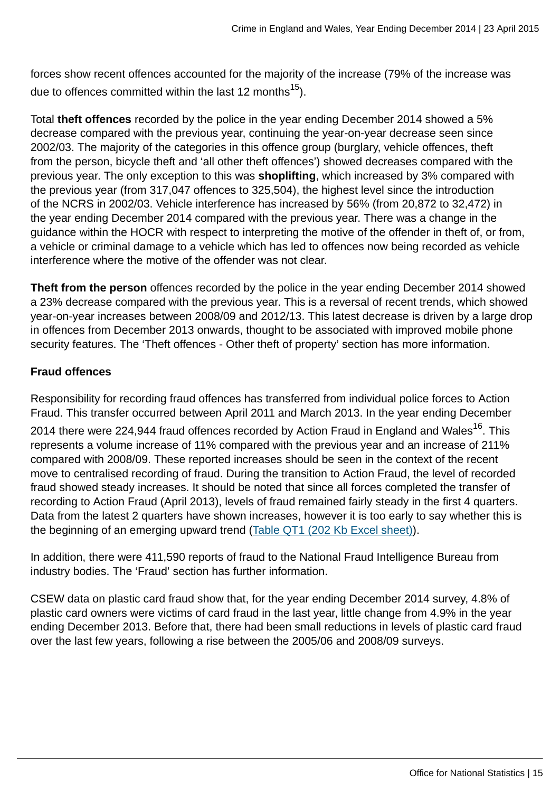forces show recent offences accounted for the majority of the increase (79% of the increase was due to offences committed within the last 12 months<sup>15</sup>).

Total **theft offences** recorded by the police in the year ending December 2014 showed a 5% decrease compared with the previous year, continuing the year-on-year decrease seen since 2002/03. The majority of the categories in this offence group (burglary, vehicle offences, theft from the person, bicycle theft and 'all other theft offences') showed decreases compared with the previous year. The only exception to this was **shoplifting**, which increased by 3% compared with the previous year (from 317,047 offences to 325,504), the highest level since the introduction of the NCRS in 2002/03. Vehicle interference has increased by 56% (from 20,872 to 32,472) in the year ending December 2014 compared with the previous year. There was a change in the guidance within the HOCR with respect to interpreting the motive of the offender in theft of, or from, a vehicle or criminal damage to a vehicle which has led to offences now being recorded as vehicle interference where the motive of the offender was not clear.

**Theft from the person** offences recorded by the police in the year ending December 2014 showed a 23% decrease compared with the previous year. This is a reversal of recent trends, which showed year-on-year increases between 2008/09 and 2012/13. This latest decrease is driven by a large drop in offences from December 2013 onwards, thought to be associated with improved mobile phone security features. The 'Theft offences - Other theft of property' section has more information.

#### **Fraud offences**

Responsibility for recording fraud offences has transferred from individual police forces to Action Fraud. This transfer occurred between April 2011 and March 2013. In the year ending December 2014 there were 224,944 fraud offences recorded by Action Fraud in England and Wales<sup>16</sup>. This represents a volume increase of 11% compared with the previous year and an increase of 211% compared with 2008/09. These reported increases should be seen in the context of the recent move to centralised recording of fraud. During the transition to Action Fraud, the level of recorded fraud showed steady increases. It should be noted that since all forces completed the transfer of recording to Action Fraud (April 2013), levels of fraud remained fairly steady in the first 4 quarters. Data from the latest 2 quarters have shown increases, however it is too early to say whether this is the beginning of an emerging upward trend [\(Table QT1 \(202 Kb Excel sheet\)](http://www.ons.gov.uk:80/ons/rel/crime-stats/crime-statistics/year-ending-december-2014/rft-3.xls)).

In addition, there were 411,590 reports of fraud to the National Fraud Intelligence Bureau from industry bodies. The 'Fraud' section has further information.

CSEW data on plastic card fraud show that, for the year ending December 2014 survey, 4.8% of plastic card owners were victims of card fraud in the last year, little change from 4.9% in the year ending December 2013. Before that, there had been small reductions in levels of plastic card fraud over the last few years, following a rise between the 2005/06 and 2008/09 surveys.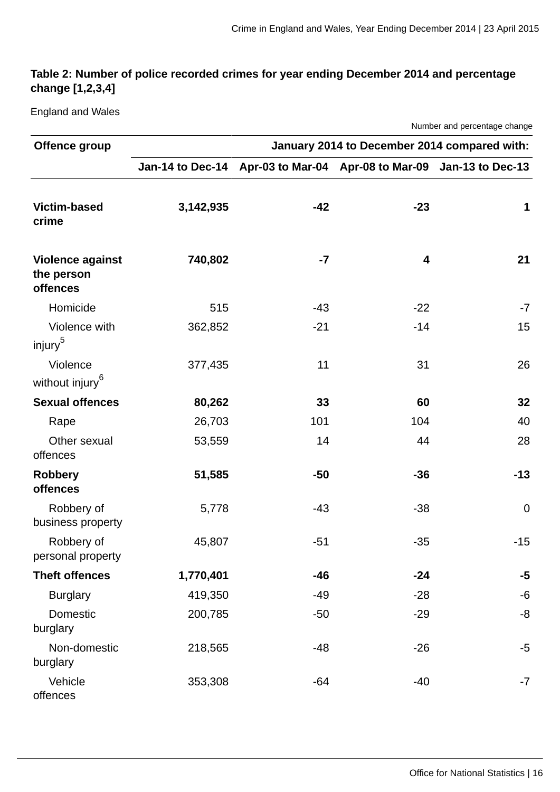## **Table 2: Number of police recorded crimes for year ending December 2014 and percentage change [1,2,3,4]**

England and Wales

Number and percentage change

| Offence group                                     | January 2014 to December 2014 compared with: |       |                                                    |              |  |  |  |
|---------------------------------------------------|----------------------------------------------|-------|----------------------------------------------------|--------------|--|--|--|
|                                                   | <b>Jan-14 to Dec-14</b>                      |       | Apr-03 to Mar-04 Apr-08 to Mar-09 Jan-13 to Dec-13 |              |  |  |  |
| <b>Victim-based</b><br>crime                      | 3,142,935                                    | $-42$ | $-23$                                              | $\mathbf{1}$ |  |  |  |
| <b>Violence against</b><br>the person<br>offences | 740,802                                      | $-7$  | $\overline{\mathbf{4}}$                            | 21           |  |  |  |
| Homicide                                          | 515                                          | $-43$ | $-22$                                              | $-7$         |  |  |  |
| Violence with<br>injury <sup>5</sup>              | 362,852                                      | $-21$ | $-14$                                              | 15           |  |  |  |
| Violence<br>without injury <sup>6</sup>           | 377,435                                      | 11    | 31                                                 | 26           |  |  |  |
| <b>Sexual offences</b>                            | 80,262                                       | 33    | 60                                                 | 32           |  |  |  |
| Rape                                              | 26,703                                       | 101   | 104                                                | 40           |  |  |  |
| Other sexual<br>offences                          | 53,559                                       | 14    | 44                                                 | 28           |  |  |  |
| <b>Robbery</b><br><b>offences</b>                 | 51,585                                       | $-50$ | $-36$                                              | $-13$        |  |  |  |
| Robbery of<br>business property                   | 5,778                                        | $-43$ | $-38$                                              | $\mathbf 0$  |  |  |  |
| Robbery of<br>personal property                   | 45,807                                       | $-51$ | $-35$                                              | $-15$        |  |  |  |
| <b>Theft offences</b>                             | 1,770,401                                    | $-46$ | $-24$                                              | $-5$         |  |  |  |
| <b>Burglary</b>                                   | 419,350                                      | $-49$ | $-28$                                              | $-6$         |  |  |  |
| <b>Domestic</b><br>burglary                       | 200,785                                      | $-50$ | $-29$                                              | -8           |  |  |  |
| Non-domestic<br>burglary                          | 218,565                                      | $-48$ | $-26$                                              | $-5$         |  |  |  |
| Vehicle<br>offences                               | 353,308                                      | $-64$ | $-40$                                              | $-7$         |  |  |  |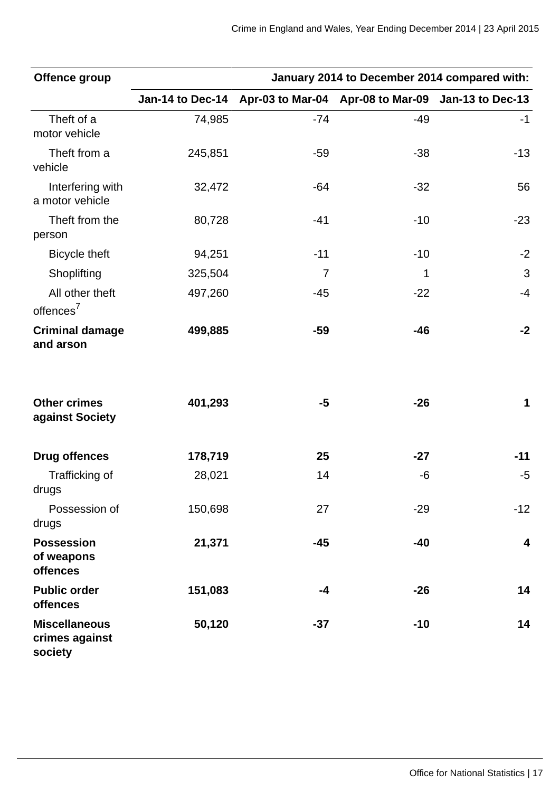| Offence group                                      | January 2014 to December 2014 compared with: |       |                                                    |                         |  |  |
|----------------------------------------------------|----------------------------------------------|-------|----------------------------------------------------|-------------------------|--|--|
|                                                    | Jan-14 to Dec-14                             |       | Apr-03 to Mar-04 Apr-08 to Mar-09 Jan-13 to Dec-13 |                         |  |  |
| Theft of a<br>motor vehicle                        | 74,985                                       | $-74$ | $-49$                                              | $-1$                    |  |  |
| Theft from a<br>vehicle                            | 245,851                                      | $-59$ | $-38$                                              | $-13$                   |  |  |
| Interfering with<br>a motor vehicle                | 32,472                                       | $-64$ | $-32$                                              | 56                      |  |  |
| Theft from the<br>person                           | 80,728                                       | $-41$ | $-10$                                              | $-23$                   |  |  |
| <b>Bicycle theft</b>                               | 94,251                                       | $-11$ | $-10$                                              | $-2$                    |  |  |
| Shoplifting                                        | 325,504                                      | 7     | $\mathbf{1}$                                       | 3                       |  |  |
| All other theft<br>offences <sup>7</sup>           | 497,260                                      | $-45$ | $-22$                                              | $-4$                    |  |  |
| <b>Criminal damage</b><br>and arson                | 499,885                                      | $-59$ | $-46$                                              | $-2$                    |  |  |
| <b>Other crimes</b><br>against Society             | 401,293                                      | $-5$  | $-26$                                              | $\mathbf{1}$            |  |  |
| <b>Drug offences</b>                               | 178,719                                      | 25    | $-27$                                              | $-11$                   |  |  |
| Trafficking of<br>drugs                            | 28,021                                       | 14    | -6                                                 | -5                      |  |  |
| Possession of<br>drugs                             | 150,698                                      | 27    | $-29$                                              | $-12$                   |  |  |
| <b>Possession</b><br>of weapons<br><b>offences</b> | 21,371                                       | $-45$ | $-40$                                              | $\overline{\mathbf{4}}$ |  |  |
| <b>Public order</b><br>offences                    | 151,083                                      | $-4$  | $-26$                                              | 14                      |  |  |
| <b>Miscellaneous</b><br>crimes against<br>society  | 50,120                                       | $-37$ | $-10$                                              | 14                      |  |  |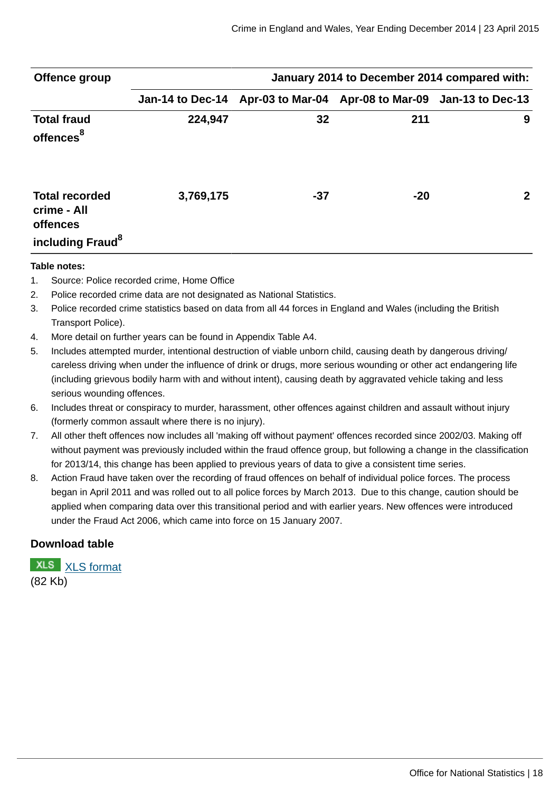| Offence group                                                                           | January 2014 to December 2014 compared with: |       |                                                    |              |  |  |  |
|-----------------------------------------------------------------------------------------|----------------------------------------------|-------|----------------------------------------------------|--------------|--|--|--|
|                                                                                         | Jan-14 to Dec-14                             |       | Apr-03 to Mar-04 Apr-08 to Mar-09 Jan-13 to Dec-13 |              |  |  |  |
| <b>Total fraud</b><br>offences <sup>8</sup>                                             | 224,947                                      | 32    | 211                                                | 9            |  |  |  |
| <b>Total recorded</b><br>crime - All<br><b>offences</b><br>including Fraud <sup>8</sup> | 3,769,175                                    | $-37$ | $-20$                                              | $\mathbf{2}$ |  |  |  |

#### **Table notes:**

- 1. Source: Police recorded crime, Home Office
- 2. Police recorded crime data are not designated as National Statistics.
- 3. Police recorded crime statistics based on data from all 44 forces in England and Wales (including the British Transport Police).
- 4. More detail on further years can be found in Appendix Table A4.
- 5. Includes attempted murder, intentional destruction of viable unborn child, causing death by dangerous driving/ careless driving when under the influence of drink or drugs, more serious wounding or other act endangering life (including grievous bodily harm with and without intent), causing death by aggravated vehicle taking and less serious wounding offences.
- 6. Includes threat or conspiracy to murder, harassment, other offences against children and assault without injury (formerly common assault where there is no injury).
- 7. All other theft offences now includes all 'making off without payment' offences recorded since 2002/03. Making off without payment was previously included within the fraud offence group, but following a change in the classification for 2013/14, this change has been applied to previous years of data to give a consistent time series.
- 8. Action Fraud have taken over the recording of fraud offences on behalf of individual police forces. The process began in April 2011 and was rolled out to all police forces by March 2013. Due to this change, caution should be applied when comparing data over this transitional period and with earlier years. New offences were introduced under the Fraud Act 2006, which came into force on 15 January 2007.

#### **Download table**

**XLS** [XLS format](http://www.ons.gov.uk:80/ons/rel/crime-stats/crime-statistics/year-ending-december-2014/prt-2.xls) (82 Kb)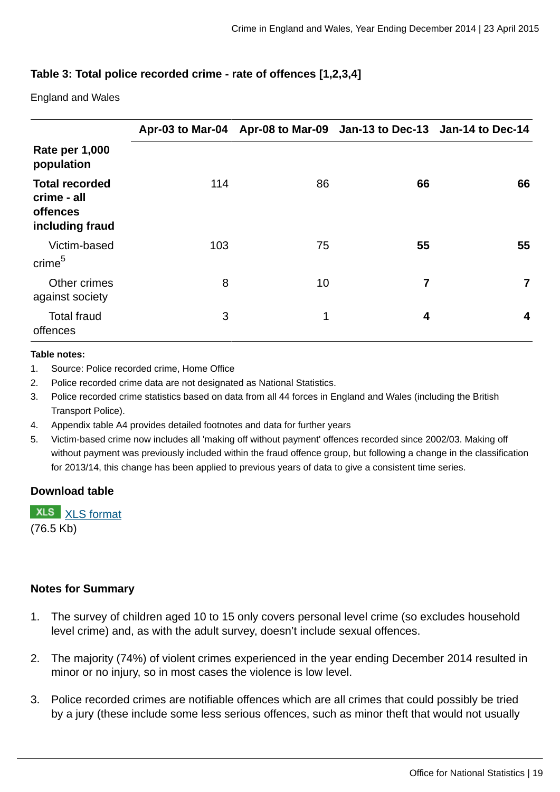## **Table 3: Total police recorded crime - rate of offences [1,2,3,4]**

England and Wales

|                                                                            |     |    | Apr-03 to Mar-04 Apr-08 to Mar-09 Jan-13 to Dec-13 Jan-14 to Dec-14 |    |
|----------------------------------------------------------------------------|-----|----|---------------------------------------------------------------------|----|
| <b>Rate per 1,000</b><br>population                                        |     |    |                                                                     |    |
| <b>Total recorded</b><br>crime - all<br><b>offences</b><br>including fraud | 114 | 86 | 66                                                                  | 66 |
| Victim-based<br>crime <sup>5</sup>                                         | 103 | 75 | 55                                                                  | 55 |
| Other crimes<br>against society                                            | 8   | 10 | 7                                                                   | 7  |
| <b>Total fraud</b><br>offences                                             | 3   | 1  | 4                                                                   | 4  |

#### **Table notes:**

- 1. Source: Police recorded crime, Home Office
- 2. Police recorded crime data are not designated as National Statistics.
- 3. Police recorded crime statistics based on data from all 44 forces in England and Wales (including the British Transport Police).
- 4. Appendix table A4 provides detailed footnotes and data for further years
- 5. Victim-based crime now includes all 'making off without payment' offences recorded since 2002/03. Making off without payment was previously included within the fraud offence group, but following a change in the classification for 2013/14, this change has been applied to previous years of data to give a consistent time series.

#### **Download table**

**XLS** [XLS format](http://www.ons.gov.uk:80/ons/rel/crime-stats/crime-statistics/year-ending-december-2014/prt-3.xls) (76.5 Kb)

#### **Notes for Summary**

- 1. The survey of children aged 10 to 15 only covers personal level crime (so excludes household level crime) and, as with the adult survey, doesn't include sexual offences.
- 2. The majority (74%) of violent crimes experienced in the year ending December 2014 resulted in minor or no injury, so in most cases the violence is low level.
- 3. Police recorded crimes are notifiable offences which are all crimes that could possibly be tried by a jury (these include some less serious offences, such as minor theft that would not usually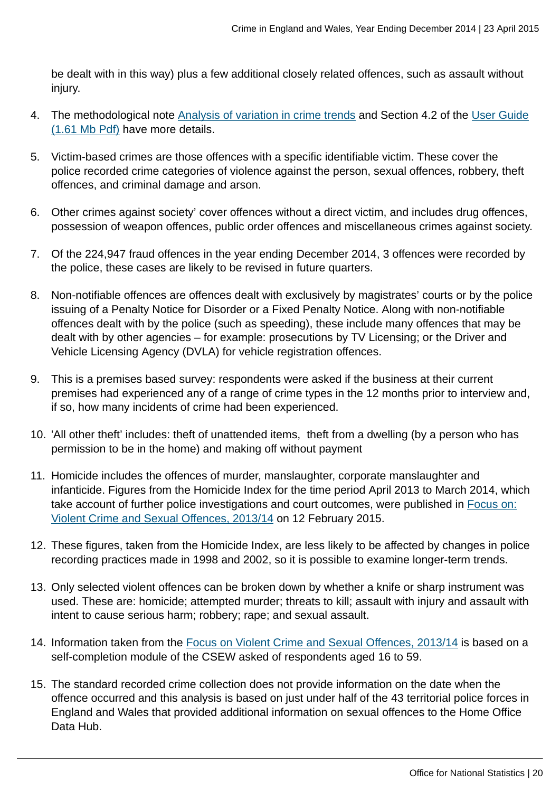be dealt with in this way) plus a few additional closely related offences, such as assault without injury.

- 4. The methodological note [Analysis of variation in crime trends](http://www.ons.gov.uk:80/ons/guide-method/method-quality/specific/crime-statistics-methodology/methodological-notes/index.html) and Section 4.2 of the [User Guide](http://www.ons.gov.uk:80/ons/guide-method/method-quality/specific/crime-statistics-methodology/user-guide-to-crime-statistics.pdf) [\(1.61 Mb Pdf\)](http://www.ons.gov.uk:80/ons/guide-method/method-quality/specific/crime-statistics-methodology/user-guide-to-crime-statistics.pdf) have more details.
- 5. Victim-based crimes are those offences with a specific identifiable victim. These cover the police recorded crime categories of violence against the person, sexual offences, robbery, theft offences, and criminal damage and arson.
- 6. Other crimes against society' cover offences without a direct victim, and includes drug offences, possession of weapon offences, public order offences and miscellaneous crimes against society.
- 7. Of the 224,947 fraud offences in the year ending December 2014, 3 offences were recorded by the police, these cases are likely to be revised in future quarters.
- 8. Non-notifiable offences are offences dealt with exclusively by magistrates' courts or by the police issuing of a Penalty Notice for Disorder or a Fixed Penalty Notice. Along with non-notifiable offences dealt with by the police (such as speeding), these include many offences that may be dealt with by other agencies – for example: prosecutions by TV Licensing; or the Driver and Vehicle Licensing Agency (DVLA) for vehicle registration offences.
- 9. This is a premises based survey: respondents were asked if the business at their current premises had experienced any of a range of crime types in the 12 months prior to interview and, if so, how many incidents of crime had been experienced.
- 10. 'All other theft' includes: theft of unattended items, theft from a dwelling (by a person who has permission to be in the home) and making off without payment
- 11. Homicide includes the offences of murder, manslaughter, corporate manslaughter and infanticide. Figures from the Homicide Index for the time period April 2013 to March 2014, which take account of further police investigations and court outcomes, were published in [Focus on:](http://www.ons.gov.uk:80/ons/rel/crime-stats/crime-statistics/focus-on-violent-crime-and-sexual-offences--2013-14/index.html) [Violent Crime and Sexual Offences, 2013/14](http://www.ons.gov.uk:80/ons/rel/crime-stats/crime-statistics/focus-on-violent-crime-and-sexual-offences--2013-14/index.html) on 12 February 2015.
- 12. These figures, taken from the Homicide Index, are less likely to be affected by changes in police recording practices made in 1998 and 2002, so it is possible to examine longer-term trends.
- 13. Only selected violent offences can be broken down by whether a knife or sharp instrument was used. These are: homicide; attempted murder; threats to kill; assault with injury and assault with intent to cause serious harm; robbery; rape; and sexual assault.
- 14. Information taken from the [Focus on Violent Crime and Sexual Offences, 2013/14](http://www.ons.gov.uk:80/ons/rel/crime-stats/crime-statistics/focus-on-violent-crime-and-sexual-offences--2013-14/index.html) is based on a self-completion module of the CSEW asked of respondents aged 16 to 59.
- 15. The standard recorded crime collection does not provide information on the date when the offence occurred and this analysis is based on just under half of the 43 territorial police forces in England and Wales that provided additional information on sexual offences to the Home Office Data Hub.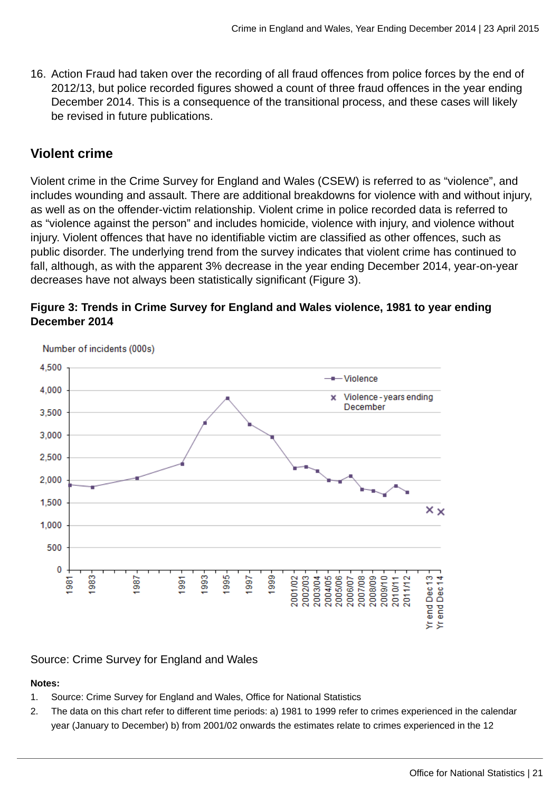16. Action Fraud had taken over the recording of all fraud offences from police forces by the end of 2012/13, but police recorded figures showed a count of three fraud offences in the year ending December 2014. This is a consequence of the transitional process, and these cases will likely be revised in future publications.

# **Violent crime**

Violent crime in the Crime Survey for England and Wales (CSEW) is referred to as "violence", and includes wounding and assault. There are additional breakdowns for violence with and without injury, as well as on the offender-victim relationship. Violent crime in police recorded data is referred to as "violence against the person" and includes homicide, violence with injury, and violence without injury. Violent offences that have no identifiable victim are classified as other offences, such as public disorder. The underlying trend from the survey indicates that violent crime has continued to fall, although, as with the apparent 3% decrease in the year ending December 2014, year-on-year decreases have not always been statistically significant (Figure 3).





Number of incidents (000s)

## Source: Crime Survey for England and Wales

## **Notes:**

- 1. Source: Crime Survey for England and Wales, Office for National Statistics
- 2. The data on this chart refer to different time periods: a) 1981 to 1999 refer to crimes experienced in the calendar year (January to December) b) from 2001/02 onwards the estimates relate to crimes experienced in the 12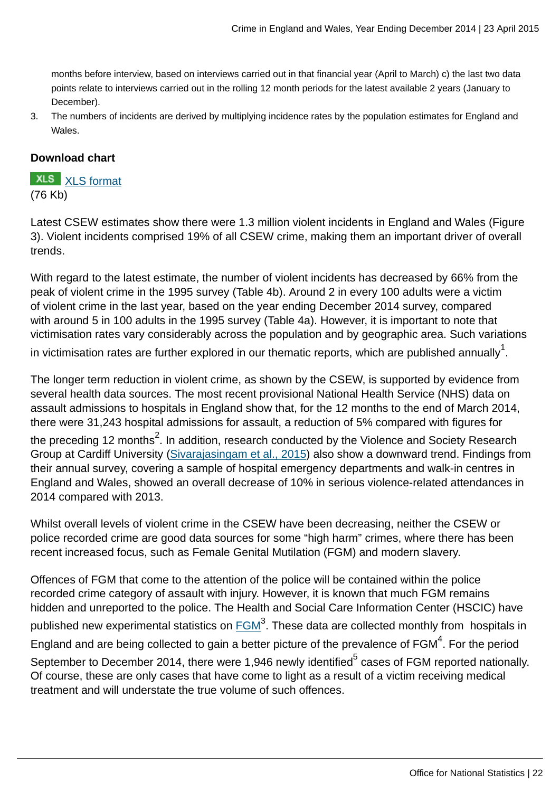months before interview, based on interviews carried out in that financial year (April to March) c) the last two data points relate to interviews carried out in the rolling 12 month periods for the latest available 2 years (January to December).

3. The numbers of incidents are derived by multiplying incidence rates by the population estimates for England and Wales.

#### **Download chart**

**XLS** [XLS format](http://www.ons.gov.uk:80/ons/rel/crime-stats/crime-statistics/year-ending-december-2014/chd-3.xls) (76 Kb)

Latest CSEW estimates show there were 1.3 million violent incidents in England and Wales (Figure 3). Violent incidents comprised 19% of all CSEW crime, making them an important driver of overall trends.

With regard to the latest estimate, the number of violent incidents has decreased by 66% from the peak of violent crime in the 1995 survey (Table 4b). Around 2 in every 100 adults were a victim of violent crime in the last year, based on the year ending December 2014 survey, compared with around 5 in 100 adults in the 1995 survey (Table 4a). However, it is important to note that victimisation rates vary considerably across the population and by geographic area. Such variations

in victimisation rates are further explored in our thematic reports, which are published annually $^{\tt 1}$ .

The longer term reduction in violent crime, as shown by the CSEW, is supported by evidence from several health data sources. The most recent provisional National Health Service (NHS) data on assault admissions to hospitals in England show that, for the 12 months to the end of March 2014, there were 31,243 hospital admissions for assault, a reduction of 5% compared with figures for the preceding 12 months $^2$ . In addition, research conducted by the Violence and Society Research Group at Cardiff University ([Sivarajasingam et al., 2015](http://www.cardiff.ac.uk/__data/assets/pdf_file/0009/95778/nvit_2014.pdf)) also show a downward trend. Findings from their annual survey, covering a sample of hospital emergency departments and walk-in centres in England and Wales, showed an overall decrease of 10% in serious violence-related attendances in 2014 compared with 2013.

Whilst overall levels of violent crime in the CSEW have been decreasing, neither the CSEW or police recorded crime are good data sources for some "high harm" crimes, where there has been recent increased focus, such as Female Genital Mutilation (FGM) and modern slavery.

Offences of FGM that come to the attention of the police will be contained within the police recorded crime category of assault with injury. However, it is known that much FGM remains hidden and unreported to the police. The Health and Social Care Information Center (HSCIC) have published new experimental statistics on  $\overline{\mathsf{FGM}}^3.$  These data are collected monthly from  $\,$  hospitals in England and are being collected to gain a better picture of the prevalence of FGM $^4$ . For the period September to December 2014, there were 1,946 newly identified $^5$  cases of FGM reported nationally. Of course, these are only cases that have come to light as a result of a victim receiving medical treatment and will understate the true volume of such offences.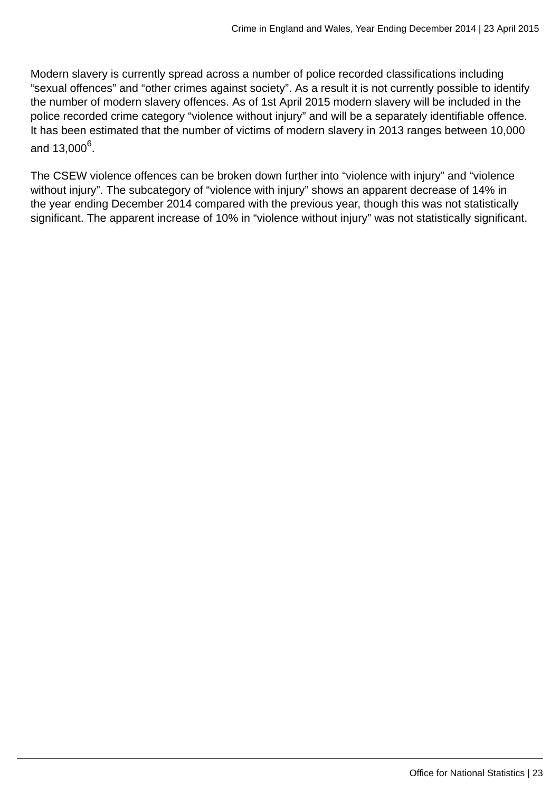Modern slavery is currently spread across a number of police recorded classifications including "sexual offences" and "other crimes against society". As a result it is not currently possible to identify the number of modern slavery offences. As of 1st April 2015 modern slavery will be included in the police recorded crime category "violence without injury" and will be a separately identifiable offence. It has been estimated that the number of victims of modern slavery in 2013 ranges between 10,000 and 13,000<sup>6</sup>.

The CSEW violence offences can be broken down further into "violence with injury" and "violence without injury". The subcategory of "violence with injury" shows an apparent decrease of 14% in the year ending December 2014 compared with the previous year, though this was not statistically significant. The apparent increase of 10% in "violence without injury" was not statistically significant.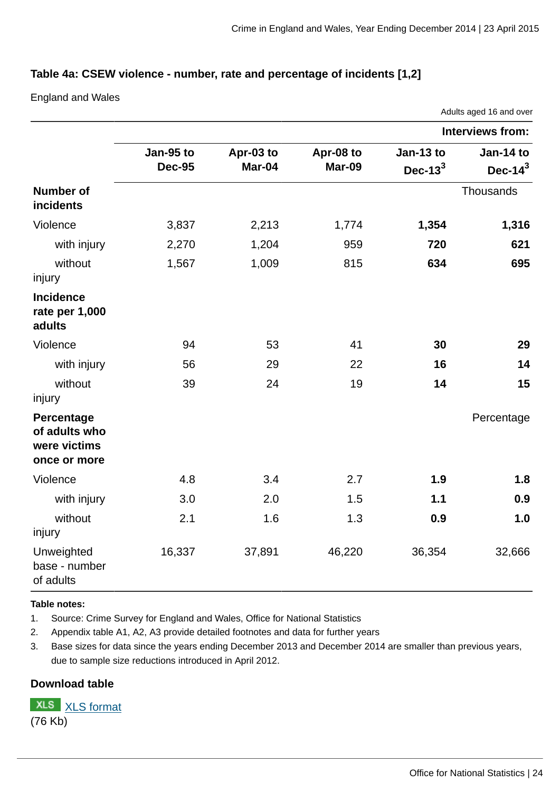## **Table 4a: CSEW violence - number, rate and percentage of incidents [1,2]**

England and Wales

|                                                             |                            |                     |                            |                          | Adults aged 16 and over  |
|-------------------------------------------------------------|----------------------------|---------------------|----------------------------|--------------------------|--------------------------|
|                                                             |                            |                     |                            |                          | <b>Interviews from:</b>  |
|                                                             | Jan-95 to<br><b>Dec-95</b> | Apr-03 to<br>Mar-04 | Apr-08 to<br><b>Mar-09</b> | Jan-13 to<br>Dec- $13^3$ | Jan-14 to<br>Dec- $14^3$ |
| <b>Number of</b><br>incidents                               |                            |                     |                            |                          | Thousands                |
| Violence                                                    | 3,837                      | 2,213               | 1,774                      | 1,354                    | 1,316                    |
| with injury                                                 | 2,270                      | 1,204               | 959                        | 720                      | 621                      |
| without<br>injury                                           | 1,567                      | 1,009               | 815                        | 634                      | 695                      |
| <b>Incidence</b><br>rate per 1,000<br>adults                |                            |                     |                            |                          |                          |
| Violence                                                    | 94                         | 53                  | 41                         | 30                       | 29                       |
| with injury                                                 | 56                         | 29                  | 22                         | 16                       | 14                       |
| without<br>injury                                           | 39                         | 24                  | 19                         | 14                       | 15                       |
| Percentage<br>of adults who<br>were victims<br>once or more |                            |                     |                            |                          | Percentage               |
| Violence                                                    | 4.8                        | 3.4                 | 2.7                        | 1.9                      | 1.8                      |
| with injury                                                 | 3.0                        | 2.0                 | 1.5                        | 1.1                      | 0.9                      |
| without<br>injury                                           | 2.1                        | 1.6                 | 1.3                        | 0.9                      | 1.0                      |
| Unweighted<br>base - number<br>of adults                    | 16,337                     | 37,891              | 46,220                     | 36,354                   | 32,666                   |

#### **Table notes:**

1. Source: Crime Survey for England and Wales, Office for National Statistics

2. Appendix table A1, A2, A3 provide detailed footnotes and data for further years

3. Base sizes for data since the years ending December 2013 and December 2014 are smaller than previous years, due to sample size reductions introduced in April 2012.

## **Download table**

**XLS** [XLS format](http://www.ons.gov.uk:80/ons/rel/crime-stats/crime-statistics/year-ending-december-2014/prt-4a.xls) (76 Kb)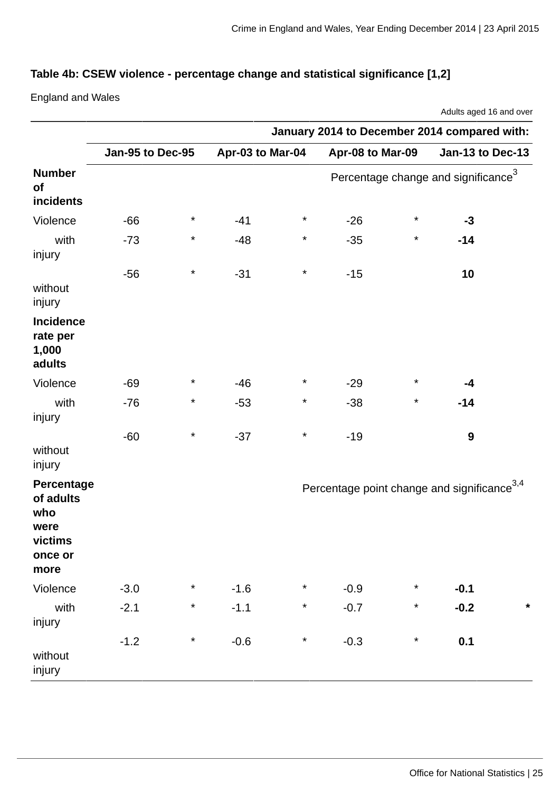# **Table 4b: CSEW violence - percentage change and statistical significance [1,2]**

England and Wales

|                                                                      | January 2014 to December 2014 compared with: |          |                  |          |                                                         |          |                                                 |         |
|----------------------------------------------------------------------|----------------------------------------------|----------|------------------|----------|---------------------------------------------------------|----------|-------------------------------------------------|---------|
|                                                                      | Jan-95 to Dec-95                             |          | Apr-03 to Mar-04 |          | Apr-08 to Mar-09                                        |          | Jan-13 to Dec-13                                |         |
| <b>Number</b><br>of<br>incidents                                     |                                              |          |                  |          |                                                         |          | Percentage change and significance <sup>3</sup> |         |
| Violence                                                             | $-66$                                        | $\ast$   | $-41$            | $^\star$ | $-26$                                                   | $^\star$ | $-3$                                            |         |
| with<br>injury                                                       | $-73$                                        | $\ast$   | $-48$            | $^\star$ | $-35$                                                   | $\star$  | $-14$                                           |         |
| without<br>injury                                                    | $-56$                                        | $\star$  | $-31$            | $^\star$ | $-15$                                                   |          | 10                                              |         |
| <b>Incidence</b><br>rate per<br>1,000<br>adults                      |                                              |          |                  |          |                                                         |          |                                                 |         |
| Violence                                                             | $-69$                                        | $^\star$ | $-46$            | $^\star$ | $-29$                                                   | $^\star$ | $-4$                                            |         |
| with<br>injury                                                       | $-76$                                        | $^\star$ | $-53$            | $^\star$ | $-38$                                                   | $\ast$   | $-14$                                           |         |
| without<br>injury                                                    | $-60$                                        | $^\star$ | $-37$            | $^\star$ | $-19$                                                   |          | 9                                               |         |
| Percentage<br>of adults<br>who<br>were<br>victims<br>once or<br>more |                                              |          |                  |          | Percentage point change and significance <sup>3,4</sup> |          |                                                 |         |
| Violence                                                             | $-3.0$                                       | $^\star$ | $-1.6$           | $\star$  | $-0.9$                                                  | $\star$  | $-0.1$                                          |         |
| with<br>injury                                                       | $-2.1$                                       | $\star$  | $-1.1$           | $\star$  | $-0.7$                                                  | $\star$  | $-0.2$                                          | $\star$ |
| without<br>injury                                                    | $-1.2$                                       | $\star$  | $-0.6$           | $\star$  | $-0.3$                                                  | $\star$  | 0.1                                             |         |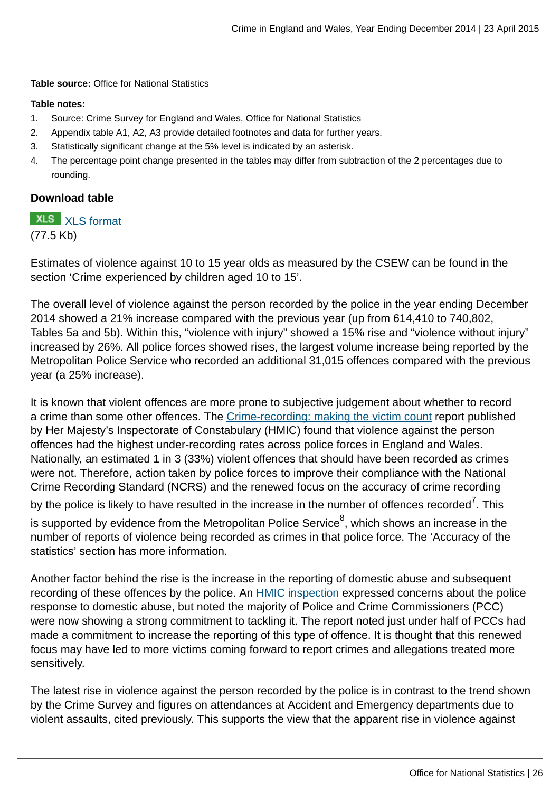**Table source:** Office for National Statistics

#### **Table notes:**

- 1. Source: Crime Survey for England and Wales, Office for National Statistics
- 2. Appendix table A1, A2, A3 provide detailed footnotes and data for further years.
- 3. Statistically significant change at the 5% level is indicated by an asterisk.
- 4. The percentage point change presented in the tables may differ from subtraction of the 2 percentages due to rounding.

#### **Download table**

## **XLS** [XLS format](http://www.ons.gov.uk:80/ons/rel/crime-stats/crime-statistics/year-ending-december-2014/prt-4b.xls)

#### (77.5 Kb)

Estimates of violence against 10 to 15 year olds as measured by the CSEW can be found in the section 'Crime experienced by children aged 10 to 15'.

The overall level of violence against the person recorded by the police in the year ending December 2014 showed a 21% increase compared with the previous year (up from 614,410 to 740,802, Tables 5a and 5b). Within this, "violence with injury" showed a 15% rise and "violence without injury" increased by 26%. All police forces showed rises, the largest volume increase being reported by the Metropolitan Police Service who recorded an additional 31,015 offences compared with the previous year (a 25% increase).

It is known that violent offences are more prone to subjective judgement about whether to record a crime than some other offences. The [Crime-recording: making the victim count](https://www.justiceinspectorates.gov.uk/hmic/publication/crime-recording-making-the-victim-count/) report published by Her Majesty's Inspectorate of Constabulary (HMIC) found that violence against the person offences had the highest under-recording rates across police forces in England and Wales. Nationally, an estimated 1 in 3 (33%) violent offences that should have been recorded as crimes were not. Therefore, action taken by police forces to improve their compliance with the National Crime Recording Standard (NCRS) and the renewed focus on the accuracy of crime recording by the police is likely to have resulted in the increase in the number of offences recorded<sup>7</sup>. This is supported by evidence from the Metropolitan Police Service $^8$ , which shows an increase in the number of reports of violence being recorded as crimes in that police force. The 'Accuracy of the statistics' section has more information.

Another factor behind the rise is the increase in the reporting of domestic abuse and subsequent recording of these offences by the police. An [HMIC inspection](http://www.hmic.gov.uk/publication/improving-the-police-response-to-domestic-abuse/) expressed concerns about the police response to domestic abuse, but noted the majority of Police and Crime Commissioners (PCC) were now showing a strong commitment to tackling it. The report noted just under half of PCCs had made a commitment to increase the reporting of this type of offence. It is thought that this renewed focus may have led to more victims coming forward to report crimes and allegations treated more sensitively.

The latest rise in violence against the person recorded by the police is in contrast to the trend shown by the Crime Survey and figures on attendances at Accident and Emergency departments due to violent assaults, cited previously. This supports the view that the apparent rise in violence against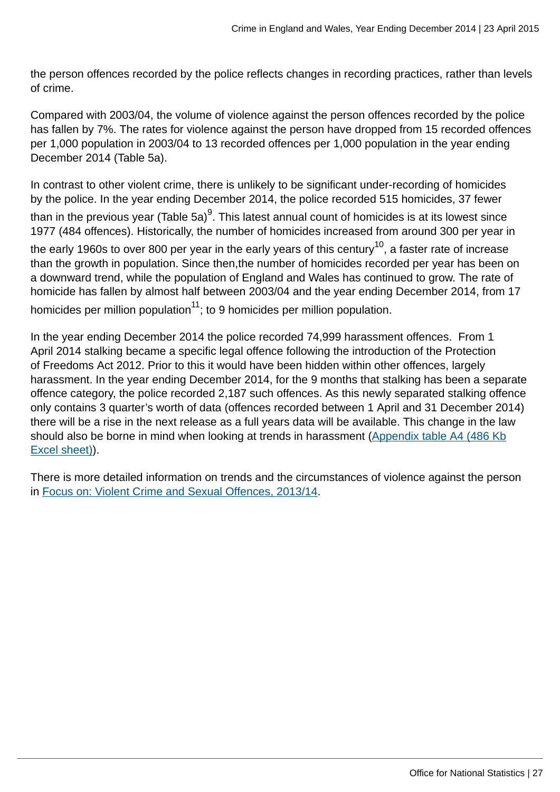the person offences recorded by the police reflects changes in recording practices, rather than levels of crime.

Compared with 2003/04, the volume of violence against the person offences recorded by the police has fallen by 7%. The rates for violence against the person have dropped from 15 recorded offences per 1,000 population in 2003/04 to 13 recorded offences per 1,000 population in the year ending December 2014 (Table 5a).

In contrast to other violent crime, there is unlikely to be significant under-recording of homicides by the police. In the year ending December 2014, the police recorded 515 homicides, 37 fewer than in the previous year (Table 5a)<sup>9</sup>. This latest annual count of homicides is at its lowest since 1977 (484 offences). Historically, the number of homicides increased from around 300 per year in the early 1960s to over 800 per year in the early years of this century<sup>10</sup>, a faster rate of increase than the growth in population. Since then,the number of homicides recorded per year has been on a downward trend, while the population of England and Wales has continued to grow. The rate of homicide has fallen by almost half between 2003/04 and the year ending December 2014, from 17 homicides per million population $11$ ; to 9 homicides per million population.

In the year ending December 2014 the police recorded 74,999 harassment offences. From 1 April 2014 stalking became a specific legal offence following the introduction of the Protection of Freedoms Act 2012. Prior to this it would have been hidden within other offences, largely harassment. In the year ending December 2014, for the 9 months that stalking has been a separate offence category, the police recorded 2,187 such offences. As this newly separated stalking offence only contains 3 quarter's worth of data (offences recorded between 1 April and 31 December 2014) there will be a rise in the next release as a full years data will be available. This change in the law should also be borne in mind when looking at trends in harassment [\(Appendix table A4 \(486 Kb](http://www.ons.gov.uk:80/ons/rel/crime-stats/crime-statistics/year-ending-december-2014/rft-2.xls) [Excel sheet\)](http://www.ons.gov.uk:80/ons/rel/crime-stats/crime-statistics/year-ending-december-2014/rft-2.xls)).

There is more detailed information on trends and the circumstances of violence against the person in [Focus on: Violent Crime and Sexual Offences, 2013/14](http://www.ons.gov.uk:80/ons/rel/crime-stats/crime-statistics/focus-on-violent-crime-and-sexual-offences--2013-14/index.html).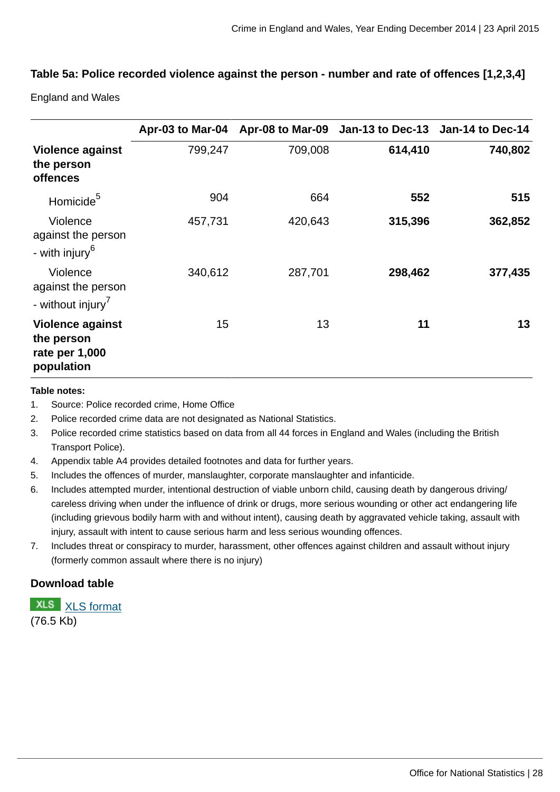## **Table 5a: Police recorded violence against the person - number and rate of offences [1,2,3,4]**

England and Wales

|                                                                       |         |         | Apr-03 to Mar-04 Apr-08 to Mar-09 Jan-13 to Dec-13 Jan-14 to Dec-14 |         |
|-----------------------------------------------------------------------|---------|---------|---------------------------------------------------------------------|---------|
| <b>Violence against</b><br>the person<br><b>offences</b>              | 799,247 | 709,008 | 614,410                                                             | 740,802 |
| Homicide <sup>5</sup>                                                 | 904     | 664     | 552                                                                 | 515     |
| Violence<br>against the person<br>- with injury <sup>6</sup>          | 457,731 | 420,643 | 315,396                                                             | 362,852 |
| Violence<br>against the person<br>- without injury <sup>7</sup>       | 340,612 | 287,701 | 298,462                                                             | 377,435 |
| <b>Violence against</b><br>the person<br>rate per 1,000<br>population | 15      | 13      | 11                                                                  | 13      |

#### **Table notes:**

- 1. Source: Police recorded crime, Home Office
- 2. Police recorded crime data are not designated as National Statistics.
- 3. Police recorded crime statistics based on data from all 44 forces in England and Wales (including the British Transport Police).
- 4. Appendix table A4 provides detailed footnotes and data for further years.
- 5. Includes the offences of murder, manslaughter, corporate manslaughter and infanticide.
- 6. Includes attempted murder, intentional destruction of viable unborn child, causing death by dangerous driving/ careless driving when under the influence of drink or drugs, more serious wounding or other act endangering life (including grievous bodily harm with and without intent), causing death by aggravated vehicle taking, assault with injury, assault with intent to cause serious harm and less serious wounding offences.
- 7. Includes threat or conspiracy to murder, harassment, other offences against children and assault without injury (formerly common assault where there is no injury)

#### **Download table**

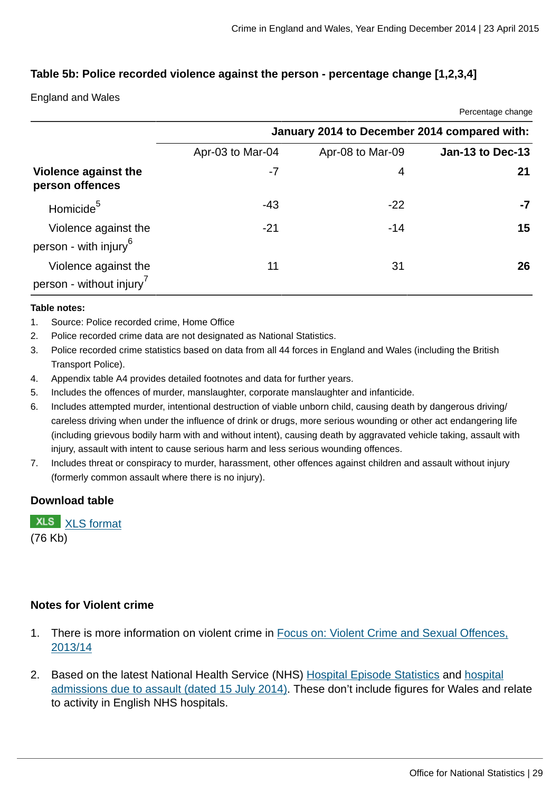Percentage change

#### **Table 5b: Police recorded violence against the person - percentage change [1,2,3,4]**

England and Wales

|                                                              |                  |                                              | <b>1 UNITED</b> UNITED |
|--------------------------------------------------------------|------------------|----------------------------------------------|------------------------|
|                                                              |                  | January 2014 to December 2014 compared with: |                        |
|                                                              | Apr-03 to Mar-04 | Apr-08 to Mar-09                             | Jan-13 to Dec-13       |
| Violence against the<br>person offences                      | $-7$             | 4                                            | 21                     |
| Homicide <sup>5</sup>                                        | $-43$            | $-22$                                        | -7                     |
| Violence against the<br>person - with injury <sup>6</sup>    | $-21$            | $-14$                                        | 15                     |
| Violence against the<br>person - without injury <sup>7</sup> | 11               | 31                                           | 26                     |

#### **Table notes:**

- 1. Source: Police recorded crime, Home Office
- 2. Police recorded crime data are not designated as National Statistics.
- 3. Police recorded crime statistics based on data from all 44 forces in England and Wales (including the British Transport Police).
- 4. Appendix table A4 provides detailed footnotes and data for further years.
- 5. Includes the offences of murder, manslaughter, corporate manslaughter and infanticide.
- 6. Includes attempted murder, intentional destruction of viable unborn child, causing death by dangerous driving/ careless driving when under the influence of drink or drugs, more serious wounding or other act endangering life (including grievous bodily harm with and without intent), causing death by aggravated vehicle taking, assault with injury, assault with intent to cause serious harm and less serious wounding offences.
- 7. Includes threat or conspiracy to murder, harassment, other offences against children and assault without injury (formerly common assault where there is no injury).

#### **Download table**

**XLS** [XLS format](http://www.ons.gov.uk:80/ons/rel/crime-stats/crime-statistics/year-ending-december-2014/prt-5b.xls) (76 Kb)

## **Notes for Violent crime**

- 1. There is more information on violent crime in [Focus on: Violent Crime and Sexual Offences,](http://www.ons.gov.uk:80/ons/rel/crime-stats/crime-statistics/focus-on-violent-crime-and-sexual-offences--2013-14/index.html) [2013/14](http://www.ons.gov.uk:80/ons/rel/crime-stats/crime-statistics/focus-on-violent-crime-and-sexual-offences--2013-14/index.html)
- 2. Based on the latest National Health Service (NHS) [Hospital Episode Statistics](http://www.hscic.gov.uk/article/2021/Website-Search?productid=14896&q=Provisional+Monthly+Hospital+Episode+Statistics+for+Admitted+Patient+Care%2c+Outpatients+and+Accident+and+Emergency+Data+&sort=Relevance&size=10&page=1&area=both#top) and [hospital](http://www.hscic.gov.uk/article/5317/2014-Supplementary-information-files) [admissions due to assault \(dated 15 July 2014\)](http://www.hscic.gov.uk/article/5317/2014-Supplementary-information-files). These don't include figures for Wales and relate to activity in English NHS hospitals.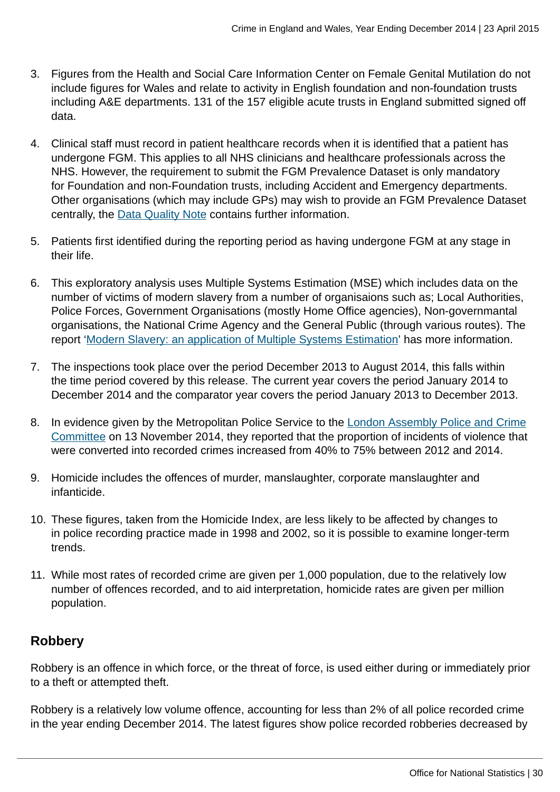- 3. Figures from the Health and Social Care Information Center on Female Genital Mutilation do not include figures for Wales and relate to activity in English foundation and non-foundation trusts including A&E departments. 131 of the 157 eligible acute trusts in England submitted signed off data.
- 4. Clinical staff must record in patient healthcare records when it is identified that a patient has undergone FGM. This applies to all NHS clinicians and healthcare professionals across the NHS. However, the requirement to submit the FGM Prevalence Dataset is only mandatory for Foundation and non-Foundation trusts, including Accident and Emergency departments. Other organisations (which may include GPs) may wish to provide an FGM Prevalence Dataset centrally, the [Data Quality Note](http://www.hscic.gov.uk/catalogue/PUB16773/fgm-dec-2014-exp-qual.pdf) contains further information.
- 5. Patients first identified during the reporting period as having undergone FGM at any stage in their life.
- 6. This exploratory analysis uses Multiple Systems Estimation (MSE) which includes data on the number of victims of modern slavery from a number of organisaions such as; Local Authorities, Police Forces, Government Organisations (mostly Home Office agencies), Non-governmantal organisations, the National Crime Agency and the General Public (through various routes). The report '[Modern Slavery: an application of Multiple Systems Estimation'](#page-0-0) has more information.
- 7. The inspections took place over the period December 2013 to August 2014, this falls within the time period covered by this release. The current year covers the period January 2014 to December 2014 and the comparator year covers the period January 2013 to December 2013.
- 8. In evidence given by the Metropolitan Police Service to the [London Assembly Police and Crime](http://www.london.gov.uk/moderngov/ieListDocuments.aspx?CId=240&MId=5445) [Committee](http://www.london.gov.uk/moderngov/ieListDocuments.aspx?CId=240&MId=5445) on 13 November 2014, they reported that the proportion of incidents of violence that were converted into recorded crimes increased from 40% to 75% between 2012 and 2014.
- 9. Homicide includes the offences of murder, manslaughter, corporate manslaughter and infanticide.
- 10. These figures, taken from the Homicide Index, are less likely to be affected by changes to in police recording practice made in 1998 and 2002, so it is possible to examine longer-term trends.
- 11. While most rates of recorded crime are given per 1,000 population, due to the relatively low number of offences recorded, and to aid interpretation, homicide rates are given per million population.

# **Robbery**

Robbery is an offence in which force, or the threat of force, is used either during or immediately prior to a theft or attempted theft.

Robbery is a relatively low volume offence, accounting for less than 2% of all police recorded crime in the year ending December 2014. The latest figures show police recorded robberies decreased by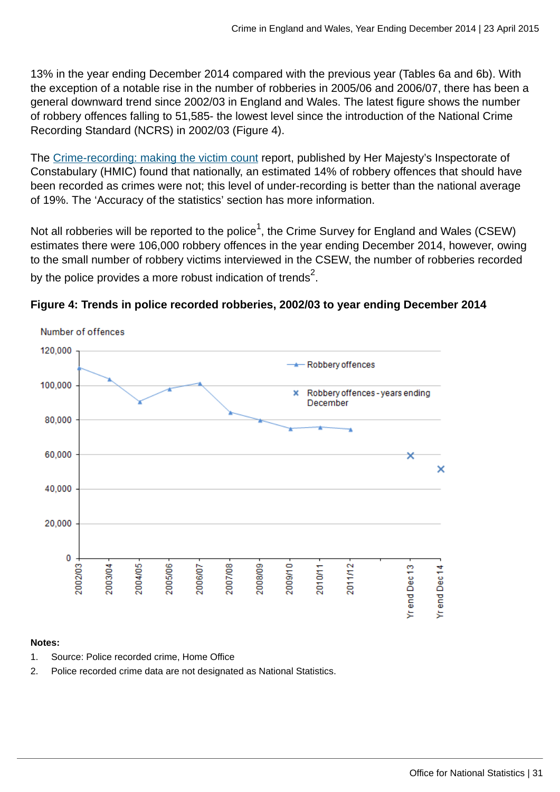13% in the year ending December 2014 compared with the previous year (Tables 6a and 6b). With the exception of a notable rise in the number of robberies in 2005/06 and 2006/07, there has been a general downward trend since 2002/03 in England and Wales. The latest figure shows the number of robbery offences falling to 51,585- the lowest level since the introduction of the National Crime Recording Standard (NCRS) in 2002/03 (Figure 4).

The [Crime-recording: making the victim count](https://www.justiceinspectorates.gov.uk/hmic/publication/crime-recording-making-the-victim-count/) report, published by Her Majesty's Inspectorate of Constabulary (HMIC) found that nationally, an estimated 14% of robbery offences that should have been recorded as crimes were not; this level of under-recording is better than the national average of 19%. The 'Accuracy of the statistics' section has more information.

Not all robberies will be reported to the police $^1$ , the Crime Survey for England and Wales (CSEW) estimates there were 106,000 robbery offences in the year ending December 2014, however, owing to the small number of robbery victims interviewed in the CSEW, the number of robberies recorded by the police provides a more robust indication of trends $^2\!.$ 



**Figure 4: Trends in police recorded robberies, 2002/03 to year ending December 2014**

#### **Notes:**

- 1. Source: Police recorded crime, Home Office
- 2. Police recorded crime data are not designated as National Statistics.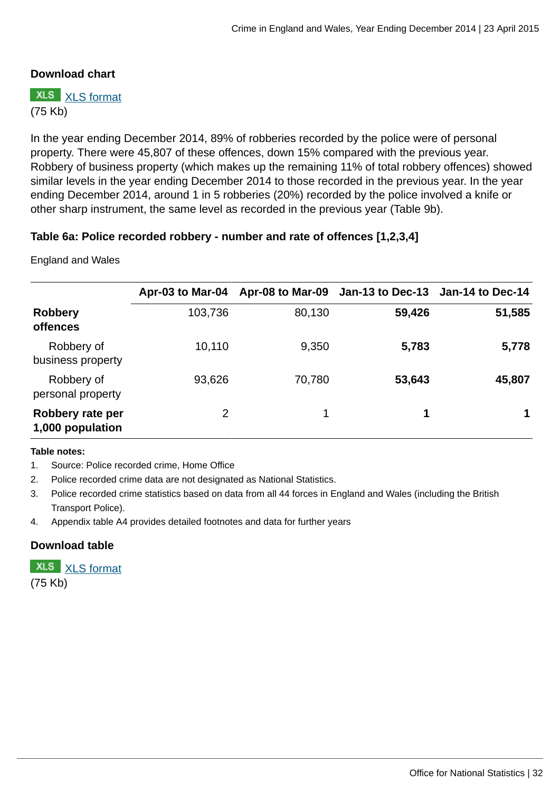#### **Download chart**

**XLS** [XLS format](http://www.ons.gov.uk:80/ons/rel/crime-stats/crime-statistics/year-ending-december-2014/chd-4.xls) (75 Kb)

In the year ending December 2014, 89% of robberies recorded by the police were of personal property. There were 45,807 of these offences, down 15% compared with the previous year. Robbery of business property (which makes up the remaining 11% of total robbery offences) showed similar levels in the year ending December 2014 to those recorded in the previous year. In the year ending December 2014, around 1 in 5 robberies (20%) recorded by the police involved a knife or other sharp instrument, the same level as recorded in the previous year (Table 9b).

#### **Table 6a: Police recorded robbery - number and rate of offences [1,2,3,4]**

England and Wales

|                                      | Apr-03 to Mar-04 |        | Apr-08 to Mar-09 Jan-13 to Dec-13 Jan-14 to Dec-14 |        |
|--------------------------------------|------------------|--------|----------------------------------------------------|--------|
| <b>Robbery</b><br><b>offences</b>    | 103,736          | 80,130 | 59,426                                             | 51,585 |
| Robbery of<br>business property      | 10,110           | 9,350  | 5,783                                              | 5,778  |
| Robbery of<br>personal property      | 93,626           | 70,780 | 53,643                                             | 45,807 |
| Robbery rate per<br>1,000 population | $\overline{2}$   |        | 1                                                  |        |

#### **Table notes:**

1. Source: Police recorded crime, Home Office

- 2. Police recorded crime data are not designated as National Statistics.
- 3. Police recorded crime statistics based on data from all 44 forces in England and Wales (including the British Transport Police).
- 4. Appendix table A4 provides detailed footnotes and data for further years

#### **Download table**

**XLS** [XLS format](http://www.ons.gov.uk:80/ons/rel/crime-stats/crime-statistics/year-ending-december-2014/prt-6a.xls) (75 Kb)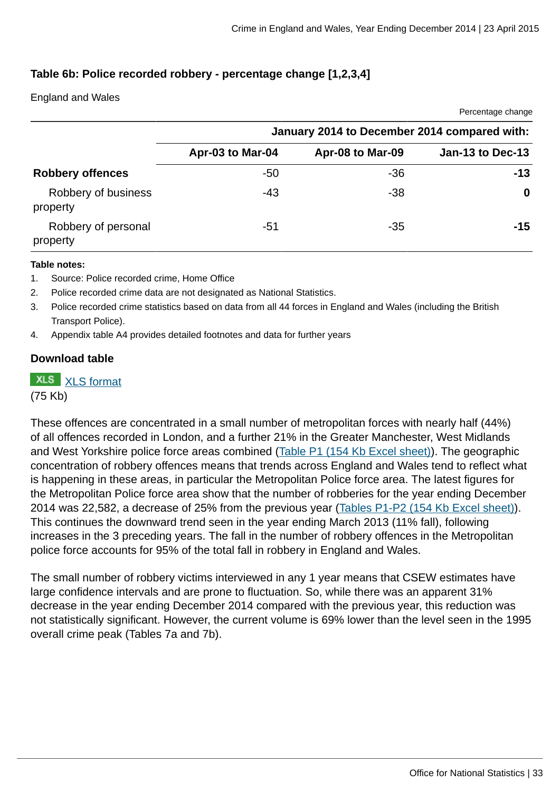Percentage change

## **Table 6b: Police recorded robbery - percentage change [1,2,3,4]**

England and Wales

|                                 | January 2014 to December 2014 compared with: |                  |                  |  |  |  |
|---------------------------------|----------------------------------------------|------------------|------------------|--|--|--|
|                                 | Apr-03 to Mar-04                             | Apr-08 to Mar-09 | Jan-13 to Dec-13 |  |  |  |
| <b>Robbery offences</b>         | $-50$                                        | $-36$            | $-13$            |  |  |  |
| Robbery of business<br>property | -43                                          | $-38$            | 0                |  |  |  |
| Robbery of personal<br>property | $-51$                                        | $-35$            | -15              |  |  |  |

#### **Table notes:**

- 1. Source: Police recorded crime, Home Office
- 2. Police recorded crime data are not designated as National Statistics.
- 3. Police recorded crime statistics based on data from all 44 forces in England and Wales (including the British Transport Police).
- 4. Appendix table A4 provides detailed footnotes and data for further years

#### **Download table**

**XLS** [XLS format](http://www.ons.gov.uk:80/ons/rel/crime-stats/crime-statistics/year-ending-december-2014/prt-6b.xls) (75 Kb)

These offences are concentrated in a small number of metropolitan forces with nearly half (44%) of all offences recorded in London, and a further 21% in the Greater Manchester, West Midlands and West Yorkshire police force areas combined [\(Table P1 \(154 Kb Excel sheet\)\)](http://www.ons.gov.uk:80/ons/rel/crime-stats/crime-statistics/year-ending-december-2014/rft-4.xls). The geographic concentration of robbery offences means that trends across England and Wales tend to reflect what is happening in these areas, in particular the Metropolitan Police force area. The latest figures for the Metropolitan Police force area show that the number of robberies for the year ending December 2014 was 22,582, a decrease of 25% from the previous year [\(Tables P1-P2 \(154 Kb Excel sheet\)](http://www.ons.gov.uk:80/ons/rel/crime-stats/crime-statistics/year-ending-december-2014/rft-4.xls)). This continues the downward trend seen in the year ending March 2013 (11% fall), following increases in the 3 preceding years. The fall in the number of robbery offences in the Metropolitan police force accounts for 95% of the total fall in robbery in England and Wales.

The small number of robbery victims interviewed in any 1 year means that CSEW estimates have large confidence intervals and are prone to fluctuation. So, while there was an apparent 31% decrease in the year ending December 2014 compared with the previous year, this reduction was not statistically significant. However, the current volume is 69% lower than the level seen in the 1995 overall crime peak (Tables 7a and 7b).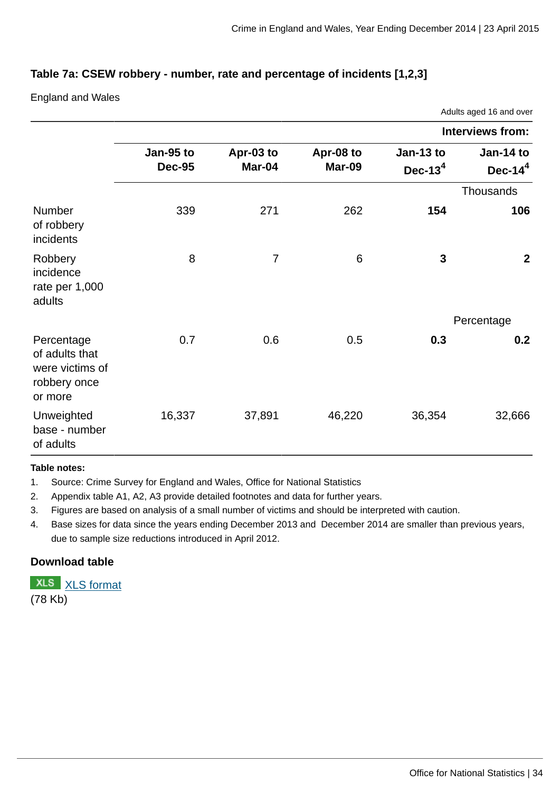#### **Table 7a: CSEW robbery - number, rate and percentage of incidents [1,2,3]**

England and Wales

|                                                                            | Adults aged 16 and over    |                     |                            |                         |                         |  |  |  |  |
|----------------------------------------------------------------------------|----------------------------|---------------------|----------------------------|-------------------------|-------------------------|--|--|--|--|
|                                                                            | <b>Interviews from:</b>    |                     |                            |                         |                         |  |  |  |  |
|                                                                            | Jan-95 to<br><b>Dec-95</b> | Apr-03 to<br>Mar-04 | Apr-08 to<br><b>Mar-09</b> | Jan-13 to<br>Dec-13 $4$ | Jan-14 to<br>Dec- $144$ |  |  |  |  |
|                                                                            |                            |                     |                            |                         | <b>Thousands</b>        |  |  |  |  |
| Number<br>of robbery<br>incidents                                          | 339                        | 271                 | 262                        | 154                     | 106                     |  |  |  |  |
| Robbery<br>incidence<br>rate per 1,000<br>adults                           | 8                          | $\overline{7}$      | 6                          | 3                       | $\overline{2}$          |  |  |  |  |
|                                                                            |                            |                     |                            |                         | Percentage              |  |  |  |  |
| Percentage<br>of adults that<br>were victims of<br>robbery once<br>or more | 0.7                        | 0.6                 | 0.5                        | 0.3                     | 0.2                     |  |  |  |  |
| Unweighted<br>base - number<br>of adults                                   | 16,337                     | 37,891              | 46,220                     | 36,354                  | 32,666                  |  |  |  |  |

#### **Table notes:**

1. Source: Crime Survey for England and Wales, Office for National Statistics

2. Appendix table A1, A2, A3 provide detailed footnotes and data for further years.

3. Figures are based on analysis of a small number of victims and should be interpreted with caution.

4. Base sizes for data since the years ending December 2013 and December 2014 are smaller than previous years, due to sample size reductions introduced in April 2012.

#### **Download table**

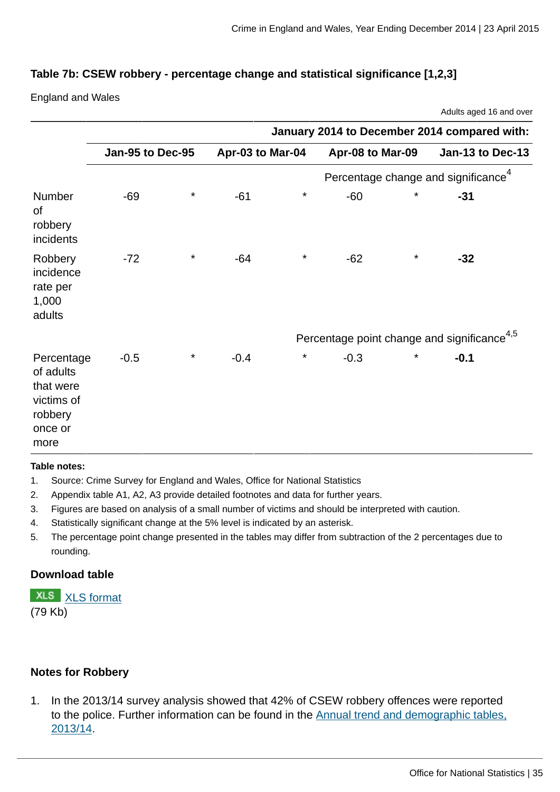Adults aged 16 and over

## **Table 7b: CSEW robbery - percentage change and statistical significance [1,2,3]**

England and Wales

|                                                                                  | January 2014 to December 2014 compared with: |          |                                                         |          |                  |          |                  |  |
|----------------------------------------------------------------------------------|----------------------------------------------|----------|---------------------------------------------------------|----------|------------------|----------|------------------|--|
|                                                                                  | Jan-95 to Dec-95                             |          | Apr-03 to Mar-04                                        |          | Apr-08 to Mar-09 |          | Jan-13 to Dec-13 |  |
|                                                                                  |                                              |          | Percentage change and significance <sup>4</sup>         |          |                  |          |                  |  |
| Number<br>οf<br>robbery<br>incidents                                             | $-69$                                        | $^\star$ | $-61$                                                   | $\star$  | $-60$            | $^\star$ | $-31$            |  |
| Robbery<br>incidence<br>rate per<br>1,000<br>adults                              | $-72$                                        | $^\star$ | $-64$                                                   | $\star$  | $-62$            | $\star$  | $-32$            |  |
|                                                                                  |                                              |          | Percentage point change and significance <sup>4,5</sup> |          |                  |          |                  |  |
| Percentage<br>of adults<br>that were<br>victims of<br>robbery<br>once or<br>more | $-0.5$                                       | $^\star$ | $-0.4$                                                  | $^\star$ | $-0.3$           | $^\star$ | $-0.1$           |  |

#### **Table notes:**

- 1. Source: Crime Survey for England and Wales, Office for National Statistics
- 2. Appendix table A1, A2, A3 provide detailed footnotes and data for further years.
- 3. Figures are based on analysis of a small number of victims and should be interpreted with caution.
- 4. Statistically significant change at the 5% level is indicated by an asterisk.
- 5. The percentage point change presented in the tables may differ from subtraction of the 2 percentages due to rounding.

#### **Download table**

**XLS** [XLS format](http://www.ons.gov.uk:80/ons/rel/crime-stats/crime-statistics/year-ending-december-2014/prt-7b.xls) (79 Kb)

## **Notes for Robbery**

1. In the 2013/14 survey analysis showed that 42% of CSEW robbery offences were reported to the police. Further information can be found in the **Annual trend and demographic tables**, [2013/14.](http://www.ons.gov.uk/ons/publications/re-reference-tables.html?edition=tcm%3A77-328153)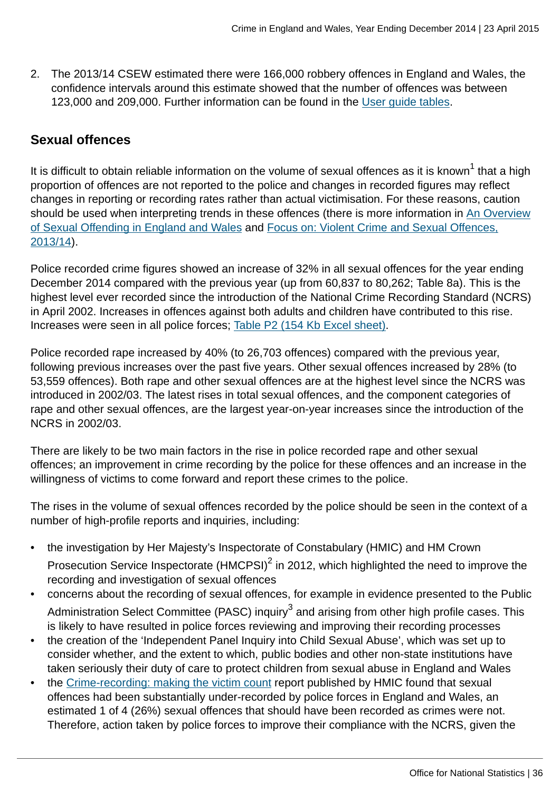2. The 2013/14 CSEW estimated there were 166,000 robbery offences in England and Wales, the confidence intervals around this estimate showed that the number of offences was between 123,000 and 209,000. Further information can be found in the [User guide tables.](http://www.ons.gov.uk:80/ons/guide-method/method-quality/specific/crime-statistics-methodology/user-guides/index.html)

# **Sexual offences**

It is difficult to obtain reliable information on the volume of sexual offences as it is known $^{\rm 1}$  that a high proportion of offences are not reported to the police and changes in recorded figures may reflect changes in reporting or recording rates rather than actual victimisation. For these reasons, caution should be used when interpreting trends in these offences (there is more information in [An Overview](http://www.ons.gov.uk:80/ons/external-links/other-government-departments/moj/moj--sexual-offending-in-e-w.html) [of Sexual Offending in England and Wales](http://www.ons.gov.uk:80/ons/external-links/other-government-departments/moj/moj--sexual-offending-in-e-w.html) and [Focus on: Violent Crime and Sexual Offences,](http://www.ons.gov.uk:80/ons/rel/crime-stats/crime-statistics/focus-on-violent-crime-and-sexual-offences--2013-14/index.html) [2013/14\)](http://www.ons.gov.uk:80/ons/rel/crime-stats/crime-statistics/focus-on-violent-crime-and-sexual-offences--2013-14/index.html).

Police recorded crime figures showed an increase of 32% in all sexual offences for the year ending December 2014 compared with the previous year (up from 60,837 to 80,262; Table 8a). This is the highest level ever recorded since the introduction of the National Crime Recording Standard (NCRS) in April 2002. Increases in offences against both adults and children have contributed to this rise. Increases were seen in all police forces; [Table P2 \(154 Kb Excel sheet\).](http://www.ons.gov.uk:80/ons/rel/crime-stats/crime-statistics/year-ending-december-2014/rft-4.xls)

Police recorded rape increased by 40% (to 26,703 offences) compared with the previous year, following previous increases over the past five years. Other sexual offences increased by 28% (to 53,559 offences). Both rape and other sexual offences are at the highest level since the NCRS was introduced in 2002/03. The latest rises in total sexual offences, and the component categories of rape and other sexual offences, are the largest year-on-year increases since the introduction of the NCRS in 2002/03.

There are likely to be two main factors in the rise in police recorded rape and other sexual offences; an improvement in crime recording by the police for these offences and an increase in the willingness of victims to come forward and report these crimes to the police.

The rises in the volume of sexual offences recorded by the police should be seen in the context of a number of high-profile reports and inquiries, including:

- the investigation by Her Majesty's Inspectorate of Constabulary (HMIC) and HM Crown Prosecution Service Inspectorate  $(HMCPSI)^2$  in 2012, which highlighted the need to improve the recording and investigation of sexual offences
- concerns about the recording of sexual offences, for example in evidence presented to the Public Administration Select Committee (PASC) inquiry $^3$  and arising from other high profile cases. This is likely to have resulted in police forces reviewing and improving their recording processes
- the creation of the 'Independent Panel Inquiry into Child Sexual Abuse', which was set up to consider whether, and the extent to which, public bodies and other non-state institutions have taken seriously their duty of care to protect children from sexual abuse in England and Wales
- the [Crime-recording: making the victim count](https://www.justiceinspectorates.gov.uk/hmic/publication/crime-recording-making-the-victim-count/) report published by HMIC found that sexual offences had been substantially under-recorded by police forces in England and Wales, an estimated 1 of 4 (26%) sexual offences that should have been recorded as crimes were not. Therefore, action taken by police forces to improve their compliance with the NCRS, given the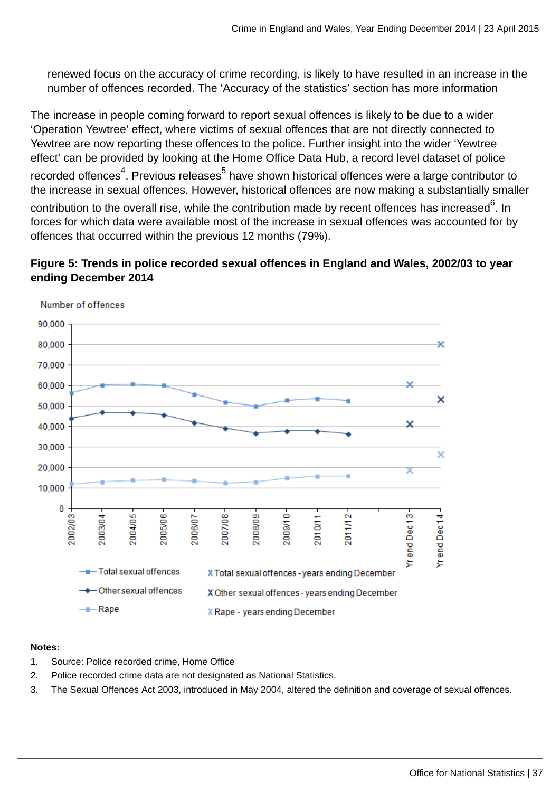renewed focus on the accuracy of crime recording, is likely to have resulted in an increase in the number of offences recorded. The 'Accuracy of the statistics' section has more information

The increase in people coming forward to report sexual offences is likely to be due to a wider 'Operation Yewtree' effect, where victims of sexual offences that are not directly connected to Yewtree are now reporting these offences to the police. Further insight into the wider 'Yewtree effect' can be provided by looking at the Home Office Data Hub, a record level dataset of police recorded offences<sup>4</sup>. Previous releases<sup>5</sup> have shown historical offences were a large contributor to the increase in sexual offences. However, historical offences are now making a substantially smaller contribution to the overall rise, while the contribution made by recent offences has increased $^6$ . In forces for which data were available most of the increase in sexual offences was accounted for by offences that occurred within the previous 12 months (79%).

# **Figure 5: Trends in police recorded sexual offences in England and Wales, 2002/03 to year ending December 2014**



Number of offences

#### **Notes:**

- 1. Source: Police recorded crime, Home Office
- 2. Police recorded crime data are not designated as National Statistics.
- 3. The Sexual Offences Act 2003, introduced in May 2004, altered the definition and coverage of sexual offences.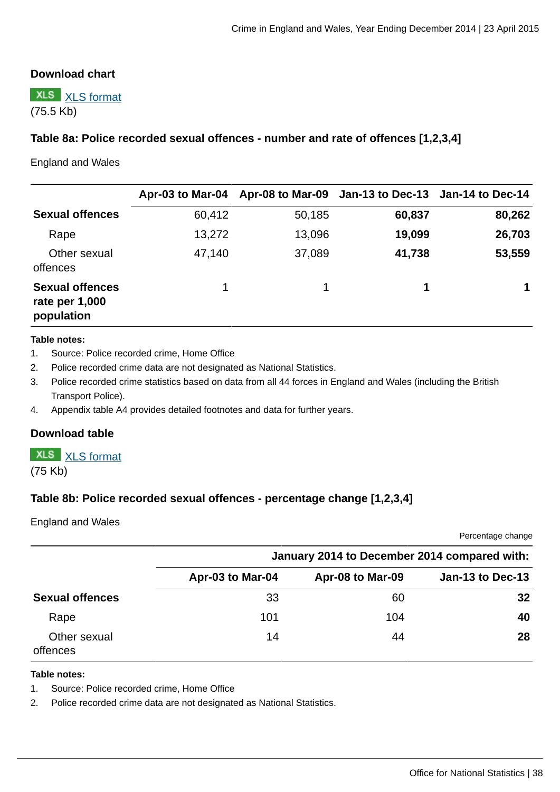## **Download chart**



# **Table 8a: Police recorded sexual offences - number and rate of offences [1,2,3,4]**

England and Wales

|                                                        |        |        | Apr-03 to Mar-04 Apr-08 to Mar-09 Jan-13 to Dec-13 Jan-14 to Dec-14 |        |
|--------------------------------------------------------|--------|--------|---------------------------------------------------------------------|--------|
| <b>Sexual offences</b>                                 | 60,412 | 50,185 | 60,837                                                              | 80,262 |
| Rape                                                   | 13,272 | 13,096 | 19,099                                                              | 26,703 |
| Other sexual<br>offences                               | 47,140 | 37,089 | 41,738                                                              | 53,559 |
| <b>Sexual offences</b><br>rate per 1,000<br>population | 1      | 1.     | 1                                                                   |        |

#### **Table notes:**

- 1. Source: Police recorded crime, Home Office
- 2. Police recorded crime data are not designated as National Statistics.
- 3. Police recorded crime statistics based on data from all 44 forces in England and Wales (including the British Transport Police).
- 4. Appendix table A4 provides detailed footnotes and data for further years.

#### **Download table**

**XLS** [XLS format](http://www.ons.gov.uk:80/ons/rel/crime-stats/crime-statistics/year-ending-december-2014/prt-8a.xls) (75 Kb)

### **Table 8b: Police recorded sexual offences - percentage change [1,2,3,4]**

England and Wales

Percentage change

|                          |                  | January 2014 to December 2014 compared with: |                         |
|--------------------------|------------------|----------------------------------------------|-------------------------|
|                          | Apr-03 to Mar-04 | Apr-08 to Mar-09                             | <b>Jan-13 to Dec-13</b> |
| <b>Sexual offences</b>   | 33               | 60                                           | 32                      |
| Rape                     | 101              | 104                                          | 40                      |
| Other sexual<br>offences | 14               | 44                                           | 28                      |

#### **Table notes:**

1. Source: Police recorded crime, Home Office

2. Police recorded crime data are not designated as National Statistics.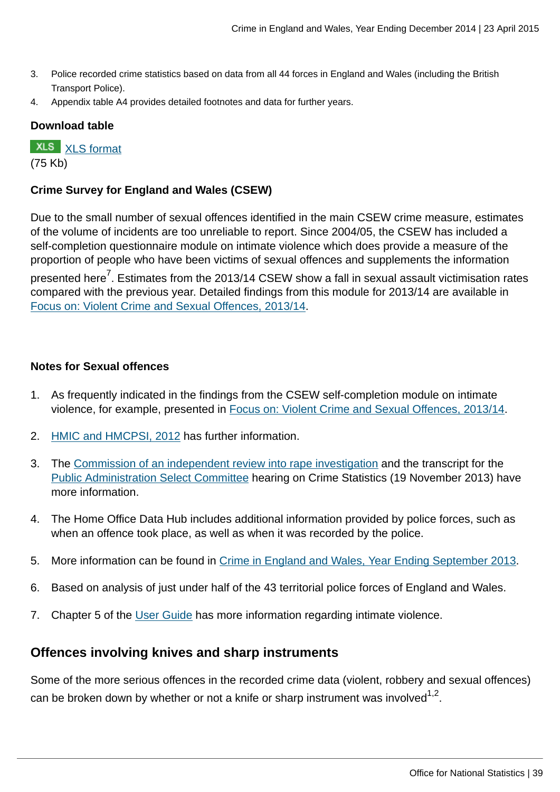- 3. Police recorded crime statistics based on data from all 44 forces in England and Wales (including the British Transport Police).
- 4. Appendix table A4 provides detailed footnotes and data for further years.

# **Download table**

**XLS** [XLS format](http://www.ons.gov.uk:80/ons/rel/crime-stats/crime-statistics/year-ending-december-2014/prt-8b.xls) (75 Kb)

### **Crime Survey for England and Wales (CSEW)**

Due to the small number of sexual offences identified in the main CSEW crime measure, estimates of the volume of incidents are too unreliable to report. Since 2004/05, the CSEW has included a self-completion questionnaire module on intimate violence which does provide a measure of the proportion of people who have been victims of sexual offences and supplements the information

presented here<sup>7</sup>. Estimates from the 2013/14 CSEW show a fall in sexual assault victimisation rates compared with the previous year. Detailed findings from this module for 2013/14 are available in [Focus on: Violent Crime and Sexual Offences, 2013/14.](http://www.ons.gov.uk:80/ons/rel/crime-stats/crime-statistics/focus-on-violent-crime-and-sexual-offences--2013-14/index.html)

### **Notes for Sexual offences**

- 1. As frequently indicated in the findings from the CSEW self-completion module on intimate violence, for example, presented in [Focus on: Violent Crime and Sexual Offences, 2013/14.](http://www.ons.gov.uk:80/ons/rel/crime-stats/crime-statistics/focus-on-violent-crime-and-sexual-offences--2013-14/index.html)
- 2. [HMIC and HMCPSI, 2012](http://www.hmic.gov.uk/publication/forging-the-links-rape-investigation-and-prosecution/) has further information.
- 3. The [Commission of an independent review into rape investigation](http://content.met.police.uk/News/Commission-of-an-independent-review-into-rape-investigation/1400024447530/1257246745756) and the transcript for the [Public Administration Select Committee](http://data.parliament.uk/writtenevidence/WrittenEvidence.svc/EvidenceHtml/4041) hearing on Crime Statistics (19 November 2013) have more information.
- 4. The Home Office Data Hub includes additional information provided by police forces, such as when an offence took place, as well as when it was recorded by the police.
- 5. More information can be found in [Crime in England and Wales, Year Ending September 2013](http://www.ons.gov.uk:80/ons/rel/crime-stats/crime-statistics/period-ending-september-2013/index.html).
- 6. Based on analysis of just under half of the 43 territorial police forces of England and Wales.
- 7. Chapter 5 of the [User Guide](http://www.ons.gov.uk:80/ons/guide-method/method-quality/specific/crime-statistics-methodology/user-guides/index.html) has more information regarding intimate violence.

# **Offences involving knives and sharp instruments**

Some of the more serious offences in the recorded crime data (violent, robbery and sexual offences) can be broken down by whether or not a knife or sharp instrument was involved $^{\rm 1,2}.$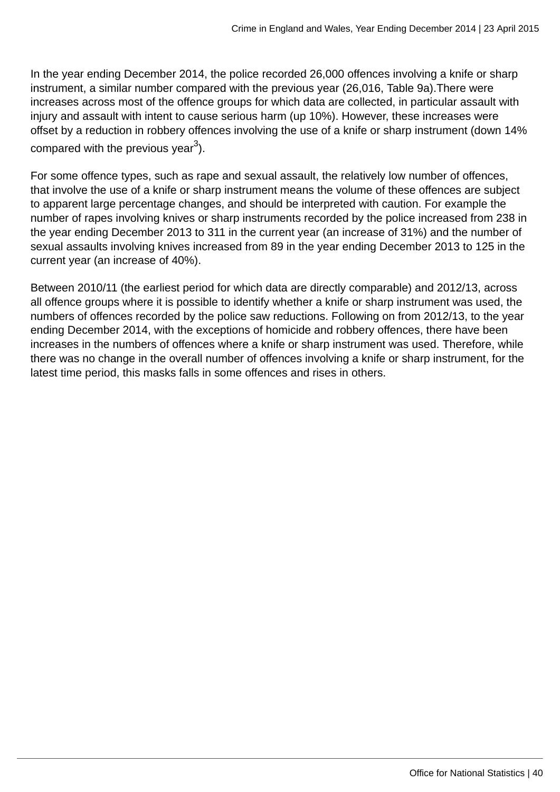In the year ending December 2014, the police recorded 26,000 offences involving a knife or sharp instrument, a similar number compared with the previous year (26,016, Table 9a).There were increases across most of the offence groups for which data are collected, in particular assault with injury and assault with intent to cause serious harm (up 10%). However, these increases were offset by a reduction in robbery offences involving the use of a knife or sharp instrument (down 14% compared with the previous year $^3$ ).

For some offence types, such as rape and sexual assault, the relatively low number of offences, that involve the use of a knife or sharp instrument means the volume of these offences are subject to apparent large percentage changes, and should be interpreted with caution. For example the number of rapes involving knives or sharp instruments recorded by the police increased from 238 in the year ending December 2013 to 311 in the current year (an increase of 31%) and the number of sexual assaults involving knives increased from 89 in the year ending December 2013 to 125 in the current year (an increase of 40%).

Between 2010/11 (the earliest period for which data are directly comparable) and 2012/13, across all offence groups where it is possible to identify whether a knife or sharp instrument was used, the numbers of offences recorded by the police saw reductions. Following on from 2012/13, to the year ending December 2014, with the exceptions of homicide and robbery offences, there have been increases in the numbers of offences where a knife or sharp instrument was used. Therefore, while there was no change in the overall number of offences involving a knife or sharp instrument, for the latest time period, this masks falls in some offences and rises in others.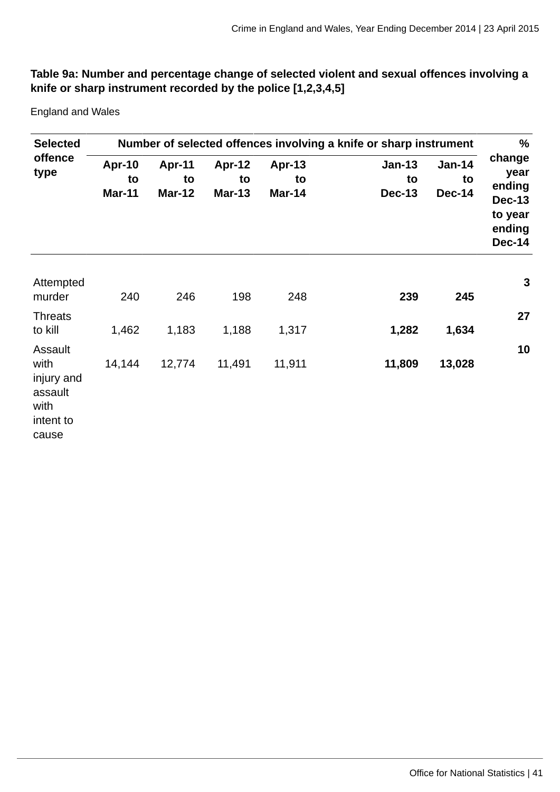# **Table 9a: Number and percentage change of selected violent and sexual offences involving a knife or sharp instrument recorded by the police [1,2,3,4,5]**

England and Wales

| <b>Selected</b>                                                        | Number of selected offences involving a knife or sharp instrument |                                      |                                      |                                      |                                      |                                      |                                                                                 |  |
|------------------------------------------------------------------------|-------------------------------------------------------------------|--------------------------------------|--------------------------------------|--------------------------------------|--------------------------------------|--------------------------------------|---------------------------------------------------------------------------------|--|
| offence<br>type                                                        | <b>Apr-10</b><br>to<br><b>Mar-11</b>                              | <b>Apr-11</b><br>to<br><b>Mar-12</b> | <b>Apr-12</b><br>to<br><b>Mar-13</b> | <b>Apr-13</b><br>to<br><b>Mar-14</b> | <b>Jan-13</b><br>to<br><b>Dec-13</b> | <b>Jan-14</b><br>to<br><b>Dec-14</b> | change<br>year<br>ending<br><b>Dec-13</b><br>to year<br>ending<br><b>Dec-14</b> |  |
| Attempted<br>murder                                                    | 240                                                               | 246                                  | 198                                  | 248                                  | 239                                  | 245                                  | 3                                                                               |  |
| <b>Threats</b><br>to kill                                              | 1,462                                                             | 1,183                                | 1,188                                | 1,317                                | 1,282                                | 1,634                                | 27                                                                              |  |
| Assault<br>with<br>injury and<br>assault<br>with<br>intent to<br>cause | 14,144                                                            | 12,774                               | 11,491                               | 11,911                               | 11,809                               | 13,028                               | 10                                                                              |  |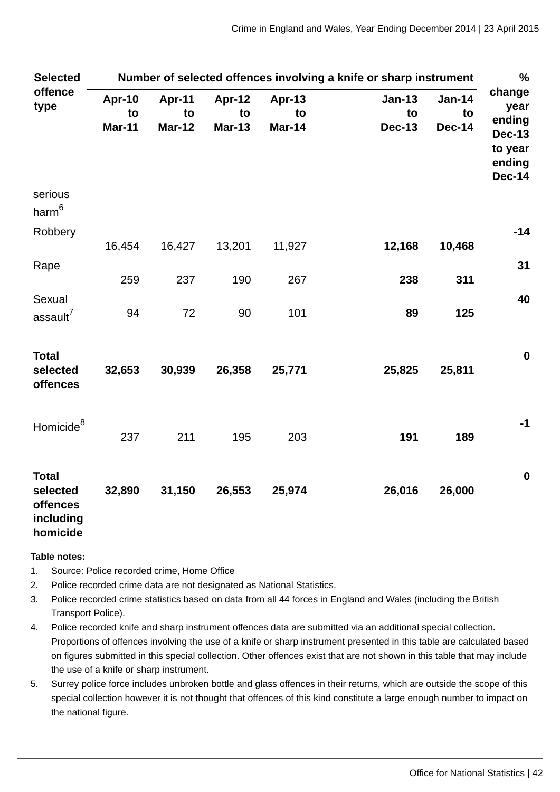| <b>Selected</b>                                               | Number of selected offences involving a knife or sharp instrument |                                      |                               |                                      |                               |                                      |                                                                                 |  |
|---------------------------------------------------------------|-------------------------------------------------------------------|--------------------------------------|-------------------------------|--------------------------------------|-------------------------------|--------------------------------------|---------------------------------------------------------------------------------|--|
| offence<br>type                                               | <b>Apr-10</b><br>to<br><b>Mar-11</b>                              | <b>Apr-11</b><br>to<br><b>Mar-12</b> | Apr-12<br>to<br><b>Mar-13</b> | <b>Apr-13</b><br>to<br><b>Mar-14</b> | Jan-13<br>to<br><b>Dec-13</b> | <b>Jan-14</b><br>to<br><b>Dec-14</b> | change<br>year<br>ending<br><b>Dec-13</b><br>to year<br>ending<br><b>Dec-14</b> |  |
| serious<br>$harm^6$                                           |                                                                   |                                      |                               |                                      |                               |                                      |                                                                                 |  |
| Robbery                                                       | 16,454                                                            | 16,427                               | 13,201                        | 11,927                               | 12,168                        | 10,468                               | $-14$                                                                           |  |
| Rape                                                          | 259                                                               | 237                                  | 190                           | 267                                  | 238                           | 311                                  | 31                                                                              |  |
| Sexual<br>assault <sup>7</sup>                                | 94                                                                | 72                                   | 90                            | 101                                  | 89                            | 125                                  | 40                                                                              |  |
| <b>Total</b><br>selected<br>offences                          | 32,653                                                            | 30,939                               | 26,358                        | 25,771                               | 25,825                        | 25,811                               | $\mathbf 0$                                                                     |  |
| Homicide <sup>8</sup>                                         | 237                                                               | 211                                  | 195                           | 203                                  | 191                           | 189                                  | $-1$                                                                            |  |
| <b>Total</b><br>selected<br>offences<br>including<br>homicide | 32,890                                                            | 31,150                               | 26,553                        | 25,974                               | 26,016                        | 26,000                               | $\bf{0}$                                                                        |  |

#### **Table notes:**

- 1. Source: Police recorded crime, Home Office
- 2. Police recorded crime data are not designated as National Statistics.
- 3. Police recorded crime statistics based on data from all 44 forces in England and Wales (including the British Transport Police).
- 4. Police recorded knife and sharp instrument offences data are submitted via an additional special collection. Proportions of offences involving the use of a knife or sharp instrument presented in this table are calculated based on figures submitted in this special collection. Other offences exist that are not shown in this table that may include the use of a knife or sharp instrument.
- 5. Surrey police force includes unbroken bottle and glass offences in their returns, which are outside the scope of this special collection however it is not thought that offences of this kind constitute a large enough number to impact on the national figure.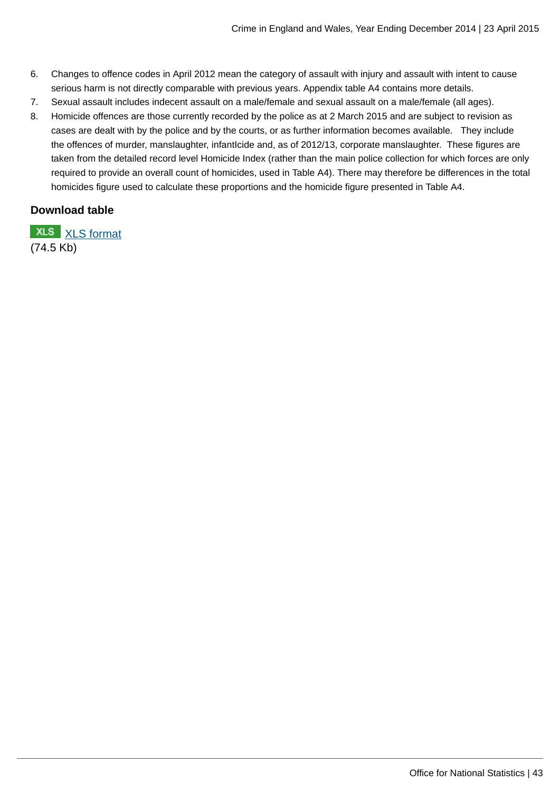- 6. Changes to offence codes in April 2012 mean the category of assault with injury and assault with intent to cause serious harm is not directly comparable with previous years. Appendix table A4 contains more details.
- 7. Sexual assault includes indecent assault on a male/female and sexual assault on a male/female (all ages).
- 8. Homicide offences are those currently recorded by the police as at 2 March 2015 and are subject to revision as cases are dealt with by the police and by the courts, or as further information becomes available. They include the offences of murder, manslaughter, infantIcide and, as of 2012/13, corporate manslaughter. These figures are taken from the detailed record level Homicide Index (rather than the main police collection for which forces are only required to provide an overall count of homicides, used in Table A4). There may therefore be differences in the total homicides figure used to calculate these proportions and the homicide figure presented in Table A4.

### **Download table**

**XLS** [XLS format](http://www.ons.gov.uk:80/ons/rel/crime-stats/crime-statistics/year-ending-december-2014/prt-9a.xls) (74.5 Kb)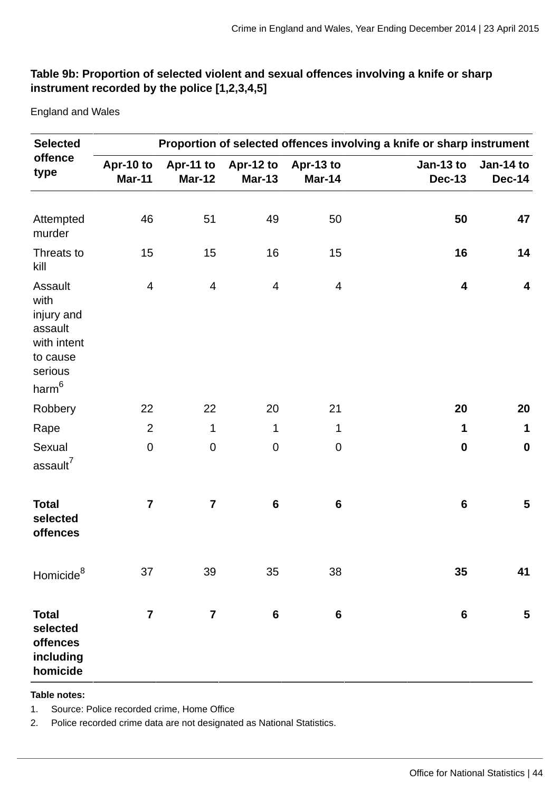# **Table 9b: Proportion of selected violent and sexual offences involving a knife or sharp instrument recorded by the police [1,2,3,4,5]**

England and Wales

| <b>Selected</b>                                                                                     | Proportion of selected offences involving a knife or sharp instrument |                         |                                      |                            |                            |                            |  |
|-----------------------------------------------------------------------------------------------------|-----------------------------------------------------------------------|-------------------------|--------------------------------------|----------------------------|----------------------------|----------------------------|--|
| offence<br>type                                                                                     | Apr-10 to<br><b>Mar-11</b>                                            | <b>Mar-12</b>           | Apr-11 to Apr-12 to<br><b>Mar-13</b> | Apr-13 to<br><b>Mar-14</b> | Jan-13 to<br><b>Dec-13</b> | Jan-14 to<br><b>Dec-14</b> |  |
|                                                                                                     |                                                                       |                         |                                      |                            |                            |                            |  |
| Attempted<br>murder                                                                                 | 46                                                                    | 51                      | 49                                   | 50                         | 50                         | 47                         |  |
| Threats to<br>kill                                                                                  | 15                                                                    | 15                      | 16                                   | 15                         | 16                         | 14                         |  |
| Assault<br>with<br>injury and<br>assault<br>with intent<br>to cause<br>serious<br>harm <sup>6</sup> | 4                                                                     | $\overline{4}$          | $\overline{4}$                       | $\overline{4}$             | 4                          | $\overline{\mathbf{4}}$    |  |
| Robbery                                                                                             | 22                                                                    | 22                      | 20                                   | 21                         | 20                         | 20                         |  |
| Rape                                                                                                | $\overline{2}$                                                        | $\mathbf{1}$            | $\mathbf{1}$                         | $1\,$                      | $\mathbf{1}$               | $\mathbf{1}$               |  |
| Sexual<br>assault <sup>7</sup>                                                                      | $\pmb{0}$                                                             | $\pmb{0}$               | $\pmb{0}$                            | $\pmb{0}$                  | $\pmb{0}$                  | $\bf{0}$                   |  |
| <b>Total</b><br>selected<br>offences                                                                | $\overline{\mathbf{7}}$                                               | $\overline{7}$          | $\bf 6$                              | $6\phantom{1}$             | $6\phantom{1}$             | 5                          |  |
| Homicide <sup>8</sup>                                                                               | 37                                                                    | 39                      | 35                                   | 38                         | 35                         | 41                         |  |
| <b>Total</b><br>selected<br>offences<br>including<br>homicide                                       | $\overline{\mathbf{z}}$                                               | $\overline{\mathbf{7}}$ | $\bf 6$                              | $\bf 6$                    | $\bf 6$                    | 5                          |  |

**Table notes:**

1. Source: Police recorded crime, Home Office

2. Police recorded crime data are not designated as National Statistics.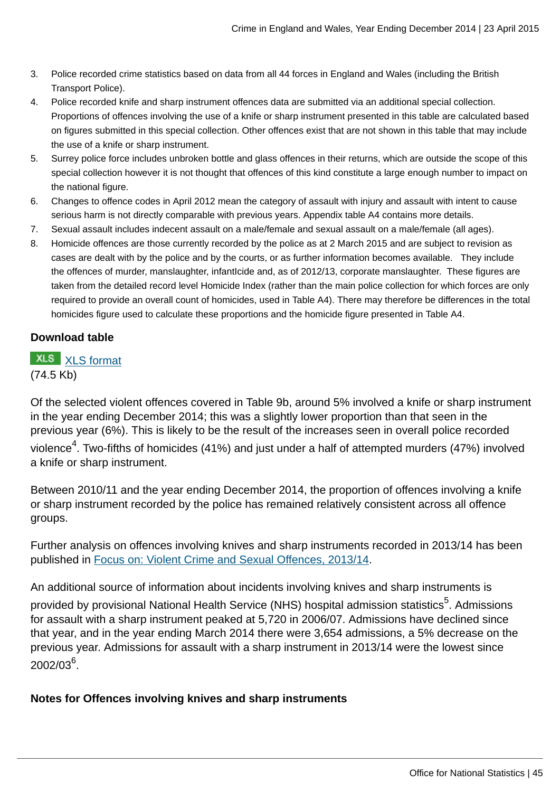- 3. Police recorded crime statistics based on data from all 44 forces in England and Wales (including the British Transport Police).
- 4. Police recorded knife and sharp instrument offences data are submitted via an additional special collection. Proportions of offences involving the use of a knife or sharp instrument presented in this table are calculated based on figures submitted in this special collection. Other offences exist that are not shown in this table that may include the use of a knife or sharp instrument.
- 5. Surrey police force includes unbroken bottle and glass offences in their returns, which are outside the scope of this special collection however it is not thought that offences of this kind constitute a large enough number to impact on the national figure.
- 6. Changes to offence codes in April 2012 mean the category of assault with injury and assault with intent to cause serious harm is not directly comparable with previous years. Appendix table A4 contains more details.
- 7. Sexual assault includes indecent assault on a male/female and sexual assault on a male/female (all ages).
- 8. Homicide offences are those currently recorded by the police as at 2 March 2015 and are subject to revision as cases are dealt with by the police and by the courts, or as further information becomes available. They include the offences of murder, manslaughter, infantIcide and, as of 2012/13, corporate manslaughter. These figures are taken from the detailed record level Homicide Index (rather than the main police collection for which forces are only required to provide an overall count of homicides, used in Table A4). There may therefore be differences in the total homicides figure used to calculate these proportions and the homicide figure presented in Table A4.

## **Download table**

# **XLS** [XLS format](http://www.ons.gov.uk:80/ons/rel/crime-stats/crime-statistics/year-ending-december-2014/prt-9b.xls) (74.5 Kb)

Of the selected violent offences covered in Table 9b, around 5% involved a knife or sharp instrument in the year ending December 2014; this was a slightly lower proportion than that seen in the previous year (6%). This is likely to be the result of the increases seen in overall police recorded violence $^4$ . Two-fifths of homicides (41%) and just under a half of attempted murders (47%) involved a knife or sharp instrument.

Between 2010/11 and the year ending December 2014, the proportion of offences involving a knife or sharp instrument recorded by the police has remained relatively consistent across all offence groups.

Further analysis on offences involving knives and sharp instruments recorded in 2013/14 has been published in [Focus on: Violent Crime and Sexual Offences, 2013/14.](http://www.ons.gov.uk:80/ons/rel/crime-stats/crime-statistics/focus-on-violent-crime-and-sexual-offences--2013-14/index.html)

An additional source of information about incidents involving knives and sharp instruments is

provided by provisional National Health Service (NHS) hospital admission statistics<sup>5</sup>. Admissions for assault with a sharp instrument peaked at 5,720 in 2006/07. Admissions have declined since that year, and in the year ending March 2014 there were 3,654 admissions, a 5% decrease on the previous year. Admissions for assault with a sharp instrument in 2013/14 were the lowest since  $2002/03^6$ .

### **Notes for Offences involving knives and sharp instruments**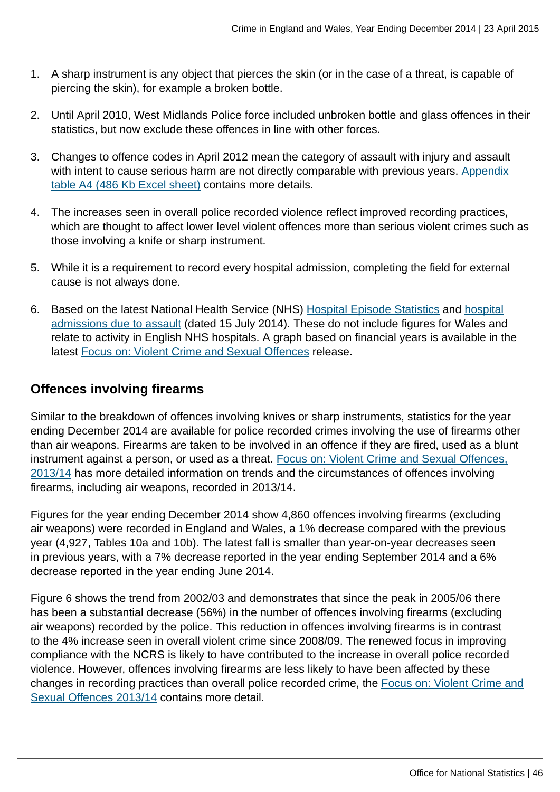- 1. A sharp instrument is any object that pierces the skin (or in the case of a threat, is capable of piercing the skin), for example a broken bottle.
- 2. Until April 2010, West Midlands Police force included unbroken bottle and glass offences in their statistics, but now exclude these offences in line with other forces.
- 3. Changes to offence codes in April 2012 mean the category of assault with injury and assault with intent to cause serious harm are not directly comparable with previous years. [Appendix](http://www.ons.gov.uk:80/ons/rel/crime-stats/crime-statistics/year-ending-december-2014/rft-2.xls) [table A4 \(486 Kb Excel sheet\)](http://www.ons.gov.uk:80/ons/rel/crime-stats/crime-statistics/year-ending-december-2014/rft-2.xls) contains more details.
- 4. The increases seen in overall police recorded violence reflect improved recording practices, which are thought to affect lower level violent offences more than serious violent crimes such as those involving a knife or sharp instrument.
- 5. While it is a requirement to record every hospital admission, completing the field for external cause is not always done.
- 6. Based on the latest National Health Service (NHS) [Hospital Episode Statistics](http://www.hscic.gov.uk/article/2021/Website-Search?productid=14896&q=Provisional+Monthly+Hospital+Episode+Statistics+for+Admitted+Patient+Care%2c+Outpatients+and+Accident+and+Emergency+Data+&sort=Relevance&size=10&page=1&area=both#top) and [hospital](http://www.hscic.gov.uk/suppinfofiles) [admissions due to assault](http://www.hscic.gov.uk/suppinfofiles) (dated 15 July 2014). These do not include figures for Wales and relate to activity in English NHS hospitals. A graph based on financial years is available in the latest [Focus on: Violent Crime and Sexual Offences](http://www.ons.gov.uk:80/ons/rel/crime-stats/crime-statistics/focus-on-violent-crime-and-sexual-offences--2013-14/index.html) release.

# **Offences involving firearms**

Similar to the breakdown of offences involving knives or sharp instruments, statistics for the year ending December 2014 are available for police recorded crimes involving the use of firearms other than air weapons. Firearms are taken to be involved in an offence if they are fired, used as a blunt instrument against a person, or used as a threat. [Focus on: Violent Crime and Sexual Offences,](http://www.ons.gov.uk:80/ons/rel/crime-stats/crime-statistics/focus-on-violent-crime-and-sexual-offences--2013-14/index.html) [2013/14](http://www.ons.gov.uk:80/ons/rel/crime-stats/crime-statistics/focus-on-violent-crime-and-sexual-offences--2013-14/index.html) has more detailed information on trends and the circumstances of offences involving firearms, including air weapons, recorded in 2013/14.

Figures for the year ending December 2014 show 4,860 offences involving firearms (excluding air weapons) were recorded in England and Wales, a 1% decrease compared with the previous year (4,927, Tables 10a and 10b). The latest fall is smaller than year-on-year decreases seen in previous years, with a 7% decrease reported in the year ending September 2014 and a 6% decrease reported in the year ending June 2014.

Figure 6 shows the trend from 2002/03 and demonstrates that since the peak in 2005/06 there has been a substantial decrease (56%) in the number of offences involving firearms (excluding air weapons) recorded by the police. This reduction in offences involving firearms is in contrast to the 4% increase seen in overall violent crime since 2008/09. The renewed focus in improving compliance with the NCRS is likely to have contributed to the increase in overall police recorded violence. However, offences involving firearms are less likely to have been affected by these changes in recording practices than overall police recorded crime, the [Focus on: Violent Crime and](http://www.ons.gov.uk:80/ons/rel/crime-stats/crime-statistics/focus-on-violent-crime-and-sexual-offences--2013-14/index.html) [Sexual Offences 2013/14](http://www.ons.gov.uk:80/ons/rel/crime-stats/crime-statistics/focus-on-violent-crime-and-sexual-offences--2013-14/index.html) contains more detail.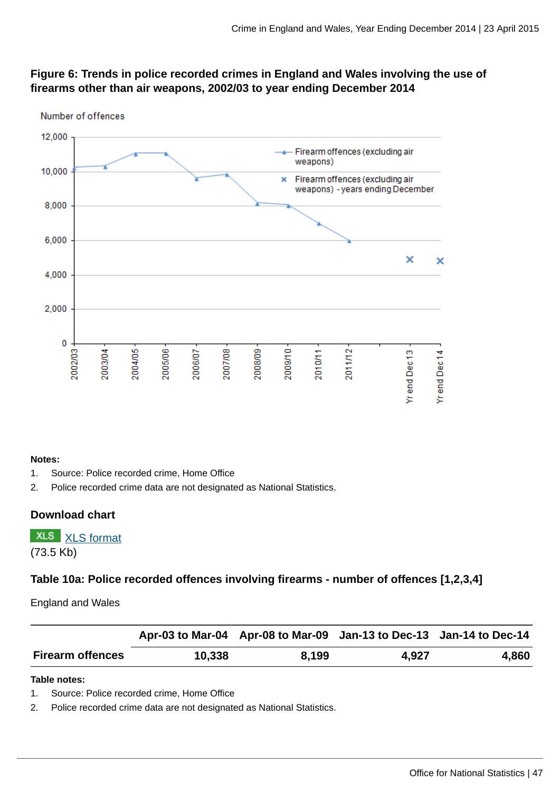# **Figure 6: Trends in police recorded crimes in England and Wales involving the use of firearms other than air weapons, 2002/03 to year ending December 2014**



#### **Notes:**

- 1. Source: Police recorded crime, Home Office
- 2. Police recorded crime data are not designated as National Statistics.

### **Download chart**

**XLS** [XLS format](http://www.ons.gov.uk:80/ons/rel/crime-stats/crime-statistics/year-ending-december-2014/chd-6.xls) (73.5 Kb)

# **Table 10a: Police recorded offences involving firearms - number of offences [1,2,3,4]**

England and Wales

|                         |        | Apr-03 to Mar-04 Apr-08 to Mar-09 Jan-13 to Dec-13 Jan-14 to Dec-14 |       |       |
|-------------------------|--------|---------------------------------------------------------------------|-------|-------|
| <b>Firearm offences</b> | 10,338 | 8.199                                                               | 4.927 | 4,860 |

#### **Table notes:**

1. Source: Police recorded crime, Home Office

2. Police recorded crime data are not designated as National Statistics.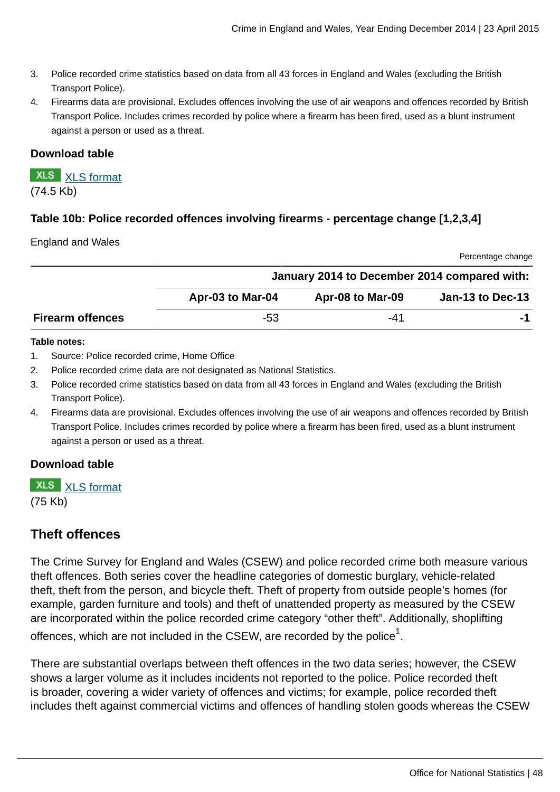- 3. Police recorded crime statistics based on data from all 43 forces in England and Wales (excluding the British Transport Police).
- 4. Firearms data are provisional. Excludes offences involving the use of air weapons and offences recorded by British Transport Police. Includes crimes recorded by police where a firearm has been fired, used as a blunt instrument against a person or used as a threat.

### **Download table**

**XLS** [XLS format](http://www.ons.gov.uk:80/ons/rel/crime-stats/crime-statistics/year-ending-december-2014/prt-10a.xls) (74.5 Kb)

# **Table 10b: Police recorded offences involving firearms - percentage change [1,2,3,4]**

#### England and Wales

|                         |                  |                                              | Percentage change       |
|-------------------------|------------------|----------------------------------------------|-------------------------|
|                         |                  | January 2014 to December 2014 compared with: |                         |
|                         | Apr-03 to Mar-04 | Apr-08 to Mar-09                             | <b>Jan-13 to Dec-13</b> |
| <b>Firearm offences</b> | -53              | -41                                          |                         |

#### **Table notes:**

- 1. Source: Police recorded crime, Home Office
- 2. Police recorded crime data are not designated as National Statistics.
- 3. Police recorded crime statistics based on data from all 43 forces in England and Wales (excluding the British Transport Police).
- 4. Firearms data are provisional. Excludes offences involving the use of air weapons and offences recorded by British Transport Police. Includes crimes recorded by police where a firearm has been fired, used as a blunt instrument against a person or used as a threat.

### **Download table**

**XLS** [XLS format](http://www.ons.gov.uk:80/ons/rel/crime-stats/crime-statistics/year-ending-december-2014/prt-10b.xls) (75 Kb)

# **Theft offences**

The Crime Survey for England and Wales (CSEW) and police recorded crime both measure various theft offences. Both series cover the headline categories of domestic burglary, vehicle-related theft, theft from the person, and bicycle theft. Theft of property from outside people's homes (for example, garden furniture and tools) and theft of unattended property as measured by the CSEW are incorporated within the police recorded crime category "other theft". Additionally, shoplifting offences, which are not included in the CSEW, are recorded by the police $^{\rm 1}.$ 

There are substantial overlaps between theft offences in the two data series; however, the CSEW shows a larger volume as it includes incidents not reported to the police. Police recorded theft is broader, covering a wider variety of offences and victims; for example, police recorded theft includes theft against commercial victims and offences of handling stolen goods whereas the CSEW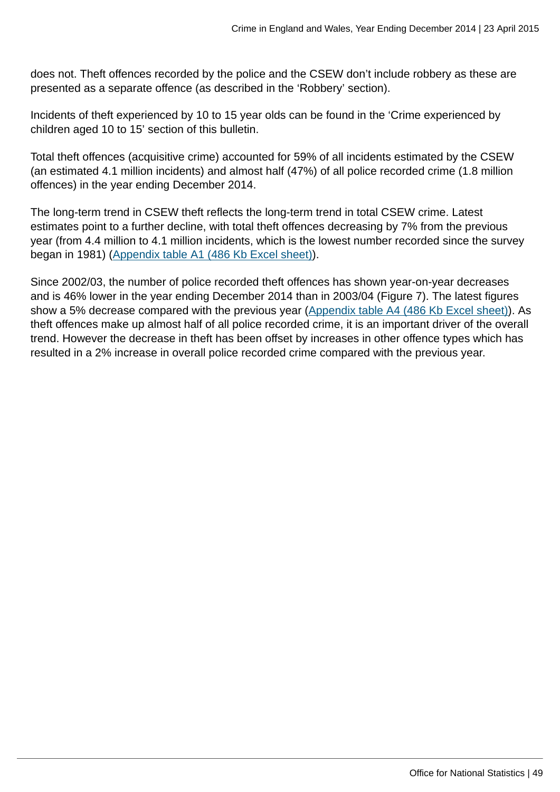does not. Theft offences recorded by the police and the CSEW don't include robbery as these are presented as a separate offence (as described in the 'Robbery' section).

Incidents of theft experienced by 10 to 15 year olds can be found in the 'Crime experienced by children aged 10 to 15' section of this bulletin.

Total theft offences (acquisitive crime) accounted for 59% of all incidents estimated by the CSEW (an estimated 4.1 million incidents) and almost half (47%) of all police recorded crime (1.8 million offences) in the year ending December 2014.

The long-term trend in CSEW theft reflects the long-term trend in total CSEW crime. Latest estimates point to a further decline, with total theft offences decreasing by 7% from the previous year (from 4.4 million to 4.1 million incidents, which is the lowest number recorded since the survey began in 1981) ([Appendix table A1 \(486 Kb Excel sheet\)\)](http://www.ons.gov.uk:80/ons/rel/crime-stats/crime-statistics/year-ending-december-2014/rft-2.xls).

Since 2002/03, the number of police recorded theft offences has shown year-on-year decreases and is 46% lower in the year ending December 2014 than in 2003/04 (Figure 7). The latest figures show a 5% decrease compared with the previous year ([Appendix table A4 \(486 Kb Excel sheet\)\)](http://www.ons.gov.uk:80/ons/rel/crime-stats/crime-statistics/year-ending-december-2014/rft-2.xls). As theft offences make up almost half of all police recorded crime, it is an important driver of the overall trend. However the decrease in theft has been offset by increases in other offence types which has resulted in a 2% increase in overall police recorded crime compared with the previous year.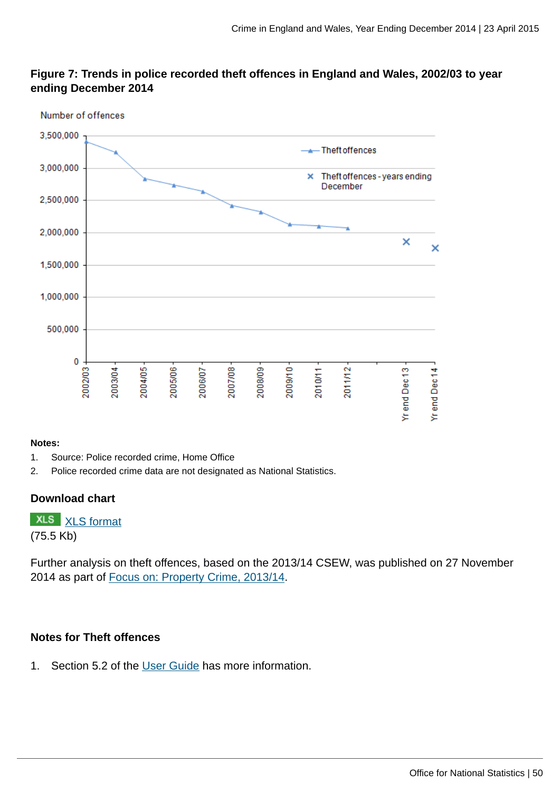## **Figure 7: Trends in police recorded theft offences in England and Wales, 2002/03 to year ending December 2014**



#### **Notes:**

- 1. Source: Police recorded crime, Home Office
- 2. Police recorded crime data are not designated as National Statistics.

## **Download chart**

**XLS** [XLS format](http://www.ons.gov.uk:80/ons/rel/crime-stats/crime-statistics/year-ending-december-2014/chd-7.xls) (75.5 Kb)

Further analysis on theft offences, based on the 2013/14 CSEW, was published on 27 November 2014 as part of [Focus on: Property Crime, 2013/14](http://www.ons.gov.uk:80/ons/rel/crime-stats/crime-statistics/focus-on-property-crime--2013-14/index.html).

### **Notes for Theft offences**

1. Section 5.2 of the [User Guide](http://www.ons.gov.uk:80/ons/guide-method/method-quality/specific/crime-statistics-methodology/user-guides/index.html) has more information.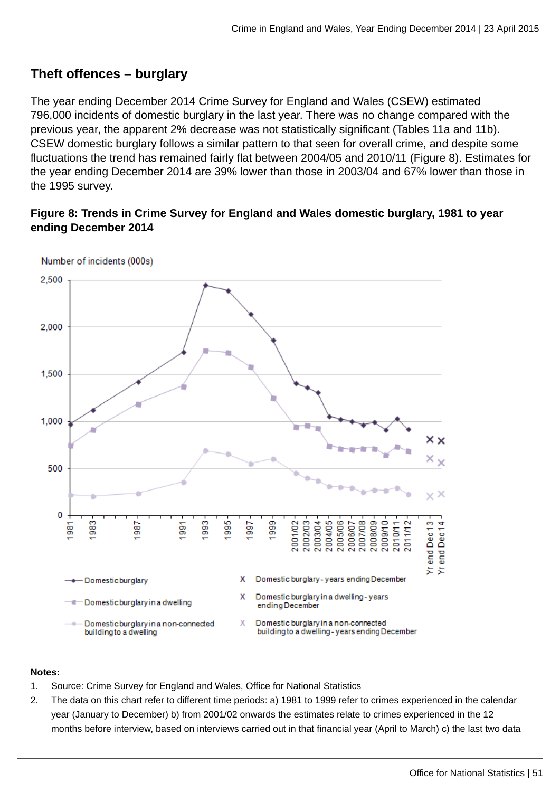# **Theft offences – burglary**

The year ending December 2014 Crime Survey for England and Wales (CSEW) estimated 796,000 incidents of domestic burglary in the last year. There was no change compared with the previous year, the apparent 2% decrease was not statistically significant (Tables 11a and 11b). CSEW domestic burglary follows a similar pattern to that seen for overall crime, and despite some fluctuations the trend has remained fairly flat between 2004/05 and 2010/11 (Figure 8). Estimates for the year ending December 2014 are 39% lower than those in 2003/04 and 67% lower than those in the 1995 survey.

# **Figure 8: Trends in Crime Survey for England and Wales domestic burglary, 1981 to year ending December 2014**



Number of incidents (000s)

#### **Notes:**

- 1. Source: Crime Survey for England and Wales, Office for National Statistics
- 2. The data on this chart refer to different time periods: a) 1981 to 1999 refer to crimes experienced in the calendar year (January to December) b) from 2001/02 onwards the estimates relate to crimes experienced in the 12 months before interview, based on interviews carried out in that financial year (April to March) c) the last two data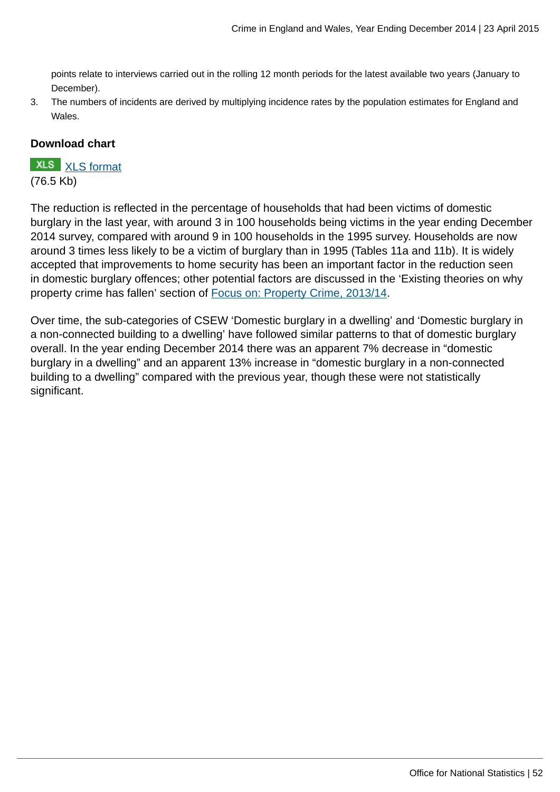points relate to interviews carried out in the rolling 12 month periods for the latest available two years (January to December).

3. The numbers of incidents are derived by multiplying incidence rates by the population estimates for England and Wales.

### **Download chart**

# **XLS** [XLS format](http://www.ons.gov.uk:80/ons/rel/crime-stats/crime-statistics/year-ending-december-2014/chd-8.xls)

(76.5 Kb)

The reduction is reflected in the percentage of households that had been victims of domestic burglary in the last year, with around 3 in 100 households being victims in the year ending December 2014 survey, compared with around 9 in 100 households in the 1995 survey. Households are now around 3 times less likely to be a victim of burglary than in 1995 (Tables 11a and 11b). It is widely accepted that improvements to home security has been an important factor in the reduction seen in domestic burglary offences; other potential factors are discussed in the 'Existing theories on why property crime has fallen' section of [Focus on: Property Crime, 2013/14.](http://www.ons.gov.uk:80/ons/rel/crime-stats/crime-statistics/focus-on-property-crime--2013-14/index.html)

Over time, the sub-categories of CSEW 'Domestic burglary in a dwelling' and 'Domestic burglary in a non-connected building to a dwelling' have followed similar patterns to that of domestic burglary overall. In the year ending December 2014 there was an apparent 7% decrease in "domestic burglary in a dwelling" and an apparent 13% increase in "domestic burglary in a non-connected building to a dwelling" compared with the previous year, though these were not statistically significant.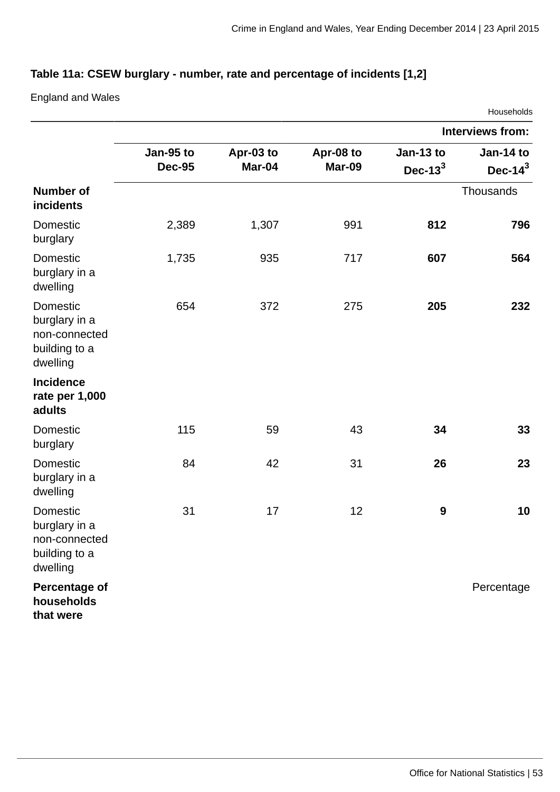# **Table 11a: CSEW burglary - number, rate and percentage of incidents [1,2]**

England and Wales

|                                                                         |                            |                     |                     |                          | Households               |
|-------------------------------------------------------------------------|----------------------------|---------------------|---------------------|--------------------------|--------------------------|
|                                                                         |                            |                     |                     |                          | <b>Interviews from:</b>  |
|                                                                         | Jan-95 to<br><b>Dec-95</b> | Apr-03 to<br>Mar-04 | Apr-08 to<br>Mar-09 | Jan-13 to<br>Dec- $13^3$ | Jan-14 to<br>Dec- $14^3$ |
| <b>Number of</b><br>incidents                                           |                            |                     |                     |                          | Thousands                |
| <b>Domestic</b><br>burglary                                             | 2,389                      | 1,307               | 991                 | 812                      | 796                      |
| <b>Domestic</b><br>burglary in a<br>dwelling                            | 1,735                      | 935                 | 717                 | 607                      | 564                      |
| Domestic<br>burglary in a<br>non-connected<br>building to a<br>dwelling | 654                        | 372                 | 275                 | 205                      | 232                      |
| <b>Incidence</b><br>rate per 1,000<br>adults                            |                            |                     |                     |                          |                          |
| Domestic<br>burglary                                                    | 115                        | 59                  | 43                  | 34                       | 33                       |
| <b>Domestic</b><br>burglary in a<br>dwelling                            | 84                         | 42                  | 31                  | 26                       | 23                       |
| Domestic<br>burglary in a<br>non-connected<br>building to a<br>dwelling | 31                         | 17                  | 12                  | $\boldsymbol{9}$         | 10                       |
| <b>Percentage of</b><br>households<br>that were                         |                            |                     |                     |                          | Percentage               |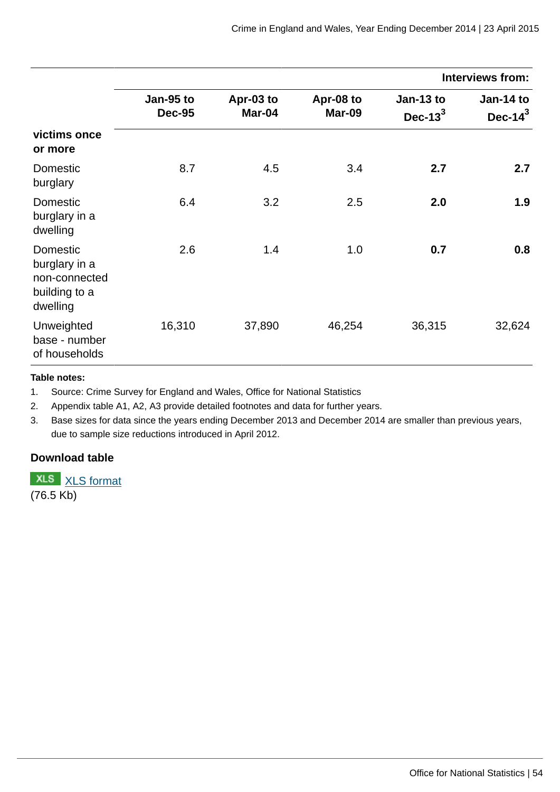|                                                                                |                            |                     |                     |                          | <b>Interviews from:</b>  |
|--------------------------------------------------------------------------------|----------------------------|---------------------|---------------------|--------------------------|--------------------------|
|                                                                                | Jan-95 to<br><b>Dec-95</b> | Apr-03 to<br>Mar-04 | Apr-08 to<br>Mar-09 | Jan-13 to<br>Dec- $13^3$ | Jan-14 to<br>Dec- $14^3$ |
| victims once<br>or more                                                        |                            |                     |                     |                          |                          |
| Domestic<br>burglary                                                           | 8.7                        | 4.5                 | 3.4                 | 2.7                      | 2.7                      |
| Domestic<br>burglary in a<br>dwelling                                          | 6.4                        | 3.2                 | 2.5                 | 2.0                      | 1.9                      |
| <b>Domestic</b><br>burglary in a<br>non-connected<br>building to a<br>dwelling | 2.6                        | 1.4                 | 1.0                 | 0.7                      | 0.8                      |
| Unweighted<br>base - number<br>of households                                   | 16,310                     | 37,890              | 46,254              | 36,315                   | 32,624                   |

#### **Table notes:**

1. Source: Crime Survey for England and Wales, Office for National Statistics

2. Appendix table A1, A2, A3 provide detailed footnotes and data for further years.

3. Base sizes for data since the years ending December 2013 and December 2014 are smaller than previous years, due to sample size reductions introduced in April 2012.

### **Download table**

**XLS** [XLS format](http://www.ons.gov.uk:80/ons/rel/crime-stats/crime-statistics/year-ending-december-2014/prt-11a.xls)

(76.5 Kb)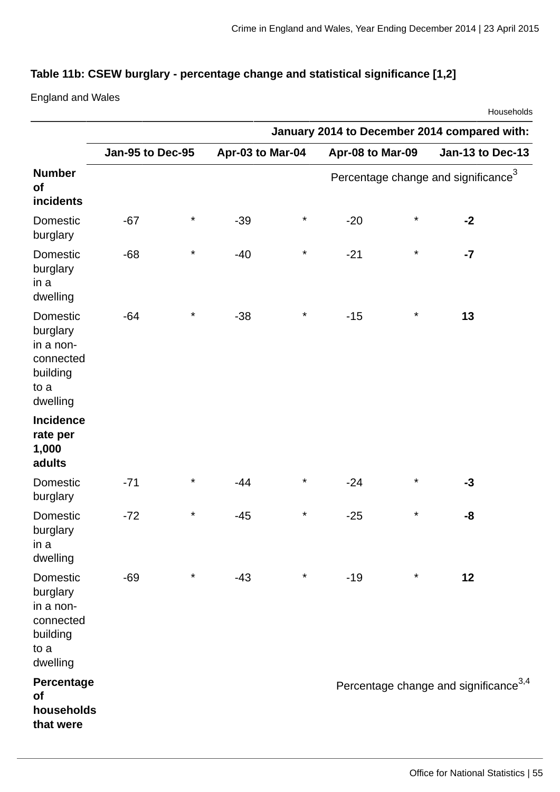# **Table 11b: CSEW burglary - percentage change and statistical significance [1,2]**

England and Wales

|                                                                                |                  |          |                  |          |                                              |          |                                                   | Households |
|--------------------------------------------------------------------------------|------------------|----------|------------------|----------|----------------------------------------------|----------|---------------------------------------------------|------------|
|                                                                                |                  |          |                  |          | January 2014 to December 2014 compared with: |          |                                                   |            |
|                                                                                | Jan-95 to Dec-95 |          | Apr-03 to Mar-04 |          | Apr-08 to Mar-09                             |          | Jan-13 to Dec-13                                  |            |
| <b>Number</b><br>of<br>incidents                                               |                  |          |                  |          |                                              |          | Percentage change and significance <sup>3</sup>   |            |
| Domestic<br>burglary                                                           | $-67$            | $\star$  | $-39$            | $^\star$ | $-20$                                        | $^\star$ | $-2$                                              |            |
| Domestic<br>burglary<br>in a<br>dwelling                                       | $-68$            | $\star$  | $-40$            | $^\star$ | $-21$                                        | $^\star$ | $-7$                                              |            |
| Domestic<br>burglary<br>in a non-<br>connected<br>building<br>to a<br>dwelling | $-64$            | $\star$  | $-38$            | $\star$  | $-15$                                        | $^\star$ | 13                                                |            |
| <b>Incidence</b><br>rate per<br>1,000<br>adults                                |                  |          |                  |          |                                              |          |                                                   |            |
| Domestic<br>burglary                                                           | $-71$            | $^\star$ | $-44$            | $^\star$ | $-24$                                        | $^\star$ | $-3$                                              |            |
| <b>Domestic</b><br>burglary<br>in a<br>dwelling                                | $-72$            | $^\star$ | $-45$            | $^\star$ | $-25$                                        | $^\star$ | -8                                                |            |
| Domestic<br>burglary<br>in a non-<br>connected<br>building<br>to a<br>dwelling | $-69$            | $^\star$ | $-43$            | $^\star$ | $-19$                                        | $^\star$ | 12                                                |            |
| Percentage<br>of<br>households<br>that were                                    |                  |          |                  |          |                                              |          | Percentage change and significance <sup>3,4</sup> |            |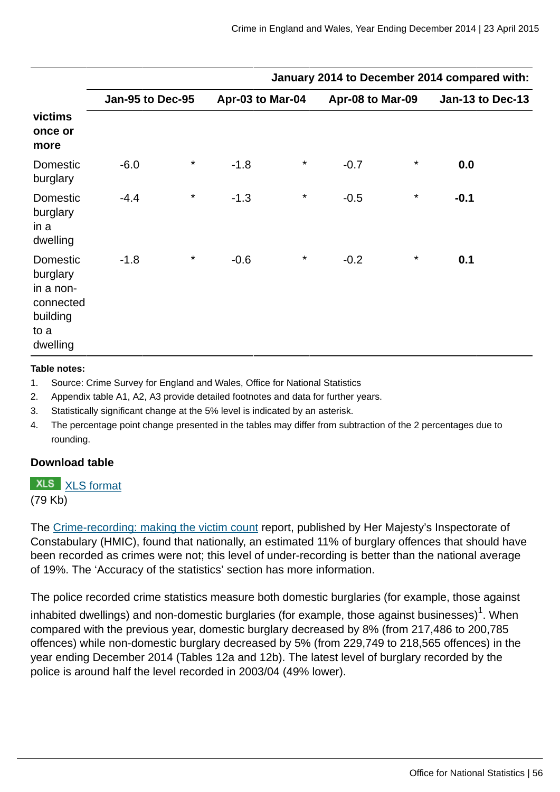|                                                                                       | January 2014 to December 2014 compared with: |         |                  |         |        |                  |        |                         |
|---------------------------------------------------------------------------------------|----------------------------------------------|---------|------------------|---------|--------|------------------|--------|-------------------------|
|                                                                                       | Jan-95 to Dec-95                             |         | Apr-03 to Mar-04 |         |        | Apr-08 to Mar-09 |        | <b>Jan-13 to Dec-13</b> |
| victims<br>once or<br>more                                                            |                                              |         |                  |         |        |                  |        |                         |
| Domestic<br>burglary                                                                  | $-6.0$                                       | $\star$ | $-1.8$           | $\star$ | $-0.7$ | $\star$          | 0.0    |                         |
| Domestic<br>burglary<br>in a<br>dwelling                                              | $-4.4$                                       | $\star$ | $-1.3$           | $\star$ | $-0.5$ | $\star$          | $-0.1$ |                         |
| <b>Domestic</b><br>burglary<br>in a non-<br>connected<br>building<br>to a<br>dwelling | $-1.8$                                       | $\star$ | $-0.6$           | $\star$ | $-0.2$ | $^\star$         | 0.1    |                         |

#### **Table notes:**

- 1. Source: Crime Survey for England and Wales, Office for National Statistics
- 2. Appendix table A1, A2, A3 provide detailed footnotes and data for further years.
- 3. Statistically significant change at the 5% level is indicated by an asterisk.
- 4. The percentage point change presented in the tables may differ from subtraction of the 2 percentages due to rounding.

### **Download table**

**XLS** [XLS format](http://www.ons.gov.uk:80/ons/rel/crime-stats/crime-statistics/year-ending-december-2014/prt-11b.xls)

(79 Kb)

The [Crime-recording: making the victim count](https://www.justiceinspectorates.gov.uk/hmic/publication/crime-recording-making-the-victim-count/) report, published by Her Majesty's Inspectorate of Constabulary (HMIC), found that nationally, an estimated 11% of burglary offences that should have been recorded as crimes were not; this level of under-recording is better than the national average of 19%. The 'Accuracy of the statistics' section has more information.

The police recorded crime statistics measure both domestic burglaries (for example, those against

inhabited dwellings) and non-domestic burglaries (for example, those against businesses) $^{\rm 1}$ . When compared with the previous year, domestic burglary decreased by 8% (from 217,486 to 200,785 offences) while non-domestic burglary decreased by 5% (from 229,749 to 218,565 offences) in the year ending December 2014 (Tables 12a and 12b). The latest level of burglary recorded by the police is around half the level recorded in 2003/04 (49% lower).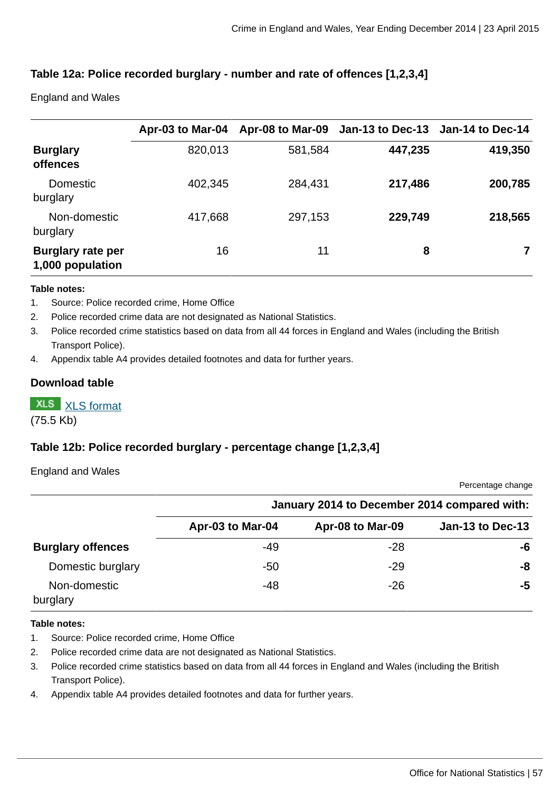# **Table 12a: Police recorded burglary - number and rate of offences [1,2,3,4]**

England and Wales

|                                              | Apr-03 to Mar-04 |         | Apr-08 to Mar-09 Jan-13 to Dec-13 Jan-14 to Dec-14 |         |
|----------------------------------------------|------------------|---------|----------------------------------------------------|---------|
| <b>Burglary</b><br><b>offences</b>           | 820,013          | 581,584 | 447,235                                            | 419,350 |
| <b>Domestic</b><br>burglary                  | 402,345          | 284,431 | 217,486                                            | 200,785 |
| Non-domestic<br>burglary                     | 417,668          | 297,153 | 229,749                                            | 218,565 |
| <b>Burglary rate per</b><br>1,000 population | 16               | 11      | 8                                                  |         |

#### **Table notes:**

- 1. Source: Police recorded crime, Home Office
- 2. Police recorded crime data are not designated as National Statistics.
- 3. Police recorded crime statistics based on data from all 44 forces in England and Wales (including the British Transport Police).
- 4. Appendix table A4 provides detailed footnotes and data for further years.

### **Download table**

**XLS** [XLS format](http://www.ons.gov.uk:80/ons/rel/crime-stats/crime-statistics/year-ending-december-2014/prt-12a.xls)

(75.5 Kb)

# **Table 12b: Police recorded burglary - percentage change [1,2,3,4]**

#### England and Wales

Percentage change

|                          | January 2014 to December 2014 compared with: |                  |                  |  |  |  |
|--------------------------|----------------------------------------------|------------------|------------------|--|--|--|
|                          | Apr-03 to Mar-04                             | Apr-08 to Mar-09 | Jan-13 to Dec-13 |  |  |  |
| <b>Burglary offences</b> | -49                                          | $-28$            | -6               |  |  |  |
| Domestic burglary        | $-50$                                        | -29              | -8               |  |  |  |
| Non-domestic<br>burglary | -48                                          | -26              | -5               |  |  |  |

#### **Table notes:**

- 1. Source: Police recorded crime, Home Office
- 2. Police recorded crime data are not designated as National Statistics.
- 3. Police recorded crime statistics based on data from all 44 forces in England and Wales (including the British Transport Police).
- 4. Appendix table A4 provides detailed footnotes and data for further years.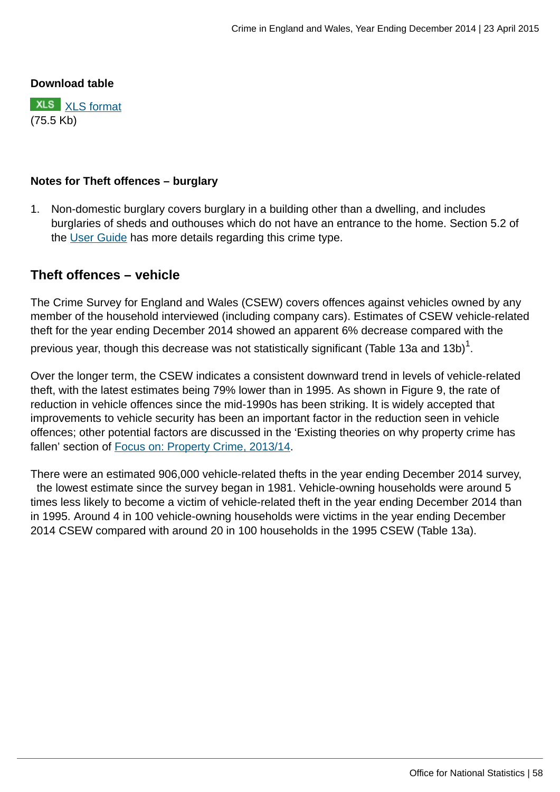### **Download table**



### **Notes for Theft offences – burglary**

1. Non-domestic burglary covers burglary in a building other than a dwelling, and includes burglaries of sheds and outhouses which do not have an entrance to the home. Section 5.2 of the [User Guide](http://www.ons.gov.uk:80/ons/guide-method/method-quality/specific/crime-statistics-methodology/user-guides/index.html) has more details regarding this crime type.

# **Theft offences – vehicle**

The Crime Survey for England and Wales (CSEW) covers offences against vehicles owned by any member of the household interviewed (including company cars). Estimates of CSEW vehicle-related theft for the year ending December 2014 showed an apparent 6% decrease compared with the previous year, though this decrease was not statistically significant (Table 13a and 13b) $^1\!.$ 

Over the longer term, the CSEW indicates a consistent downward trend in levels of vehicle-related theft, with the latest estimates being 79% lower than in 1995. As shown in Figure 9, the rate of reduction in vehicle offences since the mid-1990s has been striking. It is widely accepted that improvements to vehicle security has been an important factor in the reduction seen in vehicle offences; other potential factors are discussed in the 'Existing theories on why property crime has fallen' section of [Focus on: Property Crime, 2013/14](http://www.ons.gov.uk:80/ons/rel/crime-stats/crime-statistics/focus-on-property-crime--2013-14/index.html).

There were an estimated 906,000 vehicle-related thefts in the year ending December 2014 survey, the lowest estimate since the survey began in 1981. Vehicle-owning households were around 5 times less likely to become a victim of vehicle-related theft in the year ending December 2014 than in 1995. Around 4 in 100 vehicle-owning households were victims in the year ending December 2014 CSEW compared with around 20 in 100 households in the 1995 CSEW (Table 13a).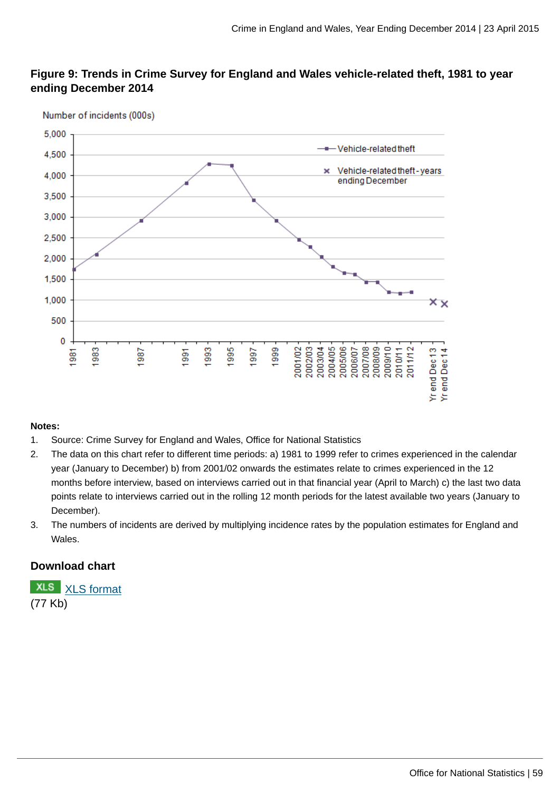# **Figure 9: Trends in Crime Survey for England and Wales vehicle-related theft, 1981 to year ending December 2014**



#### Number of incidents (000s)

#### **Notes:**

- 1. Source: Crime Survey for England and Wales, Office for National Statistics
- 2. The data on this chart refer to different time periods: a) 1981 to 1999 refer to crimes experienced in the calendar year (January to December) b) from 2001/02 onwards the estimates relate to crimes experienced in the 12 months before interview, based on interviews carried out in that financial year (April to March) c) the last two data points relate to interviews carried out in the rolling 12 month periods for the latest available two years (January to December).
- 3. The numbers of incidents are derived by multiplying incidence rates by the population estimates for England and Wales.

## **Download chart**

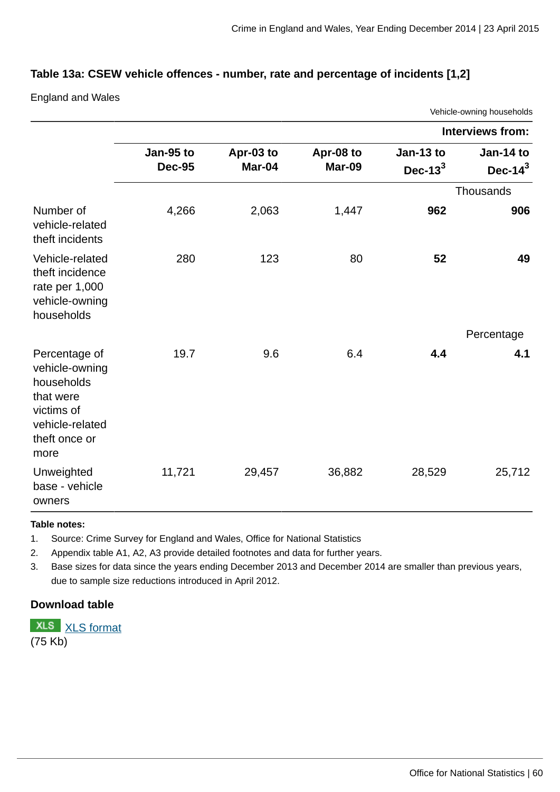## **Table 13a: CSEW vehicle offences - number, rate and percentage of incidents [1,2]**

England and Wales

|                                                                                                                      |                            |                     |                            |                          | Vehicle-owning households       |
|----------------------------------------------------------------------------------------------------------------------|----------------------------|---------------------|----------------------------|--------------------------|---------------------------------|
|                                                                                                                      |                            |                     |                            |                          | <b>Interviews from:</b>         |
|                                                                                                                      | Jan-95 to<br><b>Dec-95</b> | Apr-03 to<br>Mar-04 | Apr-08 to<br><b>Mar-09</b> | Jan-13 to<br>Dec- $13^3$ | <b>Jan-14 to</b><br>Dec- $14^3$ |
|                                                                                                                      |                            |                     |                            |                          | Thousands                       |
| Number of<br>vehicle-related<br>theft incidents                                                                      | 4,266                      | 2,063               | 1,447                      | 962                      | 906                             |
| Vehicle-related<br>theft incidence<br>rate per 1,000<br>vehicle-owning<br>households                                 | 280                        | 123                 | 80                         | 52                       | 49                              |
|                                                                                                                      |                            |                     |                            |                          | Percentage                      |
| Percentage of<br>vehicle-owning<br>households<br>that were<br>victims of<br>vehicle-related<br>theft once or<br>more | 19.7                       | 9.6                 | 6.4                        | 4.4                      | 4.1                             |
| Unweighted<br>base - vehicle<br>owners                                                                               | 11,721                     | 29,457              | 36,882                     | 28,529                   | 25,712                          |

#### **Table notes:**

1. Source: Crime Survey for England and Wales, Office for National Statistics

2. Appendix table A1, A2, A3 provide detailed footnotes and data for further years.

3. Base sizes for data since the years ending December 2013 and December 2014 are smaller than previous years, due to sample size reductions introduced in April 2012.

## **Download table**

**XLS** [XLS format](http://www.ons.gov.uk:80/ons/rel/crime-stats/crime-statistics/year-ending-december-2014/prt-13a.xls) (75 Kb)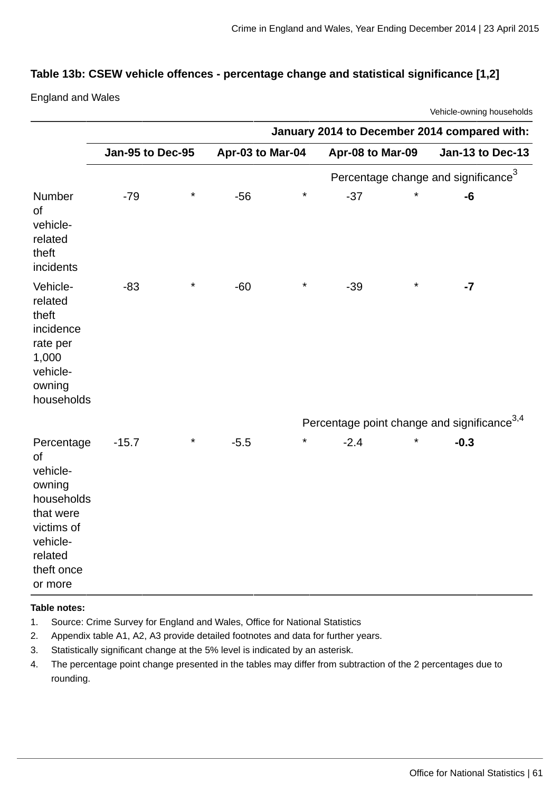### **Table 13b: CSEW vehicle offences - percentage change and statistical significance [1,2]**

England and Wales

Vehicle-owning households

|                                                                                                                                        | January 2014 to December 2014 compared with: |          |                  |          |                                                         |          |                                                 |  |
|----------------------------------------------------------------------------------------------------------------------------------------|----------------------------------------------|----------|------------------|----------|---------------------------------------------------------|----------|-------------------------------------------------|--|
|                                                                                                                                        | Jan-95 to Dec-95                             |          | Apr-03 to Mar-04 |          | Apr-08 to Mar-09                                        |          | Jan-13 to Dec-13                                |  |
|                                                                                                                                        |                                              |          |                  |          |                                                         |          | Percentage change and significance <sup>3</sup> |  |
| Number<br>of<br>vehicle-<br>related<br>theft<br>incidents                                                                              | $-79$                                        | $^\star$ | $-56$            | $\star$  | $-37$                                                   | $\star$  | -6                                              |  |
| Vehicle-<br>related<br>theft<br>incidence<br>rate per<br>1,000<br>vehicle-<br>owning<br>households                                     | $-83$                                        | $^\star$ | $-60$            | $^\star$ | $-39$                                                   | $\star$  | $-7$                                            |  |
|                                                                                                                                        |                                              |          |                  |          | Percentage point change and significance <sup>3,4</sup> |          |                                                 |  |
| Percentage<br><b>of</b><br>vehicle-<br>owning<br>households<br>that were<br>victims of<br>vehicle-<br>related<br>theft once<br>or more | $-15.7$                                      | $^\star$ | $-5.5$           | $^\star$ | $-2.4$                                                  | $^\star$ | $-0.3$                                          |  |

#### **Table notes:**

- 1. Source: Crime Survey for England and Wales, Office for National Statistics
- 2. Appendix table A1, A2, A3 provide detailed footnotes and data for further years.
- 3. Statistically significant change at the 5% level is indicated by an asterisk.
- 4. The percentage point change presented in the tables may differ from subtraction of the 2 percentages due to rounding.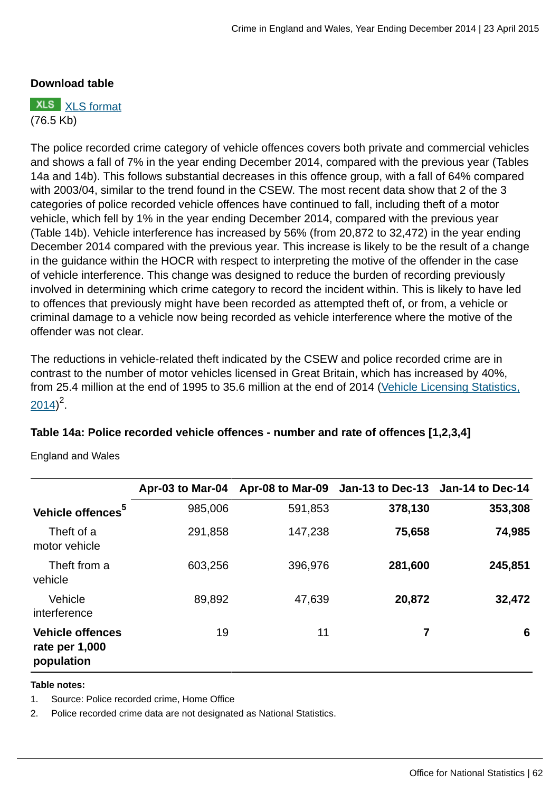### **Download table**

**XLS** [XLS format](http://www.ons.gov.uk:80/ons/rel/crime-stats/crime-statistics/year-ending-december-2014/prt-13b.xls) (76.5 Kb)

The police recorded crime category of vehicle offences covers both private and commercial vehicles and shows a fall of 7% in the year ending December 2014, compared with the previous year (Tables 14a and 14b). This follows substantial decreases in this offence group, with a fall of 64% compared with 2003/04, similar to the trend found in the CSEW. The most recent data show that 2 of the 3 categories of police recorded vehicle offences have continued to fall, including theft of a motor vehicle, which fell by 1% in the year ending December 2014, compared with the previous year (Table 14b). Vehicle interference has increased by 56% (from 20,872 to 32,472) in the year ending December 2014 compared with the previous year. This increase is likely to be the result of a change in the guidance within the HOCR with respect to interpreting the motive of the offender in the case of vehicle interference. This change was designed to reduce the burden of recording previously involved in determining which crime category to record the incident within. This is likely to have led to offences that previously might have been recorded as attempted theft of, or from, a vehicle or criminal damage to a vehicle now being recorded as vehicle interference where the motive of the offender was not clear.

The reductions in vehicle-related theft indicated by the CSEW and police recorded crime are in contrast to the number of motor vehicles licensed in Great Britain, which has increased by 40%, from 25.4 million at the end of 1995 to 35.6 million at the end of 2014 ([Vehicle Licensing Statistics,](https://www.gov.uk/government/statistics/vehicle-licensing-statistics-2014)  $2014)^2$  $2014)^2$ .

### **Table 14a: Police recorded vehicle offences - number and rate of offences [1,2,3,4]**

England and Wales

|                                                         | Apr-03 to Mar-04 |         | Apr-08 to Mar-09 Jan-13 to Dec-13 Jan-14 to Dec-14 |         |
|---------------------------------------------------------|------------------|---------|----------------------------------------------------|---------|
| Vehicle offences <sup>5</sup>                           | 985,006          | 591,853 | 378,130                                            | 353,308 |
| Theft of a<br>motor vehicle                             | 291,858          | 147,238 | 75,658                                             | 74,985  |
| Theft from a<br>vehicle                                 | 603,256          | 396,976 | 281,600                                            | 245,851 |
| Vehicle<br>interference                                 | 89,892           | 47,639  | 20,872                                             | 32,472  |
| <b>Vehicle offences</b><br>rate per 1,000<br>population | 19               | 11      | 7                                                  | 6       |

#### **Table notes:**

1. Source: Police recorded crime, Home Office

2. Police recorded crime data are not designated as National Statistics.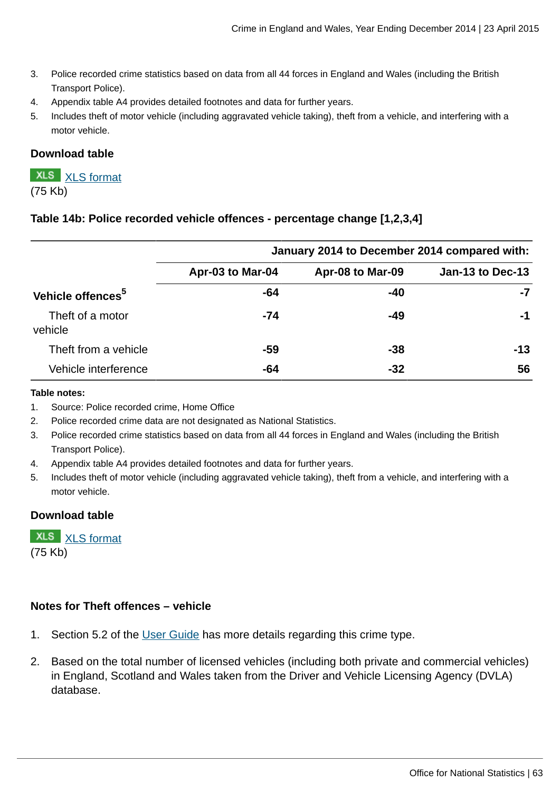- 3. Police recorded crime statistics based on data from all 44 forces in England and Wales (including the British Transport Police).
- 4. Appendix table A4 provides detailed footnotes and data for further years.
- 5. Includes theft of motor vehicle (including aggravated vehicle taking), theft from a vehicle, and interfering with a motor vehicle.

### **Download table**

**XLS** [XLS format](http://www.ons.gov.uk:80/ons/rel/crime-stats/crime-statistics/year-ending-december-2014/prt-14a.xls) (75 Kb)

### **Table 14b: Police recorded vehicle offences - percentage change [1,2,3,4]**

|                               |                  | January 2014 to December 2014 compared with: |                  |  |  |  |
|-------------------------------|------------------|----------------------------------------------|------------------|--|--|--|
|                               | Apr-03 to Mar-04 | Apr-08 to Mar-09                             | Jan-13 to Dec-13 |  |  |  |
| Vehicle offences <sup>5</sup> | -64              | -40                                          | -7               |  |  |  |
| Theft of a motor<br>vehicle   | $-74$            | -49                                          | -1               |  |  |  |
| Theft from a vehicle          | -59              | $-38$                                        | $-13$            |  |  |  |
| Vehicle interference          | -64              | $-32$                                        | 56               |  |  |  |

#### **Table notes:**

- 1. Source: Police recorded crime, Home Office
- 2. Police recorded crime data are not designated as National Statistics.
- 3. Police recorded crime statistics based on data from all 44 forces in England and Wales (including the British Transport Police).
- 4. Appendix table A4 provides detailed footnotes and data for further years.
- 5. Includes theft of motor vehicle (including aggravated vehicle taking), theft from a vehicle, and interfering with a motor vehicle.

#### **Download table**

|           | <b>XLS</b> XLS format |
|-----------|-----------------------|
| $(75$ Kb) |                       |

### **Notes for Theft offences – vehicle**

- 1. Section 5.2 of the [User Guide](http://www.ons.gov.uk:80/ons/guide-method/method-quality/specific/crime-statistics-methodology/user-guides/index.html) has more details regarding this crime type.
- 2. Based on the total number of licensed vehicles (including both private and commercial vehicles) in England, Scotland and Wales taken from the Driver and Vehicle Licensing Agency (DVLA) database.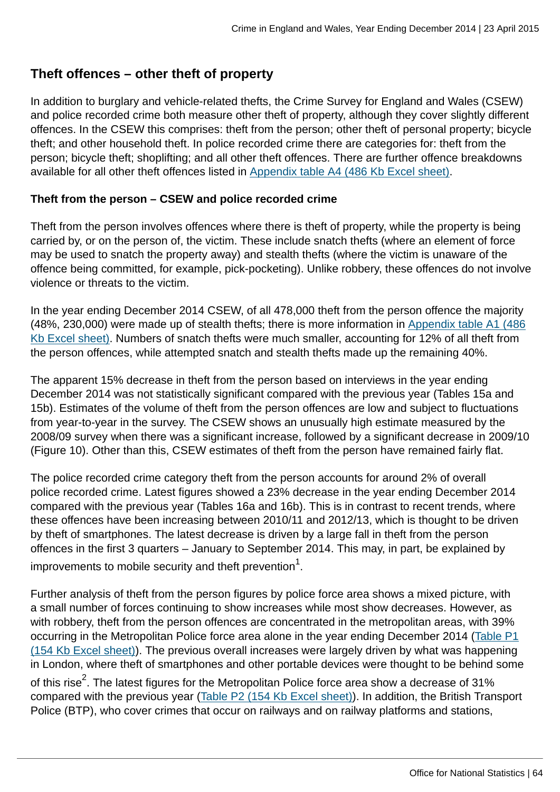# **Theft offences – other theft of property**

In addition to burglary and vehicle-related thefts, the Crime Survey for England and Wales (CSEW) and police recorded crime both measure other theft of property, although they cover slightly different offences. In the CSEW this comprises: theft from the person; other theft of personal property; bicycle theft; and other household theft. In police recorded crime there are categories for: theft from the person; bicycle theft; shoplifting; and all other theft offences. There are further offence breakdowns available for all other theft offences listed in [Appendix table A4 \(486 Kb Excel sheet\)](http://www.ons.gov.uk:80/ons/rel/crime-stats/crime-statistics/year-ending-december-2014/rft-2.xls).

## **Theft from the person – CSEW and police recorded crime**

Theft from the person involves offences where there is theft of property, while the property is being carried by, or on the person of, the victim. These include snatch thefts (where an element of force may be used to snatch the property away) and stealth thefts (where the victim is unaware of the offence being committed, for example, pick-pocketing). Unlike robbery, these offences do not involve violence or threats to the victim.

In the year ending December 2014 CSEW, of all 478,000 theft from the person offence the majority (48%, 230,000) were made up of stealth thefts; there is more information in [Appendix table A1 \(486](http://www.ons.gov.uk:80/ons/rel/crime-stats/crime-statistics/year-ending-december-2014/rft-2.xls) [Kb Excel sheet\)](http://www.ons.gov.uk:80/ons/rel/crime-stats/crime-statistics/year-ending-december-2014/rft-2.xls). Numbers of snatch thefts were much smaller, accounting for 12% of all theft from the person offences, while attempted snatch and stealth thefts made up the remaining 40%.

The apparent 15% decrease in theft from the person based on interviews in the year ending December 2014 was not statistically significant compared with the previous year (Tables 15a and 15b). Estimates of the volume of theft from the person offences are low and subject to fluctuations from year-to-year in the survey. The CSEW shows an unusually high estimate measured by the 2008/09 survey when there was a significant increase, followed by a significant decrease in 2009/10 (Figure 10). Other than this, CSEW estimates of theft from the person have remained fairly flat.

The police recorded crime category theft from the person accounts for around 2% of overall police recorded crime. Latest figures showed a 23% decrease in the year ending December 2014 compared with the previous year (Tables 16a and 16b). This is in contrast to recent trends, where these offences have been increasing between 2010/11 and 2012/13, which is thought to be driven by theft of smartphones. The latest decrease is driven by a large fall in theft from the person offences in the first 3 quarters – January to September 2014. This may, in part, be explained by improvements to mobile security and theft prevention $^{\rm 1}.$ 

Further analysis of theft from the person figures by police force area shows a mixed picture, with a small number of forces continuing to show increases while most show decreases. However, as with robbery, theft from the person offences are concentrated in the metropolitan areas, with 39% occurring in the Metropolitan Police force area alone in the year ending December 2014 [\(Table P1](http://www.ons.gov.uk:80/ons/rel/crime-stats/crime-statistics/year-ending-december-2014/rft-4.xls) [\(154 Kb Excel sheet\)\)](http://www.ons.gov.uk:80/ons/rel/crime-stats/crime-statistics/year-ending-december-2014/rft-4.xls). The previous overall increases were largely driven by what was happening in London, where theft of smartphones and other portable devices were thought to be behind some of this rise $^2$ . The latest figures for the Metropolitan Police force area show a decrease of 31% compared with the previous year [\(Table P2 \(154 Kb Excel sheet\)](http://www.ons.gov.uk:80/ons/rel/crime-stats/crime-statistics/year-ending-december-2014/rft-4.xls)). In addition, the British Transport Police (BTP), who cover crimes that occur on railways and on railway platforms and stations,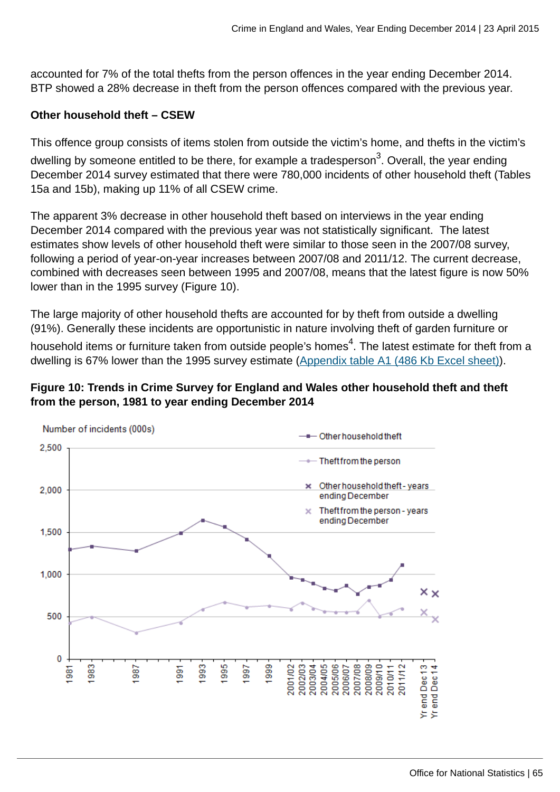accounted for 7% of the total thefts from the person offences in the year ending December 2014. BTP showed a 28% decrease in theft from the person offences compared with the previous year.

## **Other household theft – CSEW**

This offence group consists of items stolen from outside the victim's home, and thefts in the victim's dwelling by someone entitled to be there, for example a tradesperson<sup>3</sup>. Overall, the year ending December 2014 survey estimated that there were 780,000 incidents of other household theft (Tables 15a and 15b), making up 11% of all CSEW crime.

The apparent 3% decrease in other household theft based on interviews in the year ending December 2014 compared with the previous year was not statistically significant. The latest estimates show levels of other household theft were similar to those seen in the 2007/08 survey, following a period of year-on-year increases between 2007/08 and 2011/12. The current decrease, combined with decreases seen between 1995 and 2007/08, means that the latest figure is now 50% lower than in the 1995 survey (Figure 10).

The large majority of other household thefts are accounted for by theft from outside a dwelling (91%). Generally these incidents are opportunistic in nature involving theft of garden furniture or household items or furniture taken from outside people's homes $^4$ . The latest estimate for theft from a dwelling is 67% lower than the 1995 survey estimate [\(Appendix table A1 \(486 Kb Excel sheet\)](http://www.ons.gov.uk:80/ons/rel/crime-stats/crime-statistics/year-ending-december-2014/rft-2.xls)).

# **Figure 10: Trends in Crime Survey for England and Wales other household theft and theft from the person, 1981 to year ending December 2014**

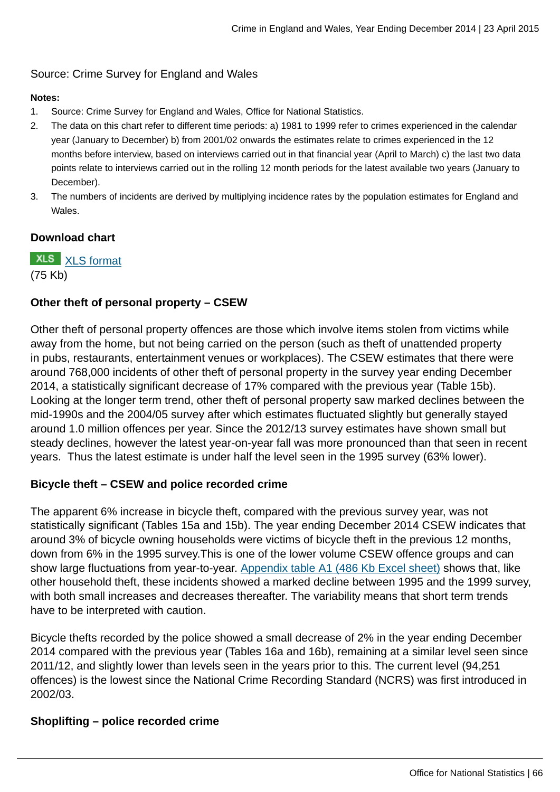# Source: Crime Survey for England and Wales

### **Notes:**

- 1. Source: Crime Survey for England and Wales, Office for National Statistics.
- 2. The data on this chart refer to different time periods: a) 1981 to 1999 refer to crimes experienced in the calendar year (January to December) b) from 2001/02 onwards the estimates relate to crimes experienced in the 12 months before interview, based on interviews carried out in that financial year (April to March) c) the last two data points relate to interviews carried out in the rolling 12 month periods for the latest available two years (January to December).
- 3. The numbers of incidents are derived by multiplying incidence rates by the population estimates for England and Wales.

## **Download chart**

**XLS** [XLS format](http://www.ons.gov.uk:80/ons/rel/crime-stats/crime-statistics/year-ending-december-2014/chd-10.xls) (75 Kb)

# **Other theft of personal property – CSEW**

Other theft of personal property offences are those which involve items stolen from victims while away from the home, but not being carried on the person (such as theft of unattended property in pubs, restaurants, entertainment venues or workplaces). The CSEW estimates that there were around 768,000 incidents of other theft of personal property in the survey year ending December 2014, a statistically significant decrease of 17% compared with the previous year (Table 15b). Looking at the longer term trend, other theft of personal property saw marked declines between the mid-1990s and the 2004/05 survey after which estimates fluctuated slightly but generally stayed around 1.0 million offences per year. Since the 2012/13 survey estimates have shown small but steady declines, however the latest year-on-year fall was more pronounced than that seen in recent years. Thus the latest estimate is under half the level seen in the 1995 survey (63% lower).

# **Bicycle theft – CSEW and police recorded crime**

The apparent 6% increase in bicycle theft, compared with the previous survey year, was not statistically significant (Tables 15a and 15b). The year ending December 2014 CSEW indicates that around 3% of bicycle owning households were victims of bicycle theft in the previous 12 months, down from 6% in the 1995 survey.This is one of the lower volume CSEW offence groups and can show large fluctuations from year-to-year. [Appendix table A1 \(486 Kb Excel sheet\)](http://www.ons.gov.uk:80/ons/rel/crime-stats/crime-statistics/year-ending-december-2014/rft-2.xls) shows that, like other household theft, these incidents showed a marked decline between 1995 and the 1999 survey, with both small increases and decreases thereafter. The variability means that short term trends have to be interpreted with caution.

Bicycle thefts recorded by the police showed a small decrease of 2% in the year ending December 2014 compared with the previous year (Tables 16a and 16b), remaining at a similar level seen since 2011/12, and slightly lower than levels seen in the years prior to this. The current level (94,251 offences) is the lowest since the National Crime Recording Standard (NCRS) was first introduced in 2002/03.

# **Shoplifting – police recorded crime**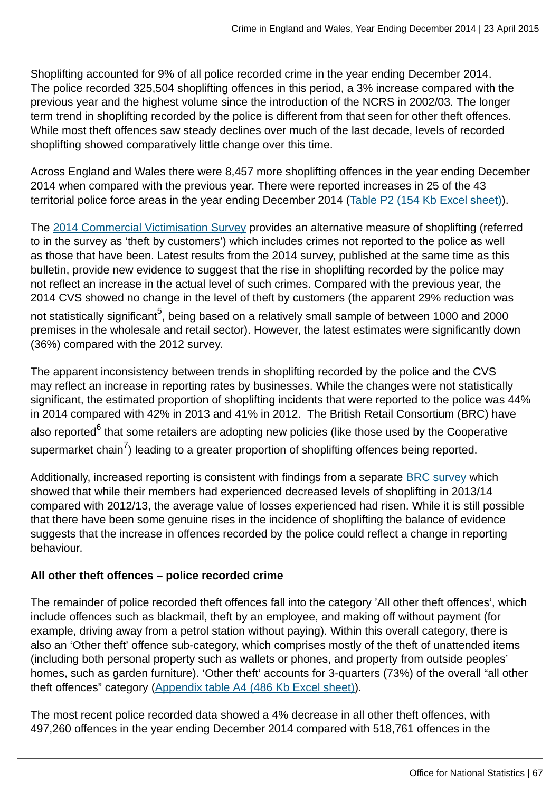Shoplifting accounted for 9% of all police recorded crime in the year ending December 2014. The police recorded 325,504 shoplifting offences in this period, a 3% increase compared with the previous year and the highest volume since the introduction of the NCRS in 2002/03. The longer term trend in shoplifting recorded by the police is different from that seen for other theft offences. While most theft offences saw steady declines over much of the last decade, levels of recorded shoplifting showed comparatively little change over this time.

Across England and Wales there were 8,457 more shoplifting offences in the year ending December 2014 when compared with the previous year. There were reported increases in 25 of the 43 territorial police force areas in the year ending December 2014 ([Table P2 \(154 Kb Excel sheet\)](http://www.ons.gov.uk:80/ons/rel/crime-stats/crime-statistics/year-ending-december-2014/rft-4.xls)).

The [2014 Commercial Victimisation Survey](https://www.gov.uk/government/publications/crime-against-businesses-detailed-findings-from-the-2014-commercial-victimisation-survey) provides an alternative measure of shoplifting (referred to in the survey as 'theft by customers') which includes crimes not reported to the police as well as those that have been. Latest results from the 2014 survey, published at the same time as this bulletin, provide new evidence to suggest that the rise in shoplifting recorded by the police may not reflect an increase in the actual level of such crimes. Compared with the previous year, the 2014 CVS showed no change in the level of theft by customers (the apparent 29% reduction was not statistically significant<sup>5</sup>, being based on a relatively small sample of between 1000 and 2000 premises in the wholesale and retail sector). However, the latest estimates were significantly down (36%) compared with the 2012 survey.

The apparent inconsistency between trends in shoplifting recorded by the police and the CVS may reflect an increase in reporting rates by businesses. While the changes were not statistically significant, the estimated proportion of shoplifting incidents that were reported to the police was 44% in 2014 compared with 42% in 2013 and 41% in 2012. The British Retail Consortium (BRC) have also reported<sup>6</sup> that some retailers are adopting new policies (like those used by the Cooperative supermarket chain $^{7}$ ) leading to a greater proportion of shoplifting offences being reported.

Additionally, increased reporting is consistent with findings from a separate [BRC survey](http://www.brc.org.uk/brc_policy_content.asp?id=263&iCat=48&iSubCat=646&sPolicy=Retail%20Crime&sSubPolicy=BRC%20Retail%20Crime%20Survey) which showed that while their members had experienced decreased levels of shoplifting in 2013/14 compared with 2012/13, the average value of losses experienced had risen. While it is still possible that there have been some genuine rises in the incidence of shoplifting the balance of evidence suggests that the increase in offences recorded by the police could reflect a change in reporting behaviour.

# **All other theft offences – police recorded crime**

The remainder of police recorded theft offences fall into the category 'All other theft offences', which include offences such as blackmail, theft by an employee, and making off without payment (for example, driving away from a petrol station without paying). Within this overall category, there is also an 'Other theft' offence sub-category, which comprises mostly of the theft of unattended items (including both personal property such as wallets or phones, and property from outside peoples' homes, such as garden furniture). 'Other theft' accounts for 3-quarters (73%) of the overall "all other theft offences" category ([Appendix table A4 \(486 Kb Excel sheet\)\)](http://www.ons.gov.uk:80/ons/rel/crime-stats/crime-statistics/year-ending-december-2014/rft-2.xls).

The most recent police recorded data showed a 4% decrease in all other theft offences, with 497,260 offences in the year ending December 2014 compared with 518,761 offences in the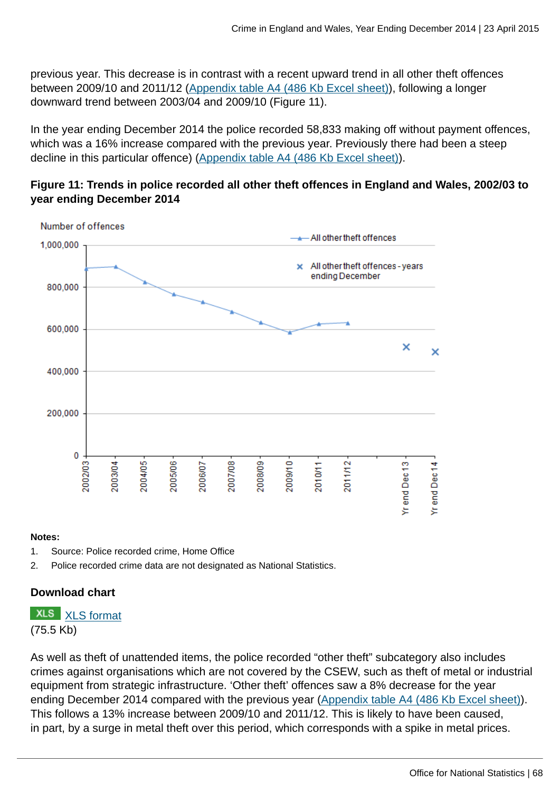previous year. This decrease is in contrast with a recent upward trend in all other theft offences between 2009/10 and 2011/12 ([Appendix table A4 \(486 Kb Excel sheet\)\)](http://www.ons.gov.uk:80/ons/rel/crime-stats/crime-statistics/year-ending-december-2014/rft-2.xls), following a longer downward trend between 2003/04 and 2009/10 (Figure 11).

In the year ending December 2014 the police recorded 58,833 making off without payment offences, which was a 16% increase compared with the previous year. Previously there had been a steep decline in this particular offence) [\(Appendix table A4 \(486 Kb Excel sheet\)](http://www.ons.gov.uk:80/ons/rel/crime-stats/crime-statistics/year-ending-december-2014/rft-2.xls)).

# **Figure 11: Trends in police recorded all other theft offences in England and Wales, 2002/03 to year ending December 2014**



#### **Notes:**

- 1. Source: Police recorded crime, Home Office
- 2. Police recorded crime data are not designated as National Statistics.

# **Download chart**

# **XLS** [XLS format](http://www.ons.gov.uk:80/ons/rel/crime-stats/crime-statistics/year-ending-december-2014/chd-11.xls)

(75.5 Kb)

As well as theft of unattended items, the police recorded "other theft" subcategory also includes crimes against organisations which are not covered by the CSEW, such as theft of metal or industrial equipment from strategic infrastructure. 'Other theft' offences saw a 8% decrease for the year ending December 2014 compared with the previous year [\(Appendix table A4 \(486 Kb Excel sheet\)](http://www.ons.gov.uk:80/ons/rel/crime-stats/crime-statistics/year-ending-december-2014/rft-2.xls)). This follows a 13% increase between 2009/10 and 2011/12. This is likely to have been caused, in part, by a surge in metal theft over this period, which corresponds with a spike in metal prices.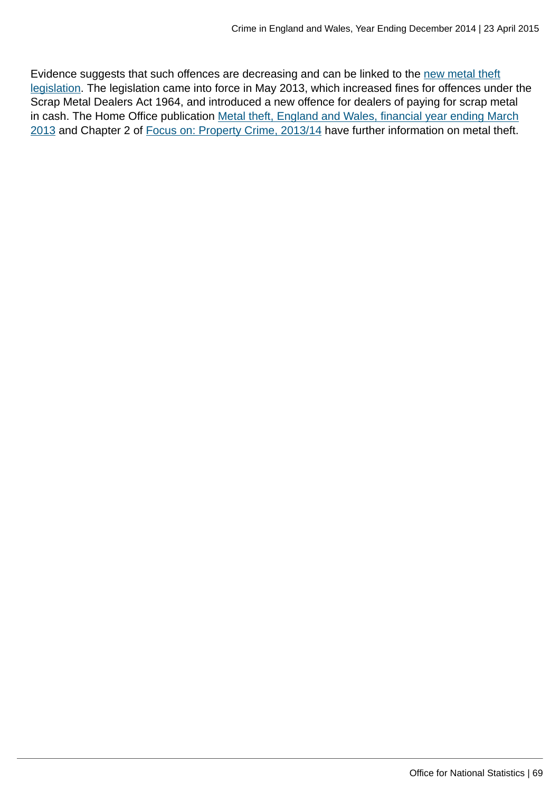Evidence suggests that such offences are decreasing and can be linked to the [new metal theft](#page-0-0) [legislation.](#page-0-0) The legislation came into force in May 2013, which increased fines for offences under the Scrap Metal Dealers Act 1964, and introduced a new offence for dealers of paying for scrap metal in cash. The Home Office publication [Metal theft, England and Wales, financial year ending March](https://www.gov.uk/government/publications/metal-theft-england-and-wales-financial-year-ending-march-2013) [2013](https://www.gov.uk/government/publications/metal-theft-england-and-wales-financial-year-ending-march-2013) and Chapter 2 of [Focus on: Property Crime, 2013/14](http://www.ons.gov.uk:80/ons/rel/crime-stats/crime-statistics/focus-on-property-crime--2013-14/index.html) have further information on metal theft.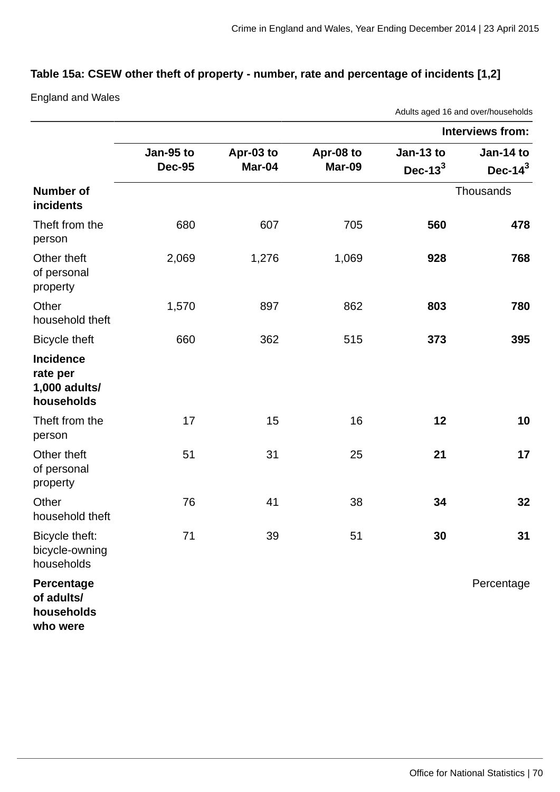## **Table 15a: CSEW other theft of property - number, rate and percentage of incidents [1,2]**

England and Wales

Adults aged 16 and over/households **Interviews from: Jan-95 to Dec-95 Apr-03 to Mar-04 Apr-08 to Mar-09 Jan-13 to Dec-13<sup>3</sup> Jan-14 to Dec-14<sup>3</sup> Number of incidents Thousands** Theft from the person 680 607 705 **560 478** Other theft of personal property 2,069 1,276 1,069 **928 768 Other** household theft 1,570 897 862 **803 780** Bicycle theft 660 362 515 **373 395 Incidence rate per 1,000 adults/ households** Theft from the person 17 15 16 **12 10** Other theft of personal property 51 31 25 **21 17 Other** household theft 76 41 38 **34 32** Bicycle theft: bicycle-owning households 71 39 51 **30 31 Percentage of adults/ households who were** Percentage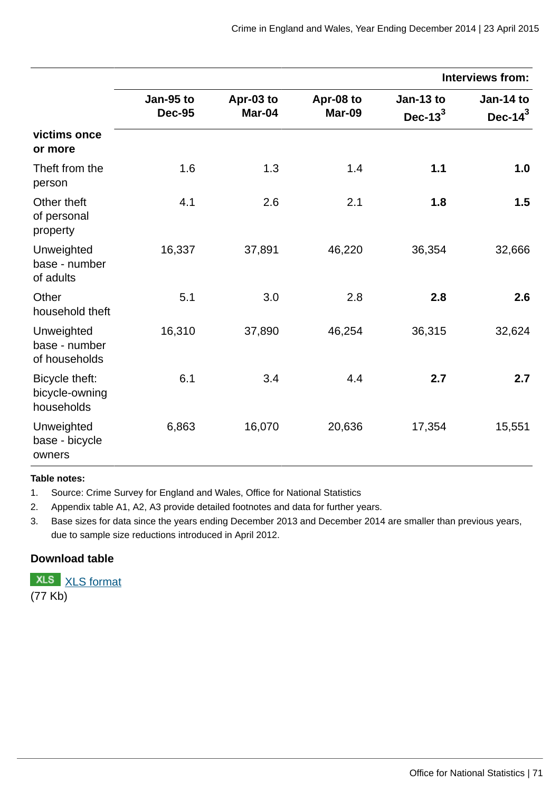|                                                |                            |                     |                     |                          | <b>Interviews from:</b>  |
|------------------------------------------------|----------------------------|---------------------|---------------------|--------------------------|--------------------------|
|                                                | Jan-95 to<br><b>Dec-95</b> | Apr-03 to<br>Mar-04 | Apr-08 to<br>Mar-09 | Jan-13 to<br>Dec- $13^3$ | Jan-14 to<br>Dec- $14^3$ |
| victims once<br>or more                        |                            |                     |                     |                          |                          |
| Theft from the<br>person                       | 1.6                        | 1.3                 | 1.4                 | 1.1                      | 1.0                      |
| Other theft<br>of personal<br>property         | 4.1                        | 2.6                 | 2.1                 | 1.8                      | 1.5                      |
| Unweighted<br>base - number<br>of adults       | 16,337                     | 37,891              | 46,220              | 36,354                   | 32,666                   |
| Other<br>household theft                       | 5.1                        | 3.0                 | 2.8                 | 2.8                      | 2.6                      |
| Unweighted<br>base - number<br>of households   | 16,310                     | 37,890              | 46,254              | 36,315                   | 32,624                   |
| Bicycle theft:<br>bicycle-owning<br>households | 6.1                        | 3.4                 | 4.4                 | 2.7                      | 2.7                      |
| Unweighted<br>base - bicycle<br>owners         | 6,863                      | 16,070              | 20,636              | 17,354                   | 15,551                   |

#### **Table notes:**

1. Source: Crime Survey for England and Wales, Office for National Statistics

2. Appendix table A1, A2, A3 provide detailed footnotes and data for further years.

3. Base sizes for data since the years ending December 2013 and December 2014 are smaller than previous years, due to sample size reductions introduced in April 2012.

## **Download table**

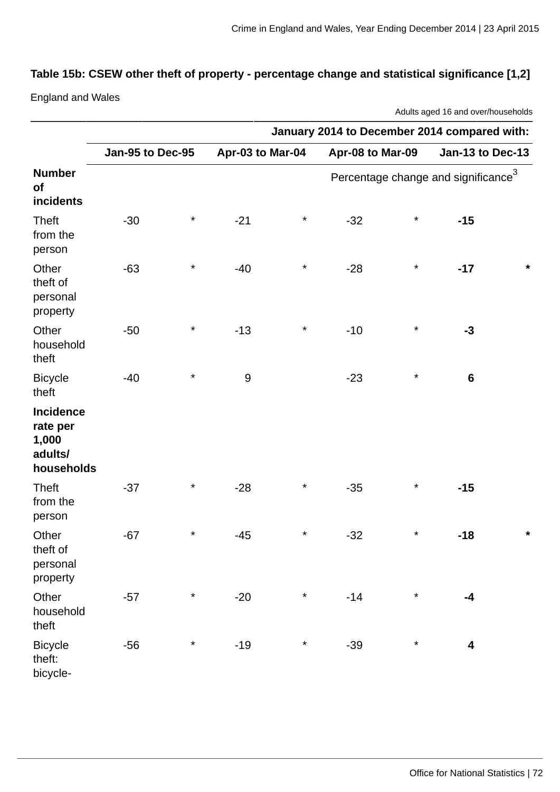# **Table 15b: CSEW other theft of property - percentage change and statistical significance [1,2]**

England and Wales

Adults aged 16 and over/households

|                                                                | January 2014 to December 2014 compared with: |          |                  |          |                  |         |                                        |         |
|----------------------------------------------------------------|----------------------------------------------|----------|------------------|----------|------------------|---------|----------------------------------------|---------|
|                                                                | Jan-95 to Dec-95                             |          | Apr-03 to Mar-04 |          | Apr-08 to Mar-09 |         | Jan-13 to Dec-13                       |         |
| <b>Number</b><br>of<br>incidents                               |                                              |          |                  |          |                  |         | Percentage change and significance $3$ |         |
| <b>Theft</b><br>from the<br>person                             | $-30$                                        | $\star$  | $-21$            | $\star$  | $-32$            | $\star$ | $-15$                                  |         |
| Other<br>theft of<br>personal<br>property                      | $-63$                                        | $\star$  | $-40$            | $\star$  | $-28$            | $\star$ | $-17$                                  | $\star$ |
| Other<br>household<br>theft                                    | $-50$                                        | $^\star$ | $-13$            | $^\star$ | $-10$            | $\star$ | $-3$                                   |         |
| <b>Bicycle</b><br>theft                                        | $-40$                                        | $\star$  | $9\,$            |          | $-23$            | $\star$ | $6\phantom{1}$                         |         |
| <b>Incidence</b><br>rate per<br>1,000<br>adults/<br>households |                                              |          |                  |          |                  |         |                                        |         |
| <b>Theft</b><br>from the<br>person                             | $-37$                                        | $\star$  | $-28$            | $^\star$ | $-35$            | $\star$ | $-15$                                  |         |
| Other<br>theft of<br>personal<br>property                      | $-67$                                        | $^\star$ | $-45$            | $^\star$ | $-32$            | $\star$ | $-18$                                  | $\star$ |
| Other<br>household<br>theft                                    | $-57$                                        | $\star$  | $-20$            | $\star$  | $-14$            | $\star$ | $-4$                                   |         |
| <b>Bicycle</b><br>theft:<br>bicycle-                           | $-56$                                        | $\star$  | $-19$            | $^\star$ | $-39$            | $\star$ | 4                                      |         |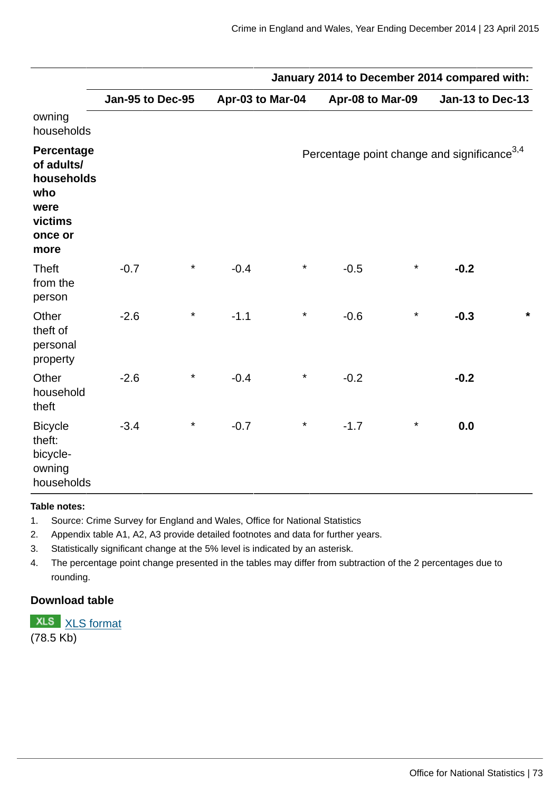|                                                                                     | January 2014 to December 2014 compared with: |         |                  |          |                                                         |          |                  |         |
|-------------------------------------------------------------------------------------|----------------------------------------------|---------|------------------|----------|---------------------------------------------------------|----------|------------------|---------|
|                                                                                     | Jan-95 to Dec-95                             |         | Apr-03 to Mar-04 |          | Apr-08 to Mar-09                                        |          | Jan-13 to Dec-13 |         |
| owning<br>households                                                                |                                              |         |                  |          |                                                         |          |                  |         |
| Percentage<br>of adults/<br>households<br>who<br>were<br>victims<br>once or<br>more |                                              |         |                  |          | Percentage point change and significance <sup>3,4</sup> |          |                  |         |
| <b>Theft</b><br>from the<br>person                                                  | $-0.7$                                       | $\star$ | $-0.4$           | $^\star$ | $-0.5$                                                  | $^\star$ | $-0.2$           |         |
| Other<br>theft of<br>personal<br>property                                           | $-2.6$                                       | $\star$ | $-1.1$           | $^\star$ | $-0.6$                                                  | $\star$  | $-0.3$           | $\star$ |
| Other<br>household<br>theft                                                         | $-2.6$                                       | $\star$ | $-0.4$           | $^\star$ | $-0.2$                                                  |          | $-0.2$           |         |
| <b>Bicycle</b><br>theft:<br>bicycle-<br>owning<br>households                        | $-3.4$                                       | $\star$ | $-0.7$           | $^\star$ | $-1.7$                                                  | $\star$  | 0.0              |         |

#### **Table notes:**

- 1. Source: Crime Survey for England and Wales, Office for National Statistics
- 2. Appendix table A1, A2, A3 provide detailed footnotes and data for further years.
- 3. Statistically significant change at the 5% level is indicated by an asterisk.
- 4. The percentage point change presented in the tables may differ from subtraction of the 2 percentages due to rounding.

# **Download table**

**XLS** [XLS format](http://www.ons.gov.uk:80/ons/rel/crime-stats/crime-statistics/year-ending-december-2014/prt-15b.xls) (78.5 Kb)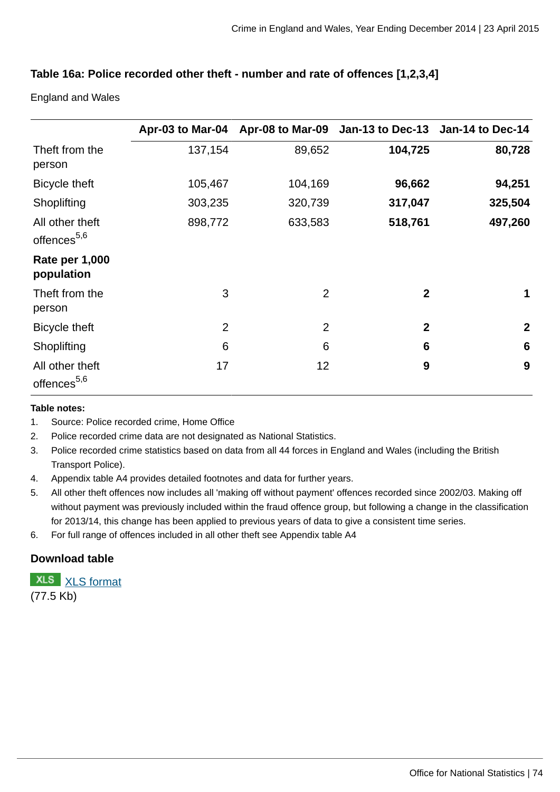# **Table 16a: Police recorded other theft - number and rate of offences [1,2,3,4]**

England and Wales

|                                            |                |                | Apr-03 to Mar-04 Apr-08 to Mar-09 Jan-13 to Dec-13 Jan-14 to Dec-14 |                 |
|--------------------------------------------|----------------|----------------|---------------------------------------------------------------------|-----------------|
| Theft from the<br>person                   | 137,154        | 89,652         | 104,725                                                             | 80,728          |
| Bicycle theft                              | 105,467        | 104,169        | 96,662                                                              | 94,251          |
| Shoplifting                                | 303,235        | 320,739        | 317,047                                                             | 325,504         |
| All other theft<br>offences <sup>5,6</sup> | 898,772        | 633,583        | 518,761                                                             | 497,260         |
| <b>Rate per 1,000</b><br>population        |                |                |                                                                     |                 |
| Theft from the<br>person                   | 3              | $\overline{2}$ | $\overline{2}$                                                      | 1               |
| Bicycle theft                              | $\overline{2}$ | $\overline{2}$ | $\overline{2}$                                                      | $\mathbf{2}$    |
| Shoplifting                                | 6              | 6              | 6                                                                   | $6\phantom{1}6$ |
| All other theft<br>offences <sup>5,6</sup> | 17             | 12             | 9                                                                   | 9               |

#### **Table notes:**

- 1. Source: Police recorded crime, Home Office
- 2. Police recorded crime data are not designated as National Statistics.
- 3. Police recorded crime statistics based on data from all 44 forces in England and Wales (including the British Transport Police).
- 4. Appendix table A4 provides detailed footnotes and data for further years.
- 5. All other theft offences now includes all 'making off without payment' offences recorded since 2002/03. Making off without payment was previously included within the fraud offence group, but following a change in the classification for 2013/14, this change has been applied to previous years of data to give a consistent time series.
- 6. For full range of offences included in all other theft see Appendix table A4

# **Download table**

**XLS** [XLS format](http://www.ons.gov.uk:80/ons/rel/crime-stats/crime-statistics/year-ending-december-2014/prt-16a.xls) (77.5 Kb)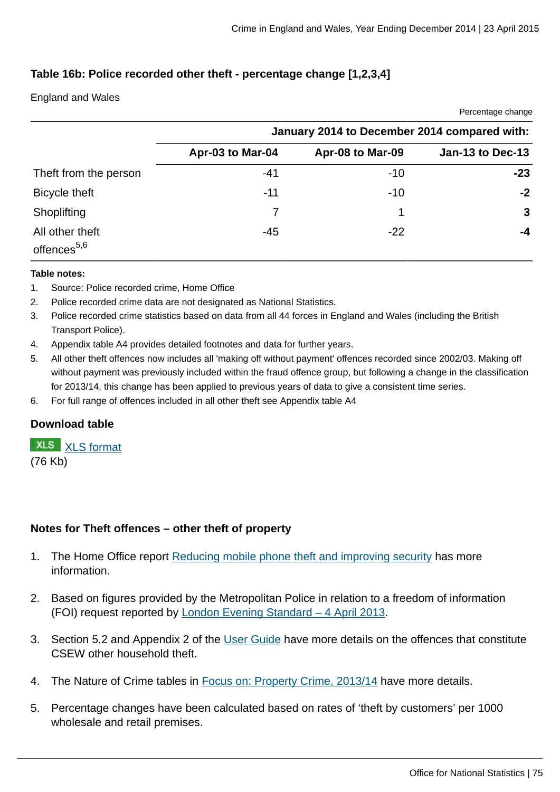Percentage change

# **Table 16b: Police recorded other theft - percentage change [1,2,3,4]**

### England and Wales

|                                            | January 2014 to December 2014 compared with: |                  |                  |  |  |
|--------------------------------------------|----------------------------------------------|------------------|------------------|--|--|
|                                            | Apr-03 to Mar-04                             | Apr-08 to Mar-09 | Jan-13 to Dec-13 |  |  |
| Theft from the person                      | $-41$                                        | $-10$            | $-23$            |  |  |
| Bicycle theft                              | $-11$                                        | $-10$            | $-2$             |  |  |
| Shoplifting                                |                                              |                  | 3                |  |  |
| All other theft<br>offences <sup>5,6</sup> | $-45$                                        | $-22$            | -4               |  |  |

#### **Table notes:**

- 1. Source: Police recorded crime, Home Office
- 2. Police recorded crime data are not designated as National Statistics.
- 3. Police recorded crime statistics based on data from all 44 forces in England and Wales (including the British Transport Police).
- 4. Appendix table A4 provides detailed footnotes and data for further years.
- 5. All other theft offences now includes all 'making off without payment' offences recorded since 2002/03. Making off without payment was previously included within the fraud offence group, but following a change in the classification for 2013/14, this change has been applied to previous years of data to give a consistent time series.
- 6. For full range of offences included in all other theft see Appendix table A4

# **Download table**

**XLS** [XLS format](http://www.ons.gov.uk:80/ons/rel/crime-stats/crime-statistics/year-ending-december-2014/prt-16b.xls) (76 Kb)

# **Notes for Theft offences – other theft of property**

- 1. The Home Office report [Reducing mobile phone theft and improving security](https://www.gov.uk/government/publications/reducing-mobile-phone-theft-and-improving-security) has more information.
- 2. Based on figures provided by the Metropolitan Police in relation to a freedom of information (FOI) request reported by [London Evening Standard – 4 April 2013](http://www.standard.co.uk/news/crime/bike-mugger-phone-thefts-in-london-soar-to-3754-in-a-year-8559784.html).
- 3. Section 5.2 and Appendix 2 of the [User Guide](http://www.ons.gov.uk:80/ons/guide-method/method-quality/specific/crime-statistics-methodology/user-guides/index.html) have more details on the offences that constitute CSEW other household theft.
- 4. The Nature of Crime tables in [Focus on: Property Crime, 2013/14](http://www.ons.gov.uk:80/ons/rel/crime-stats/crime-statistics/focus-on-property-crime--2013-14/index.html) have more details.
- 5. Percentage changes have been calculated based on rates of 'theft by customers' per 1000 wholesale and retail premises.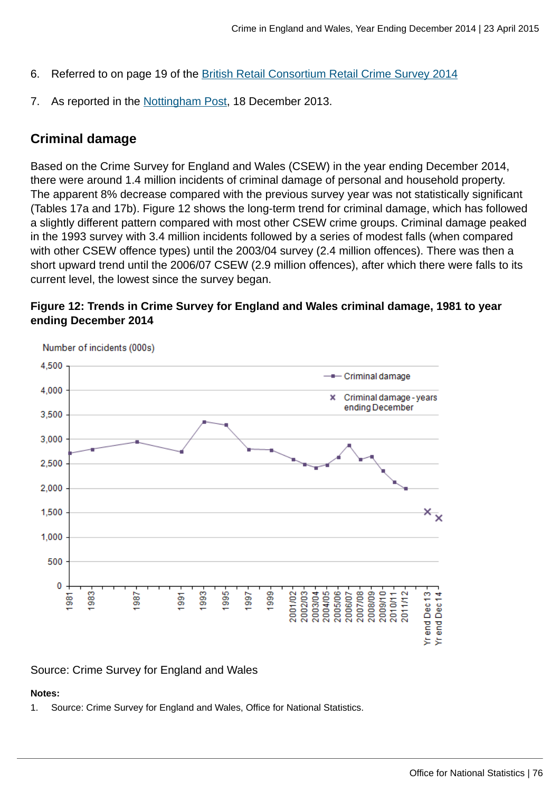- 6. Referred to on page 19 of the [British Retail Consortium Retail Crime Survey 2014](http://www.brc.org.uk/brc_policy_content.asp?iCat=48&iSubCat=646&spolicy=Retail+Crime&sSubPolicy=BRC+Retail+Crime+Survey)
- 7. As reported in the [Nottingham Post](http://www.nottinghampost.com/Nottingham-op-stores-tough-shoplifters/story-20335256-detail/story.html), 18 December 2013.

# **Criminal damage**

Based on the Crime Survey for England and Wales (CSEW) in the year ending December 2014, there were around 1.4 million incidents of criminal damage of personal and household property. The apparent 8% decrease compared with the previous survey year was not statistically significant (Tables 17a and 17b). Figure 12 shows the long-term trend for criminal damage, which has followed a slightly different pattern compared with most other CSEW crime groups. Criminal damage peaked in the 1993 survey with 3.4 million incidents followed by a series of modest falls (when compared with other CSEW offence types) until the 2003/04 survey (2.4 million offences). There was then a short upward trend until the 2006/07 CSEW (2.9 million offences), after which there were falls to its current level, the lowest since the survey began.





### Source: Crime Survey for England and Wales

### **Notes:**

1. Source: Crime Survey for England and Wales, Office for National Statistics.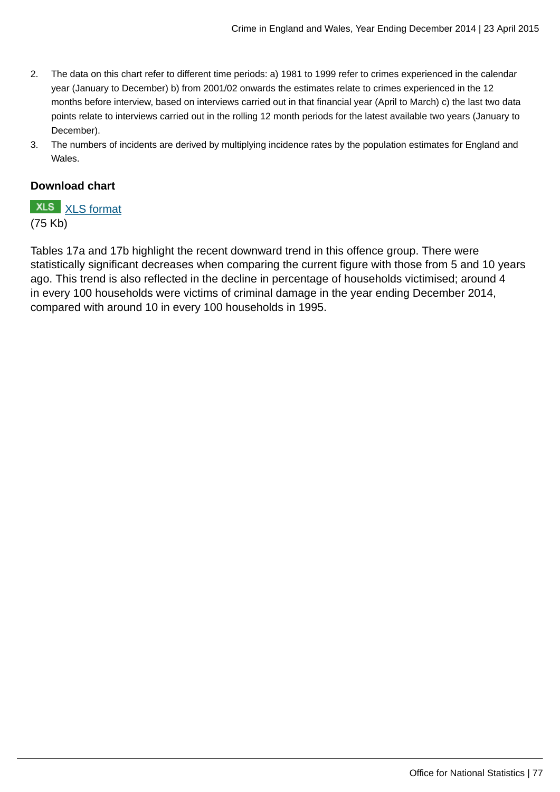- 2. The data on this chart refer to different time periods: a) 1981 to 1999 refer to crimes experienced in the calendar year (January to December) b) from 2001/02 onwards the estimates relate to crimes experienced in the 12 months before interview, based on interviews carried out in that financial year (April to March) c) the last two data points relate to interviews carried out in the rolling 12 month periods for the latest available two years (January to December).
- 3. The numbers of incidents are derived by multiplying incidence rates by the population estimates for England and Wales.

### **Download chart**

**XLS** [XLS format](http://www.ons.gov.uk:80/ons/rel/crime-stats/crime-statistics/year-ending-december-2014/chd-12.xls) (75 Kb)

Tables 17a and 17b highlight the recent downward trend in this offence group. There were statistically significant decreases when comparing the current figure with those from 5 and 10 years ago. This trend is also reflected in the decline in percentage of households victimised; around 4 in every 100 households were victims of criminal damage in the year ending December 2014, compared with around 10 in every 100 households in 1995.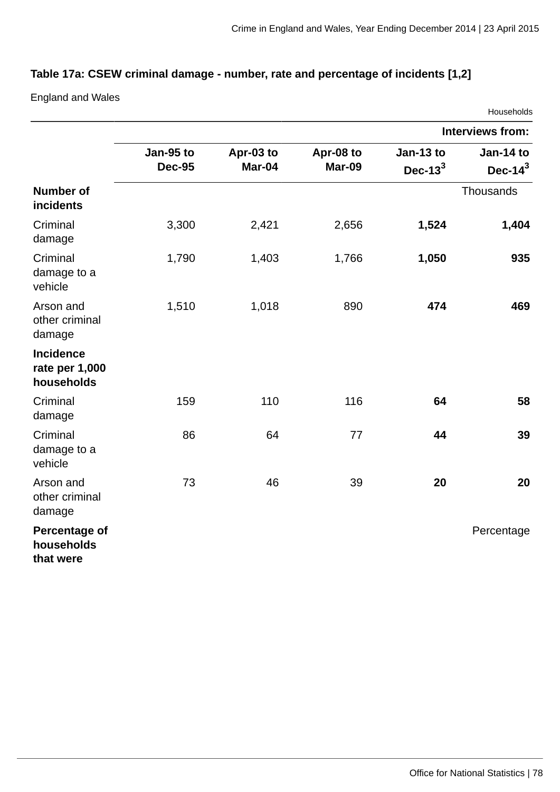# **Table 17a: CSEW criminal damage - number, rate and percentage of incidents [1,2]**

England and Wales

|                                                  |                            |                     |                     |                          | Households               |
|--------------------------------------------------|----------------------------|---------------------|---------------------|--------------------------|--------------------------|
|                                                  |                            |                     |                     |                          | <b>Interviews from:</b>  |
|                                                  | Jan-95 to<br><b>Dec-95</b> | Apr-03 to<br>Mar-04 | Apr-08 to<br>Mar-09 | Jan-13 to<br>Dec- $13^3$ | Jan-14 to<br>Dec- $14^3$ |
| <b>Number of</b><br>incidents                    |                            |                     |                     |                          | Thousands                |
| Criminal<br>damage                               | 3,300                      | 2,421               | 2,656               | 1,524                    | 1,404                    |
| Criminal<br>damage to a<br>vehicle               | 1,790                      | 1,403               | 1,766               | 1,050                    | 935                      |
| Arson and<br>other criminal<br>damage            | 1,510                      | 1,018               | 890                 | 474                      | 469                      |
| <b>Incidence</b><br>rate per 1,000<br>households |                            |                     |                     |                          |                          |
| Criminal<br>damage                               | 159                        | 110                 | 116                 | 64                       | 58                       |
| Criminal<br>damage to a<br>vehicle               | 86                         | 64                  | 77                  | 44                       | 39                       |
| Arson and<br>other criminal<br>damage            | 73                         | 46                  | 39                  | 20                       | 20                       |
| <b>Percentage of</b><br>households<br>that were  |                            |                     |                     |                          | Percentage               |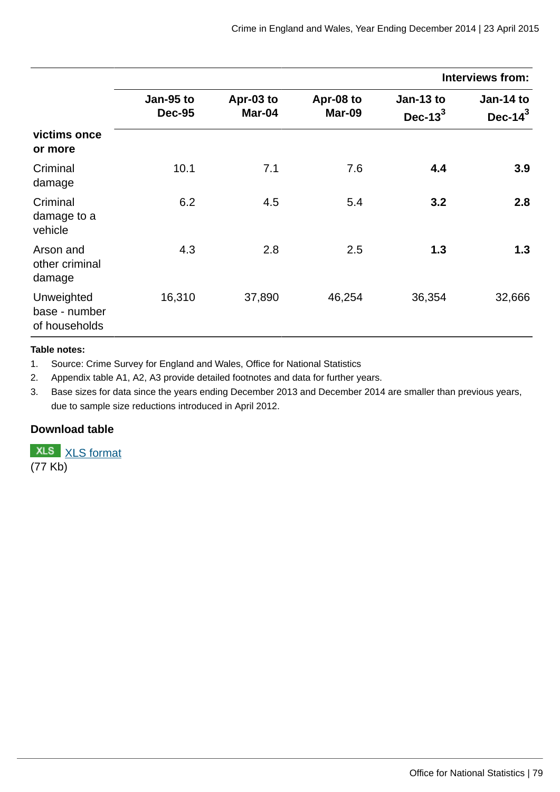|                                              |                            |                     |                     |                          | <b>Interviews from:</b>  |
|----------------------------------------------|----------------------------|---------------------|---------------------|--------------------------|--------------------------|
|                                              | Jan-95 to<br><b>Dec-95</b> | Apr-03 to<br>Mar-04 | Apr-08 to<br>Mar-09 | Jan-13 to<br>Dec- $13^3$ | Jan-14 to<br>Dec- $14^3$ |
| victims once<br>or more                      |                            |                     |                     |                          |                          |
| Criminal<br>damage                           | 10.1                       | 7.1                 | 7.6                 | 4.4                      | 3.9                      |
| Criminal<br>damage to a<br>vehicle           | 6.2                        | 4.5                 | 5.4                 | 3.2                      | 2.8                      |
| Arson and<br>other criminal<br>damage        | 4.3                        | 2.8                 | 2.5                 | 1.3                      | 1.3                      |
| Unweighted<br>base - number<br>of households | 16,310                     | 37,890              | 46,254              | 36,354                   | 32,666                   |

#### **Table notes:**

1. Source: Crime Survey for England and Wales, Office for National Statistics

2. Appendix table A1, A2, A3 provide detailed footnotes and data for further years.

3. Base sizes for data since the years ending December 2013 and December 2014 are smaller than previous years, due to sample size reductions introduced in April 2012.

### **Download table**

**XLS** [XLS format](http://www.ons.gov.uk:80/ons/rel/crime-stats/crime-statistics/year-ending-december-2014/prt-17a.xls) (77 Kb)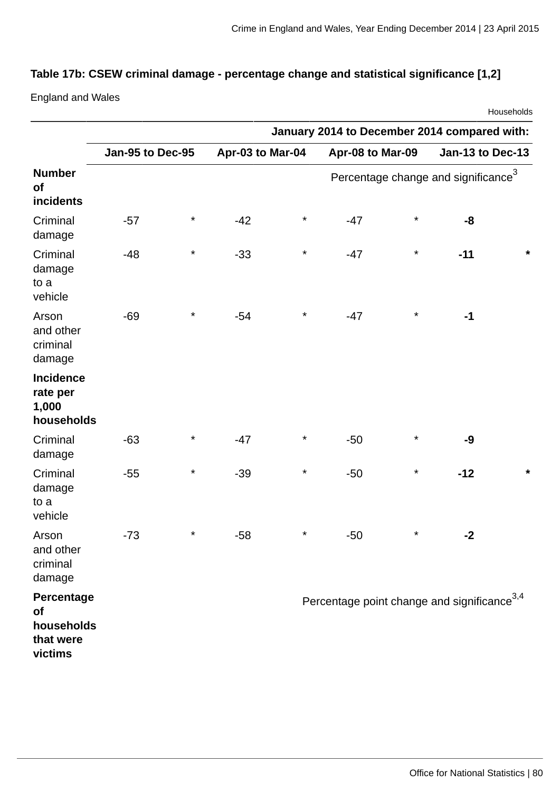# **Table 17b: CSEW criminal damage - percentage change and statistical significance [1,2]**

England and Wales

|                                                        |                  |          |                  |          |                                                         |          |                                                 | Households |
|--------------------------------------------------------|------------------|----------|------------------|----------|---------------------------------------------------------|----------|-------------------------------------------------|------------|
|                                                        |                  |          |                  |          | January 2014 to December 2014 compared with:            |          |                                                 |            |
|                                                        | Jan-95 to Dec-95 |          | Apr-03 to Mar-04 |          | Apr-08 to Mar-09                                        |          | Jan-13 to Dec-13                                |            |
| <b>Number</b><br>of<br>incidents                       |                  |          |                  |          |                                                         |          | Percentage change and significance <sup>3</sup> |            |
| Criminal<br>damage                                     | $-57$            | $^\star$ | $-42$            | $^\star$ | $-47$                                                   | $\star$  | -8                                              |            |
| Criminal<br>damage<br>to a<br>vehicle                  | $-48$            | $^\star$ | $-33$            | $^\star$ | $-47$                                                   | $\star$  | $-11$                                           | *          |
| Arson<br>and other<br>criminal<br>damage               | $-69$            | $^\star$ | $-54$            | $^\star$ | $-47$                                                   | $\star$  | $-1$                                            |            |
| <b>Incidence</b><br>rate per<br>1,000<br>households    |                  |          |                  |          |                                                         |          |                                                 |            |
| Criminal<br>damage                                     | $-63$            | $^\star$ | $-47$            | $^\star$ | $-50$                                                   | $\star$  | $-9$                                            |            |
| Criminal<br>damage<br>to a<br>vehicle                  | $-55$            | $^\star$ | $-39$            | $^\star$ | $-50$                                                   | $\star$  | $-12$                                           | $\star$    |
| Arson<br>and other<br>criminal<br>damage               | $-73$            | $^\star$ | $-58$            | $^\star$ | $-50$                                                   | $^\star$ | $-2$                                            |            |
| Percentage<br>of<br>households<br>that were<br>victims |                  |          |                  |          | Percentage point change and significance <sup>3,4</sup> |          |                                                 |            |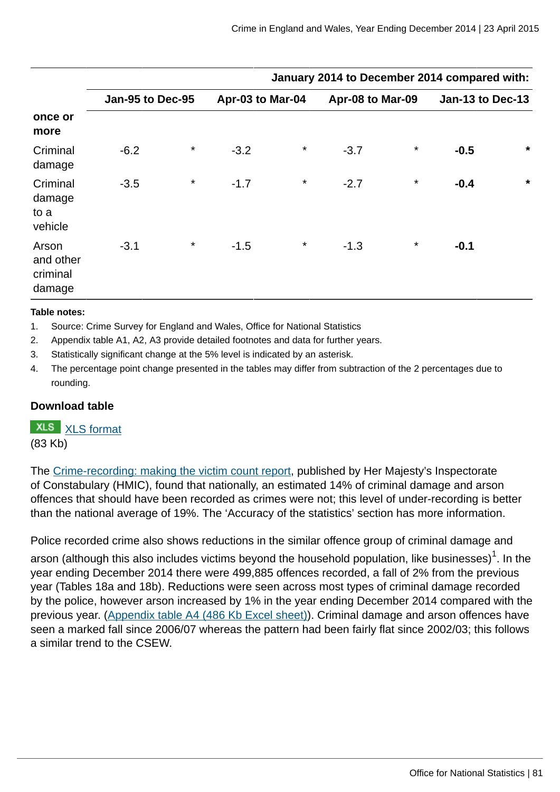|                                          |                  |          |                  |         | January 2014 to December 2014 compared with: |          |                         |         |
|------------------------------------------|------------------|----------|------------------|---------|----------------------------------------------|----------|-------------------------|---------|
|                                          | Jan-95 to Dec-95 |          | Apr-03 to Mar-04 |         | Apr-08 to Mar-09                             |          | <b>Jan-13 to Dec-13</b> |         |
| once or<br>more                          |                  |          |                  |         |                                              |          |                         |         |
| Criminal<br>damage                       | $-6.2$           | $^\star$ | $-3.2$           | $\star$ | $-3.7$                                       | $\star$  | $-0.5$                  | $\star$ |
| Criminal<br>damage<br>to a<br>vehicle    | $-3.5$           | $^\star$ | $-1.7$           | $\star$ | $-2.7$                                       | $^\star$ | $-0.4$                  | $\star$ |
| Arson<br>and other<br>criminal<br>damage | $-3.1$           | $\star$  | $-1.5$           | $\star$ | $-1.3$                                       | $^\star$ | $-0.1$                  |         |

#### **Table notes:**

- 1. Source: Crime Survey for England and Wales, Office for National Statistics
- 2. Appendix table A1, A2, A3 provide detailed footnotes and data for further years.
- 3. Statistically significant change at the 5% level is indicated by an asterisk.
- 4. The percentage point change presented in the tables may differ from subtraction of the 2 percentages due to rounding.

### **Download table**

# **XLS** [XLS format](http://www.ons.gov.uk:80/ons/rel/crime-stats/crime-statistics/year-ending-december-2014/prt-17b.xls)

(83 Kb)

The [Crime-recording: making the victim count report](https://www.justiceinspectorates.gov.uk/hmic/publication/crime-recording-making-the-victim-count/), published by Her Majesty's Inspectorate of Constabulary (HMIC), found that nationally, an estimated 14% of criminal damage and arson offences that should have been recorded as crimes were not; this level of under-recording is better than the national average of 19%. The 'Accuracy of the statistics' section has more information.

Police recorded crime also shows reductions in the similar offence group of criminal damage and

arson (although this also includes victims beyond the household population, like businesses) $^{\rm 1}$ . In the year ending December 2014 there were 499,885 offences recorded, a fall of 2% from the previous year (Tables 18a and 18b). Reductions were seen across most types of criminal damage recorded by the police, however arson increased by 1% in the year ending December 2014 compared with the previous year. [\(Appendix table A4 \(486 Kb Excel sheet\)](http://www.ons.gov.uk:80/ons/rel/crime-stats/crime-statistics/year-ending-december-2014/rft-2.xls)). Criminal damage and arson offences have seen a marked fall since 2006/07 whereas the pattern had been fairly flat since 2002/03; this follows a similar trend to the CSEW.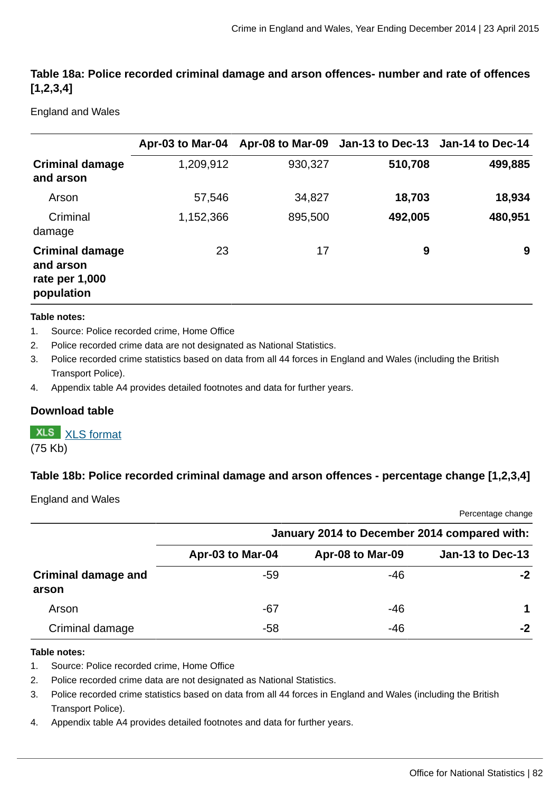# **Table 18a: Police recorded criminal damage and arson offences- number and rate of offences [1,2,3,4]**

England and Wales

|                                                                     | Apr-03 to Mar-04 |         | Apr-08 to Mar-09 Jan-13 to Dec-13 Jan-14 to Dec-14 |         |
|---------------------------------------------------------------------|------------------|---------|----------------------------------------------------|---------|
| <b>Criminal damage</b><br>and arson                                 | 1,209,912        | 930,327 | 510,708                                            | 499,885 |
| Arson                                                               | 57,546           | 34,827  | 18,703                                             | 18,934  |
| Criminal<br>damage                                                  | 1,152,366        | 895,500 | 492,005                                            | 480,951 |
| <b>Criminal damage</b><br>and arson<br>rate per 1,000<br>population | 23               | 17      | 9                                                  | 9       |

#### **Table notes:**

- 1. Source: Police recorded crime, Home Office
- 2. Police recorded crime data are not designated as National Statistics.
- 3. Police recorded crime statistics based on data from all 44 forces in England and Wales (including the British Transport Police).
- 4. Appendix table A4 provides detailed footnotes and data for further years.

### **Download table**

# **XLS** [XLS format](http://www.ons.gov.uk:80/ons/rel/crime-stats/crime-statistics/year-ending-december-2014/prt-18a.xls)

(75 Kb)

### **Table 18b: Police recorded criminal damage and arson offences - percentage change [1,2,3,4]**

England and Wales

Percentage change

|                                     | January 2014 to December 2014 compared with: |                  |                         |  |  |
|-------------------------------------|----------------------------------------------|------------------|-------------------------|--|--|
|                                     | Apr-03 to Mar-04                             | Apr-08 to Mar-09 | <b>Jan-13 to Dec-13</b> |  |  |
| <b>Criminal damage and</b><br>arson | -59                                          | -46              | -2                      |  |  |
| Arson                               | $-67$                                        | $-46$            | 1                       |  |  |
| Criminal damage                     | -58                                          | $-46$            | $-2$                    |  |  |

#### **Table notes:**

- 1. Source: Police recorded crime, Home Office
- 2. Police recorded crime data are not designated as National Statistics.
- 3. Police recorded crime statistics based on data from all 44 forces in England and Wales (including the British Transport Police).
- 4. Appendix table A4 provides detailed footnotes and data for further years.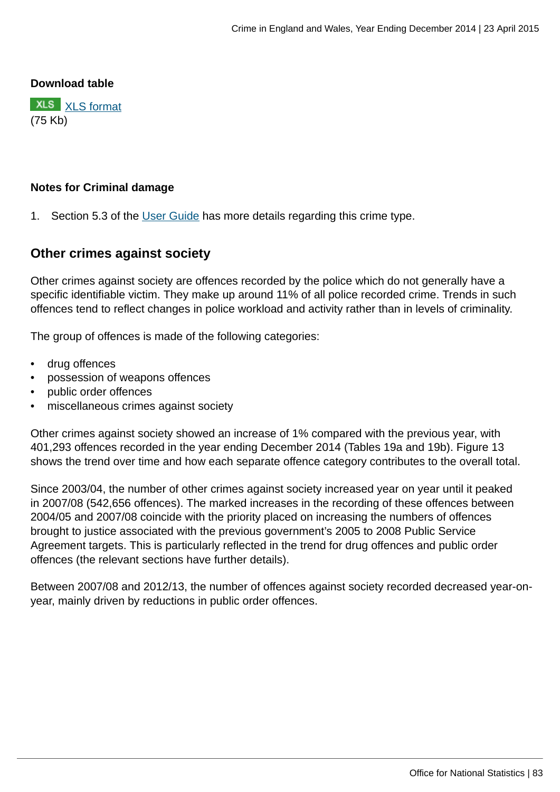### **Download table**

**XLS** [XLS format](http://www.ons.gov.uk:80/ons/rel/crime-stats/crime-statistics/year-ending-december-2014/prt-18b.xls) (75 Kb)

### **Notes for Criminal damage**

1. Section 5.3 of the [User Guide](http://www.ons.gov.uk:80/ons/guide-method/method-quality/specific/crime-statistics-methodology/user-guides/index.html) has more details regarding this crime type.

# **Other crimes against society**

Other crimes against society are offences recorded by the police which do not generally have a specific identifiable victim. They make up around 11% of all police recorded crime. Trends in such offences tend to reflect changes in police workload and activity rather than in levels of criminality.

The group of offences is made of the following categories:

- drug offences
- possession of weapons offences
- public order offences
- miscellaneous crimes against society

Other crimes against society showed an increase of 1% compared with the previous year, with 401,293 offences recorded in the year ending December 2014 (Tables 19a and 19b). Figure 13 shows the trend over time and how each separate offence category contributes to the overall total.

Since 2003/04, the number of other crimes against society increased year on year until it peaked in 2007/08 (542,656 offences). The marked increases in the recording of these offences between 2004/05 and 2007/08 coincide with the priority placed on increasing the numbers of offences brought to justice associated with the previous government's 2005 to 2008 Public Service Agreement targets. This is particularly reflected in the trend for drug offences and public order offences (the relevant sections have further details).

Between 2007/08 and 2012/13, the number of offences against society recorded decreased year-onyear, mainly driven by reductions in public order offences.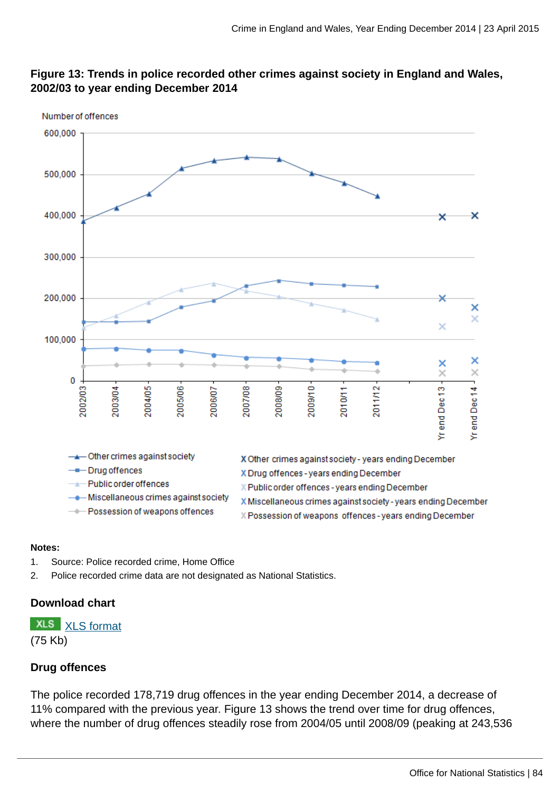

# **Figure 13: Trends in police recorded other crimes against society in England and Wales, 2002/03 to year ending December 2014**

#### **Notes:**

- 1. Source: Police recorded crime, Home Office
- 2. Police recorded crime data are not designated as National Statistics.

### **Download chart**

**XLS** [XLS format](http://www.ons.gov.uk:80/ons/rel/crime-stats/crime-statistics/year-ending-december-2014/chd-13.xls) (75 Kb)

# **Drug offences**

The police recorded 178,719 drug offences in the year ending December 2014, a decrease of 11% compared with the previous year. Figure 13 shows the trend over time for drug offences, where the number of drug offences steadily rose from 2004/05 until 2008/09 (peaking at 243,536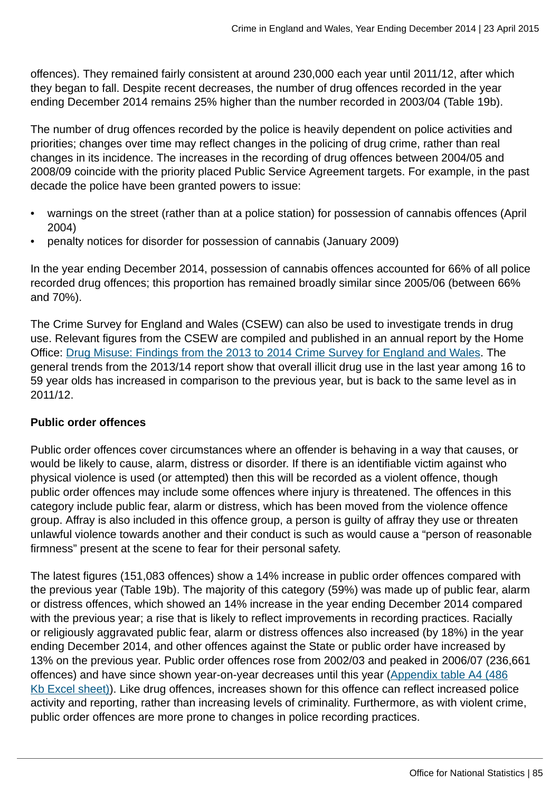offences). They remained fairly consistent at around 230,000 each year until 2011/12, after which they began to fall. Despite recent decreases, the number of drug offences recorded in the year ending December 2014 remains 25% higher than the number recorded in 2003/04 (Table 19b).

The number of drug offences recorded by the police is heavily dependent on police activities and priorities; changes over time may reflect changes in the policing of drug crime, rather than real changes in its incidence. The increases in the recording of drug offences between 2004/05 and 2008/09 coincide with the priority placed Public Service Agreement targets. For example, in the past decade the police have been granted powers to issue:

- warnings on the street (rather than at a police station) for possession of cannabis offences (April 2004)
- penalty notices for disorder for possession of cannabis (January 2009)

In the year ending December 2014, possession of cannabis offences accounted for 66% of all police recorded drug offences; this proportion has remained broadly similar since 2005/06 (between 66% and 70%).

The Crime Survey for England and Wales (CSEW) can also be used to investigate trends in drug use. Relevant figures from the CSEW are compiled and published in an annual report by the Home Office: [Drug Misuse: Findings from the 2013 to 2014 Crime Survey for England and Wales](https://www.gov.uk/government/statistics/drug-misuse-findings-from-the-2013-to-2014-csew). The general trends from the 2013/14 report show that overall illicit drug use in the last year among 16 to 59 year olds has increased in comparison to the previous year, but is back to the same level as in 2011/12.

### **Public order offences**

Public order offences cover circumstances where an offender is behaving in a way that causes, or would be likely to cause, alarm, distress or disorder. If there is an identifiable victim against who physical violence is used (or attempted) then this will be recorded as a violent offence, though public order offences may include some offences where injury is threatened. The offences in this category include public fear, alarm or distress, which has been moved from the violence offence group. Affray is also included in this offence group, a person is guilty of affray they use or threaten unlawful violence towards another and their conduct is such as would cause a "person of reasonable firmness" present at the scene to fear for their personal safety.

The latest figures (151,083 offences) show a 14% increase in public order offences compared with the previous year (Table 19b). The majority of this category (59%) was made up of public fear, alarm or distress offences, which showed an 14% increase in the year ending December 2014 compared with the previous year; a rise that is likely to reflect improvements in recording practices. Racially or religiously aggravated public fear, alarm or distress offences also increased (by 18%) in the year ending December 2014, and other offences against the State or public order have increased by 13% on the previous year. Public order offences rose from 2002/03 and peaked in 2006/07 (236,661 offences) and have since shown year-on-year decreases until this year ([Appendix table A4 \(486](http://www.ons.gov.uk:80/ons/rel/crime-stats/crime-statistics/year-ending-december-2014/rft-2.xls) [Kb Excel sheet\)](http://www.ons.gov.uk:80/ons/rel/crime-stats/crime-statistics/year-ending-december-2014/rft-2.xls)). Like drug offences, increases shown for this offence can reflect increased police activity and reporting, rather than increasing levels of criminality. Furthermore, as with violent crime, public order offences are more prone to changes in police recording practices.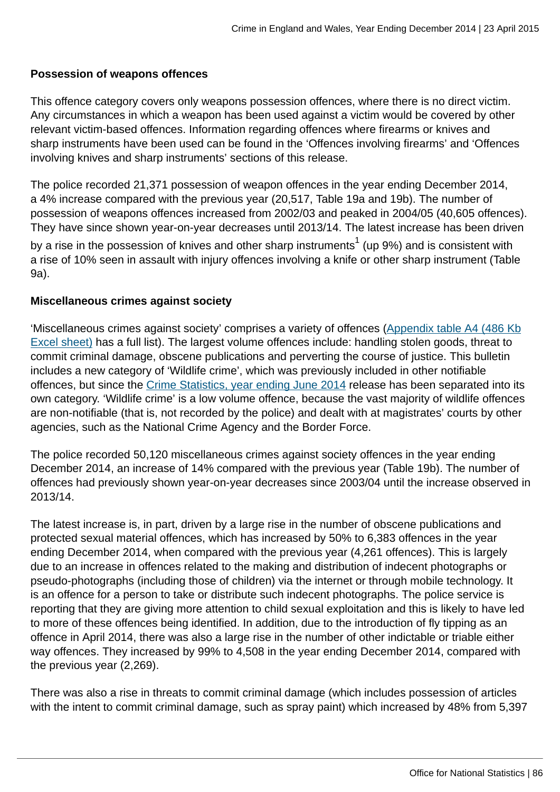### **Possession of weapons offences**

This offence category covers only weapons possession offences, where there is no direct victim. Any circumstances in which a weapon has been used against a victim would be covered by other relevant victim-based offences. Information regarding offences where firearms or knives and sharp instruments have been used can be found in the 'Offences involving firearms' and 'Offences involving knives and sharp instruments' sections of this release.

The police recorded 21,371 possession of weapon offences in the year ending December 2014, a 4% increase compared with the previous year (20,517, Table 19a and 19b). The number of possession of weapons offences increased from 2002/03 and peaked in 2004/05 (40,605 offences). They have since shown year-on-year decreases until 2013/14. The latest increase has been driven by a rise in the possession of knives and other sharp instruments $^1$  (up 9%) and is consistent with a rise of 10% seen in assault with injury offences involving a knife or other sharp instrument (Table 9a).

### **Miscellaneous crimes against society**

'Miscellaneous crimes against society' comprises a variety of offences ([Appendix table A4 \(486 Kb](http://www.ons.gov.uk:80/ons/rel/crime-stats/crime-statistics/year-ending-december-2014/rft-2.xls) [Excel sheet\)](http://www.ons.gov.uk:80/ons/rel/crime-stats/crime-statistics/year-ending-december-2014/rft-2.xls) has a full list). The largest volume offences include: handling stolen goods, threat to commit criminal damage, obscene publications and perverting the course of justice. This bulletin includes a new category of 'Wildlife crime', which was previously included in other notifiable offences, but since the [Crime Statistics, year ending June 2014](http://www.ons.gov.uk:80/ons/rel/crime-stats/crime-statistics/period-ending-june-2014/index.html) release has been separated into its own category. 'Wildlife crime' is a low volume offence, because the vast majority of wildlife offences are non-notifiable (that is, not recorded by the police) and dealt with at magistrates' courts by other agencies, such as the National Crime Agency and the Border Force.

The police recorded 50,120 miscellaneous crimes against society offences in the year ending December 2014, an increase of 14% compared with the previous year (Table 19b). The number of offences had previously shown year-on-year decreases since 2003/04 until the increase observed in 2013/14.

The latest increase is, in part, driven by a large rise in the number of obscene publications and protected sexual material offences, which has increased by 50% to 6,383 offences in the year ending December 2014, when compared with the previous year (4,261 offences). This is largely due to an increase in offences related to the making and distribution of indecent photographs or pseudo-photographs (including those of children) via the internet or through mobile technology. It is an offence for a person to take or distribute such indecent photographs. The police service is reporting that they are giving more attention to child sexual exploitation and this is likely to have led to more of these offences being identified. In addition, due to the introduction of fly tipping as an offence in April 2014, there was also a large rise in the number of other indictable or triable either way offences. They increased by 99% to 4,508 in the year ending December 2014, compared with the previous year (2,269).

There was also a rise in threats to commit criminal damage (which includes possession of articles with the intent to commit criminal damage, such as spray paint) which increased by 48% from 5,397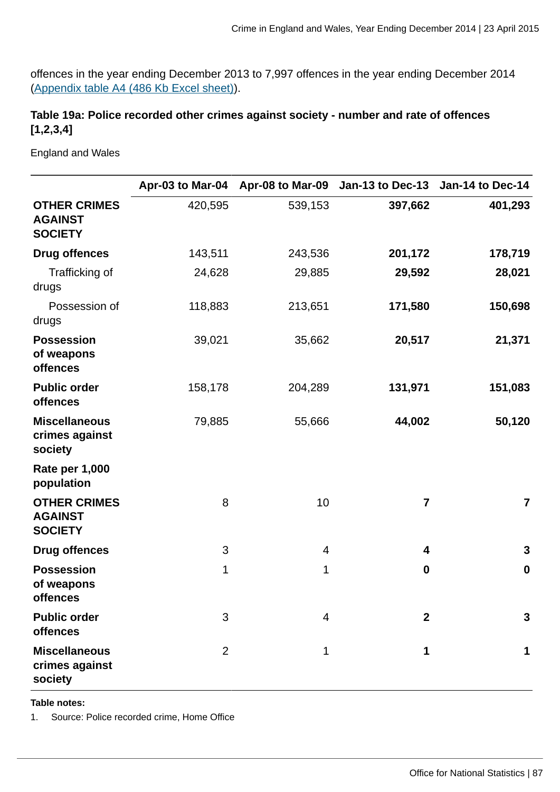offences in the year ending December 2013 to 7,997 offences in the year ending December 2014 [\(Appendix table A4 \(486 Kb Excel sheet\)](http://www.ons.gov.uk:80/ons/rel/crime-stats/crime-statistics/year-ending-december-2014/rft-2.xls)).

# **Table 19a: Police recorded other crimes against society - number and rate of offences [1,2,3,4]**

England and Wales

|                                                         |                | Apr-03 to Mar-04 Apr-08 to Mar-09 | Jan-13 to Dec-13 Jan-14 to Dec-14 |                         |
|---------------------------------------------------------|----------------|-----------------------------------|-----------------------------------|-------------------------|
| <b>OTHER CRIMES</b><br><b>AGAINST</b><br><b>SOCIETY</b> | 420,595        | 539,153                           | 397,662                           | 401,293                 |
| <b>Drug offences</b>                                    | 143,511        | 243,536                           | 201,172                           | 178,719                 |
| Trafficking of<br>drugs                                 | 24,628         | 29,885                            | 29,592                            | 28,021                  |
| Possession of<br>drugs                                  | 118,883        | 213,651                           | 171,580                           | 150,698                 |
| <b>Possession</b><br>of weapons<br>offences             | 39,021         | 35,662                            | 20,517                            | 21,371                  |
| <b>Public order</b><br>offences                         | 158,178        | 204,289                           | 131,971                           | 151,083                 |
| <b>Miscellaneous</b><br>crimes against<br>society       | 79,885         | 55,666                            | 44,002                            | 50,120                  |
| <b>Rate per 1,000</b><br>population                     |                |                                   |                                   |                         |
| <b>OTHER CRIMES</b><br><b>AGAINST</b><br><b>SOCIETY</b> | 8              | 10                                | 7                                 | $\overline{\mathbf{7}}$ |
| <b>Drug offences</b>                                    | 3              | 4                                 | 4                                 | 3                       |
| <b>Possession</b><br>of weapons<br>offences             | $\mathbf{1}$   | 1                                 | $\boldsymbol{0}$                  | $\boldsymbol{0}$        |
| <b>Public order</b><br><b>offences</b>                  | 3              | 4                                 | $\mathbf{2}$                      | 3                       |
| <b>Miscellaneous</b><br>crimes against<br>society       | $\overline{2}$ | 1                                 | 1                                 | 1                       |

**Table notes:**

1. Source: Police recorded crime, Home Office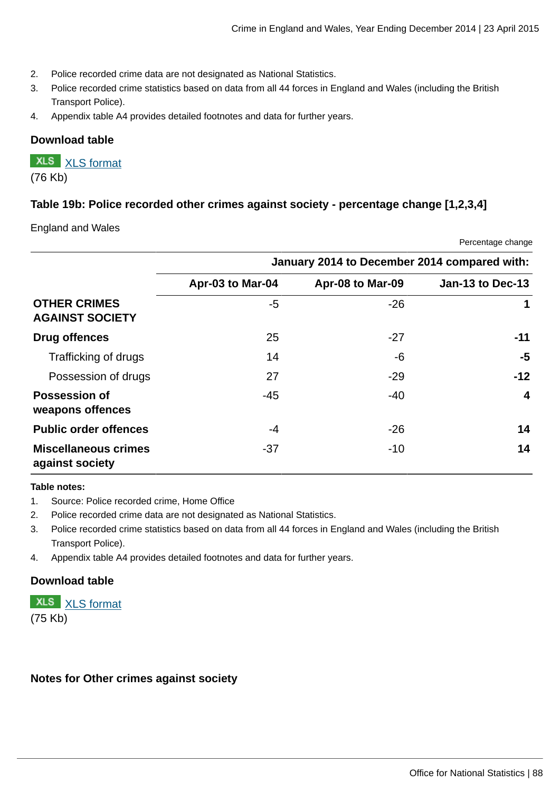- 2. Police recorded crime data are not designated as National Statistics.
- 3. Police recorded crime statistics based on data from all 44 forces in England and Wales (including the British Transport Police).
- 4. Appendix table A4 provides detailed footnotes and data for further years.

### **Download table**

**XLS** [XLS format](http://www.ons.gov.uk:80/ons/rel/crime-stats/crime-statistics/year-ending-december-2014/prt-19a.xls)

# (76 Kb)

### **Table 19b: Police recorded other crimes against society - percentage change [1,2,3,4]**

England and Wales

|                                                | January 2014 to December 2014 compared with: |                  |                  |  |  |  |
|------------------------------------------------|----------------------------------------------|------------------|------------------|--|--|--|
|                                                | Apr-03 to Mar-04                             | Apr-08 to Mar-09 | Jan-13 to Dec-13 |  |  |  |
| <b>OTHER CRIMES</b><br><b>AGAINST SOCIETY</b>  | -5                                           | $-26$            | 1                |  |  |  |
| Drug offences                                  | 25                                           | $-27$            | $-11$            |  |  |  |
| Trafficking of drugs                           | 14                                           | $-6$             | -5               |  |  |  |
| Possession of drugs                            | 27                                           | $-29$            | $-12$            |  |  |  |
| <b>Possession of</b><br>weapons offences       | -45                                          | $-40$            | $\overline{4}$   |  |  |  |
| <b>Public order offences</b>                   | -4                                           | $-26$            | 14               |  |  |  |
| <b>Miscellaneous crimes</b><br>against society | $-37$                                        | $-10$            | 14               |  |  |  |

#### **Table notes:**

- 1. Source: Police recorded crime, Home Office
- 2. Police recorded crime data are not designated as National Statistics.
- 3. Police recorded crime statistics based on data from all 44 forces in England and Wales (including the British Transport Police).
- 4. Appendix table A4 provides detailed footnotes and data for further years.

### **Download table**

**XLS** [XLS format](http://www.ons.gov.uk:80/ons/rel/crime-stats/crime-statistics/year-ending-december-2014/prt-19b.xls) (75 Kb)

#### **Notes for Other crimes against society**

Percentage change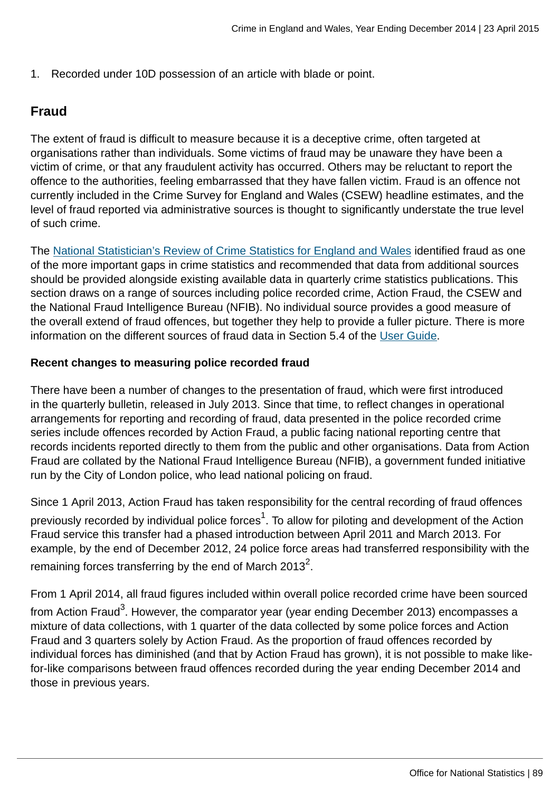1. Recorded under 10D possession of an article with blade or point.

# **Fraud**

The extent of fraud is difficult to measure because it is a deceptive crime, often targeted at organisations rather than individuals. Some victims of fraud may be unaware they have been a victim of crime, or that any fraudulent activity has occurred. Others may be reluctant to report the offence to the authorities, feeling embarrassed that they have fallen victim. Fraud is an offence not currently included in the Crime Survey for England and Wales (CSEW) headline estimates, and the level of fraud reported via administrative sources is thought to significantly understate the true level of such crime.

The [National Statistician's Review of Crime Statistics for England and Wales](http://www.statisticsauthority.gov.uk/national-statistician/ns-reports--reviews-and-guidance/national-statistician-s-reviews/national-statistician-s-review-of-crime-statistics.html) identified fraud as one of the more important gaps in crime statistics and recommended that data from additional sources should be provided alongside existing available data in quarterly crime statistics publications. This section draws on a range of sources including police recorded crime, Action Fraud, the CSEW and the National Fraud Intelligence Bureau (NFIB). No individual source provides a good measure of the overall extend of fraud offences, but together they help to provide a fuller picture. There is more information on the different sources of fraud data in Section 5.4 of the [User Guide](http://www.ons.gov.uk:80/ons/guide-method/method-quality/specific/crime-statistics-methodology/user-guides/index.html).

### **Recent changes to measuring police recorded fraud**

There have been a number of changes to the presentation of fraud, which were first introduced in the quarterly bulletin, released in July 2013. Since that time, to reflect changes in operational arrangements for reporting and recording of fraud, data presented in the police recorded crime series include offences recorded by Action Fraud, a public facing national reporting centre that records incidents reported directly to them from the public and other organisations. Data from Action Fraud are collated by the National Fraud Intelligence Bureau (NFIB), a government funded initiative run by the City of London police, who lead national policing on fraud.

Since 1 April 2013, Action Fraud has taken responsibility for the central recording of fraud offences previously recorded by individual police forces $^1$ . To allow for piloting and development of the Action Fraud service this transfer had a phased introduction between April 2011 and March 2013. For example, by the end of December 2012, 24 police force areas had transferred responsibility with the remaining forces transferring by the end of March 2013 $^2$ .

From 1 April 2014, all fraud figures included within overall police recorded crime have been sourced from Action Fraud<sup>3</sup>. However, the comparator year (year ending December 2013) encompasses a mixture of data collections, with 1 quarter of the data collected by some police forces and Action Fraud and 3 quarters solely by Action Fraud. As the proportion of fraud offences recorded by individual forces has diminished (and that by Action Fraud has grown), it is not possible to make likefor-like comparisons between fraud offences recorded during the year ending December 2014 and those in previous years.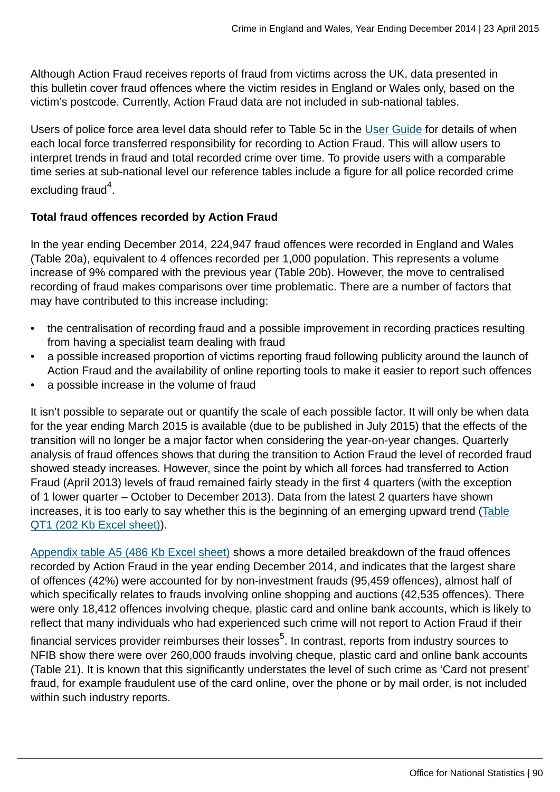Although Action Fraud receives reports of fraud from victims across the UK, data presented in this bulletin cover fraud offences where the victim resides in England or Wales only, based on the victim's postcode. Currently, Action Fraud data are not included in sub-national tables.

Users of police force area level data should refer to Table 5c in the [User Guide](http://www.ons.gov.uk:80/ons/guide-method/method-quality/specific/crime-statistics-methodology/user-guides/index.html) for details of when each local force transferred responsibility for recording to Action Fraud. This will allow users to interpret trends in fraud and total recorded crime over time. To provide users with a comparable time series at sub-national level our reference tables include a figure for all police recorded crime excluding fraud $^4$ .

### **Total fraud offences recorded by Action Fraud**

In the year ending December 2014, 224,947 fraud offences were recorded in England and Wales (Table 20a), equivalent to 4 offences recorded per 1,000 population. This represents a volume increase of 9% compared with the previous year (Table 20b). However, the move to centralised recording of fraud makes comparisons over time problematic. There are a number of factors that may have contributed to this increase including:

- the centralisation of recording fraud and a possible improvement in recording practices resulting from having a specialist team dealing with fraud
- a possible increased proportion of victims reporting fraud following publicity around the launch of Action Fraud and the availability of online reporting tools to make it easier to report such offences
- a possible increase in the volume of fraud

It isn't possible to separate out or quantify the scale of each possible factor. It will only be when data for the year ending March 2015 is available (due to be published in July 2015) that the effects of the transition will no longer be a major factor when considering the year-on-year changes. Quarterly analysis of fraud offences shows that during the transition to Action Fraud the level of recorded fraud showed steady increases. However, since the point by which all forces had transferred to Action Fraud (April 2013) levels of fraud remained fairly steady in the first 4 quarters (with the exception of 1 lower quarter – October to December 2013). Data from the latest 2 quarters have shown increases, it is too early to say whether this is the beginning of an emerging upward trend [\(Table](http://www.ons.gov.uk:80/ons/rel/crime-stats/crime-statistics/year-ending-december-2014/rft-3.xls) [QT1 \(202 Kb Excel sheet\)](http://www.ons.gov.uk:80/ons/rel/crime-stats/crime-statistics/year-ending-december-2014/rft-3.xls)).

[Appendix table A5 \(486 Kb Excel sheet\)](http://www.ons.gov.uk:80/ons/rel/crime-stats/crime-statistics/year-ending-december-2014/rft-2.xls) shows a more detailed breakdown of the fraud offences recorded by Action Fraud in the year ending December 2014, and indicates that the largest share of offences (42%) were accounted for by non-investment frauds (95,459 offences), almost half of which specifically relates to frauds involving online shopping and auctions (42,535 offences). There were only 18,412 offences involving cheque, plastic card and online bank accounts, which is likely to reflect that many individuals who had experienced such crime will not report to Action Fraud if their

financial services provider reimburses their losses<sup>5</sup>. In contrast, reports from industry sources to NFIB show there were over 260,000 frauds involving cheque, plastic card and online bank accounts (Table 21). It is known that this significantly understates the level of such crime as 'Card not present' fraud, for example fraudulent use of the card online, over the phone or by mail order, is not included within such industry reports.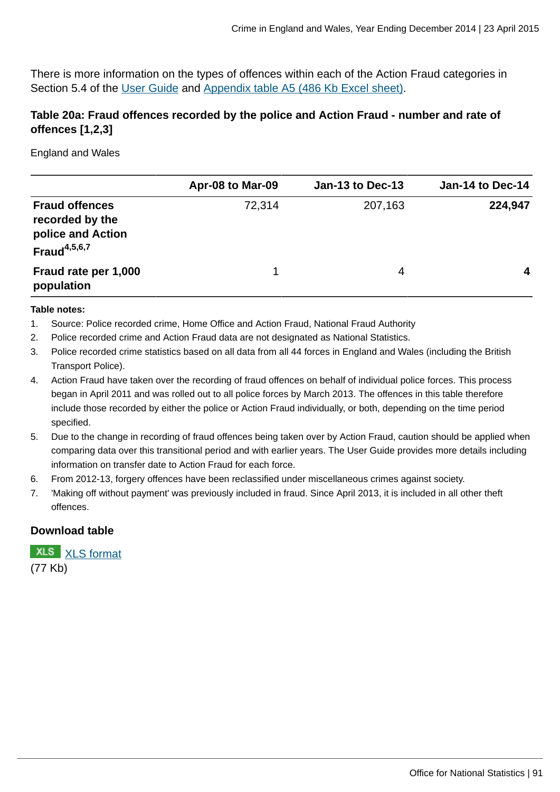There is more information on the types of offences within each of the Action Fraud categories in Section 5.4 of the [User Guide](http://www.ons.gov.uk:80/ons/guide-method/method-quality/specific/crime-statistics-methodology/user-guides/index.html) and [Appendix table A5 \(486 Kb Excel sheet\)](http://www.ons.gov.uk:80/ons/rel/crime-stats/crime-statistics/year-ending-december-2014/rft-2.xls).

# **Table 20a: Fraud offences recorded by the police and Action Fraud - number and rate of offences [1,2,3]**

England and Wales

|                                                                                  | Apr-08 to Mar-09 | Jan-13 to Dec-13 | Jan-14 to Dec-14 |
|----------------------------------------------------------------------------------|------------------|------------------|------------------|
| <b>Fraud offences</b><br>recorded by the<br>police and Action<br>Fraud $4,5,6,7$ | 72,314           | 207,163          | 224,947          |
| Fraud rate per 1,000<br>population                                               | 1                | 4                | 4                |

#### **Table notes:**

- 1. Source: Police recorded crime, Home Office and Action Fraud, National Fraud Authority
- 2. Police recorded crime and Action Fraud data are not designated as National Statistics.
- 3. Police recorded crime statistics based on all data from all 44 forces in England and Wales (including the British Transport Police).
- 4. Action Fraud have taken over the recording of fraud offences on behalf of individual police forces. This process began in April 2011 and was rolled out to all police forces by March 2013. The offences in this table therefore include those recorded by either the police or Action Fraud individually, or both, depending on the time period specified.
- 5. Due to the change in recording of fraud offences being taken over by Action Fraud, caution should be applied when comparing data over this transitional period and with earlier years. The User Guide provides more details including information on transfer date to Action Fraud for each force.
- 6. From 2012-13, forgery offences have been reclassified under miscellaneous crimes against society.
- 7. 'Making off without payment' was previously included in fraud. Since April 2013, it is included in all other theft offences.

### **Download table**

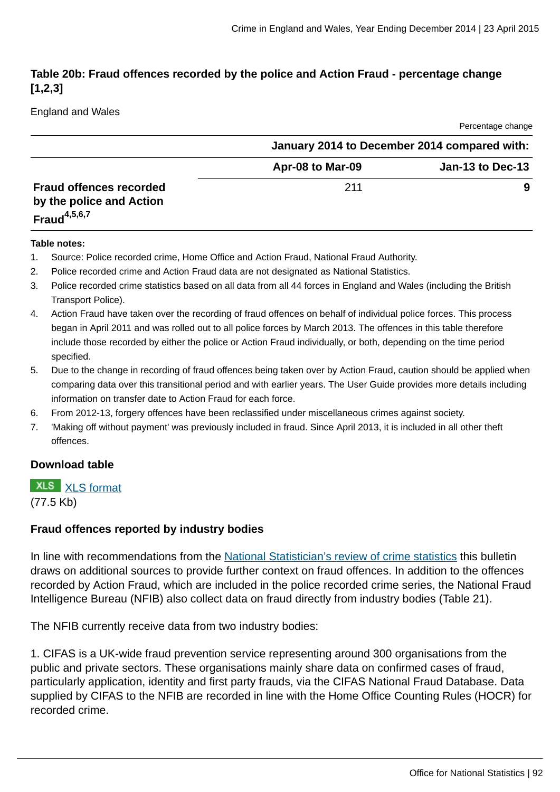# **Table 20b: Fraud offences recorded by the police and Action Fraud - percentage change [1,2,3]**

England and Wales

|                                                                               |                  | Percentage change                            |
|-------------------------------------------------------------------------------|------------------|----------------------------------------------|
|                                                                               |                  | January 2014 to December 2014 compared with: |
|                                                                               | Apr-08 to Mar-09 | Jan-13 to Dec-13                             |
| <b>Fraud offences recorded</b><br>by the police and Action<br>Fraud $4,5,6,7$ | 211              | 9                                            |

#### **Table notes:**

- 1. Source: Police recorded crime, Home Office and Action Fraud, National Fraud Authority.
- 2. Police recorded crime and Action Fraud data are not designated as National Statistics.
- 3. Police recorded crime statistics based on all data from all 44 forces in England and Wales (including the British Transport Police).
- 4. Action Fraud have taken over the recording of fraud offences on behalf of individual police forces. This process began in April 2011 and was rolled out to all police forces by March 2013. The offences in this table therefore include those recorded by either the police or Action Fraud individually, or both, depending on the time period specified.
- 5. Due to the change in recording of fraud offences being taken over by Action Fraud, caution should be applied when comparing data over this transitional period and with earlier years. The User Guide provides more details including information on transfer date to Action Fraud for each force.
- 6. From 2012-13, forgery offences have been reclassified under miscellaneous crimes against society.
- 7. 'Making off without payment' was previously included in fraud. Since April 2013, it is included in all other theft offences.

### **Download table**

**XLS** [XLS format](http://www.ons.gov.uk:80/ons/rel/crime-stats/crime-statistics/year-ending-december-2014/prt-20b.xls)

(77.5 Kb)

### **Fraud offences reported by industry bodies**

In line with recommendations from the [National Statistician's review of crime statistics](http://www.statisticsauthority.gov.uk/national-statistician/ns-reports--reviews-and-guidance/national-statistician-s-reviews/national-statistician-s-review-of-crime-statistics.html) this bulletin draws on additional sources to provide further context on fraud offences. In addition to the offences recorded by Action Fraud, which are included in the police recorded crime series, the National Fraud Intelligence Bureau (NFIB) also collect data on fraud directly from industry bodies (Table 21).

The NFIB currently receive data from two industry bodies:

1. CIFAS is a UK-wide fraud prevention service representing around 300 organisations from the public and private sectors. These organisations mainly share data on confirmed cases of fraud, particularly application, identity and first party frauds, via the CIFAS National Fraud Database. Data supplied by CIFAS to the NFIB are recorded in line with the Home Office Counting Rules (HOCR) for recorded crime.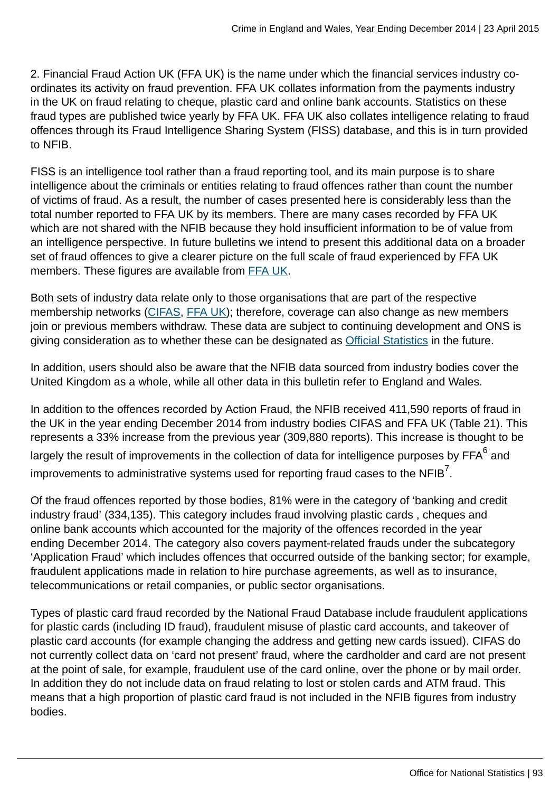2. Financial Fraud Action UK (FFA UK) is the name under which the financial services industry coordinates its activity on fraud prevention. FFA UK collates information from the payments industry in the UK on fraud relating to cheque, plastic card and online bank accounts. Statistics on these fraud types are published twice yearly by FFA UK. FFA UK also collates intelligence relating to fraud offences through its Fraud Intelligence Sharing System (FISS) database, and this is in turn provided to NFIB.

FISS is an intelligence tool rather than a fraud reporting tool, and its main purpose is to share intelligence about the criminals or entities relating to fraud offences rather than count the number of victims of fraud. As a result, the number of cases presented here is considerably less than the total number reported to FFA UK by its members. There are many cases recorded by FFA UK which are not shared with the NFIB because they hold insufficient information to be of value from an intelligence perspective. In future bulletins we intend to present this additional data on a broader set of fraud offences to give a clearer picture on the full scale of fraud experienced by FFA UK members. These figures are available from [FFA UK.](http://www.financialfraudaction.org.uk/cms/assets/1/2014%20annual%20fraud%20figures%20release%20-%20final.pdf)

Both sets of industry data relate only to those organisations that are part of the respective membership networks [\(CIFAS,](http://www.cifas.org.uk/cifas_members) [FFA UK](http://www.financialfraudaction.org.uk/downloads.asp?genre=consumer)); therefore, coverage can also change as new members join or previous members withdraw. These data are subject to continuing development and ONS is giving consideration as to whether these can be designated as [Official Statistics](http://www.statisticsauthority.gov.uk/national-statistician/types-of-official-statistics/index.html) in the future.

In addition, users should also be aware that the NFIB data sourced from industry bodies cover the United Kingdom as a whole, while all other data in this bulletin refer to England and Wales.

In addition to the offences recorded by Action Fraud, the NFIB received 411,590 reports of fraud in the UK in the year ending December 2014 from industry bodies CIFAS and FFA UK (Table 21). This represents a 33% increase from the previous year (309,880 reports). This increase is thought to be largely the result of improvements in the collection of data for intelligence purposes by FFA $^6$  and improvements to administrative systems used for reporting fraud cases to the NFIB $^7\!$ .

Of the fraud offences reported by those bodies, 81% were in the category of 'banking and credit industry fraud' (334,135). This category includes fraud involving plastic cards , cheques and online bank accounts which accounted for the majority of the offences recorded in the year ending December 2014. The category also covers payment-related frauds under the subcategory 'Application Fraud' which includes offences that occurred outside of the banking sector; for example, fraudulent applications made in relation to hire purchase agreements, as well as to insurance, telecommunications or retail companies, or public sector organisations.

Types of plastic card fraud recorded by the National Fraud Database include fraudulent applications for plastic cards (including ID fraud), fraudulent misuse of plastic card accounts, and takeover of plastic card accounts (for example changing the address and getting new cards issued). CIFAS do not currently collect data on 'card not present' fraud, where the cardholder and card are not present at the point of sale, for example, fraudulent use of the card online, over the phone or by mail order. In addition they do not include data on fraud relating to lost or stolen cards and ATM fraud. This means that a high proportion of plastic card fraud is not included in the NFIB figures from industry bodies.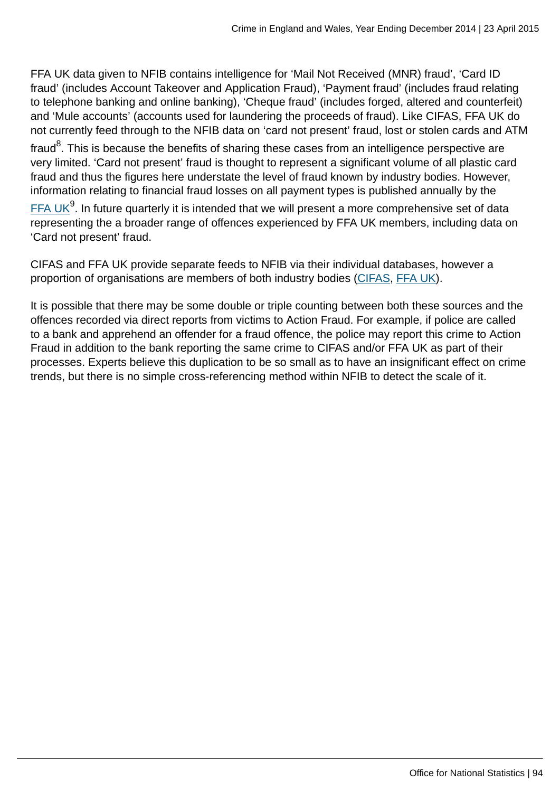FFA UK data given to NFIB contains intelligence for 'Mail Not Received (MNR) fraud', 'Card ID fraud' (includes Account Takeover and Application Fraud), 'Payment fraud' (includes fraud relating to telephone banking and online banking), 'Cheque fraud' (includes forged, altered and counterfeit) and 'Mule accounts' (accounts used for laundering the proceeds of fraud). Like CIFAS, FFA UK do not currently feed through to the NFIB data on 'card not present' fraud, lost or stolen cards and ATM

fraud $^8$ . This is because the benefits of sharing these cases from an intelligence perspective are very limited. 'Card not present' fraud is thought to represent a significant volume of all plastic card fraud and thus the figures here understate the level of fraud known by industry bodies. However, information relating to financial fraud losses on all payment types is published annually by the

<u>[FFA UK](http://www.financialfraudaction.org.uk/downloads.asp?genre=consumer)<sup>9</sup>. In future quarterly it is intended that we will present a more comprehensive set of data</u> representing the a broader range of offences experienced by FFA UK members, including data on 'Card not present' fraud.

CIFAS and FFA UK provide separate feeds to NFIB via their individual databases, however a proportion of organisations are members of both industry bodies ([CIFAS](http://www.cifas.org.uk/cifas_members), [FFA UK\)](http://www.financialfraudaction.org.uk/downloads.asp?genre=consumer).

It is possible that there may be some double or triple counting between both these sources and the offences recorded via direct reports from victims to Action Fraud. For example, if police are called to a bank and apprehend an offender for a fraud offence, the police may report this crime to Action Fraud in addition to the bank reporting the same crime to CIFAS and/or FFA UK as part of their processes. Experts believe this duplication to be so small as to have an insignificant effect on crime trends, but there is no simple cross-referencing method within NFIB to detect the scale of it.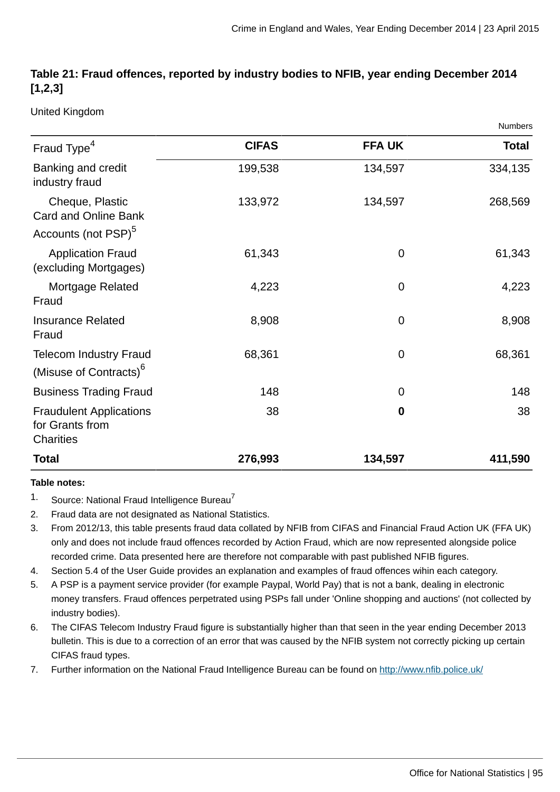# **Table 21: Fraud offences, reported by industry bodies to NFIB, year ending December 2014 [1,2,3]**

United Kingdom

|                                                                            |              |               | Numbers      |
|----------------------------------------------------------------------------|--------------|---------------|--------------|
| Fraud Type <sup>4</sup>                                                    | <b>CIFAS</b> | <b>FFA UK</b> | <b>Total</b> |
| Banking and credit<br>industry fraud                                       | 199,538      | 134,597       | 334,135      |
| Cheque, Plastic<br>Card and Online Bank<br>Accounts (not PSP) <sup>5</sup> | 133,972      | 134,597       | 268,569      |
| <b>Application Fraud</b><br>(excluding Mortgages)                          | 61,343       | $\mathbf 0$   | 61,343       |
| Mortgage Related<br>Fraud                                                  | 4,223        | $\mathbf 0$   | 4,223        |
| <b>Insurance Related</b><br>Fraud                                          | 8,908        | $\mathbf 0$   | 8,908        |
| <b>Telecom Industry Fraud</b><br>(Misuse of Contracts) <sup>6</sup>        | 68,361       | $\mathbf 0$   | 68,361       |
| <b>Business Trading Fraud</b>                                              | 148          | $\mathbf 0$   | 148          |
| <b>Fraudulent Applications</b><br>for Grants from<br>Charities             | 38           | $\mathbf 0$   | 38           |
| <b>Total</b>                                                               | 276,993      | 134,597       | 411,590      |

#### **Table notes:**

- $1.$  Source: National Fraud Intelligence Bureau<sup>7</sup>
- 2. Fraud data are not designated as National Statistics.
- 3. From 2012/13, this table presents fraud data collated by NFIB from CIFAS and Financial Fraud Action UK (FFA UK) only and does not include fraud offences recorded by Action Fraud, which are now represented alongside police recorded crime. Data presented here are therefore not comparable with past published NFIB figures.
- 4. Section 5.4 of the User Guide provides an explanation and examples of fraud offences wihin each category.
- 5. A PSP is a payment service provider (for example Paypal, World Pay) that is not a bank, dealing in electronic money transfers. Fraud offences perpetrated using PSPs fall under 'Online shopping and auctions' (not collected by industry bodies).
- 6. The CIFAS Telecom Industry Fraud figure is substantially higher than that seen in the year ending December 2013 bulletin. This is due to a correction of an error that was caused by the NFIB system not correctly picking up certain CIFAS fraud types.
- 7. Further information on the National Fraud Intelligence Bureau can be found on<http://www.nfib.police.uk/>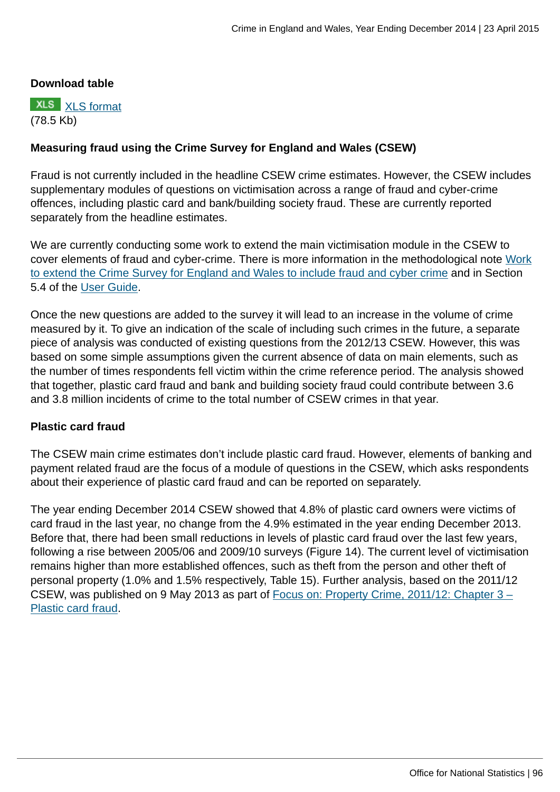### **Download table**



## **Measuring fraud using the Crime Survey for England and Wales (CSEW)**

Fraud is not currently included in the headline CSEW crime estimates. However, the CSEW includes supplementary modules of questions on victimisation across a range of fraud and cyber-crime offences, including plastic card and bank/building society fraud. These are currently reported separately from the headline estimates.

We are currently conducting some work to extend the main victimisation module in the CSEW to cover elements of fraud and cyber-crime. There is more information in the methodological note [Work](http://www.ons.gov.uk:80/ons/guide-method/method-quality/specific/crime-statistics-methodology/methodological-notes/index.html) [to extend the Crime Survey for England and Wales to include fraud and cyber crime](http://www.ons.gov.uk:80/ons/guide-method/method-quality/specific/crime-statistics-methodology/methodological-notes/index.html) and in Section 5.4 of the [User Guide](http://www.ons.gov.uk:80/ons/guide-method/method-quality/specific/crime-statistics-methodology/user-guides/index.html).

Once the new questions are added to the survey it will lead to an increase in the volume of crime measured by it. To give an indication of the scale of including such crimes in the future, a separate piece of analysis was conducted of existing questions from the 2012/13 CSEW. However, this was based on some simple assumptions given the current absence of data on main elements, such as the number of times respondents fell victim within the crime reference period. The analysis showed that together, plastic card fraud and bank and building society fraud could contribute between 3.6 and 3.8 million incidents of crime to the total number of CSEW crimes in that year.

### **Plastic card fraud**

The CSEW main crime estimates don't include plastic card fraud. However, elements of banking and payment related fraud are the focus of a module of questions in the CSEW, which asks respondents about their experience of plastic card fraud and can be reported on separately.

The year ending December 2014 CSEW showed that 4.8% of plastic card owners were victims of card fraud in the last year, no change from the 4.9% estimated in the year ending December 2013. Before that, there had been small reductions in levels of plastic card fraud over the last few years, following a rise between 2005/06 and 2009/10 surveys (Figure 14). The current level of victimisation remains higher than more established offences, such as theft from the person and other theft of personal property (1.0% and 1.5% respectively, Table 15). Further analysis, based on the 2011/12 CSEW, was published on 9 May 2013 as part of [Focus on: Property Crime, 2011/12: Chapter 3 –](http://www.ons.gov.uk:80/ons/rel/crime-stats/crime-statistics/focus-on-property-crime--2011-12/rpt-chapter-3---plastic-card-fraud.html) [Plastic card fraud](http://www.ons.gov.uk:80/ons/rel/crime-stats/crime-statistics/focus-on-property-crime--2011-12/rpt-chapter-3---plastic-card-fraud.html).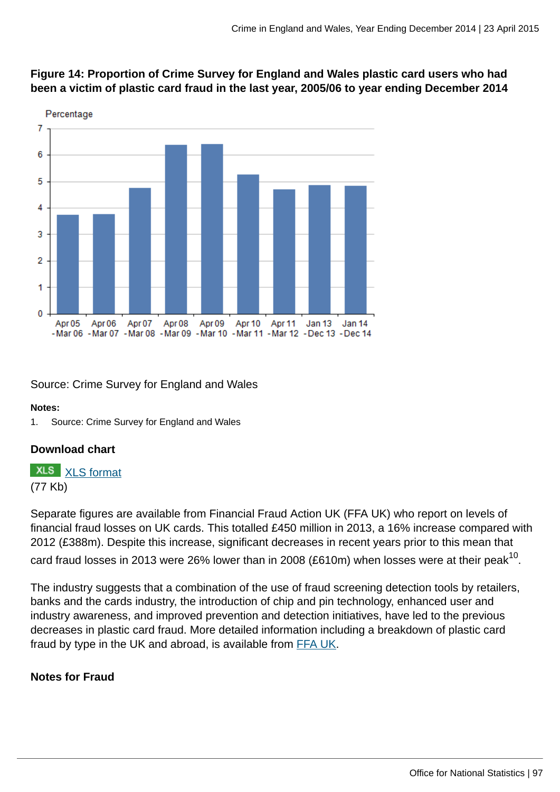

# **Figure 14: Proportion of Crime Survey for England and Wales plastic card users who had been a victim of plastic card fraud in the last year, 2005/06 to year ending December 2014**

Source: Crime Survey for England and Wales

### **Notes:**

1. Source: Crime Survey for England and Wales

# **Download chart**

**XLS** [XLS format](http://www.ons.gov.uk:80/ons/rel/crime-stats/crime-statistics/year-ending-december-2014/chd-14.xls) (77 Kb)

Separate figures are available from Financial Fraud Action UK (FFA UK) who report on levels of financial fraud losses on UK cards. This totalled £450 million in 2013, a 16% increase compared with 2012 (£388m). Despite this increase, significant decreases in recent years prior to this mean that card fraud losses in 2013 were 26% lower than in 2008 (£610m) when losses were at their peak $^{\rm 10}$ .

The industry suggests that a combination of the use of fraud screening detection tools by retailers, banks and the cards industry, the introduction of chip and pin technology, enhanced user and industry awareness, and improved prevention and detection initiatives, have led to the previous decreases in plastic card fraud. More detailed information including a breakdown of plastic card fraud by type in the UK and abroad, is available from [FFA UK.](http://www.financialfraudaction.org.uk/downloads.asp?genre=consumer)

# **Notes for Fraud**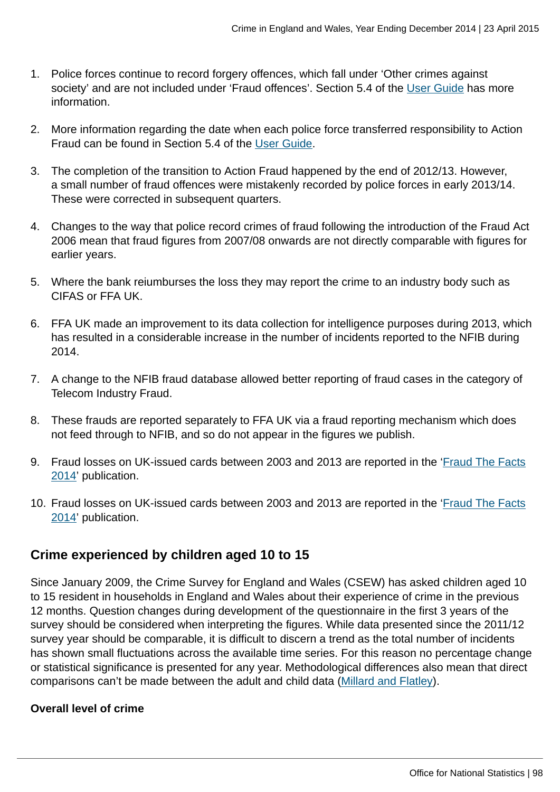- 1. Police forces continue to record forgery offences, which fall under 'Other crimes against society' and are not included under 'Fraud offences'. Section 5.4 of the [User Guide](http://www.ons.gov.uk:80/ons/guide-method/method-quality/specific/crime-statistics-methodology/user-guides/index.html) has more information.
- 2. More information regarding the date when each police force transferred responsibility to Action Fraud can be found in Section 5.4 of the [User Guide.](http://www.ons.gov.uk:80/ons/guide-method/method-quality/specific/crime-statistics-methodology/user-guides/index.html)
- 3. The completion of the transition to Action Fraud happened by the end of 2012/13. However, a small number of fraud offences were mistakenly recorded by police forces in early 2013/14. These were corrected in subsequent quarters.
- 4. Changes to the way that police record crimes of fraud following the introduction of the Fraud Act 2006 mean that fraud figures from 2007/08 onwards are not directly comparable with figures for earlier years.
- 5. Where the bank reiumburses the loss they may report the crime to an industry body such as CIFAS or FFA UK.
- 6. FFA UK made an improvement to its data collection for intelligence purposes during 2013, which has resulted in a considerable increase in the number of incidents reported to the NFIB during 2014.
- 7. A change to the NFIB fraud database allowed better reporting of fraud cases in the category of Telecom Industry Fraud.
- 8. These frauds are reported separately to FFA UK via a fraud reporting mechanism which does not feed through to NFIB, and so do not appear in the figures we publish.
- 9. Fraud losses on UK-issued cards between 2003 and 2013 are reported in the ['Fraud The Facts](http://www.financialfraudaction.org.uk/downloads.asp?genre=consumer) [2014](http://www.financialfraudaction.org.uk/downloads.asp?genre=consumer)' publication.
- 10. Fraud losses on UK-issued cards between 2003 and 2013 are reported in the ['Fraud The Facts](http://www.financialfraudaction.org.uk/downloads.asp?genre=consumer) [2014](http://www.financialfraudaction.org.uk/downloads.asp?genre=consumer)' publication.

# **Crime experienced by children aged 10 to 15**

Since January 2009, the Crime Survey for England and Wales (CSEW) has asked children aged 10 to 15 resident in households in England and Wales about their experience of crime in the previous 12 months. Question changes during development of the questionnaire in the first 3 years of the survey should be considered when interpreting the figures. While data presented since the 2011/12 survey year should be comparable, it is difficult to discern a trend as the total number of incidents has shown small fluctuations across the available time series. For this reason no percentage change or statistical significance is presented for any year. Methodological differences also mean that direct comparisons can't be made between the adult and child data [\(Millard and Flatley\)](http://www.homeoffice.gov.uk/publications/science-research-statistics/research-statistics/crime-research/hosb1110).

# **Overall level of crime**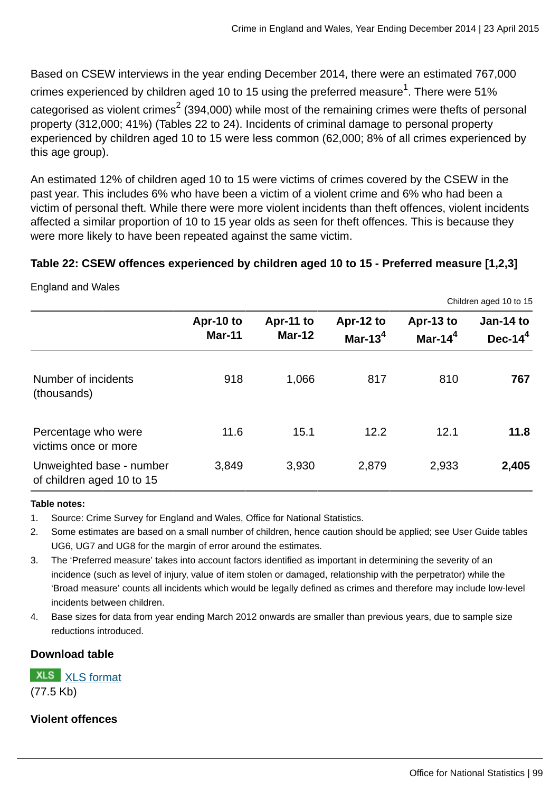Based on CSEW interviews in the year ending December 2014, there were an estimated 767,000 crimes experienced by children aged 10 to 15 using the preferred measure $^{\rm 1}$ . There were 51% categorised as violent crimes $^2$  (394,000) while most of the remaining crimes were thefts of personal property (312,000; 41%) (Tables 22 to 24). Incidents of criminal damage to personal property experienced by children aged 10 to 15 were less common (62,000; 8% of all crimes experienced by this age group).

An estimated 12% of children aged 10 to 15 were victims of crimes covered by the CSEW in the past year. This includes 6% who have been a victim of a violent crime and 6% who had been a victim of personal theft. While there were more violent incidents than theft offences, violent incidents affected a similar proportion of 10 to 15 year olds as seen for theft offences. This is because they were more likely to have been repeated against the same victim.

# **Table 22: CSEW offences experienced by children aged 10 to 15 - Preferred measure [1,2,3]**

England and Wales

|                                                       |                            |                            |                         |                         | Children aged 10 to 15   |
|-------------------------------------------------------|----------------------------|----------------------------|-------------------------|-------------------------|--------------------------|
|                                                       | Apr-10 to<br><b>Mar-11</b> | Apr-11 to<br><b>Mar-12</b> | Apr-12 to<br>Mar-13 $4$ | Apr-13 to<br>Mar-14 $4$ | Jan-14 to<br>Dec- $14^4$ |
| Number of incidents<br>(thousands)                    | 918                        | 1,066                      | 817                     | 810                     | 767                      |
| Percentage who were<br>victims once or more           | 11.6                       | 15.1                       | 12.2                    | 12.1                    | 11.8                     |
| Unweighted base - number<br>of children aged 10 to 15 | 3,849                      | 3,930                      | 2,879                   | 2,933                   | 2,405                    |

#### **Table notes:**

- 1. Source: Crime Survey for England and Wales, Office for National Statistics.
- 2. Some estimates are based on a small number of children, hence caution should be applied; see User Guide tables UG6, UG7 and UG8 for the margin of error around the estimates.
- 3. The 'Preferred measure' takes into account factors identified as important in determining the severity of an incidence (such as level of injury, value of item stolen or damaged, relationship with the perpetrator) while the 'Broad measure' counts all incidents which would be legally defined as crimes and therefore may include low-level incidents between children.
- 4. Base sizes for data from year ending March 2012 onwards are smaller than previous years, due to sample size reductions introduced.

### **Download table**

[XLS format](http://www.ons.gov.uk:80/ons/rel/crime-stats/crime-statistics/year-ending-december-2014/prt-22.xls) (77.5 Kb)

### **Violent offences**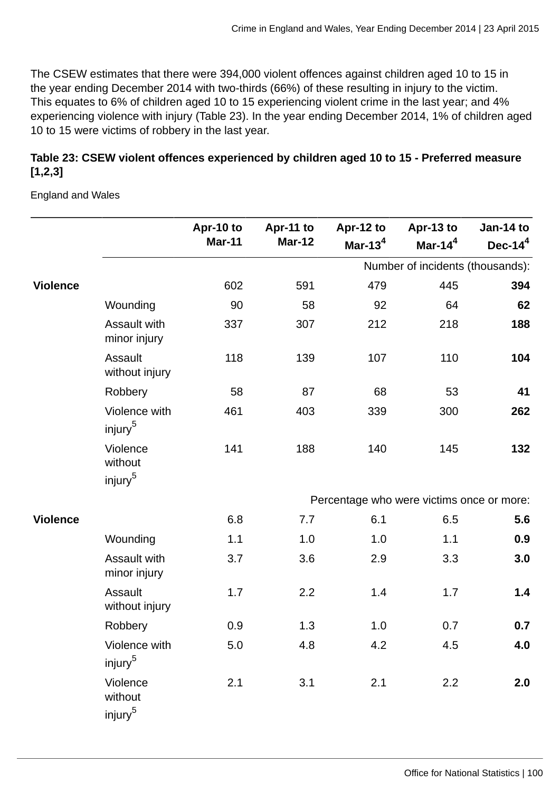The CSEW estimates that there were 394,000 violent offences against children aged 10 to 15 in the year ending December 2014 with two-thirds (66%) of these resulting in injury to the victim. This equates to 6% of children aged 10 to 15 experiencing violent crime in the last year; and 4% experiencing violence with injury (Table 23). In the year ending December 2014, 1% of children aged 10 to 15 were victims of robbery in the last year.

# **Table 23: CSEW violent offences experienced by children aged 10 to 15 - Preferred measure [1,2,3]**

England and Wales

|                 |                                            | Apr-10 to     | Apr-11 to     | Apr-12 to                                 | Apr-13 to                        | Jan-14 to  |
|-----------------|--------------------------------------------|---------------|---------------|-------------------------------------------|----------------------------------|------------|
|                 |                                            | <b>Mar-11</b> | <b>Mar-12</b> | Mar-13 $4$                                | Mar-14 $4$                       | Dec-14 $4$ |
|                 |                                            |               |               |                                           | Number of incidents (thousands): |            |
| <b>Violence</b> |                                            | 602           | 591           | 479                                       | 445                              | 394        |
|                 | Wounding                                   | 90            | 58            | 92                                        | 64                               | 62         |
|                 | <b>Assault with</b><br>minor injury        | 337           | 307           | 212                                       | 218                              | 188        |
|                 | Assault<br>without injury                  | 118           | 139           | 107                                       | 110                              | 104        |
|                 | Robbery                                    | 58            | 87            | 68                                        | 53                               | 41         |
|                 | Violence with<br>injury <sup>5</sup>       | 461           | 403           | 339                                       | 300                              | 262        |
|                 | Violence<br>without<br>injury <sup>5</sup> | 141           | 188           | 140                                       | 145                              | 132        |
|                 |                                            |               |               | Percentage who were victims once or more: |                                  |            |
| <b>Violence</b> |                                            | 6.8           | 7.7           | 6.1                                       | 6.5                              | 5.6        |
|                 | Wounding                                   | 1.1           | 1.0           | 1.0                                       | 1.1                              | 0.9        |
|                 | <b>Assault with</b><br>minor injury        | 3.7           | 3.6           | 2.9                                       | 3.3                              | 3.0        |
|                 | Assault<br>without injury                  | 1.7           | 2.2           | 1.4                                       | 1.7                              | 1.4        |
|                 | Robbery                                    | 0.9           | 1.3           | 1.0                                       | 0.7                              | 0.7        |
|                 | Violence with<br>injury <sup>5</sup>       | 5.0           | 4.8           | 4.2                                       | 4.5                              | 4.0        |
|                 | Violence<br>without<br>injury <sup>5</sup> | 2.1           | 3.1           | 2.1                                       | 2.2                              | 2.0        |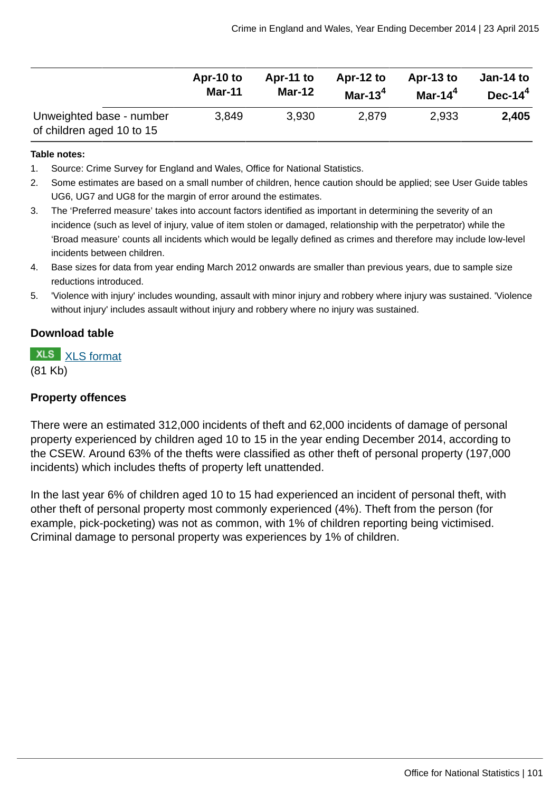|                                                       | Apr-10 to     | Apr-11 to     | Apr-12 to  | Apr-13 to  | Jan-14 to |
|-------------------------------------------------------|---------------|---------------|------------|------------|-----------|
|                                                       | <b>Mar-11</b> | <b>Mar-12</b> | Mar-13 $4$ | Mar-14 $4$ | $Dec-144$ |
| Unweighted base - number<br>of children aged 10 to 15 | 3,849         | 3,930         | 2,879      | 2,933      | 2,405     |

#### **Table notes:**

- 1. Source: Crime Survey for England and Wales, Office for National Statistics.
- 2. Some estimates are based on a small number of children, hence caution should be applied; see User Guide tables UG6, UG7 and UG8 for the margin of error around the estimates.
- 3. The 'Preferred measure' takes into account factors identified as important in determining the severity of an incidence (such as level of injury, value of item stolen or damaged, relationship with the perpetrator) while the 'Broad measure' counts all incidents which would be legally defined as crimes and therefore may include low-level incidents between children.
- 4. Base sizes for data from year ending March 2012 onwards are smaller than previous years, due to sample size reductions introduced.
- 5. 'Violence with injury' includes wounding, assault with minor injury and robbery where injury was sustained. 'Violence without injury' includes assault without injury and robbery where no injury was sustained.

### **Download table**

**XLS** [XLS format](http://www.ons.gov.uk:80/ons/rel/crime-stats/crime-statistics/year-ending-december-2014/prt-23.xls)

(81 Kb)

### **Property offences**

There were an estimated 312,000 incidents of theft and 62,000 incidents of damage of personal property experienced by children aged 10 to 15 in the year ending December 2014, according to the CSEW. Around 63% of the thefts were classified as other theft of personal property (197,000 incidents) which includes thefts of property left unattended.

In the last year 6% of children aged 10 to 15 had experienced an incident of personal theft, with other theft of personal property most commonly experienced (4%). Theft from the person (for example, pick-pocketing) was not as common, with 1% of children reporting being victimised. Criminal damage to personal property was experiences by 1% of children.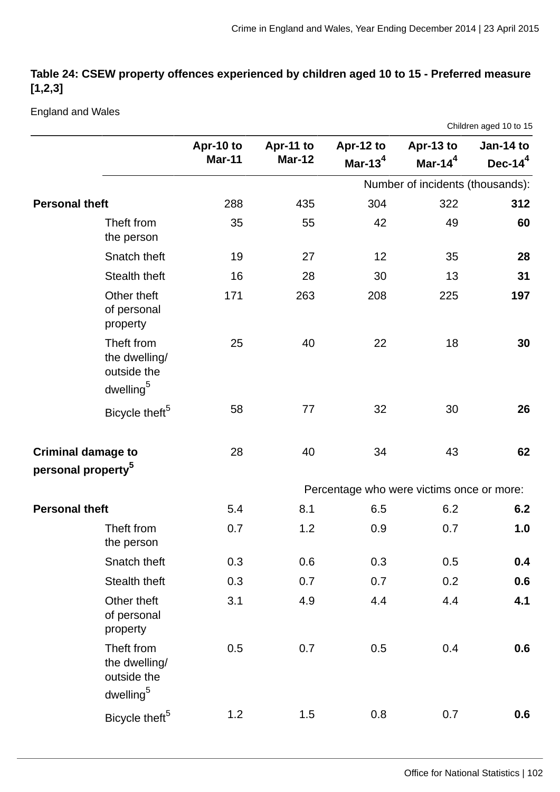# **Table 24: CSEW property offences experienced by children aged 10 to 15 - Preferred measure [1,2,3]**

England and Wales

|                                |                                                                     |                            |                            |                                           |                                  | Children aged 10 to 15  |
|--------------------------------|---------------------------------------------------------------------|----------------------------|----------------------------|-------------------------------------------|----------------------------------|-------------------------|
|                                |                                                                     | Apr-10 to<br><b>Mar-11</b> | Apr-11 to<br><b>Mar-12</b> | Apr-12 to<br>Mar-13 $4$                   | Apr-13 to<br>Mar-14 $4$          | Jan-14 to<br>Dec-14 $4$ |
|                                |                                                                     |                            |                            |                                           | Number of incidents (thousands): |                         |
| <b>Personal theft</b>          |                                                                     | 288                        | 435                        | 304                                       | 322                              | 312                     |
|                                | Theft from<br>the person                                            | 35                         | 55                         | 42                                        | 49                               | 60                      |
|                                | Snatch theft                                                        | 19                         | 27                         | 12                                        | 35                               | 28                      |
|                                | Stealth theft                                                       | 16                         | 28                         | 30                                        | 13                               | 31                      |
|                                | Other theft<br>of personal<br>property                              | 171                        | 263                        | 208                                       | 225                              | 197                     |
|                                | Theft from<br>the dwelling/<br>outside the<br>dwelling <sup>5</sup> | 25                         | 40                         | 22                                        | 18                               | 30                      |
|                                | Bicycle theft <sup>5</sup>                                          | 58                         | 77                         | 32                                        | 30                               | 26                      |
| <b>Criminal damage to</b>      |                                                                     | 28                         | 40                         | 34                                        | 43                               | 62                      |
| personal property <sup>5</sup> |                                                                     |                            |                            |                                           |                                  |                         |
|                                |                                                                     |                            |                            | Percentage who were victims once or more: |                                  |                         |
| <b>Personal theft</b>          |                                                                     | 5.4                        | 8.1                        | 6.5                                       | 6.2                              | 6.2                     |
|                                | Theft from<br>the person                                            | 0.7                        | 1.2                        | 0.9                                       | 0.7                              | 1.0                     |
|                                | Snatch theft                                                        | 0.3                        | 0.6                        | 0.3                                       | 0.5                              | 0.4                     |
|                                | Stealth theft                                                       | 0.3                        | 0.7                        | 0.7                                       | 0.2                              | 0.6                     |
|                                | Other theft<br>of personal<br>property                              | 3.1                        | 4.9                        | 4.4                                       | 4.4                              | 4.1                     |
|                                | Theft from<br>the dwelling/<br>outside the<br>dwelling <sup>5</sup> | 0.5                        | 0.7                        | 0.5                                       | 0.4                              | 0.6                     |
|                                | Bicycle theft <sup>5</sup>                                          | 1.2                        | 1.5                        | 0.8                                       | 0.7                              | 0.6                     |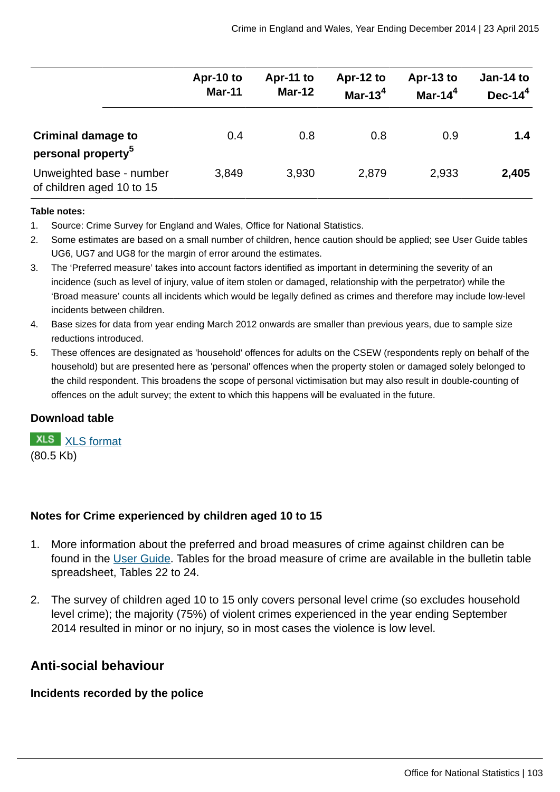|                                                             | Apr-10 to<br><b>Mar-11</b> | Apr-11 to<br>$Mar-12$ | Apr-12 to<br>Mar-13 $^4$ | Apr-13 to<br>Mar-14 $4$ | Jan-14 to<br>Dec- $144$ |
|-------------------------------------------------------------|----------------------------|-----------------------|--------------------------|-------------------------|-------------------------|
| <b>Criminal damage to</b><br>personal property <sup>5</sup> | 0.4                        | 0.8                   | 0.8                      | 0.9                     | 1.4                     |
| Unweighted base - number<br>of children aged 10 to 15       | 3,849                      | 3,930                 | 2,879                    | 2,933                   | 2,405                   |

#### **Table notes:**

- 1. Source: Crime Survey for England and Wales, Office for National Statistics.
- 2. Some estimates are based on a small number of children, hence caution should be applied; see User Guide tables UG6, UG7 and UG8 for the margin of error around the estimates.
- 3. The 'Preferred measure' takes into account factors identified as important in determining the severity of an incidence (such as level of injury, value of item stolen or damaged, relationship with the perpetrator) while the 'Broad measure' counts all incidents which would be legally defined as crimes and therefore may include low-level incidents between children.
- 4. Base sizes for data from year ending March 2012 onwards are smaller than previous years, due to sample size reductions introduced.
- 5. These offences are designated as 'household' offences for adults on the CSEW (respondents reply on behalf of the household) but are presented here as 'personal' offences when the property stolen or damaged solely belonged to the child respondent. This broadens the scope of personal victimisation but may also result in double-counting of offences on the adult survey; the extent to which this happens will be evaluated in the future.

#### **Download table**

**XLS** [XLS format](http://www.ons.gov.uk:80/ons/rel/crime-stats/crime-statistics/year-ending-december-2014/prt-24.xls) (80.5 Kb)

### **Notes for Crime experienced by children aged 10 to 15**

- 1. More information about the preferred and broad measures of crime against children can be found in the [User Guide](http://www.ons.gov.uk:80/ons/guide-method/method-quality/specific/crime-statistics-methodology/user-guides/index.html). Tables for the broad measure of crime are available in the bulletin table spreadsheet, Tables 22 to 24.
- 2. The survey of children aged 10 to 15 only covers personal level crime (so excludes household level crime); the majority (75%) of violent crimes experienced in the year ending September 2014 resulted in minor or no injury, so in most cases the violence is low level.

# **Anti-social behaviour**

#### **Incidents recorded by the police**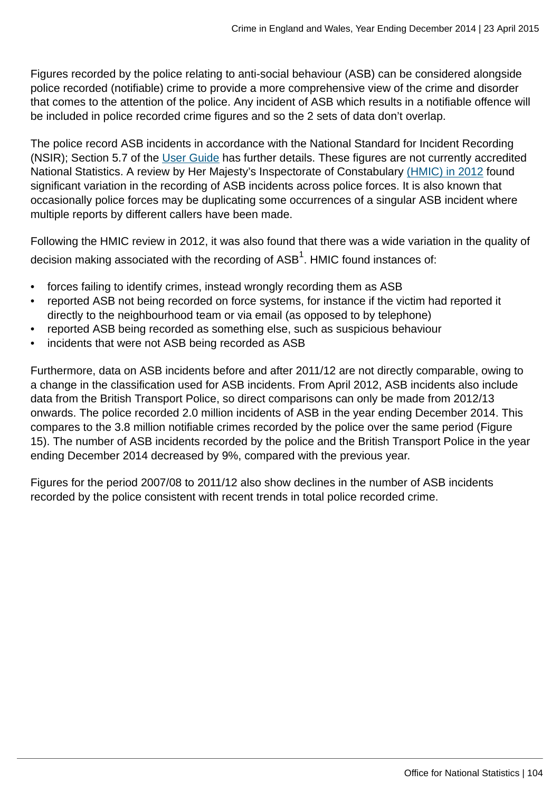Figures recorded by the police relating to anti-social behaviour (ASB) can be considered alongside police recorded (notifiable) crime to provide a more comprehensive view of the crime and disorder that comes to the attention of the police. Any incident of ASB which results in a notifiable offence will be included in police recorded crime figures and so the 2 sets of data don't overlap.

The police record ASB incidents in accordance with the National Standard for Incident Recording (NSIR); Section 5.7 of the [User Guide](http://www.ons.gov.uk:80/ons/guide-method/method-quality/specific/crime-statistics-methodology/user-guides/index.html) has further details. These figures are not currently accredited National Statistics. A review by Her Majesty's Inspectorate of Constabulary [\(HMIC\) in 2012](http://www.hmic.gov.uk/publication/review-police-crime-incident-reports-20120125/) found significant variation in the recording of ASB incidents across police forces. It is also known that occasionally police forces may be duplicating some occurrences of a singular ASB incident where multiple reports by different callers have been made.

Following the HMIC review in 2012, it was also found that there was a wide variation in the quality of decision making associated with the recording of ASB $^{\rm 1}$ . HMIC found instances of:

- forces failing to identify crimes, instead wrongly recording them as ASB
- reported ASB not being recorded on force systems, for instance if the victim had reported it directly to the neighbourhood team or via email (as opposed to by telephone)
- reported ASB being recorded as something else, such as suspicious behaviour
- incidents that were not ASB being recorded as ASB

Furthermore, data on ASB incidents before and after 2011/12 are not directly comparable, owing to a change in the classification used for ASB incidents. From April 2012, ASB incidents also include data from the British Transport Police, so direct comparisons can only be made from 2012/13 onwards. The police recorded 2.0 million incidents of ASB in the year ending December 2014. This compares to the 3.8 million notifiable crimes recorded by the police over the same period (Figure 15). The number of ASB incidents recorded by the police and the British Transport Police in the year ending December 2014 decreased by 9%, compared with the previous year.

Figures for the period 2007/08 to 2011/12 also show declines in the number of ASB incidents recorded by the police consistent with recent trends in total police recorded crime.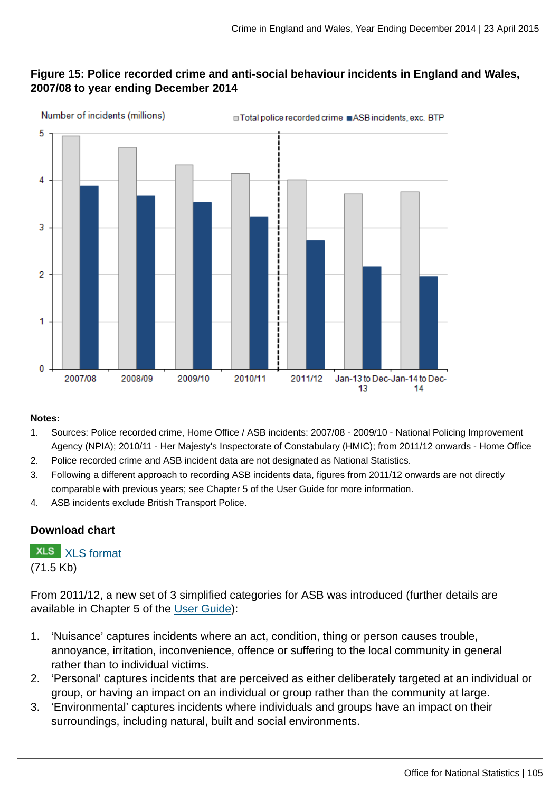# **Figure 15: Police recorded crime and anti-social behaviour incidents in England and Wales, 2007/08 to year ending December 2014**



#### **Notes:**

- 1. Sources: Police recorded crime, Home Office / ASB incidents: 2007/08 2009/10 National Policing Improvement Agency (NPIA); 2010/11 - Her Majesty's Inspectorate of Constabulary (HMIC); from 2011/12 onwards - Home Office
- 2. Police recorded crime and ASB incident data are not designated as National Statistics.
- 3. Following a different approach to recording ASB incidents data, figures from 2011/12 onwards are not directly comparable with previous years; see Chapter 5 of the User Guide for more information.
- 4. ASB incidents exclude British Transport Police.

### **Download chart**

# **XLS** [XLS format](http://www.ons.gov.uk:80/ons/rel/crime-stats/crime-statistics/year-ending-december-2014/chd-15.xls)

(71.5 Kb)

From 2011/12, a new set of 3 simplified categories for ASB was introduced (further details are available in Chapter 5 of the [User Guide\)](http://www.ons.gov.uk:80/ons/guide-method/method-quality/specific/crime-statistics-methodology/user-guides/index.html):

- 1. 'Nuisance' captures incidents where an act, condition, thing or person causes trouble, annoyance, irritation, inconvenience, offence or suffering to the local community in general rather than to individual victims.
- 2. 'Personal' captures incidents that are perceived as either deliberately targeted at an individual or group, or having an impact on an individual or group rather than the community at large.
- 3. 'Environmental' captures incidents where individuals and groups have an impact on their surroundings, including natural, built and social environments.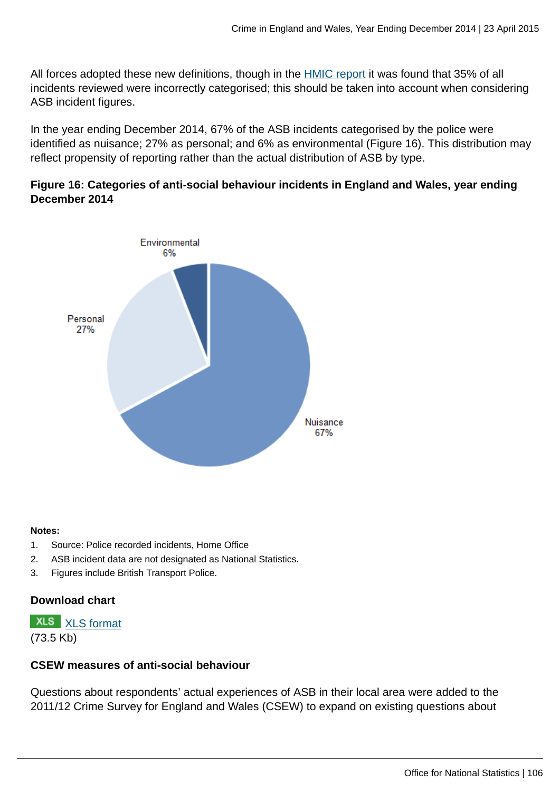All forces adopted these new definitions, though in the [HMIC report](http://www.hmic.gov.uk/media/a-step-in-the-right-direction-the-policing-of-anti-social-behaviour.pdf) it was found that 35% of all incidents reviewed were incorrectly categorised; this should be taken into account when considering ASB incident figures.

In the year ending December 2014, 67% of the ASB incidents categorised by the police were identified as nuisance; 27% as personal; and 6% as environmental (Figure 16). This distribution may reflect propensity of reporting rather than the actual distribution of ASB by type.

## **Figure 16: Categories of anti-social behaviour incidents in England and Wales, year ending December 2014**



#### **Notes:**

- 1. Source: Police recorded incidents, Home Office
- 2. ASB incident data are not designated as National Statistics.
- 3. Figures include British Transport Police.

# **Download chart**

**XLS** [XLS format](http://www.ons.gov.uk:80/ons/rel/crime-stats/crime-statistics/year-ending-december-2014/chd-16.xls)

(73.5 Kb)

### **CSEW measures of anti-social behaviour**

Questions about respondents' actual experiences of ASB in their local area were added to the 2011/12 Crime Survey for England and Wales (CSEW) to expand on existing questions about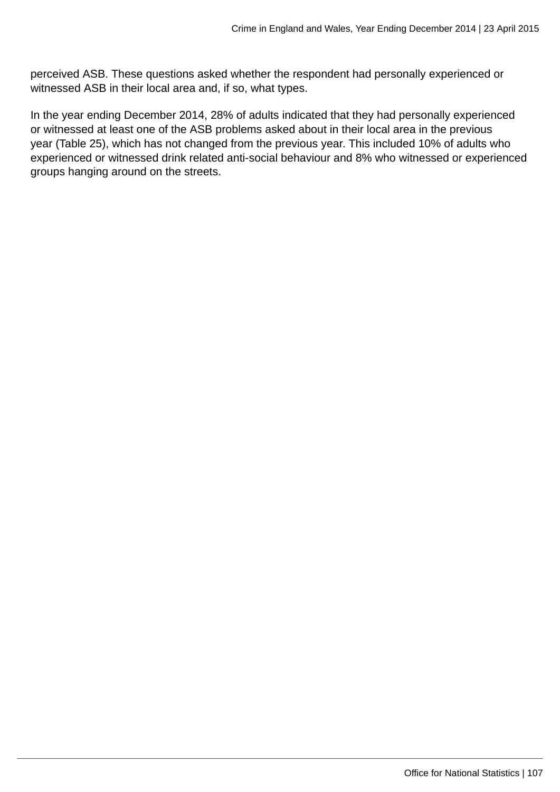perceived ASB. These questions asked whether the respondent had personally experienced or witnessed ASB in their local area and, if so, what types.

In the year ending December 2014, 28% of adults indicated that they had personally experienced or witnessed at least one of the ASB problems asked about in their local area in the previous year (Table 25), which has not changed from the previous year. This included 10% of adults who experienced or witnessed drink related anti-social behaviour and 8% who witnessed or experienced groups hanging around on the streets.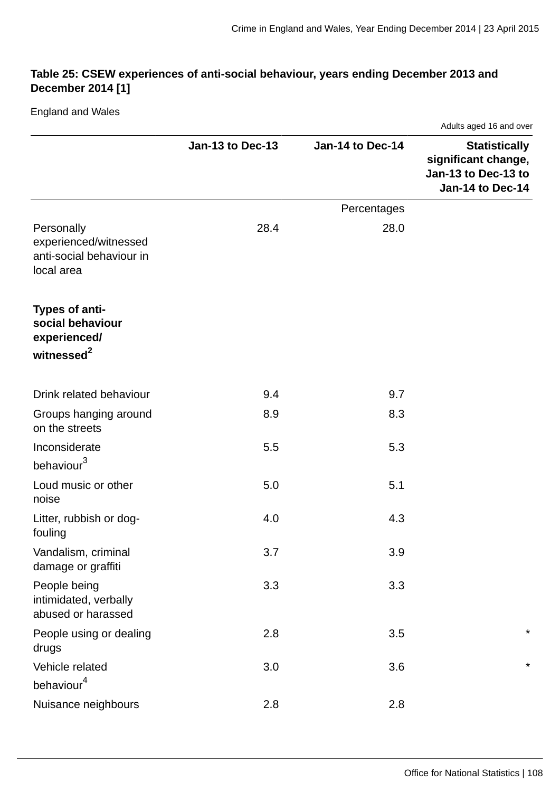# **Table 25: CSEW experiences of anti-social behaviour, years ending December 2013 and December 2014 [1]**

England and Wales

|                                                                               |                  |                  | Adults aged 16 and over                                                                |  |  |
|-------------------------------------------------------------------------------|------------------|------------------|----------------------------------------------------------------------------------------|--|--|
|                                                                               | Jan-13 to Dec-13 | Jan-14 to Dec-14 | <b>Statistically</b><br>significant change,<br>Jan-13 to Dec-13 to<br>Jan-14 to Dec-14 |  |  |
|                                                                               |                  | Percentages      |                                                                                        |  |  |
| Personally<br>experienced/witnessed<br>anti-social behaviour in<br>local area | 28.4             | 28.0             |                                                                                        |  |  |
| Types of anti-<br>social behaviour<br>experienced/<br>witnessed <sup>2</sup>  |                  |                  |                                                                                        |  |  |
|                                                                               |                  |                  |                                                                                        |  |  |
| Drink related behaviour                                                       | 9.4              | 9.7              |                                                                                        |  |  |
| Groups hanging around<br>on the streets                                       | 8.9              | 8.3              |                                                                                        |  |  |
| Inconsiderate<br>behaviour <sup>3</sup>                                       | 5.5              | 5.3              |                                                                                        |  |  |
| Loud music or other<br>noise                                                  | 5.0              | 5.1              |                                                                                        |  |  |
| Litter, rubbish or dog-<br>fouling                                            | 4.0              | 4.3              |                                                                                        |  |  |
| Vandalism, criminal<br>damage or graffiti                                     | 3.7              | 3.9              |                                                                                        |  |  |
| People being<br>intimidated, verbally<br>abused or harassed                   | 3.3              | 3.3              |                                                                                        |  |  |
| People using or dealing<br>drugs                                              | 2.8              | 3.5              | $^\star$                                                                               |  |  |
| Vehicle related<br>behaviour <sup>4</sup>                                     | 3.0              | 3.6              | $\star$                                                                                |  |  |
| Nuisance neighbours                                                           | 2.8              | 2.8              |                                                                                        |  |  |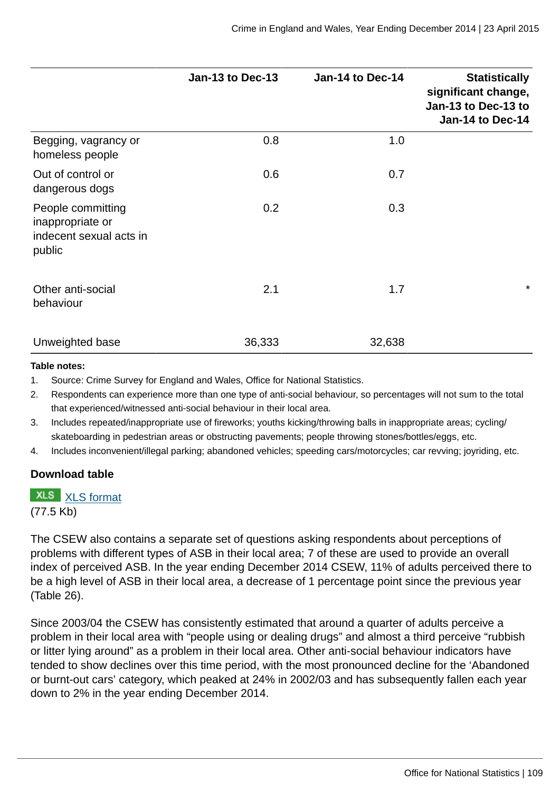|                                                                            | Jan-13 to Dec-13 | Jan-14 to Dec-14 | <b>Statistically</b><br>significant change,<br>Jan-13 to Dec-13 to<br>Jan-14 to Dec-14 |
|----------------------------------------------------------------------------|------------------|------------------|----------------------------------------------------------------------------------------|
| Begging, vagrancy or<br>homeless people                                    | 0.8              | 1.0              |                                                                                        |
| Out of control or<br>dangerous dogs                                        | 0.6              | 0.7              |                                                                                        |
| People committing<br>inappropriate or<br>indecent sexual acts in<br>public | 0.2              | 0.3              |                                                                                        |
| Other anti-social<br>behaviour                                             | 2.1              | 1.7              | $\star$                                                                                |
| Unweighted base                                                            | 36,333           | 32,638           |                                                                                        |

#### **Table notes:**

1. Source: Crime Survey for England and Wales, Office for National Statistics.

- 2. Respondents can experience more than one type of anti-social behaviour, so percentages will not sum to the total that experienced/witnessed anti-social behaviour in their local area.
- 3. Includes repeated/inappropriate use of fireworks; youths kicking/throwing balls in inappropriate areas; cycling/ skateboarding in pedestrian areas or obstructing pavements; people throwing stones/bottles/eggs, etc.
- 4. Includes inconvenient/illegal parking; abandoned vehicles; speeding cars/motorcycles; car revving; joyriding, etc.

#### **Download table**

### **XLS** [XLS format](http://www.ons.gov.uk:80/ons/rel/crime-stats/crime-statistics/year-ending-december-2014/prt-25.xls)

(77.5 Kb)

The CSEW also contains a separate set of questions asking respondents about perceptions of problems with different types of ASB in their local area; 7 of these are used to provide an overall index of perceived ASB. In the year ending December 2014 CSEW, 11% of adults perceived there to be a high level of ASB in their local area, a decrease of 1 percentage point since the previous year (Table 26).

Since 2003/04 the CSEW has consistently estimated that around a quarter of adults perceive a problem in their local area with "people using or dealing drugs" and almost a third perceive "rubbish or litter lying around" as a problem in their local area. Other anti-social behaviour indicators have tended to show declines over this time period, with the most pronounced decline for the 'Abandoned or burnt-out cars' category, which peaked at 24% in 2002/03 and has subsequently fallen each year down to 2% in the year ending December 2014.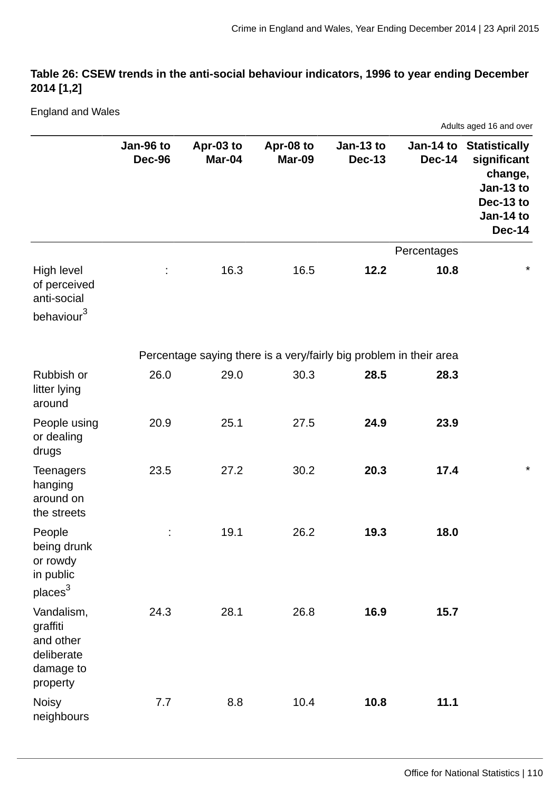# **Table 26: CSEW trends in the anti-social behaviour indicators, 1996 to year ending December 2014 [1,2]**

England and Wales

|                                                                            |                            |                     |                                                                    |                            |               | Adults aged 16 and over                                                                                   |
|----------------------------------------------------------------------------|----------------------------|---------------------|--------------------------------------------------------------------|----------------------------|---------------|-----------------------------------------------------------------------------------------------------------|
|                                                                            | Jan-96 to<br><b>Dec-96</b> | Apr-03 to<br>Mar-04 | Apr-08 to<br><b>Mar-09</b>                                         | Jan-13 to<br><b>Dec-13</b> | <b>Dec-14</b> | Jan-14 to Statistically<br>significant<br>change,<br>Jan-13 to<br>Dec-13 to<br>Jan-14 to<br><b>Dec-14</b> |
|                                                                            |                            |                     |                                                                    |                            | Percentages   |                                                                                                           |
| High level<br>of perceived<br>anti-social<br>behaviour <sup>3</sup>        |                            | 16.3                | 16.5                                                               | 12.2                       | 10.8          | $\star$                                                                                                   |
|                                                                            |                            |                     | Percentage saying there is a very/fairly big problem in their area |                            |               |                                                                                                           |
| Rubbish or<br>litter lying<br>around                                       | 26.0                       | 29.0                | 30.3                                                               | 28.5                       | 28.3          |                                                                                                           |
| People using<br>or dealing<br>drugs                                        | 20.9                       | 25.1                | 27.5                                                               | 24.9                       | 23.9          |                                                                                                           |
| <b>Teenagers</b><br>hanging<br>around on<br>the streets                    | 23.5                       | 27.2                | 30.2                                                               | 20.3                       | 17.4          | $^\star$                                                                                                  |
| People<br>being drunk<br>or rowdy<br>in public<br>places <sup>3</sup>      |                            | 19.1                | 26.2                                                               | 19.3                       | 18.0          |                                                                                                           |
| Vandalism,<br>graffiti<br>and other<br>deliberate<br>damage to<br>property | 24.3                       | 28.1                | 26.8                                                               | 16.9                       | 15.7          |                                                                                                           |
| <b>Noisy</b><br>neighbours                                                 | 7.7                        | 8.8                 | 10.4                                                               | 10.8                       | 11.1          |                                                                                                           |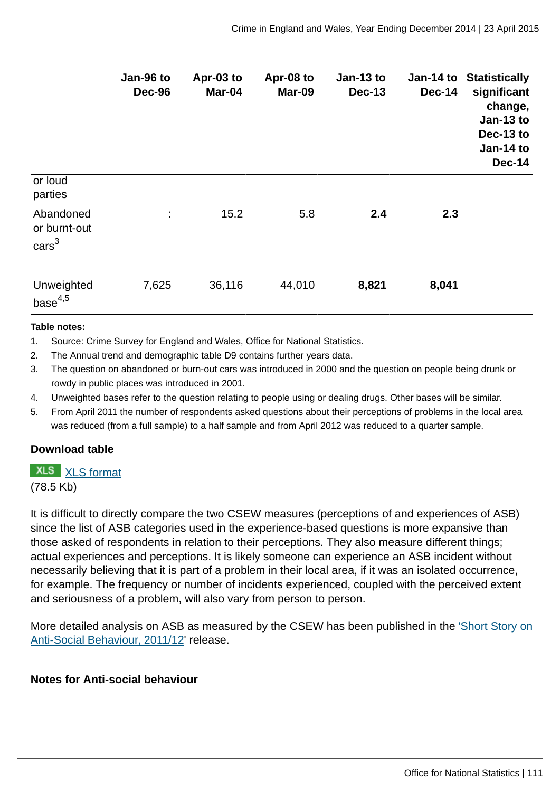|                                              | Jan-96 to<br><b>Dec-96</b> | Apr-03 to<br>Mar-04 | Apr-08 to<br><b>Mar-09</b> | Jan-13 to<br><b>Dec-13</b> | Jan-14 to<br><b>Dec-14</b> | <b>Statistically</b><br>significant<br>change,<br>Jan-13 to<br>Dec-13 to<br>Jan-14 to<br><b>Dec-14</b> |
|----------------------------------------------|----------------------------|---------------------|----------------------------|----------------------------|----------------------------|--------------------------------------------------------------------------------------------------------|
| or loud<br>parties                           |                            |                     |                            |                            |                            |                                                                                                        |
| Abandoned<br>or burnt-out<br>$\text{cars}^3$ | ÷                          | 15.2                | 5.8                        | 2.4                        | 2.3                        |                                                                                                        |
| Unweighted<br>base <sup>4,5</sup>            | 7,625                      | 36,116              | 44,010                     | 8,821                      | 8,041                      |                                                                                                        |

#### **Table notes:**

1. Source: Crime Survey for England and Wales, Office for National Statistics.

- 2. The Annual trend and demographic table D9 contains further years data.
- 3. The question on abandoned or burn-out cars was introduced in 2000 and the question on people being drunk or rowdy in public places was introduced in 2001.
- 4. Unweighted bases refer to the question relating to people using or dealing drugs. Other bases will be similar.
- 5. From April 2011 the number of respondents asked questions about their perceptions of problems in the local area was reduced (from a full sample) to a half sample and from April 2012 was reduced to a quarter sample.

#### **Download table**

**XLS** [XLS format](http://www.ons.gov.uk:80/ons/rel/crime-stats/crime-statistics/year-ending-december-2014/prt-26.xls) (78.5 Kb)

It is difficult to directly compare the two CSEW measures (perceptions of and experiences of ASB) since the list of ASB categories used in the experience-based questions is more expansive than those asked of respondents in relation to their perceptions. They also measure different things; actual experiences and perceptions. It is likely someone can experience an ASB incident without necessarily believing that it is part of a problem in their local area, if it was an isolated occurrence, for example. The frequency or number of incidents experienced, coupled with the perceived extent and seriousness of a problem, will also vary from person to person.

More detailed analysis on ASB as measured by the CSEW has been published in the ['Short Story on](http://www.ons.gov.uk:80/ons/rel/crime-stats/crime-statistics/short-story-on-anti-social-behaviour--2011-12/index.html) [Anti-Social Behaviour, 2011/12](http://www.ons.gov.uk:80/ons/rel/crime-stats/crime-statistics/short-story-on-anti-social-behaviour--2011-12/index.html)' release.

#### **Notes for Anti-social behaviour**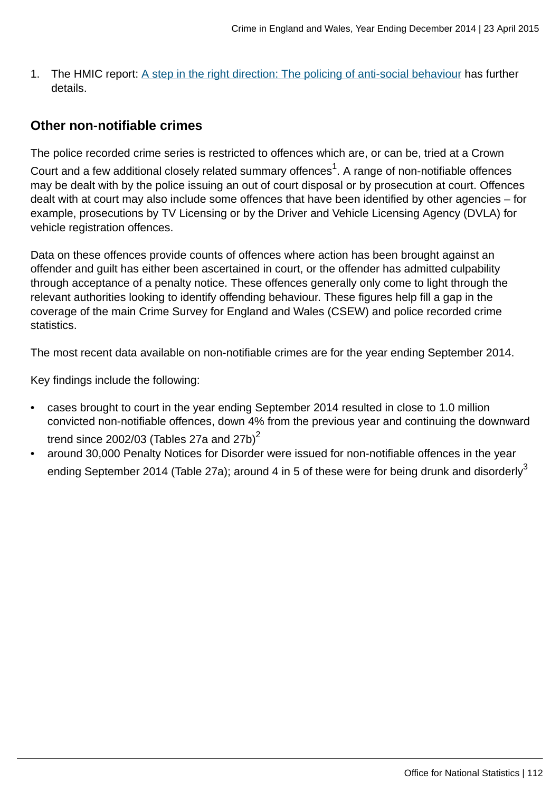1. The HMIC report: [A step in the right direction: The policing of anti-social behaviour](http://www.hmic.gov.uk/media/a-step-in-the-right-direction-the-policing-of-anti-social-behaviour.pdf) has further details.

## **Other non-notifiable crimes**

The police recorded crime series is restricted to offences which are, or can be, tried at a Crown

Court and a few additional closely related summary offences $^1$ . A range of non-notifiable offences may be dealt with by the police issuing an out of court disposal or by prosecution at court. Offences dealt with at court may also include some offences that have been identified by other agencies – for example, prosecutions by TV Licensing or by the Driver and Vehicle Licensing Agency (DVLA) for vehicle registration offences.

Data on these offences provide counts of offences where action has been brought against an offender and guilt has either been ascertained in court, or the offender has admitted culpability through acceptance of a penalty notice. These offences generally only come to light through the relevant authorities looking to identify offending behaviour. These figures help fill a gap in the coverage of the main Crime Survey for England and Wales (CSEW) and police recorded crime statistics.

The most recent data available on non-notifiable crimes are for the year ending September 2014.

Key findings include the following:

- cases brought to court in the year ending September 2014 resulted in close to 1.0 million convicted non-notifiable offences, down 4% from the previous year and continuing the downward trend since 2002/03 (Tables 27a and 27b) $2$
- around 30,000 Penalty Notices for Disorder were issued for non-notifiable offences in the year ending September 2014 (Table 27a); around 4 in 5 of these were for being drunk and disorderly<sup>3</sup>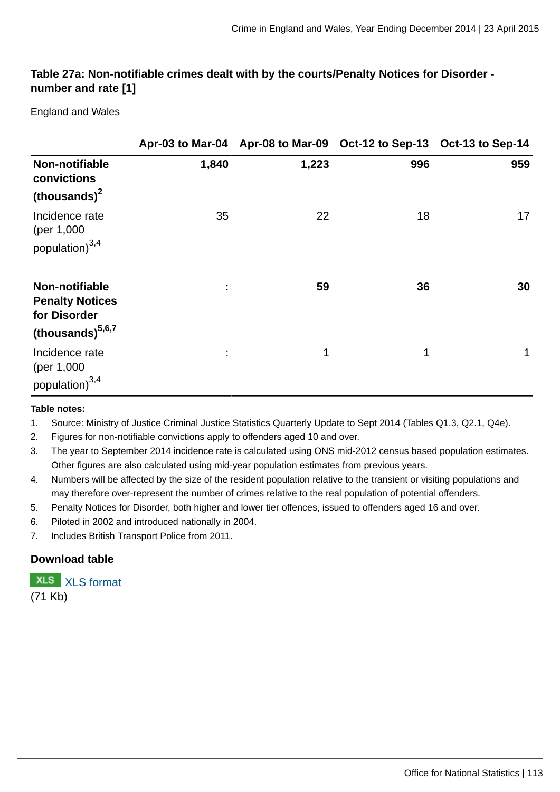#### **Table 27a: Non-notifiable crimes dealt with by the courts/Penalty Notices for Disorder number and rate [1]**

England and Wales

|                                                                                          |           |       | Apr-03 to Mar-04 Apr-08 to Mar-09 Oct-12 to Sep-13 Oct-13 to Sep-14 |     |
|------------------------------------------------------------------------------------------|-----------|-------|---------------------------------------------------------------------|-----|
| Non-notifiable<br>convictions<br>(thousands) <sup>2</sup>                                | 1,840     | 1,223 | 996                                                                 | 959 |
| Incidence rate<br>(per 1,000)<br>population) $^{3,4}$                                    | 35        | 22    | 18                                                                  | 17  |
| Non-notifiable<br><b>Penalty Notices</b><br>for Disorder<br>(thousands) <sup>5,6,7</sup> | ÷         | 59    | 36                                                                  | 30  |
| Incidence rate<br>(per 1,000)<br>population) <sup>3,4</sup>                              | $\bullet$ | 1     | $\mathbf 1$                                                         | 1   |

#### **Table notes:**

- 1. Source: Ministry of Justice Criminal Justice Statistics Quarterly Update to Sept 2014 (Tables Q1.3, Q2.1, Q4e).
- 2. Figures for non-notifiable convictions apply to offenders aged 10 and over.
- 3. The year to September 2014 incidence rate is calculated using ONS mid-2012 census based population estimates. Other figures are also calculated using mid-year population estimates from previous years.
- 4. Numbers will be affected by the size of the resident population relative to the transient or visiting populations and may therefore over-represent the number of crimes relative to the real population of potential offenders.
- 5. Penalty Notices for Disorder, both higher and lower tier offences, issued to offenders aged 16 and over.
- 6. Piloted in 2002 and introduced nationally in 2004.
- 7. Includes British Transport Police from 2011.

#### **Download table**

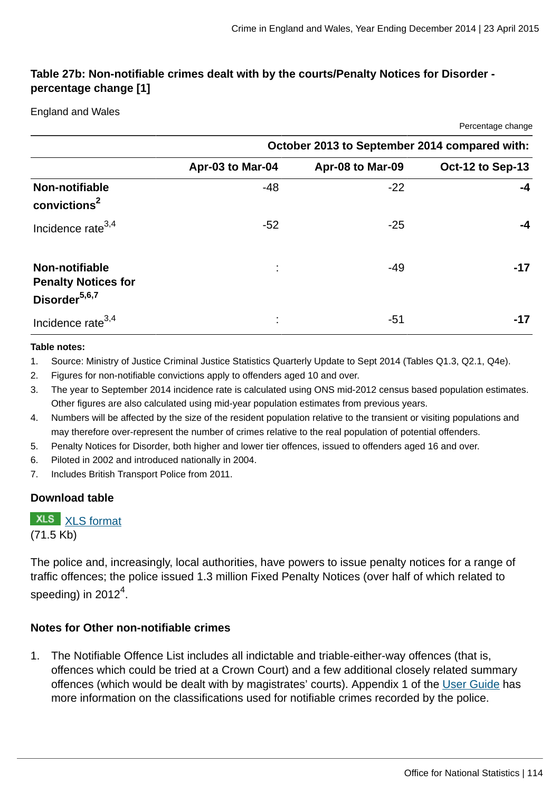Percentage change

### **Table 27b: Non-notifiable crimes dealt with by the courts/Penalty Notices for Disorder percentage change [1]**

#### England and Wales

|                                                                           |                                               |                  | $\sim$ $\sim$ $\sim$ $\sim$ $\sim$ $\sim$ $\sim$ $\sim$ |  |  |
|---------------------------------------------------------------------------|-----------------------------------------------|------------------|---------------------------------------------------------|--|--|
|                                                                           | October 2013 to September 2014 compared with: |                  |                                                         |  |  |
|                                                                           | Apr-03 to Mar-04                              | Apr-08 to Mar-09 | Oct-12 to Sep-13                                        |  |  |
| Non-notifiable<br>convictions <sup>2</sup>                                | $-48$                                         | $-22$            | -4                                                      |  |  |
| Incidence rate <sup>3,4</sup>                                             | $-52$                                         | $-25$            | -4                                                      |  |  |
| Non-notifiable<br><b>Penalty Notices for</b><br>Disorder <sup>5,6,7</sup> |                                               | $-49$            | $-17$                                                   |  |  |
| Incidence rate <sup>3,4</sup>                                             |                                               | $-51$            | -17                                                     |  |  |

#### **Table notes:**

- 1. Source: Ministry of Justice Criminal Justice Statistics Quarterly Update to Sept 2014 (Tables Q1.3, Q2.1, Q4e).
- 2. Figures for non-notifiable convictions apply to offenders aged 10 and over.
- 3. The year to September 2014 incidence rate is calculated using ONS mid-2012 census based population estimates. Other figures are also calculated using mid-year population estimates from previous years.
- 4. Numbers will be affected by the size of the resident population relative to the transient or visiting populations and may therefore over-represent the number of crimes relative to the real population of potential offenders.
- 5. Penalty Notices for Disorder, both higher and lower tier offences, issued to offenders aged 16 and over.
- 6. Piloted in 2002 and introduced nationally in 2004.
- 7. Includes British Transport Police from 2011.

#### **Download table**

# **XLS** [XLS format](http://www.ons.gov.uk:80/ons/rel/crime-stats/crime-statistics/year-ending-december-2014/prt-27b.xls)

(71.5 Kb)

The police and, increasingly, local authorities, have powers to issue penalty notices for a range of traffic offences; the police issued 1.3 million Fixed Penalty Notices (over half of which related to speeding) in 2012 $^4\mskip-5mu.$ 

#### **Notes for Other non-notifiable crimes**

1. The Notifiable Offence List includes all indictable and triable-either-way offences (that is, offences which could be tried at a Crown Court) and a few additional closely related summary offences (which would be dealt with by magistrates' courts). Appendix 1 of the [User Guide](http://www.ons.gov.uk:80/ons/guide-method/method-quality/specific/crime-statistics-methodology/user-guides/index.html) has more information on the classifications used for notifiable crimes recorded by the police.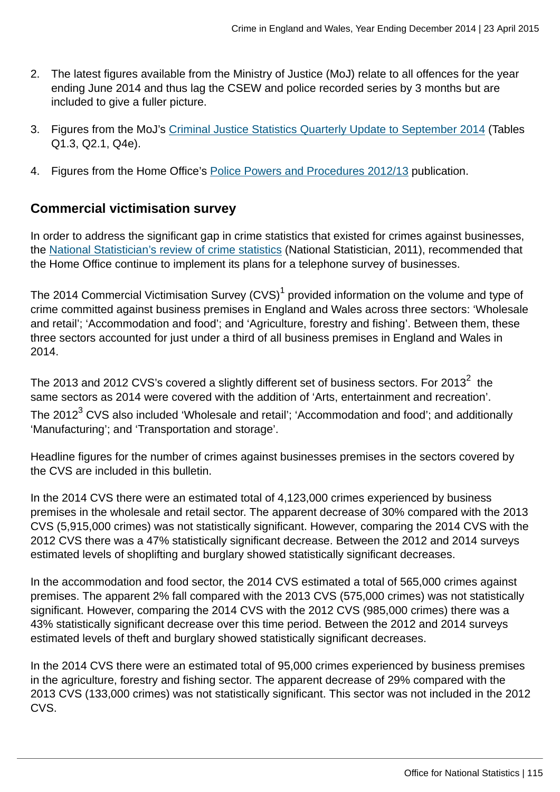- 2. The latest figures available from the Ministry of Justice (MoJ) relate to all offences for the year ending June 2014 and thus lag the CSEW and police recorded series by 3 months but are included to give a fuller picture.
- 3. Figures from the MoJ's [Criminal Justice Statistics Quarterly Update to September 2014](https://www.gov.uk/government/statistics/criminal-justice-system-statistics-quarterly-september-2014) (Tables Q1.3, Q2.1, Q4e).
- 4. Figures from the Home Office's [Police Powers and Procedures 2012/13](https://www.gov.uk/government/publications/police-powers-and-procedures-england-and-wales-2012-to-2013) publication.

# **Commercial victimisation survey**

In order to address the significant gap in crime statistics that existed for crimes against businesses, the [National Statistician's review of crime statistics](http://www.statisticsauthority.gov.uk/national-statistician/ns-reports--reviews-and-guidance/national-statistician-s-reviews/national-statistician-s-review-of-crime-statistics.html) (National Statistician, 2011), recommended that the Home Office continue to implement its plans for a telephone survey of businesses.

The 2014 Commercial Victimisation Survey (CVS) $^{\rm 1}$  provided information on the volume and type of crime committed against business premises in England and Wales across three sectors: 'Wholesale and retail'; 'Accommodation and food'; and 'Agriculture, forestry and fishing'. Between them, these three sectors accounted for just under a third of all business premises in England and Wales in 2014.

The 2013 and 2012 CVS's covered a slightly different set of business sectors. For 2013 $^2\,$  the same sectors as 2014 were covered with the addition of 'Arts, entertainment and recreation'. The 2012 $^3$  CVS also included 'Wholesale and retail'; 'Accommodation and food'; and additionally 'Manufacturing'; and 'Transportation and storage'.

Headline figures for the number of crimes against businesses premises in the sectors covered by the CVS are included in this bulletin.

In the 2014 CVS there were an estimated total of 4,123,000 crimes experienced by business premises in the wholesale and retail sector. The apparent decrease of 30% compared with the 2013 CVS (5,915,000 crimes) was not statistically significant. However, comparing the 2014 CVS with the 2012 CVS there was a 47% statistically significant decrease. Between the 2012 and 2014 surveys estimated levels of shoplifting and burglary showed statistically significant decreases.

In the accommodation and food sector, the 2014 CVS estimated a total of 565,000 crimes against premises. The apparent 2% fall compared with the 2013 CVS (575,000 crimes) was not statistically significant. However, comparing the 2014 CVS with the 2012 CVS (985,000 crimes) there was a 43% statistically significant decrease over this time period. Between the 2012 and 2014 surveys estimated levels of theft and burglary showed statistically significant decreases.

In the 2014 CVS there were an estimated total of 95,000 crimes experienced by business premises in the agriculture, forestry and fishing sector. The apparent decrease of 29% compared with the 2013 CVS (133,000 crimes) was not statistically significant. This sector was not included in the 2012 CVS.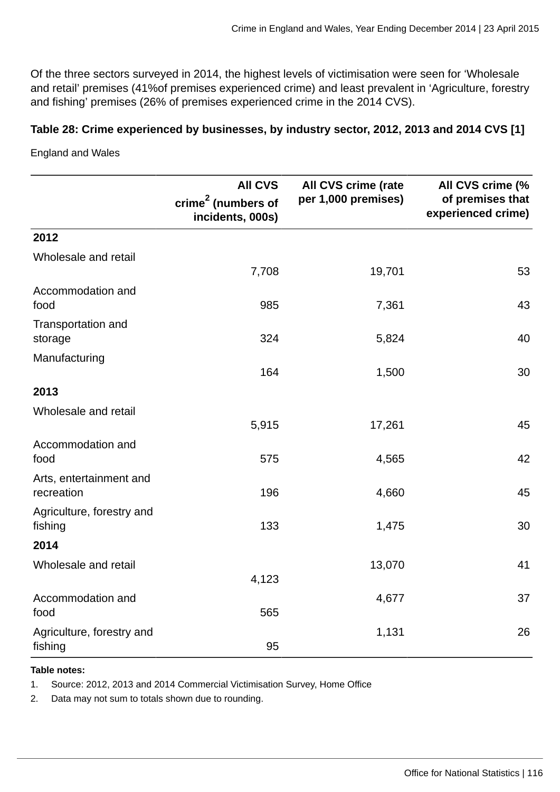Of the three sectors surveyed in 2014, the highest levels of victimisation were seen for 'Wholesale and retail' premises (41%of premises experienced crime) and least prevalent in 'Agriculture, forestry and fishing' premises (26% of premises experienced crime in the 2014 CVS).

#### **Table 28: Crime experienced by businesses, by industry sector, 2012, 2013 and 2014 CVS [1]**

England and Wales

|                                       | <b>All CVS</b><br>crime <sup>2</sup> (numbers of | All CVS crime (rate<br>per 1,000 premises) | All CVS crime (%<br>of premises that |
|---------------------------------------|--------------------------------------------------|--------------------------------------------|--------------------------------------|
|                                       | incidents, 000s)                                 |                                            | experienced crime)                   |
| 2012                                  |                                                  |                                            |                                      |
| Wholesale and retail                  | 7,708                                            | 19,701                                     | 53                                   |
| Accommodation and<br>food             | 985                                              | 7,361                                      | 43                                   |
| Transportation and<br>storage         | 324                                              | 5,824                                      | 40                                   |
| Manufacturing                         | 164                                              | 1,500                                      | 30                                   |
| 2013                                  |                                                  |                                            |                                      |
| Wholesale and retail                  | 5,915                                            | 17,261                                     | 45                                   |
| Accommodation and<br>food             | 575                                              | 4,565                                      | 42                                   |
| Arts, entertainment and<br>recreation | 196                                              | 4,660                                      | 45                                   |
| Agriculture, forestry and<br>fishing  | 133                                              | 1,475                                      | 30                                   |
| 2014                                  |                                                  |                                            |                                      |
| Wholesale and retail                  | 4,123                                            | 13,070                                     | 41                                   |
| Accommodation and<br>food             | 565                                              | 4,677                                      | 37                                   |
| Agriculture, forestry and<br>fishing  | 95                                               | 1,131                                      | 26                                   |

#### **Table notes:**

1. Source: 2012, 2013 and 2014 Commercial Victimisation Survey, Home Office

2. Data may not sum to totals shown due to rounding.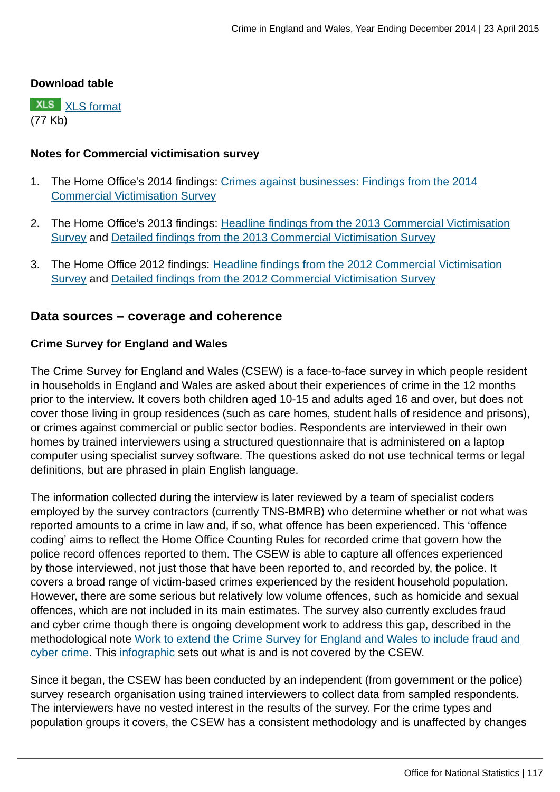#### **Download table**

**XLS** [XLS format](http://www.ons.gov.uk:80/ons/rel/crime-stats/crime-statistics/year-ending-december-2014/prt-28.xls) (77 Kb)

#### **Notes for Commercial victimisation survey**

- 1. The Home Office's 2014 findings: [Crimes against businesses: Findings from the 2014](https://www.gov.uk/government/statistics/crime-against-businesses-findings-from-the-2014-commercial-victimisation-survey) [Commercial Victimisation Survey](https://www.gov.uk/government/statistics/crime-against-businesses-findings-from-the-2014-commercial-victimisation-survey)
- 2. The Home Office's 2013 findings: [Headline findings from the 2013 Commercial Victimisation](https://www.gov.uk/government/publications/crime-against-businesses-headline-findings-from-the-2013-commercial-victimisation-survey) [Survey](https://www.gov.uk/government/publications/crime-against-businesses-headline-findings-from-the-2013-commercial-victimisation-survey) and [Detailed findings from the 2013 Commercial Victimisation Survey](https://www.gov.uk/government/publications/crime-against-businesses-detailed-findings-from-the-2013-commercial-victimisation-survey)
- 3. The Home Office 2012 findings: [Headline findings from the 2012 Commercial Victimisation](https://www.gov.uk/government/publications/crime-against-businesses-headline-findings-from-the-2012-commercial-victimisation-survey--2) [Survey](https://www.gov.uk/government/publications/crime-against-businesses-headline-findings-from-the-2012-commercial-victimisation-survey--2) and [Detailed findings from the 2012 Commercial Victimisation Survey](https://www.gov.uk/government/publications/crime-against-businesses-detailed-findings-from-the-2012-commercial-victimisation-survey)

### **Data sources – coverage and coherence**

#### **Crime Survey for England and Wales**

The Crime Survey for England and Wales (CSEW) is a face-to-face survey in which people resident in households in England and Wales are asked about their experiences of crime in the 12 months prior to the interview. It covers both children aged 10-15 and adults aged 16 and over, but does not cover those living in group residences (such as care homes, student halls of residence and prisons), or crimes against commercial or public sector bodies. Respondents are interviewed in their own homes by trained interviewers using a structured questionnaire that is administered on a laptop computer using specialist survey software. The questions asked do not use technical terms or legal definitions, but are phrased in plain English language.

The information collected during the interview is later reviewed by a team of specialist coders employed by the survey contractors (currently TNS-BMRB) who determine whether or not what was reported amounts to a crime in law and, if so, what offence has been experienced. This 'offence coding' aims to reflect the Home Office Counting Rules for recorded crime that govern how the police record offences reported to them. The CSEW is able to capture all offences experienced by those interviewed, not just those that have been reported to, and recorded by, the police. It covers a broad range of victim-based crimes experienced by the resident household population. However, there are some serious but relatively low volume offences, such as homicide and sexual offences, which are not included in its main estimates. The survey also currently excludes fraud and cyber crime though there is ongoing development work to address this gap, described in the methodological note [Work to extend the Crime Survey for England and Wales to include fraud and](http://www.ons.gov.uk:80/ons/guide-method/method-quality/specific/crime-statistics-methodology/methodological-notes/index.html) [cyber crime](http://www.ons.gov.uk:80/ons/guide-method/method-quality/specific/crime-statistics-methodology/methodological-notes/index.html). This [infographic](http://www.ons.gov.uk:80/ons/rel/crime-stats/crime-statistics/period-ending-june-2014/info-what-does-csew-cover.html) sets out what is and is not covered by the CSEW.

Since it began, the CSEW has been conducted by an independent (from government or the police) survey research organisation using trained interviewers to collect data from sampled respondents. The interviewers have no vested interest in the results of the survey. For the crime types and population groups it covers, the CSEW has a consistent methodology and is unaffected by changes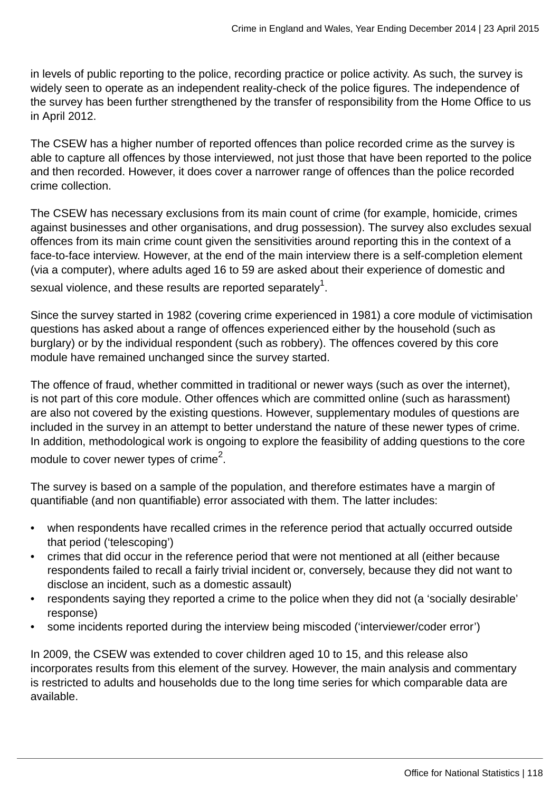in levels of public reporting to the police, recording practice or police activity. As such, the survey is widely seen to operate as an independent reality-check of the police figures. The independence of the survey has been further strengthened by the transfer of responsibility from the Home Office to us in April 2012.

The CSEW has a higher number of reported offences than police recorded crime as the survey is able to capture all offences by those interviewed, not just those that have been reported to the police and then recorded. However, it does cover a narrower range of offences than the police recorded crime collection.

The CSEW has necessary exclusions from its main count of crime (for example, homicide, crimes against businesses and other organisations, and drug possession). The survey also excludes sexual offences from its main crime count given the sensitivities around reporting this in the context of a face-to-face interview. However, at the end of the main interview there is a self-completion element (via a computer), where adults aged 16 to 59 are asked about their experience of domestic and sexual violence, and these results are reported separately $^{\rm 1}$ .

Since the survey started in 1982 (covering crime experienced in 1981) a core module of victimisation questions has asked about a range of offences experienced either by the household (such as burglary) or by the individual respondent (such as robbery). The offences covered by this core module have remained unchanged since the survey started.

The offence of fraud, whether committed in traditional or newer ways (such as over the internet), is not part of this core module. Other offences which are committed online (such as harassment) are also not covered by the existing questions. However, supplementary modules of questions are included in the survey in an attempt to better understand the nature of these newer types of crime. In addition, methodological work is ongoing to explore the feasibility of adding questions to the core module to cover newer types of crime<sup>2</sup>.

The survey is based on a sample of the population, and therefore estimates have a margin of quantifiable (and non quantifiable) error associated with them. The latter includes:

- when respondents have recalled crimes in the reference period that actually occurred outside that period ('telescoping')
- crimes that did occur in the reference period that were not mentioned at all (either because respondents failed to recall a fairly trivial incident or, conversely, because they did not want to disclose an incident, such as a domestic assault)
- respondents saying they reported a crime to the police when they did not (a 'socially desirable' response)
- some incidents reported during the interview being miscoded ('interviewer/coder error')

In 2009, the CSEW was extended to cover children aged 10 to 15, and this release also incorporates results from this element of the survey. However, the main analysis and commentary is restricted to adults and households due to the long time series for which comparable data are available.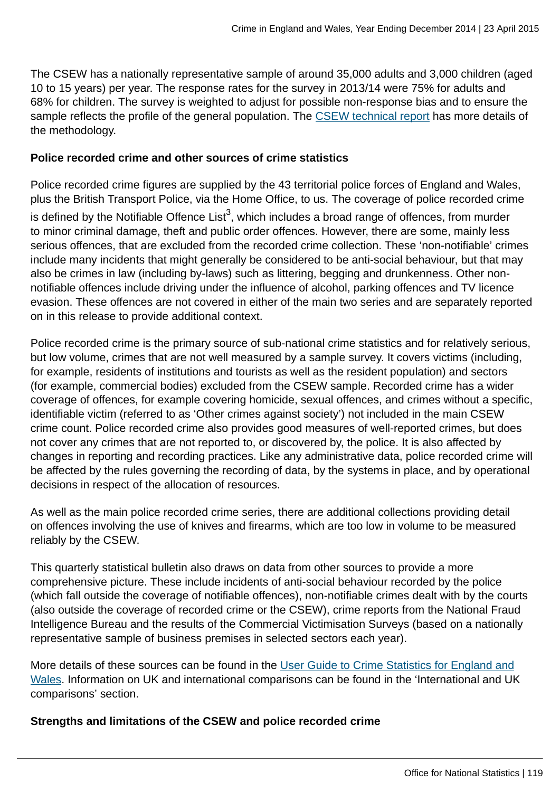The CSEW has a nationally representative sample of around 35,000 adults and 3,000 children (aged 10 to 15 years) per year. The response rates for the survey in 2013/14 were 75% for adults and 68% for children. The survey is weighted to adjust for possible non-response bias and to ensure the sample reflects the profile of the general population. The [CSEW technical report](http://www.ons.gov.uk:80/ons/guide-method/method-quality/specific/crime-statistics-methodology/user-guides/index.html) has more details of the methodology.

#### **Police recorded crime and other sources of crime statistics**

Police recorded crime figures are supplied by the 43 territorial police forces of England and Wales, plus the British Transport Police, via the Home Office, to us. The coverage of police recorded crime is defined by the Notifiable Offence List $^3$ , which includes a broad range of offences, from murder to minor criminal damage, theft and public order offences. However, there are some, mainly less serious offences, that are excluded from the recorded crime collection. These 'non-notifiable' crimes include many incidents that might generally be considered to be anti-social behaviour, but that may also be crimes in law (including by-laws) such as littering, begging and drunkenness. Other nonnotifiable offences include driving under the influence of alcohol, parking offences and TV licence evasion. These offences are not covered in either of the main two series and are separately reported on in this release to provide additional context.

Police recorded crime is the primary source of sub-national crime statistics and for relatively serious, but low volume, crimes that are not well measured by a sample survey. It covers victims (including, for example, residents of institutions and tourists as well as the resident population) and sectors (for example, commercial bodies) excluded from the CSEW sample. Recorded crime has a wider coverage of offences, for example covering homicide, sexual offences, and crimes without a specific, identifiable victim (referred to as 'Other crimes against society') not included in the main CSEW crime count. Police recorded crime also provides good measures of well-reported crimes, but does not cover any crimes that are not reported to, or discovered by, the police. It is also affected by changes in reporting and recording practices. Like any administrative data, police recorded crime will be affected by the rules governing the recording of data, by the systems in place, and by operational decisions in respect of the allocation of resources.

As well as the main police recorded crime series, there are additional collections providing detail on offences involving the use of knives and firearms, which are too low in volume to be measured reliably by the CSEW.

This quarterly statistical bulletin also draws on data from other sources to provide a more comprehensive picture. These include incidents of anti-social behaviour recorded by the police (which fall outside the coverage of notifiable offences), non-notifiable crimes dealt with by the courts (also outside the coverage of recorded crime or the CSEW), crime reports from the National Fraud Intelligence Bureau and the results of the Commercial Victimisation Surveys (based on a nationally representative sample of business premises in selected sectors each year).

More details of these sources can be found in the [User Guide to Crime Statistics for England and](http://www.ons.gov.uk:80/ons/guide-method/method-quality/specific/crime-statistics-methodology/user-guides/index.html) [Wales](http://www.ons.gov.uk:80/ons/guide-method/method-quality/specific/crime-statistics-methodology/user-guides/index.html). Information on UK and international comparisons can be found in the 'International and UK comparisons' section.

#### **Strengths and limitations of the CSEW and police recorded crime**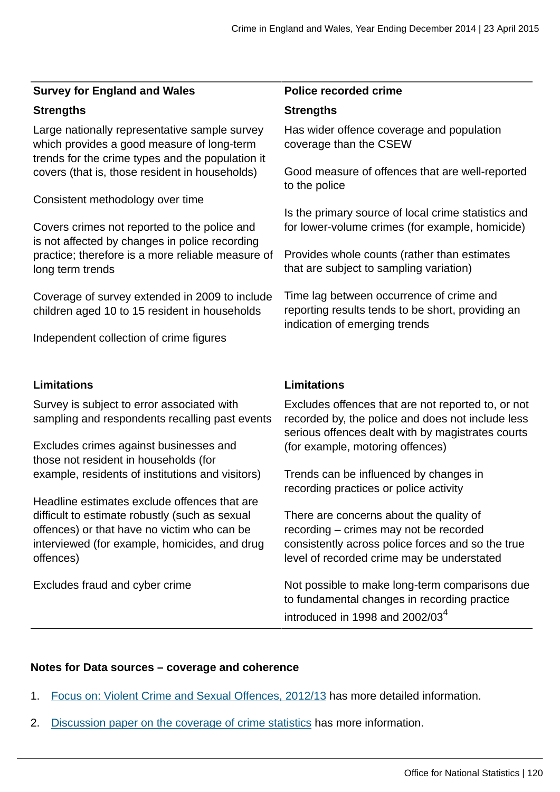#### **Survey for England and Wales Police recorded crime**

#### **Strengths Strengths**

Large nationally representative sample survey which provides a good measure of long-term trends for the crime types and the population it covers (that is, those resident in households)

Consistent methodology over time

Covers crimes not reported to the police and is not affected by changes in police recording practice; therefore is a more reliable measure of long term trends

Coverage of survey extended in 2009 to include children aged 10 to 15 resident in households

Independent collection of crime figures

#### **Limitations Limitations**

Survey is subject to error associated with sampling and respondents recalling past events

Excludes crimes against businesses and those not resident in households (for example, residents of institutions and visitors)

Headline estimates exclude offences that are difficult to estimate robustly (such as sexual offences) or that have no victim who can be interviewed (for example, homicides, and drug offences)

Excludes fraud and cyber crime

Has wider offence coverage and population coverage than the CSEW

Good measure of offences that are well-reported to the police

Is the primary source of local crime statistics and for lower-volume crimes (for example, homicide)

Provides whole counts (rather than estimates that are subject to sampling variation)

Time lag between occurrence of crime and reporting results tends to be short, providing an indication of emerging trends

Excludes offences that are not reported to, or not recorded by, the police and does not include less serious offences dealt with by magistrates courts (for example, motoring offences)

Trends can be influenced by changes in recording practices or police activity

There are concerns about the quality of recording – crimes may not be recorded consistently across police forces and so the true level of recorded crime may be understated

Not possible to make long-term comparisons due to fundamental changes in recording practice introduced in 1998 and 2002/03 $4$ 

#### **Notes for Data sources – coverage and coherence**

- 1. [Focus on: Violent Crime and Sexual Offences, 2012/13](http://www.ons.gov.uk:80/ons/rel/crime-stats/crime-statistics/focus-on-violent-crime-and-sexual-offences--2012-13/index.html) has more detailed information.
- 2. [Discussion paper on the coverage of crime statistics](http://www.ons.gov.uk:80/ons/guide-method/method-quality/specific/crime-statistics-methodology/methodological-notes/index.html) has more information.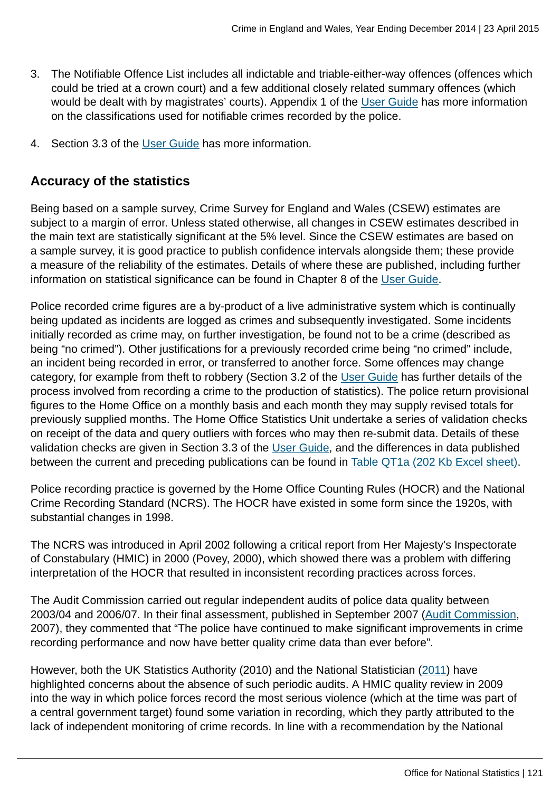- 3. The Notifiable Offence List includes all indictable and triable-either-way offences (offences which could be tried at a crown court) and a few additional closely related summary offences (which would be dealt with by magistrates' courts). Appendix 1 of the [User Guide](http://www.ons.gov.uk:80/ons/guide-method/method-quality/specific/crime-statistics-methodology/user-guides/index.html) has more information on the classifications used for notifiable crimes recorded by the police.
- 4. Section 3.3 of the [User Guide](http://www.ons.gov.uk:80/ons/guide-method/method-quality/specific/crime-statistics-methodology/user-guides/index.html) has more information.

# **Accuracy of the statistics**

Being based on a sample survey, Crime Survey for England and Wales (CSEW) estimates are subject to a margin of error. Unless stated otherwise, all changes in CSEW estimates described in the main text are statistically significant at the 5% level. Since the CSEW estimates are based on a sample survey, it is good practice to publish confidence intervals alongside them; these provide a measure of the reliability of the estimates. Details of where these are published, including further information on statistical significance can be found in Chapter 8 of the [User Guide.](http://www.ons.gov.uk:80/ons/guide-method/method-quality/specific/crime-statistics-methodology/user-guides/index.html)

Police recorded crime figures are a by-product of a live administrative system which is continually being updated as incidents are logged as crimes and subsequently investigated. Some incidents initially recorded as crime may, on further investigation, be found not to be a crime (described as being "no crimed"). Other justifications for a previously recorded crime being "no crimed" include, an incident being recorded in error, or transferred to another force. Some offences may change category, for example from theft to robbery (Section 3.2 of the [User Guide](http://www.ons.gov.uk:80/ons/guide-method/method-quality/specific/crime-statistics-methodology/user-guides/index.html) has further details of the process involved from recording a crime to the production of statistics). The police return provisional figures to the Home Office on a monthly basis and each month they may supply revised totals for previously supplied months. The Home Office Statistics Unit undertake a series of validation checks on receipt of the data and query outliers with forces who may then re-submit data. Details of these validation checks are given in Section 3.3 of the [User Guide,](http://www.ons.gov.uk:80/ons/guide-method/method-quality/specific/crime-statistics-methodology/user-guides/index.html) and the differences in data published between the current and preceding publications can be found in [Table QT1a \(202 Kb Excel sheet\).](http://www.ons.gov.uk:80/ons/rel/crime-stats/crime-statistics/year-ending-december-2014/rft-3.xls)

Police recording practice is governed by the Home Office Counting Rules (HOCR) and the National Crime Recording Standard (NCRS). The HOCR have existed in some form since the 1920s, with substantial changes in 1998.

The NCRS was introduced in April 2002 following a critical report from Her Majesty's Inspectorate of Constabulary (HMIC) in 2000 (Povey, 2000), which showed there was a problem with differing interpretation of the HOCR that resulted in inconsistent recording practices across forces.

The Audit Commission carried out regular independent audits of police data quality between 2003/04 and 2006/07. In their final assessment, published in September 2007 ([Audit Commission](http://archive.audit-commission.gov.uk/auditcommission/nationalstudies/communitysafety/Pages/policedataquality0607.aspx.html), 2007), they commented that "The police have continued to make significant improvements in crime recording performance and now have better quality crime data than ever before".

However, both the UK Statistics Authority (2010) and the National Statistician [\(2011](http://www.statisticsauthority.gov.uk/national-statistician/ns-reports--reviews-and-guidance/national-statistician-s-reviews/national-statistician-s-review-of-crime-statistics.html)) have highlighted concerns about the absence of such periodic audits. A HMIC quality review in 2009 into the way in which police forces record the most serious violence (which at the time was part of a central government target) found some variation in recording, which they partly attributed to the lack of independent monitoring of crime records. In line with a recommendation by the National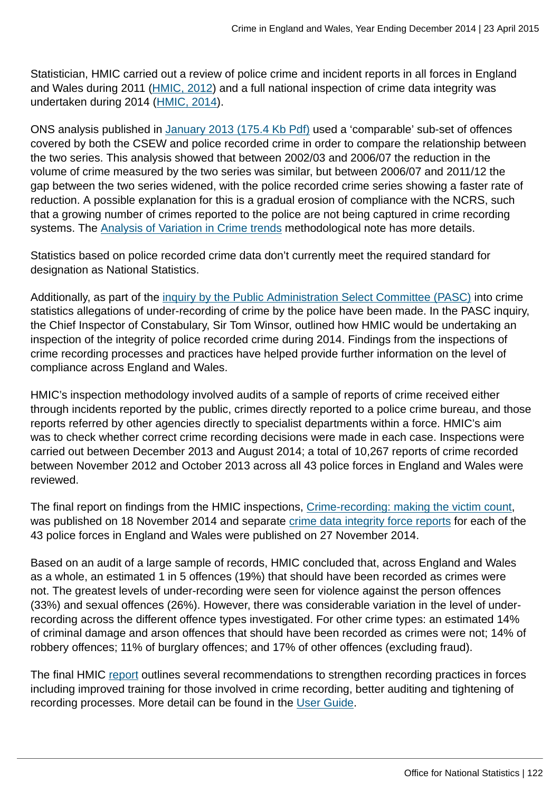Statistician, HMIC carried out a review of police crime and incident reports in all forces in England and Wales during 2011 ([HMIC, 2012\)](http://www.hmic.gov.uk/publication/review-police-crime-incident-reports-20120125/) and a full national inspection of crime data integrity was undertaken during 2014 [\(HMIC, 2014](https://www.justiceinspectorates.gov.uk/hmic/publication/crime-recording-making-the-victim-count/)).

ONS analysis published in [January 2013 \(175.4 Kb Pdf\)](http://www.ons.gov.uk:80/ons/guide-method/method-quality/specific/crime-statistics-methodology/methodological-note--analysis-of-variation-in-crime-trends.pdf) used a 'comparable' sub-set of offences covered by both the CSEW and police recorded crime in order to compare the relationship between the two series. This analysis showed that between 2002/03 and 2006/07 the reduction in the volume of crime measured by the two series was similar, but between 2006/07 and 2011/12 the gap between the two series widened, with the police recorded crime series showing a faster rate of reduction. A possible explanation for this is a gradual erosion of compliance with the NCRS, such that a growing number of crimes reported to the police are not being captured in crime recording systems. The [Analysis of Variation in Crime trends](http://www.ons.gov.uk:80/ons/guide-method/method-quality/specific/crime-statistics-methodology/methodological-notes/index.html) methodological note has more details.

Statistics based on police recorded crime data don't currently meet the required standard for designation as National Statistics.

Additionally, as part of the [inquiry by the Public Administration Select Committee \(PASC\)](http://www.parliament.uk/business/committees/committees-a-z/commons-select/public-administration-select-committee/news/crime-stats-substantive/) into crime statistics allegations of under-recording of crime by the police have been made. In the PASC inquiry, the Chief Inspector of Constabulary, Sir Tom Winsor, outlined how HMIC would be undertaking an inspection of the integrity of police recorded crime during 2014. Findings from the inspections of crime recording processes and practices have helped provide further information on the level of compliance across England and Wales.

HMIC's inspection methodology involved audits of a sample of reports of crime received either through incidents reported by the public, crimes directly reported to a police crime bureau, and those reports referred by other agencies directly to specialist departments within a force. HMIC's aim was to check whether correct crime recording decisions were made in each case. Inspections were carried out between December 2013 and August 2014; a total of 10,267 reports of crime recorded between November 2012 and October 2013 across all 43 police forces in England and Wales were reviewed.

The final report on findings from the HMIC inspections, [Crime-recording: making the victim count,](https://www.justiceinspectorates.gov.uk/hmic/publication/crime-recording-making-the-victim-count/) was published on 18 November 2014 and separate [crime data integrity force reports](https://www.justiceinspectorates.gov.uk/hmic/publication/crime-data-integrity-force-reports/) for each of the 43 police forces in England and Wales were published on 27 November 2014.

Based on an audit of a large sample of records, HMIC concluded that, across England and Wales as a whole, an estimated 1 in 5 offences (19%) that should have been recorded as crimes were not. The greatest levels of under-recording were seen for violence against the person offences (33%) and sexual offences (26%). However, there was considerable variation in the level of underrecording across the different offence types investigated. For other crime types: an estimated 14% of criminal damage and arson offences that should have been recorded as crimes were not; 14% of robbery offences; 11% of burglary offences; and 17% of other offences (excluding fraud).

The final HMIC [report](https://www.justiceinspectorates.gov.uk/hmic/publication/crime-recording-making-the-victim-count/) outlines several recommendations to strengthen recording practices in forces including improved training for those involved in crime recording, better auditing and tightening of recording processes. More detail can be found in the [User Guide.](http://www.ons.gov.uk:80/ons/guide-method/method-quality/specific/crime-statistics-methodology/user-guides/index.html)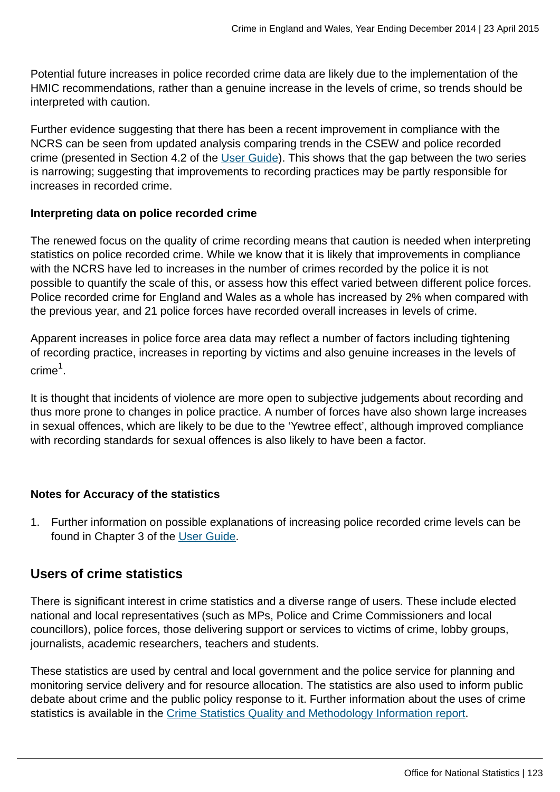Potential future increases in police recorded crime data are likely due to the implementation of the HMIC recommendations, rather than a genuine increase in the levels of crime, so trends should be interpreted with caution.

Further evidence suggesting that there has been a recent improvement in compliance with the NCRS can be seen from updated analysis comparing trends in the CSEW and police recorded crime (presented in Section 4.2 of the [User Guide\)](http://www.ons.gov.uk:80/ons/guide-method/method-quality/specific/crime-statistics-methodology/user-guides/index.html). This shows that the gap between the two series is narrowing; suggesting that improvements to recording practices may be partly responsible for increases in recorded crime.

#### **Interpreting data on police recorded crime**

The renewed focus on the quality of crime recording means that caution is needed when interpreting statistics on police recorded crime. While we know that it is likely that improvements in compliance with the NCRS have led to increases in the number of crimes recorded by the police it is not possible to quantify the scale of this, or assess how this effect varied between different police forces. Police recorded crime for England and Wales as a whole has increased by 2% when compared with the previous year, and 21 police forces have recorded overall increases in levels of crime.

Apparent increases in police force area data may reflect a number of factors including tightening of recording practice, increases in reporting by victims and also genuine increases in the levels of crime $^1$ .

It is thought that incidents of violence are more open to subjective judgements about recording and thus more prone to changes in police practice. A number of forces have also shown large increases in sexual offences, which are likely to be due to the 'Yewtree effect', although improved compliance with recording standards for sexual offences is also likely to have been a factor.

### **Notes for Accuracy of the statistics**

1. Further information on possible explanations of increasing police recorded crime levels can be found in Chapter 3 of the [User Guide](http://www.ons.gov.uk:80/ons/guide-method/method-quality/specific/crime-statistics-methodology/user-guides/index.html).

# **Users of crime statistics**

There is significant interest in crime statistics and a diverse range of users. These include elected national and local representatives (such as MPs, Police and Crime Commissioners and local councillors), police forces, those delivering support or services to victims of crime, lobby groups, journalists, academic researchers, teachers and students.

These statistics are used by central and local government and the police service for planning and monitoring service delivery and for resource allocation. The statistics are also used to inform public debate about crime and the public policy response to it. Further information about the uses of crime statistics is available in the [Crime Statistics Quality and Methodology Information report](http://www.ons.gov.uk:80/ons/guide-method/method-quality/quality/quality-information/crime-and-justice/index.html).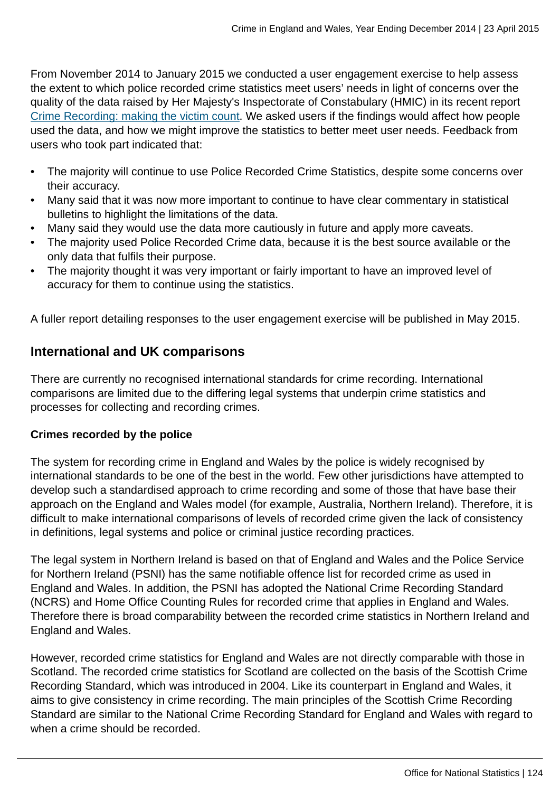From November 2014 to January 2015 we conducted a user engagement exercise to help assess the extent to which police recorded crime statistics meet users' needs in light of concerns over the quality of the data raised by Her Majesty's Inspectorate of Constabulary (HMIC) in its recent report [Crime Recording: making the victim count](http://www.justiceinspectorates.gov.uk/hmic/wp-content/uploads/crime-recording-making-the-victim-count.pdf). We asked users if the findings would affect how people used the data, and how we might improve the statistics to better meet user needs. Feedback from users who took part indicated that:

- The majority will continue to use Police Recorded Crime Statistics, despite some concerns over their accuracy.
- Many said that it was now more important to continue to have clear commentary in statistical bulletins to highlight the limitations of the data.
- Many said they would use the data more cautiously in future and apply more caveats.
- The majority used Police Recorded Crime data, because it is the best source available or the only data that fulfils their purpose.
- The majority thought it was very important or fairly important to have an improved level of accuracy for them to continue using the statistics.

A fuller report detailing responses to the user engagement exercise will be published in May 2015.

# **International and UK comparisons**

There are currently no recognised international standards for crime recording. International comparisons are limited due to the differing legal systems that underpin crime statistics and processes for collecting and recording crimes.

### **Crimes recorded by the police**

The system for recording crime in England and Wales by the police is widely recognised by international standards to be one of the best in the world. Few other jurisdictions have attempted to develop such a standardised approach to crime recording and some of those that have base their approach on the England and Wales model (for example, Australia, Northern Ireland). Therefore, it is difficult to make international comparisons of levels of recorded crime given the lack of consistency in definitions, legal systems and police or criminal justice recording practices.

The legal system in Northern Ireland is based on that of England and Wales and the Police Service for Northern Ireland (PSNI) has the same notifiable offence list for recorded crime as used in England and Wales. In addition, the PSNI has adopted the National Crime Recording Standard (NCRS) and Home Office Counting Rules for recorded crime that applies in England and Wales. Therefore there is broad comparability between the recorded crime statistics in Northern Ireland and England and Wales.

However, recorded crime statistics for England and Wales are not directly comparable with those in Scotland. The recorded crime statistics for Scotland are collected on the basis of the Scottish Crime Recording Standard, which was introduced in 2004. Like its counterpart in England and Wales, it aims to give consistency in crime recording. The main principles of the Scottish Crime Recording Standard are similar to the National Crime Recording Standard for England and Wales with regard to when a crime should be recorded.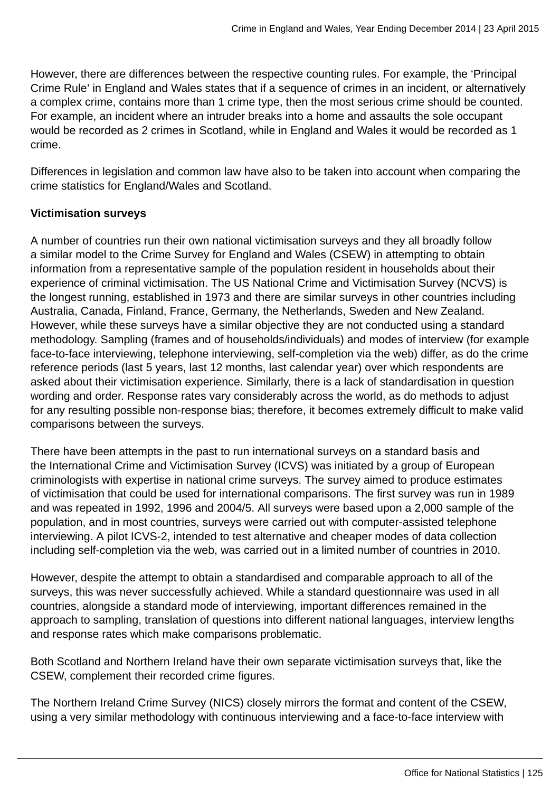However, there are differences between the respective counting rules. For example, the 'Principal Crime Rule' in England and Wales states that if a sequence of crimes in an incident, or alternatively a complex crime, contains more than 1 crime type, then the most serious crime should be counted. For example, an incident where an intruder breaks into a home and assaults the sole occupant would be recorded as 2 crimes in Scotland, while in England and Wales it would be recorded as 1 crime.

Differences in legislation and common law have also to be taken into account when comparing the crime statistics for England/Wales and Scotland.

### **Victimisation surveys**

A number of countries run their own national victimisation surveys and they all broadly follow a similar model to the Crime Survey for England and Wales (CSEW) in attempting to obtain information from a representative sample of the population resident in households about their experience of criminal victimisation. The US National Crime and Victimisation Survey (NCVS) is the longest running, established in 1973 and there are similar surveys in other countries including Australia, Canada, Finland, France, Germany, the Netherlands, Sweden and New Zealand. However, while these surveys have a similar objective they are not conducted using a standard methodology. Sampling (frames and of households/individuals) and modes of interview (for example face-to-face interviewing, telephone interviewing, self-completion via the web) differ, as do the crime reference periods (last 5 years, last 12 months, last calendar year) over which respondents are asked about their victimisation experience. Similarly, there is a lack of standardisation in question wording and order. Response rates vary considerably across the world, as do methods to adjust for any resulting possible non-response bias; therefore, it becomes extremely difficult to make valid comparisons between the surveys.

There have been attempts in the past to run international surveys on a standard basis and the International Crime and Victimisation Survey (ICVS) was initiated by a group of European criminologists with expertise in national crime surveys. The survey aimed to produce estimates of victimisation that could be used for international comparisons. The first survey was run in 1989 and was repeated in 1992, 1996 and 2004/5. All surveys were based upon a 2,000 sample of the population, and in most countries, surveys were carried out with computer-assisted telephone interviewing. A pilot ICVS-2, intended to test alternative and cheaper modes of data collection including self-completion via the web, was carried out in a limited number of countries in 2010.

However, despite the attempt to obtain a standardised and comparable approach to all of the surveys, this was never successfully achieved. While a standard questionnaire was used in all countries, alongside a standard mode of interviewing, important differences remained in the approach to sampling, translation of questions into different national languages, interview lengths and response rates which make comparisons problematic.

Both Scotland and Northern Ireland have their own separate victimisation surveys that, like the CSEW, complement their recorded crime figures.

The Northern Ireland Crime Survey (NICS) closely mirrors the format and content of the CSEW, using a very similar methodology with continuous interviewing and a face-to-face interview with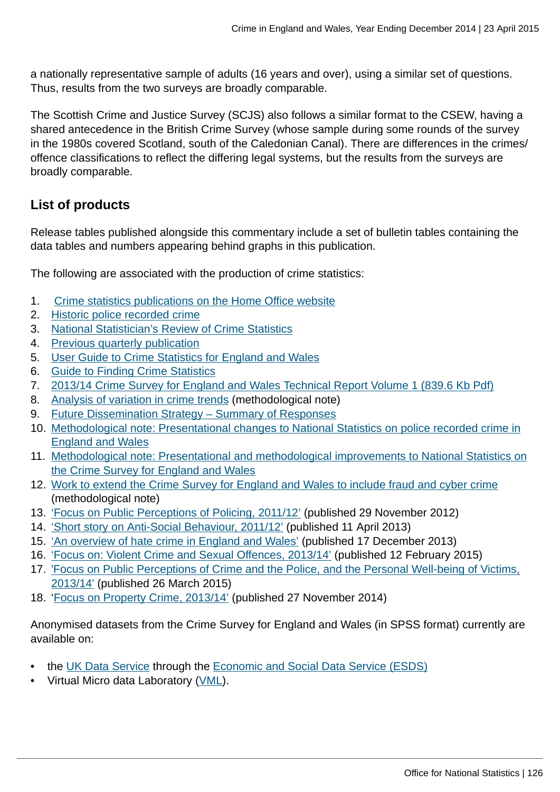a nationally representative sample of adults (16 years and over), using a similar set of questions. Thus, results from the two surveys are broadly comparable.

The Scottish Crime and Justice Survey (SCJS) also follows a similar format to the CSEW, having a shared antecedence in the British Crime Survey (whose sample during some rounds of the survey in the 1980s covered Scotland, south of the Caledonian Canal). There are differences in the crimes/ offence classifications to reflect the differing legal systems, but the results from the surveys are broadly comparable.

# **List of products**

Release tables published alongside this commentary include a set of bulletin tables containing the data tables and numbers appearing behind graphs in this publication.

The following are associated with the production of crime statistics:

- 1. [Crime statistics publications on the Home Office website](https://www.gov.uk/government/organisations/home-office/series/crime-statistics)
- 2. [Historic police recorded crime](https://www.gov.uk/government/publications/historical-crime-data)
- 3. [National Statistician's Review of Crime Statistics](http://www.statisticsauthority.gov.uk/national-statistician/ns-reports--reviews-and-guidance/national-statistician-s-reviews/national-statistician-s-review-of-crime-statistics.html)
- 4. [Previous quarterly publication](http://www.ons.gov.uk:80/ons/rel/crime-stats/crime-statistics/year-ending-september-2014/index.html)
- 5. [User Guide to Crime Statistics for England and Wales](http://www.ons.gov.uk:80/ons/guide-method/method-quality/specific/crime-statistics-methodology/user-guides/index.html)
- 6. [Guide to Finding Crime Statistics](http://www.ons.gov.uk:80/ons/guide-method/method-quality/specific/crime-statistics-methodology/guide-to-finding-crime-statistics/index.html)
- 7. [2013/14 Crime Survey for England and Wales Technical Report Volume 1 \(839.6 Kb Pdf\)](http://www.ons.gov.uk:80/ons/guide-method/method-quality/specific/crime-statistics-methodology/2013-14-crime-survey-for-england-and-wales-technical-report---volume-1.pdf)
- 8. [Analysis of variation in crime trends](http://www.ons.gov.uk:80/ons/guide-method/method-quality/specific/crime-statistics-methodology/methodological-notes/index.html) (methodological note)
- 9. [Future Dissemination Strategy Summary of Responses](http://www.ons.gov.uk:80/ons/about-ons/get-involved/consultations-and-user-surveys/consultations/future-dissemination-strategy-for-the-publication-of-national-statistics-on-crime-in-england-and-wales/index.html)
- 10. [Methodological note: Presentational changes to National Statistics on police recorded crime in](http://www.ons.gov.uk:80/ons/guide-method/method-quality/specific/crime-statistics-methodology/methodological-notes/index.html) [England and Wales](http://www.ons.gov.uk:80/ons/guide-method/method-quality/specific/crime-statistics-methodology/methodological-notes/index.html)
- 11. [Methodological note: Presentational and methodological improvements to National Statistics on](http://www.ons.gov.uk:80/ons/guide-method/method-quality/specific/crime-statistics-methodology/methodological-notes/index.html) [the Crime Survey for England and Wales](http://www.ons.gov.uk:80/ons/guide-method/method-quality/specific/crime-statistics-methodology/methodological-notes/index.html)
- 12. [Work to extend the Crime Survey for England and Wales to include fraud and cyber crime](http://www.ons.gov.uk:80/ons/guide-method/method-quality/specific/crime-statistics-methodology/methodological-notes/index.html) (methodological note)
- 13. ['Focus on Public Perceptions of Policing, 2011/12'](http://www.ons.gov.uk:80/ons/rel/crime-stats/crime-statistics/focus-on-public-perceptions-of-policing--findings-from-the-2011-12-crime-survey-for-england-and-wales/index.html) (published 29 November 2012)
- 14. ['Short story on Anti-Social Behaviour, 2011/12'](http://www.ons.gov.uk:80/ons/rel/crime-stats/crime-statistics/short-story-on-anti-social-behaviour--2011-12/index.html) (published 11 April 2013)
- 15. ['An overview of hate crime in England and Wales'](https://www.gov.uk/government/publications/an-overview-of-hate-crime-in-england-and-wales) (published 17 December 2013)
- 16. ['Focus on: Violent Crime and Sexual Offences, 2013/14'](http://www.ons.gov.uk:80/ons/rel/crime-stats/crime-statistics/focus-on-violent-crime-and-sexual-offences--2013-14/index.html) (published 12 February 2015)
- 17. ['Focus on Public Perceptions of Crime and the Police, and the Personal Well-being of Victims,](http://www.ons.gov.uk:80/ons/rel/crime-stats/crime-statistics/focus-on-public-perceptions-of-crime-and-the-police--and-the-personal-well-being-of-victims--2013-to-2014/index.html) [2013/14'](http://www.ons.gov.uk:80/ons/rel/crime-stats/crime-statistics/focus-on-public-perceptions-of-crime-and-the-police--and-the-personal-well-being-of-victims--2013-to-2014/index.html) (published 26 March 2015)
- 18. ['Focus on Property Crime, 2013/14'](http://www.ons.gov.uk:80/ons/rel/crime-stats/crime-statistics/focus-on-property-crime--2013-14/index.html) (published 27 November 2014)

Anonymised datasets from the Crime Survey for England and Wales (in SPSS format) currently are available on:

- the [UK Data Service](http://ukdataservice.ac.uk/) through the [Economic and Social Data Service \(ESDS\)](http://www.esds.ac.uk/government/)
- Virtual Micro data Laboratory [\(VML](http://www.ons.gov.uk:80/ons/about-ons/business-transparency/freedom-of-information/what-can-i-request/virtual-microdata-laboratory--vml-/index.html)).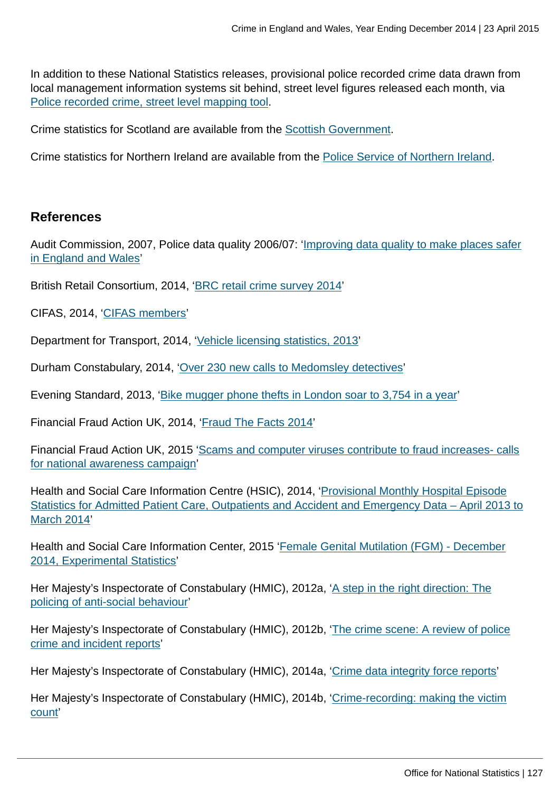In addition to these National Statistics releases, provisional police recorded crime data drawn from local management information systems sit behind, street level figures released each month, via [Police recorded crime, street level mapping tool](http://www.police.uk/).

Crime statistics for Scotland are available from the [Scottish Government.](http://www.scotland.gov.uk/Topics/Statistics/Browse/Crime-Justice/PubRecordedCrime)

Crime statistics for Northern Ireland are available from the [Police Service of Northern Ireland](http://www.psni.police.uk/directory/updates/updates_statistics/update_crime_statistics.htm).

#### **References**

Audit Commission, 2007, Police data quality 2006/07: ['Improving data quality to make places safer](http://archive.audit-commission.gov.uk/auditcommission/nationalstudies/communitysafety/Pages/policedataquality0607.aspx.html) [in England and Wales'](http://archive.audit-commission.gov.uk/auditcommission/nationalstudies/communitysafety/Pages/policedataquality0607.aspx.html)

British Retail Consortium, 2014, '[BRC retail crime survey 2014'](http://www.brc.org.uk/brc_policy_content.asp?id=263&iCat=48&iSubCat=646&sPolicy=Retail%20Crime&sSubPolicy=BRC%20Retail%20Crime%20Survey)

CIFAS, 2014, '[CIFAS members'](http://www.cifas.org.uk/cifas_members)

Department for Transport, 2014, ['Vehicle licensing statistics, 2013'](https://www.gov.uk/government/publications/vehicle-licensing-statistics-2013)

Durham Constabulary, 2014, '[Over 230 new calls to Medomsley detectives](https://www.durham.police.uk/news-and-events/Pages/News%20Articles/More-than-200-new-victims-contact-Medomsley-detectives.aspx)'

Evening Standard, 2013, ['Bike mugger phone thefts in London soar to 3,754 in a year'](http://www.standard.co.uk/news/crime/bike-mugger-phone-thefts-in-london-soar-to-3754-in-a-year-8559784.html)

Financial Fraud Action UK, 2014, ['Fraud The Facts 2014](http://www.financialfraudaction.org.uk/downloads.asp?genre=consumer)'

Financial Fraud Action UK, 2015 ['Scams and computer viruses contribute to fraud increases- calls](http://www.financialfraudaction.org.uk/cms/assets/1/2014%20annual%20fraud%20figures%20release%20-%20final.pdf) [for national awareness campaign](http://www.financialfraudaction.org.uk/cms/assets/1/2014%20annual%20fraud%20figures%20release%20-%20final.pdf)'

Health and Social Care Information Centre (HSIC), 2014, '[Provisional Monthly Hospital Episode](http://www.hscic.gov.uk/article/2021/Website-Search?productid=14896&q=Provisional+Monthly+Hospital+Episode+Statistics+for+Admitted+Patient+Care%2c+Outpatients+and+Accident+and+Emergency+Data+&sort=Relevance&size=10&page=1&area=both#top) [Statistics for Admitted Patient Care, Outpatients and Accident and Emergency Data – April 2013 to](http://www.hscic.gov.uk/article/2021/Website-Search?productid=14896&q=Provisional+Monthly+Hospital+Episode+Statistics+for+Admitted+Patient+Care%2c+Outpatients+and+Accident+and+Emergency+Data+&sort=Relevance&size=10&page=1&area=both#top) [March 2014'](http://www.hscic.gov.uk/article/2021/Website-Search?productid=14896&q=Provisional+Monthly+Hospital+Episode+Statistics+for+Admitted+Patient+Care%2c+Outpatients+and+Accident+and+Emergency+Data+&sort=Relevance&size=10&page=1&area=both#top)

Health and Social Care Information Center, 2015 ['Female Genital Mutilation \(FGM\) - December](http://www.hscic.gov.uk/catalogue/PUB16773/fgm-dec-2014-exp-qual.pdf) [2014, Experimental Statistics](http://www.hscic.gov.uk/catalogue/PUB16773/fgm-dec-2014-exp-qual.pdf)'

Her Majesty's Inspectorate of Constabulary (HMIC), 2012a, '[A step in the right direction: The](http://www.hmic.gov.uk/publication/a-step-in-the-right-direction-the-policing-of-anti-social-behaviour/) [policing of anti-social behaviour'](http://www.hmic.gov.uk/publication/a-step-in-the-right-direction-the-policing-of-anti-social-behaviour/)

Her Majesty's Inspectorate of Constabulary (HMIC), 2012b, '[The crime scene: A review of police](http://www.hmic.gov.uk/publication/review-police-crime-incident-reports-20120125/) [crime and incident reports](http://www.hmic.gov.uk/publication/review-police-crime-incident-reports-20120125/)'

Her Majesty's Inspectorate of Constabulary (HMIC), 2014a, '[Crime data integrity force reports](https://www.justiceinspectorates.gov.uk/hmic/publication/crime-data-integrity-force-reports/)'

Her Majesty's Inspectorate of Constabulary (HMIC), 2014b, '[Crime-recording: making the victim](https://www.justiceinspectorates.gov.uk/hmic/publication/crime-recording-making-the-victim-count/) [count'](https://www.justiceinspectorates.gov.uk/hmic/publication/crime-recording-making-the-victim-count/)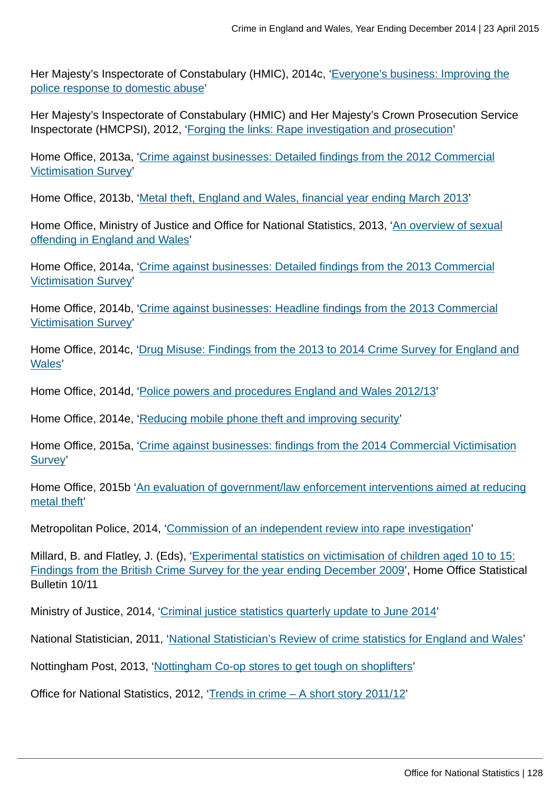Her Majesty's Inspectorate of Constabulary (HMIC), 2014c, ['Everyone's business: Improving the](http://www.hmic.gov.uk/publication/improving-the-police-response-to-domestic-abuse/) [police response to domestic abuse](http://www.hmic.gov.uk/publication/improving-the-police-response-to-domestic-abuse/)'

Her Majesty's Inspectorate of Constabulary (HMIC) and Her Majesty's Crown Prosecution Service Inspectorate (HMCPSI), 2012, '[Forging the links: Rape investigation and prosecution'](http://www.hmic.gov.uk/publication/forging-the-links-rape-investigation-and-prosecution/)

Home Office, 2013a, ['Crime against businesses: Detailed findings from the 2012 Commercial](https://www.gov.uk/government/publications/crime-against-businesses-detailed-findings-from-the-2012-commercial-victimisation-survey) [Victimisation Survey](https://www.gov.uk/government/publications/crime-against-businesses-detailed-findings-from-the-2012-commercial-victimisation-survey)'

Home Office, 2013b, ['Metal theft, England and Wales, financial year ending March 2013'](https://www.gov.uk/government/publications/metal-theft-england-and-wales-financial-year-ending-march-2013)

Home Office, Ministry of Justice and Office for National Statistics, 2013, ['An overview of sexual](https://www.gov.uk/government/publications/an-overview-of-sexual-offending-in-england-and-wales) [offending in England and Wales](https://www.gov.uk/government/publications/an-overview-of-sexual-offending-in-england-and-wales)'

Home Office, 2014a, ['Crime against businesses: Detailed findings from the 2013 Commercial](https://www.gov.uk/government/publications/crime-against-businesses-detailed-findings-from-the-2013-commercial-victimisation-survey) [Victimisation Survey](https://www.gov.uk/government/publications/crime-against-businesses-detailed-findings-from-the-2013-commercial-victimisation-survey)'

Home Office, 2014b, ['Crime against businesses: Headline findings from the 2013 Commercial](https://www.gov.uk/government/publications/crime-against-businesses-headline-findings-from-the-2013-commercial-victimisation-survey) [Victimisation Survey](https://www.gov.uk/government/publications/crime-against-businesses-headline-findings-from-the-2013-commercial-victimisation-survey)'

Home Office, 2014c, ['Drug Misuse: Findings from the 2013 to 2014 Crime Survey for England and](https://www.gov.uk/government/statistics/drug-misuse-findings-from-the-2013-to-2014-csew) [Wales](https://www.gov.uk/government/statistics/drug-misuse-findings-from-the-2013-to-2014-csew)'

Home Office, 2014d, ['Police powers and procedures England and Wales 2012/13](https://www.gov.uk/government/publications/police-powers-and-procedures-england-and-wales-2012-to-2013)'

Home Office, 2014e, ['Reducing mobile phone theft and improving security](https://www.gov.uk/government/publications/reducing-mobile-phone-theft-and-improving-security)'

Home Office, 2015a, ['Crime against businesses: findings from the 2014 Commercial Victimisation](https://www.gov.uk/government/statistics/crime-against-businesses-findings-from-the-2014-commercial-victimisation-survey) [Survey'](https://www.gov.uk/government/statistics/crime-against-businesses-findings-from-the-2014-commercial-victimisation-survey)

Home Office, 2015b '[An evaluation of government/law enforcement interventions aimed at reducing](#page-0-0) [metal theft](#page-0-0)'

Metropolitan Police, 2014, ['Commission of an independent review into rape investigation](http://content.met.police.uk/News/Commission-of-an-independent-review-into-rape-investigation/1400024447530/1257246745756)'

Millard, B. and Flatley, J. (Eds), ['Experimental statistics on victimisation of children aged 10 to 15:](https://www.gov.uk/government/publications/experimental-statistics-on-victimisation-of-children-aged-10-to-15-british-crime-survey-year-ending-december-2009) [Findings from the British Crime Survey for the year ending December 2009'](https://www.gov.uk/government/publications/experimental-statistics-on-victimisation-of-children-aged-10-to-15-british-crime-survey-year-ending-december-2009), Home Office Statistical Bulletin 10/11

Ministry of Justice, 2014, ['Criminal justice statistics quarterly update to June 2014'](https://www.gov.uk/government/statistics/criminal-justice-system-quarterly-statistics-june-2014)

National Statistician, 2011, ['National Statistician's Review of crime statistics for England and Wales](http://www.statisticsauthority.gov.uk/national-statistician/ns-reports--reviews-and-guidance/national-statistician-s-reviews/national-statistician-s-review-of-crime-statistics.html)'

Nottingham Post, 2013, '[Nottingham Co-op stores to get tough on shoplifters](http://www.nottinghampost.com/Nottingham-op-stores-tough-shoplifters/story-20335256-detail/story.html)'

Office for National Statistics, 2012, ['Trends in crime – A short story 2011/12'](http://www.ons.gov.uk:80/ons/rel/crime-stats/crime-statistics/period-ending-march-2012/trends-in-crime--a-short-story.html)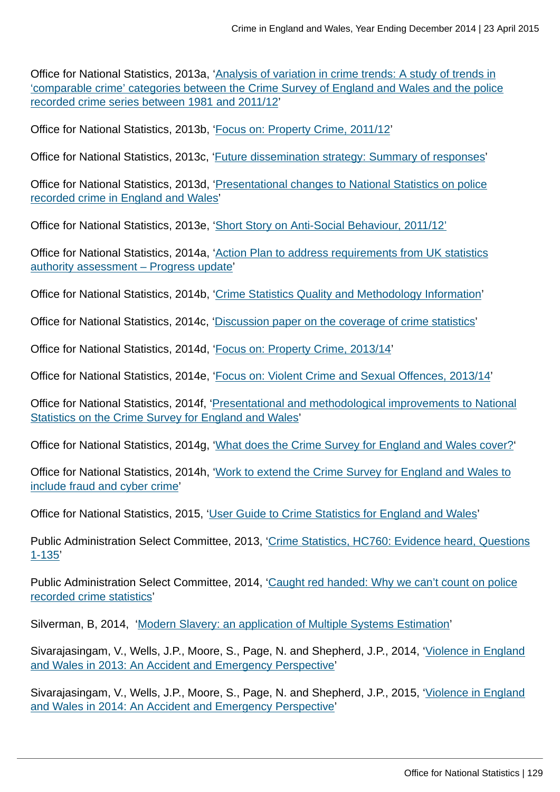Office for National Statistics, 2013a, '[Analysis of variation in crime trends: A study of trends in](http://www.ons.gov.uk:80/ons/guide-method/method-quality/specific/crime-statistics-methodology/methodological-notes/index.html) ['comparable crime' categories between the Crime Survey of England and Wales and the police](http://www.ons.gov.uk:80/ons/guide-method/method-quality/specific/crime-statistics-methodology/methodological-notes/index.html) [recorded crime series between 1981 and 2011/12'](http://www.ons.gov.uk:80/ons/guide-method/method-quality/specific/crime-statistics-methodology/methodological-notes/index.html)

Office for National Statistics, 2013b, '[Focus on: Property Crime, 2011/12](http://www.ons.gov.uk:80/ons/rel/crime-stats/crime-statistics/focus-on-property-crime--2011-12/index.html)'

Office for National Statistics, 2013c, ['Future dissemination strategy: Summary of responses](http://www.ons.gov.uk:80/ons/about-ons/get-involved/consultations-and-user-surveys/consultations/future-dissemination-strategy-for-the-publication-of-national-statistics-on-crime-in-england-and-wales/index.html)'

Office for National Statistics, 2013d, '[Presentational changes to National Statistics on police](http://www.ons.gov.uk:80/ons/guide-method/method-quality/specific/crime-statistics-methodology/methodological-notes/index.html) [recorded crime in England and Wales'](http://www.ons.gov.uk:80/ons/guide-method/method-quality/specific/crime-statistics-methodology/methodological-notes/index.html)

Office for National Statistics, 2013e, '[Short Story on Anti-Social Behaviour, 2011/12'](http://www.ons.gov.uk:80/ons/rel/crime-stats/crime-statistics/short-story-on-anti-social-behaviour--2011-12/index.html)

Office for National Statistics, 2014a, '[Action Plan to address requirements from UK statistics](http://www.ons.gov.uk:80/ons/guide-method/method-quality/specific/crime-statistics-methodology/uk-statistics-authority-assessment/index.html) [authority assessment – Progress update](http://www.ons.gov.uk:80/ons/guide-method/method-quality/specific/crime-statistics-methodology/uk-statistics-authority-assessment/index.html)'

Office for National Statistics, 2014b, '[Crime Statistics Quality and Methodology Information](http://www.ons.gov.uk:80/ons/guide-method/method-quality/quality/quality-information/crime-and-justice/index.html)'

Office for National Statistics, 2014c, ['Discussion paper on the coverage of crime statistics'](http://www.ons.gov.uk:80/ons/guide-method/method-quality/specific/crime-statistics-methodology/methodological-notes/index.html)

Office for National Statistics, 2014d, '[Focus on: Property Crime, 2013/14](http://www.ons.gov.uk:80/ons/rel/crime-stats/crime-statistics/focus-on-property-crime--2013-14/index.html)'

Office for National Statistics, 2014e, '[Focus on: Violent Crime and Sexual Offences, 2013/14'](http://www.ons.gov.uk:80/ons/rel/crime-stats/crime-statistics/focus-on-violent-crime-and-sexual-offences--2013-14/index.html)

Office for National Statistics, 2014f, ['Presentational and methodological improvements to National](http://www.ons.gov.uk:80/ons/guide-method/method-quality/specific/crime-statistics-methodology/methodological-notes/index.html) [Statistics on the Crime Survey for England and Wales](http://www.ons.gov.uk:80/ons/guide-method/method-quality/specific/crime-statistics-methodology/methodological-notes/index.html)'

Office for National Statistics, 2014g, '[What does the Crime Survey for England and Wales cover?'](http://www.ons.gov.uk:80/ons/rel/crime-stats/crime-statistics/period-ending-june-2014/info-what-does-csew-cover.html)

Office for National Statistics, 2014h, '[Work to extend the Crime Survey for England and Wales to](http://www.ons.gov.uk:80/ons/guide-method/method-quality/specific/crime-statistics-methodology/methodological-notes/index.html) [include fraud and cyber crime'](http://www.ons.gov.uk:80/ons/guide-method/method-quality/specific/crime-statistics-methodology/methodological-notes/index.html)

Office for National Statistics, 2015, ['User Guide to Crime Statistics for England and Wales'](http://www.ons.gov.uk:80/ons/guide-method/method-quality/specific/crime-statistics-methodology/user-guides/index.html)

Public Administration Select Committee, 2013, '[Crime Statistics, HC760: Evidence heard, Questions](http://data.parliament.uk/writtenevidence/WrittenEvidence.svc/EvidenceHtml/4041) [1-135](http://data.parliament.uk/writtenevidence/WrittenEvidence.svc/EvidenceHtml/4041)'

Public Administration Select Committee, 2014, '[Caught red handed: Why we can't count on police](http://www.publications.parliament.uk/pa/cm201314/cmselect/cmpubadm/760/760.pdf) [recorded crime statistics'](http://www.publications.parliament.uk/pa/cm201314/cmselect/cmpubadm/760/760.pdf)

Silverman, B, 2014, ['Modern Slavery: an application of Multiple Systems Estimation'](#page-0-0)

Sivarajasingam, V., Wells, J.P., Moore, S., Page, N. and Shepherd, J.P., 2014, '[Violence in England](http://www.vrg.cf.ac.uk/nvit/NVIT_2013.pdf) [and Wales in 2013: An Accident and Emergency Perspective](http://www.vrg.cf.ac.uk/nvit/NVIT_2013.pdf)'

Sivarajasingam, V., Wells, J.P., Moore, S., Page, N. and Shepherd, J.P., 2015, '[Violence in England](http://www.cardiff.ac.uk/__data/assets/pdf_file/0009/95778/nvit_2014.pdf) [and Wales in 2014: An Accident and Emergency Perspective](http://www.cardiff.ac.uk/__data/assets/pdf_file/0009/95778/nvit_2014.pdf)'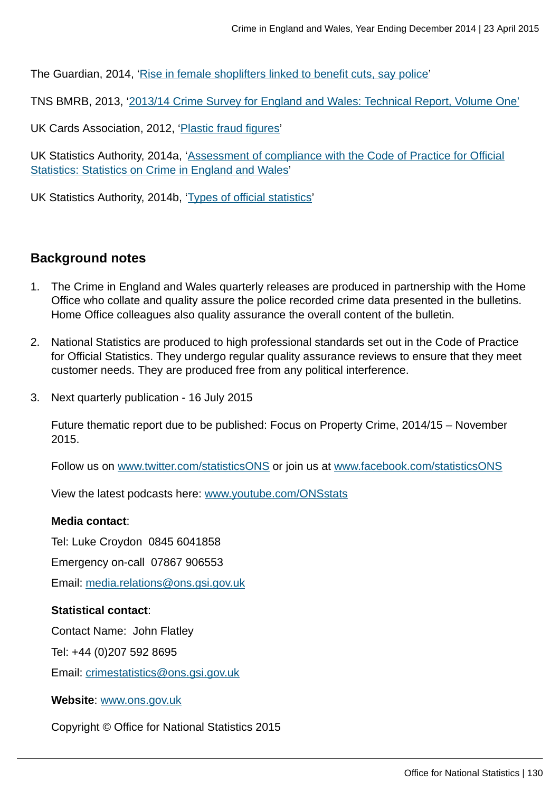The Guardian, 2014, ['Rise in female shoplifters linked to benefit cuts, say police'](http://www.theguardian.com/uk-news/2014/jan/23/rise-female-shoplifters-benefit-cuts-police)

TNS BMRB, 2013, '[2013/14 Crime Survey for England and Wales: Technical Report, Volume One'](http://www.ons.gov.uk/ons/guide-method/method-quality/specific/crime-statistics-methodology/user-guides/index.html)

UK Cards Association, 2012, '[Plastic fraud figures'](http://www.theukcardsassociation.org.uk/plastic_fraud_figures/index.asp)

UK Statistics Authority, 2014a, ['Assessment of compliance with the Code of Practice for Official](http://www.statisticsauthority.gov.uk/assessment/assessment/assessment-reports/assessment-report-268---statistics-on-crime-in-england-and-wales.pdf) [Statistics: Statistics on Crime in England and Wales'](http://www.statisticsauthority.gov.uk/assessment/assessment/assessment-reports/assessment-report-268---statistics-on-crime-in-england-and-wales.pdf)

UK Statistics Authority, 2014b, ['Types of official statistics](http://www.statisticsauthority.gov.uk/national-statistician/types-of-official-statistics/index.html)'

# **Background notes**

- 1. The Crime in England and Wales quarterly releases are produced in partnership with the Home Office who collate and quality assure the police recorded crime data presented in the bulletins. Home Office colleagues also quality assurance the overall content of the bulletin.
- 2. National Statistics are produced to high professional standards set out in the Code of Practice for Official Statistics. They undergo regular quality assurance reviews to ensure that they meet customer needs. They are produced free from any political interference.
- 3. Next quarterly publication 16 July 2015

Future thematic report due to be published: Focus on Property Crime, 2014/15 – November 2015.

Follow us on [www.twitter.com/statisticsONS](http://www.twitter.com/statisticsONS) or join us at [www.facebook.com/statisticsONS](http://www.facebook.com/statisticsONS)

View the latest podcasts here: [www.youtube.com/ONSstats](http://www.youtube.com/ONSstats)

#### **Media contact**:

Tel: Luke Croydon 0845 6041858

Emergency on-call 07867 906553

Email: [media.relations@ons.gsi.gov.uk](mailto:media.relations@ons.gsi.gov.uk)

#### **Statistical contact**:

Contact Name: John Flatley

Tel: +44 (0)207 592 8695

Email: [crimestatistics@ons.gsi.gov.uk](mailto:crimestatistics@ons.gsi.gov.uk)

**Website**: [www.ons.gov.uk](http://www.ons.gov.uk)

Copyright © Office for National Statistics 2015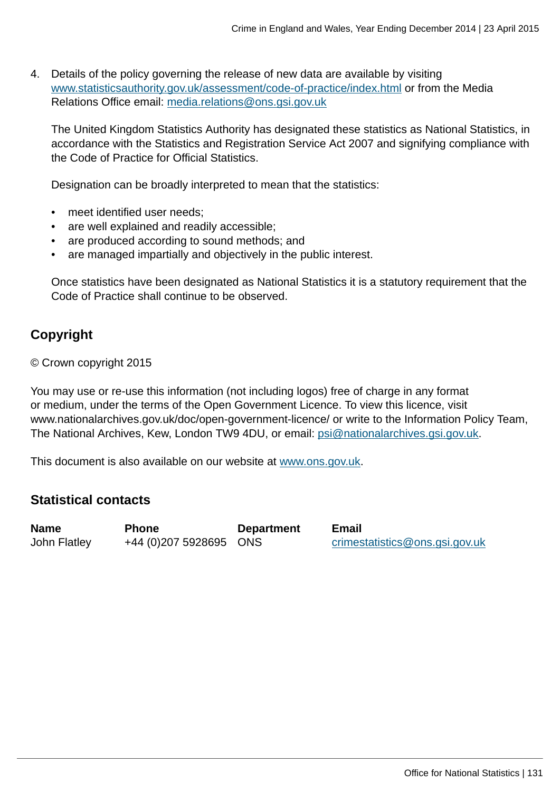4. Details of the policy governing the release of new data are available by visiting [www.statisticsauthority.gov.uk/assessment/code-of-practice/index.html](http://www.statisticsauthority.gov.uk/assessment/code-of-practice/index.html) or from the Media Relations Office email: [media.relations@ons.gsi.gov.uk](mailto:media.relations@ons.gsi.gov.uk)

The United Kingdom Statistics Authority has designated these statistics as National Statistics, in accordance with the Statistics and Registration Service Act 2007 and signifying compliance with the Code of Practice for Official Statistics.

Designation can be broadly interpreted to mean that the statistics:

- meet identified user needs;
- are well explained and readily accessible;
- are produced according to sound methods; and
- are managed impartially and objectively in the public interest.

Once statistics have been designated as National Statistics it is a statutory requirement that the Code of Practice shall continue to be observed.

# **Copyright**

© Crown copyright 2015

You may use or re-use this information (not including logos) free of charge in any format or medium, under the terms of the Open Government Licence. To view this licence, visit www.nationalarchives.gov.uk/doc/open-government-licence/ or write to the Information Policy Team, The National Archives, Kew, London TW9 4DU, or email: [psi@nationalarchives.gsi.gov.uk](mailto:psi@nationalarchives.gsi.gov.uk).

This document is also available on our website at [www.ons.gov.uk.](http://www.ons.gov.uk/)

# **Statistical contacts**

**Name Phone Department Email**

John Flatley  $+44$  (0)207 5928695 ONS [crimestatistics@ons.gsi.gov.uk](mailto:crimestatistics@ons.gsi.gov.uk)